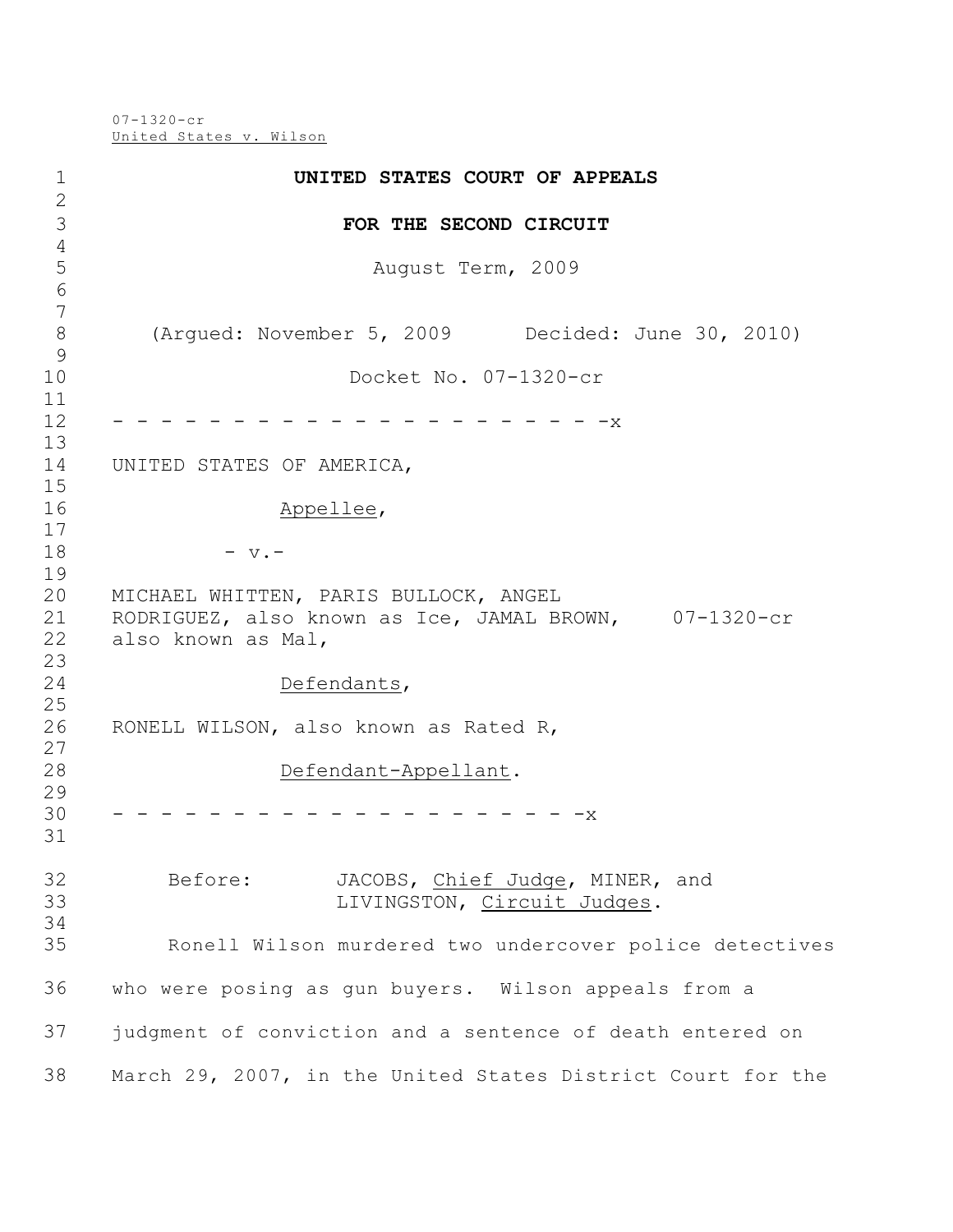07-1320-cr United States v. Wilson

| $1\,$                         | UNITED STATES COURT OF APPEALS                                                                                       |
|-------------------------------|----------------------------------------------------------------------------------------------------------------------|
| $\mathbf{2}$<br>3             | FOR THE SECOND CIRCUIT                                                                                               |
| $\sqrt{4}$                    |                                                                                                                      |
| 5<br>6                        | August Term, 2009                                                                                                    |
| 7<br>$\,8\,$<br>$\mathcal{G}$ | (Arqued: November 5, 2009 Decided: June 30, 2010)                                                                    |
| 10<br>11<br>12                | Docket No. 07-1320-cr                                                                                                |
| 13<br>14<br>15                | $-x$<br>UNITED STATES OF AMERICA,                                                                                    |
| 16<br>17                      | Appellee,                                                                                                            |
| 18<br>19                      | $-$ v. $-$                                                                                                           |
| 20<br>21<br>22<br>23          | MICHAEL WHITTEN, PARIS BULLOCK, ANGEL<br>RODRIGUEZ, also known as Ice, JAMAL BROWN, 07-1320-cr<br>also known as Mal, |
| 24<br>25                      | Defendants,                                                                                                          |
| 26<br>27                      | RONELL WILSON, also known as Rated R,                                                                                |
| 28<br>29                      | Defendant-Appellant.                                                                                                 |
| 30<br>31                      | -x                                                                                                                   |
| 32<br>33<br>34                | Before:<br>JACOBS, Chief Judge, MINER, and<br>LIVINGSTON, Circuit Judges.                                            |
| 35                            | Ronell Wilson murdered two undercover police detectives                                                              |
| 36                            | who were posing as gun buyers. Wilson appeals from a                                                                 |
| 37                            | judgment of conviction and a sentence of death entered on                                                            |
| 38                            | March 29, 2007, in the United States District Court for the                                                          |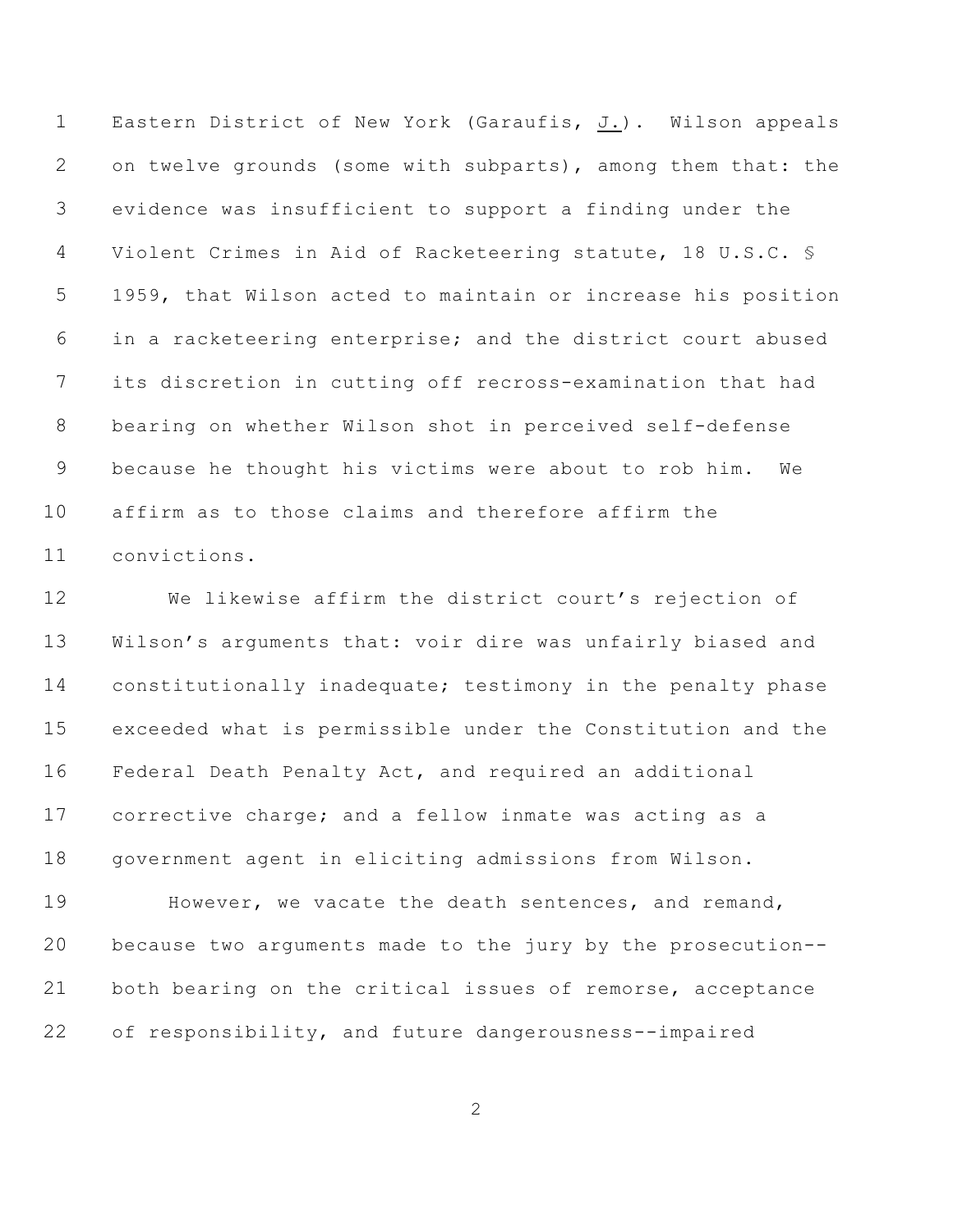Eastern District of New York (Garaufis, J.). Wilson appeals on twelve grounds (some with subparts), among them that: the evidence was insufficient to support a finding under the Violent Crimes in Aid of Racketeering statute, 18 U.S.C. § 1959, that Wilson acted to maintain or increase his position in a racketeering enterprise; and the district court abused its discretion in cutting off recross-examination that had bearing on whether Wilson shot in perceived self-defense because he thought his victims were about to rob him. We affirm as to those claims and therefore affirm the convictions.

 We likewise affirm the district court's rejection of Wilson's arguments that: voir dire was unfairly biased and constitutionally inadequate; testimony in the penalty phase exceeded what is permissible under the Constitution and the Federal Death Penalty Act, and required an additional corrective charge; and a fellow inmate was acting as a government agent in eliciting admissions from Wilson.

 However, we vacate the death sentences, and remand, because two arguments made to the jury by the prosecution-- both bearing on the critical issues of remorse, acceptance of responsibility, and future dangerousness--impaired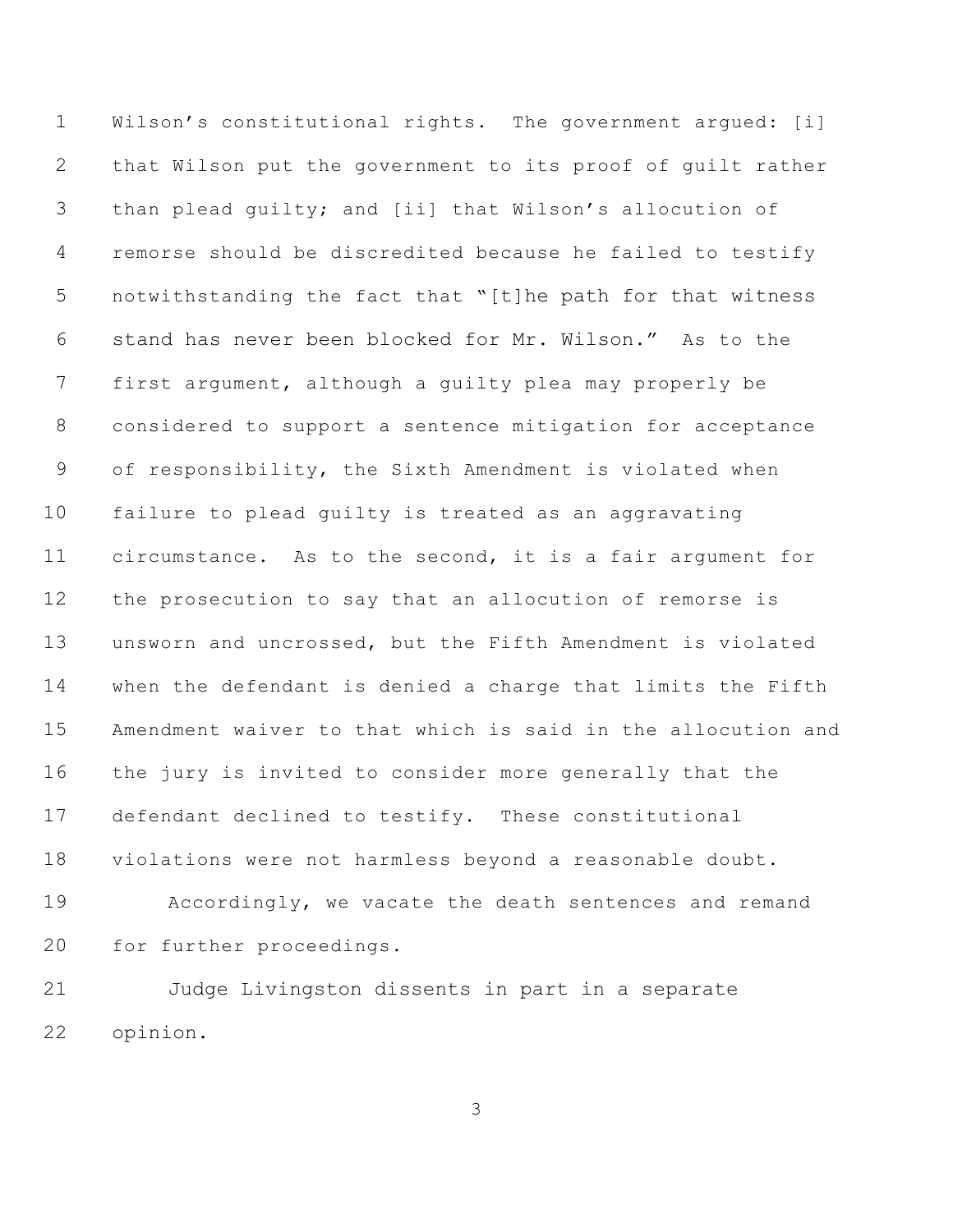Wilson's constitutional rights. The government argued: [i] that Wilson put the government to its proof of guilt rather than plead guilty; and [ii] that Wilson's allocution of remorse should be discredited because he failed to testify notwithstanding the fact that "[t]he path for that witness stand has never been blocked for Mr. Wilson." As to the first argument, although a guilty plea may properly be considered to support a sentence mitigation for acceptance of responsibility, the Sixth Amendment is violated when failure to plead guilty is treated as an aggravating circumstance. As to the second, it is a fair argument for the prosecution to say that an allocution of remorse is unsworn and uncrossed, but the Fifth Amendment is violated when the defendant is denied a charge that limits the Fifth Amendment waiver to that which is said in the allocution and the jury is invited to consider more generally that the defendant declined to testify. These constitutional violations were not harmless beyond a reasonable doubt. Accordingly, we vacate the death sentences and remand for further proceedings. Judge Livingston dissents in part in a separate

opinion.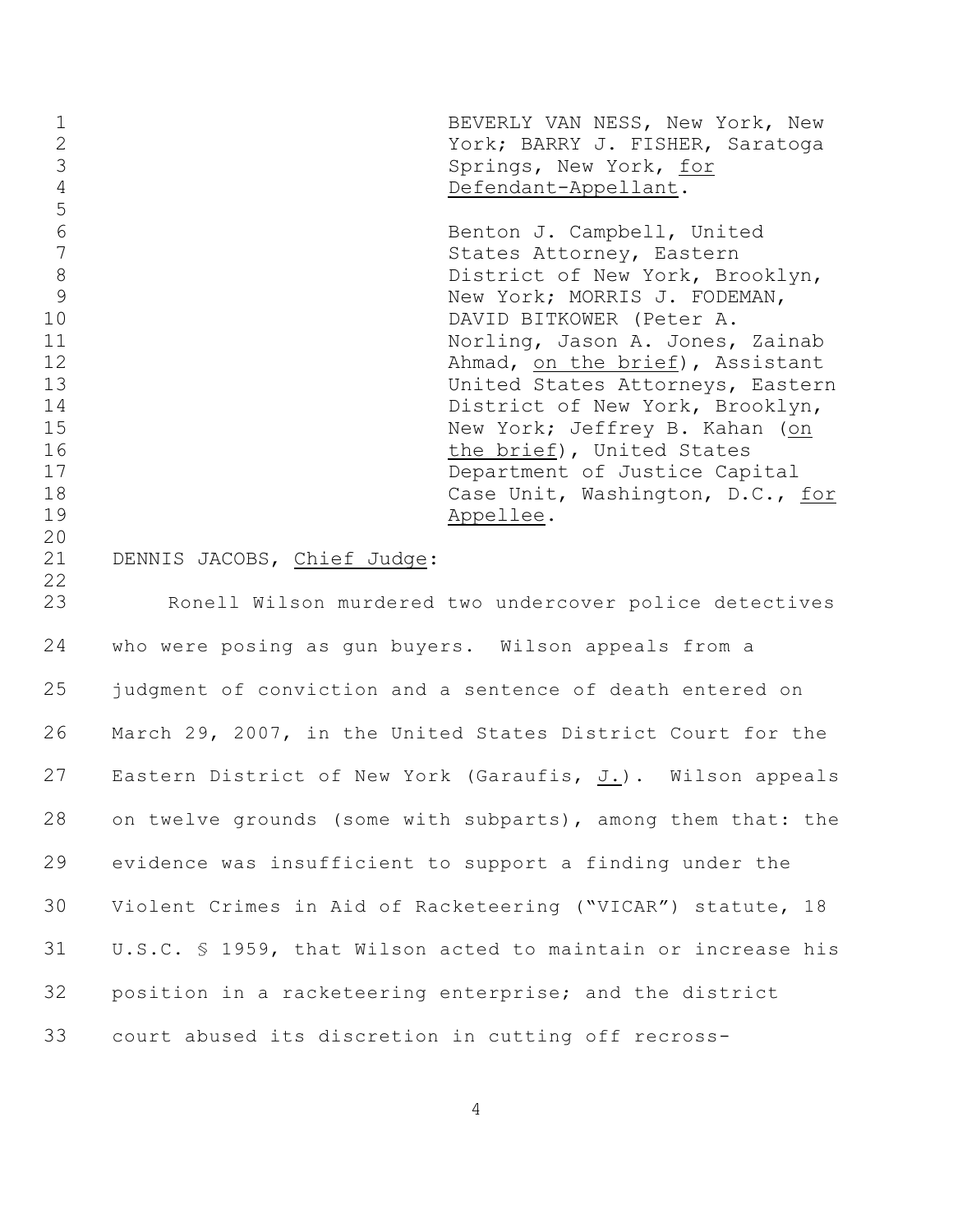| $\mathbf 1$<br>$\overline{2}$<br>$\mathfrak{Z}$<br>$\overline{4}$<br>$\overline{5}$ |                                                      | BEVERLY VAN NESS, New York, New<br>York; BARRY J. FISHER, Saratoga<br>Springs, New York, for<br>Defendant-Appellant.                                                                                                                                                                       |
|-------------------------------------------------------------------------------------|------------------------------------------------------|--------------------------------------------------------------------------------------------------------------------------------------------------------------------------------------------------------------------------------------------------------------------------------------------|
| $6\,$<br>$\overline{7}$<br>$8\,$<br>9<br>10                                         |                                                      | Benton J. Campbell, United<br>States Attorney, Eastern<br>District of New York, Brooklyn,<br>New York; MORRIS J. FODEMAN,<br>DAVID BITKOWER (Peter A.                                                                                                                                      |
| 11<br>12<br>13<br>14<br>15<br>16<br>17<br>18<br>19<br>20                            |                                                      | Norling, Jason A. Jones, Zainab<br>Ahmad, on the brief), Assistant<br>United States Attorneys, Eastern<br>District of New York, Brooklyn,<br>New York; Jeffrey B. Kahan (on<br>the brief), United States<br>Department of Justice Capital<br>Case Unit, Washington, D.C., for<br>Appellee. |
| 21<br>22<br>23                                                                      | DENNIS JACOBS, Chief Judge:                          |                                                                                                                                                                                                                                                                                            |
| 24                                                                                  | who were posing as gun buyers. Wilson appeals from a | Ronell Wilson murdered two undercover police detectives                                                                                                                                                                                                                                    |
| 25                                                                                  |                                                      | judgment of conviction and a sentence of death entered on                                                                                                                                                                                                                                  |
| 26                                                                                  |                                                      | March 29, 2007, in the United States District Court for the                                                                                                                                                                                                                                |
| 27                                                                                  |                                                      | Eastern District of New York (Garaufis, J.). Wilson appeals                                                                                                                                                                                                                                |

position in a racketeering enterprise; and the district

evidence was insufficient to support a finding under the

on twelve grounds (some with subparts), among them that: the

Violent Crimes in Aid of Racketeering ("VICAR") statute, 18

U.S.C. § 1959, that Wilson acted to maintain or increase his

court abused its discretion in cutting off recross-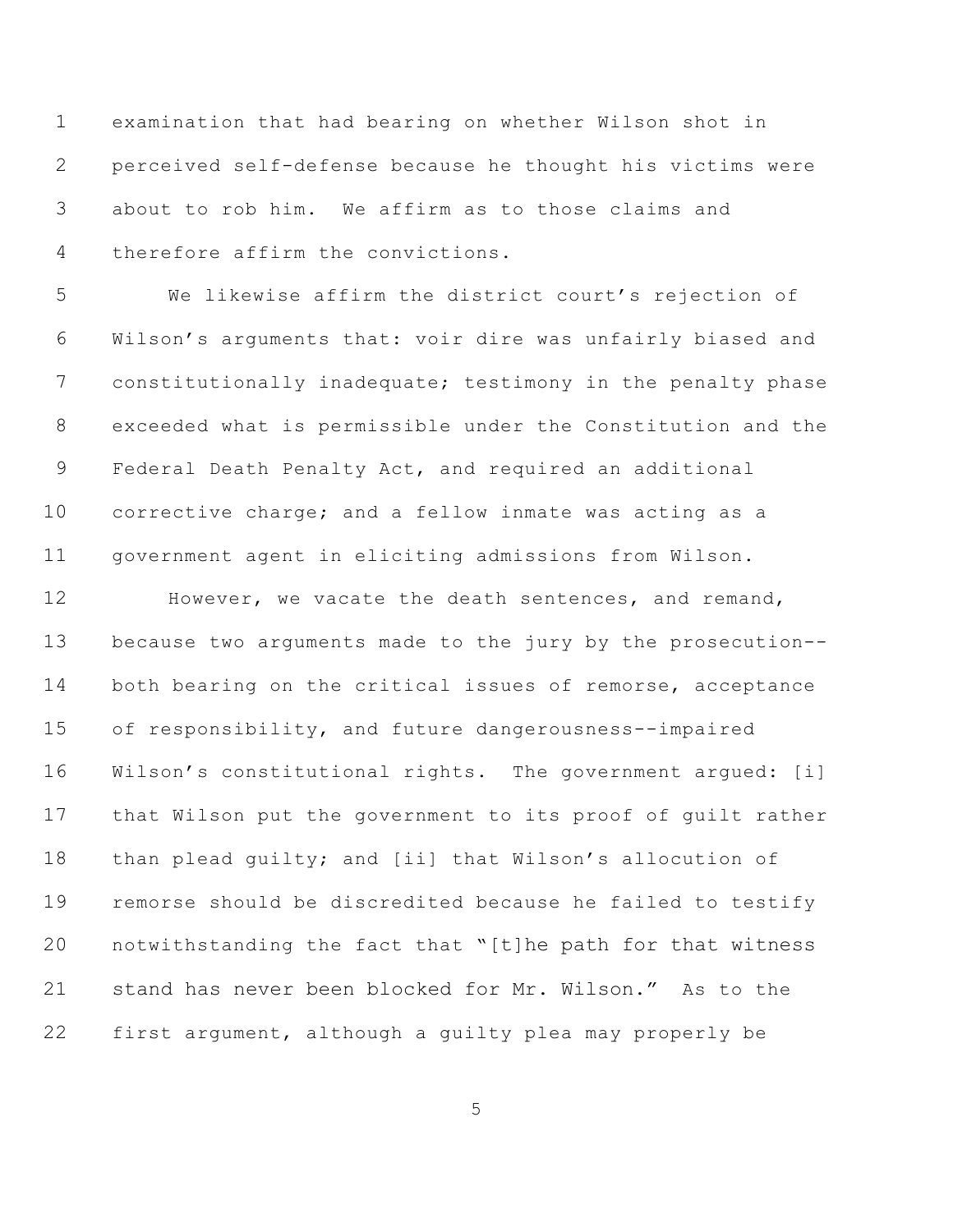examination that had bearing on whether Wilson shot in perceived self-defense because he thought his victims were about to rob him. We affirm as to those claims and therefore affirm the convictions.

 We likewise affirm the district court's rejection of Wilson's arguments that: voir dire was unfairly biased and constitutionally inadequate; testimony in the penalty phase exceeded what is permissible under the Constitution and the Federal Death Penalty Act, and required an additional corrective charge; and a fellow inmate was acting as a government agent in eliciting admissions from Wilson.

 However, we vacate the death sentences, and remand, because two arguments made to the jury by the prosecution-- both bearing on the critical issues of remorse, acceptance of responsibility, and future dangerousness--impaired Wilson's constitutional rights. The government argued: [i] that Wilson put the government to its proof of guilt rather than plead guilty; and [ii] that Wilson's allocution of remorse should be discredited because he failed to testify notwithstanding the fact that "[t]he path for that witness stand has never been blocked for Mr. Wilson." As to the first argument, although a guilty plea may properly be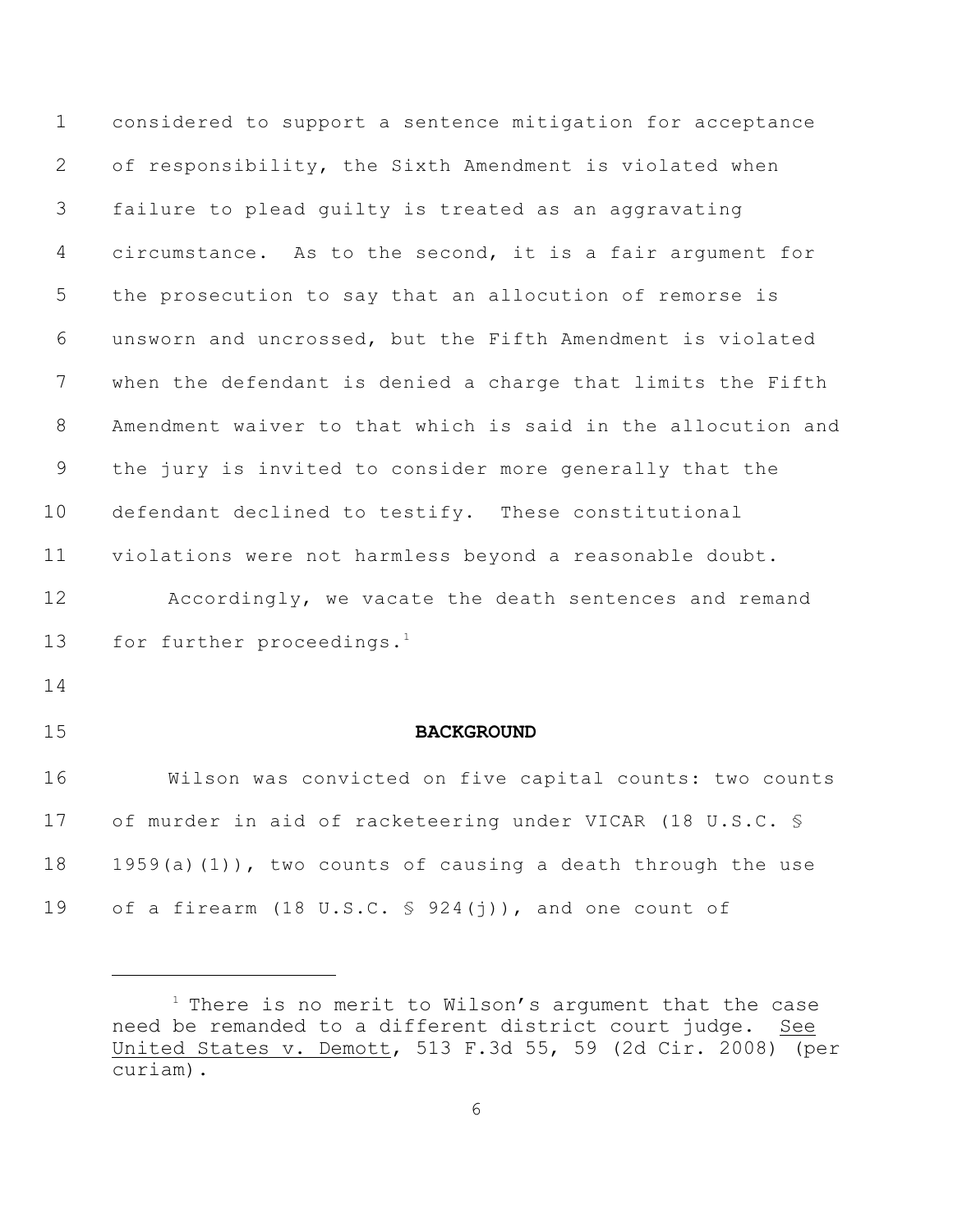considered to support a sentence mitigation for acceptance of responsibility, the Sixth Amendment is violated when failure to plead guilty is treated as an aggravating circumstance. As to the second, it is a fair argument for the prosecution to say that an allocution of remorse is unsworn and uncrossed, but the Fifth Amendment is violated when the defendant is denied a charge that limits the Fifth Amendment waiver to that which is said in the allocution and the jury is invited to consider more generally that the defendant declined to testify. These constitutional violations were not harmless beyond a reasonable doubt. Accordingly, we vacate the death sentences and remand 13 for further proceedings.<sup>1</sup> **BACKGROUND** Wilson was convicted on five capital counts: two counts of murder in aid of racketeering under VICAR (18 U.S.C. § 18 1959(a)(1)), two counts of causing a death through the use of a firearm (18 U.S.C. § 924(j)), and one count of

 There is no merit to Wilson's argument that the case need be remanded to a different district court judge. See United States v. Demott, 513 F.3d 55, 59 (2d Cir. 2008) (per curiam).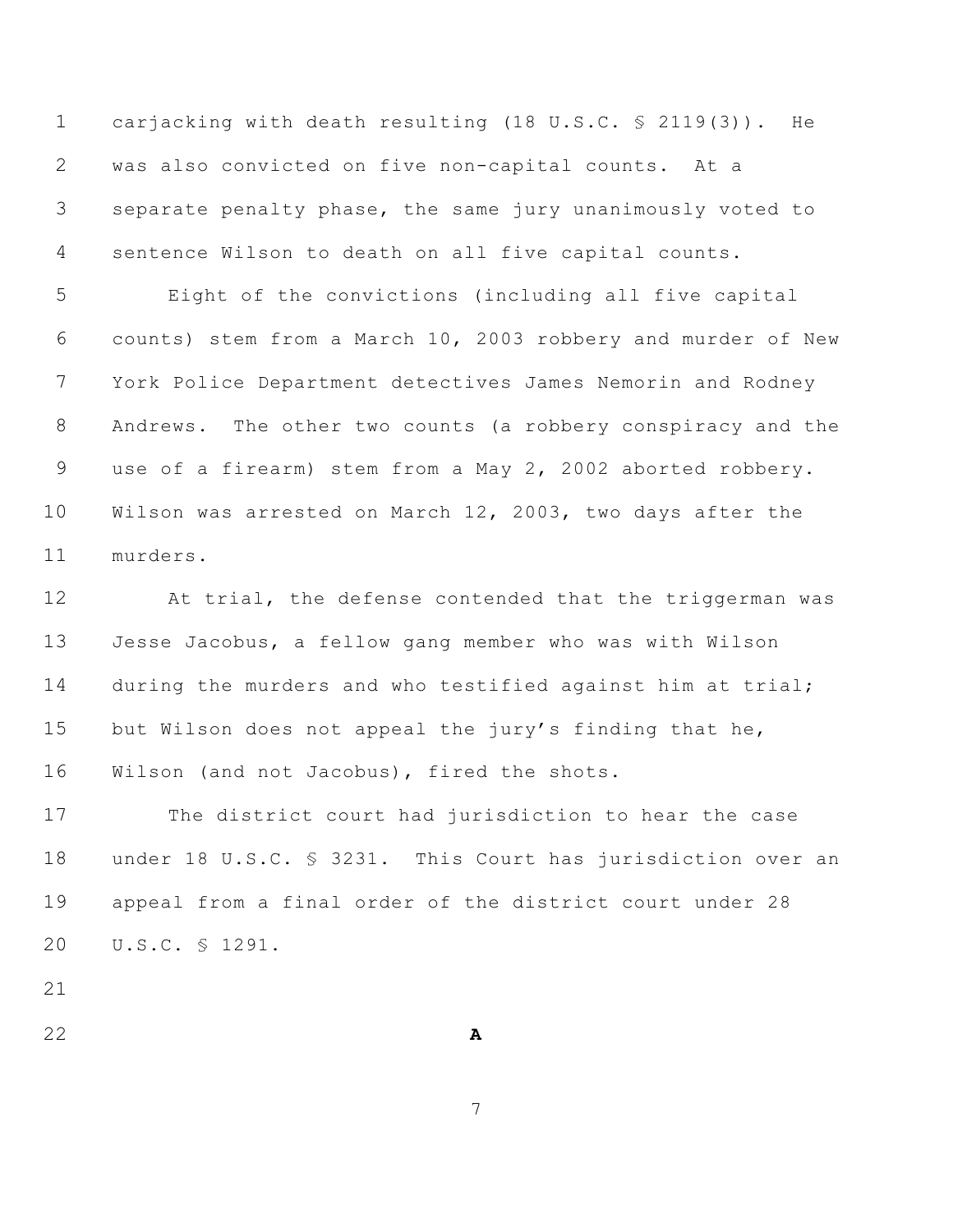carjacking with death resulting (18 U.S.C. § 2119(3)). He was also convicted on five non-capital counts. At a separate penalty phase, the same jury unanimously voted to sentence Wilson to death on all five capital counts.

 Eight of the convictions (including all five capital counts) stem from a March 10, 2003 robbery and murder of New York Police Department detectives James Nemorin and Rodney Andrews. The other two counts (a robbery conspiracy and the use of a firearm) stem from a May 2, 2002 aborted robbery. Wilson was arrested on March 12, 2003, two days after the murders.

 At trial, the defense contended that the triggerman was Jesse Jacobus, a fellow gang member who was with Wilson 14 during the murders and who testified against him at trial; but Wilson does not appeal the jury's finding that he, Wilson (and not Jacobus), fired the shots.

 The district court had jurisdiction to hear the case under 18 U.S.C. § 3231. This Court has jurisdiction over an appeal from a final order of the district court under 28 U.S.C. § 1291.

**A**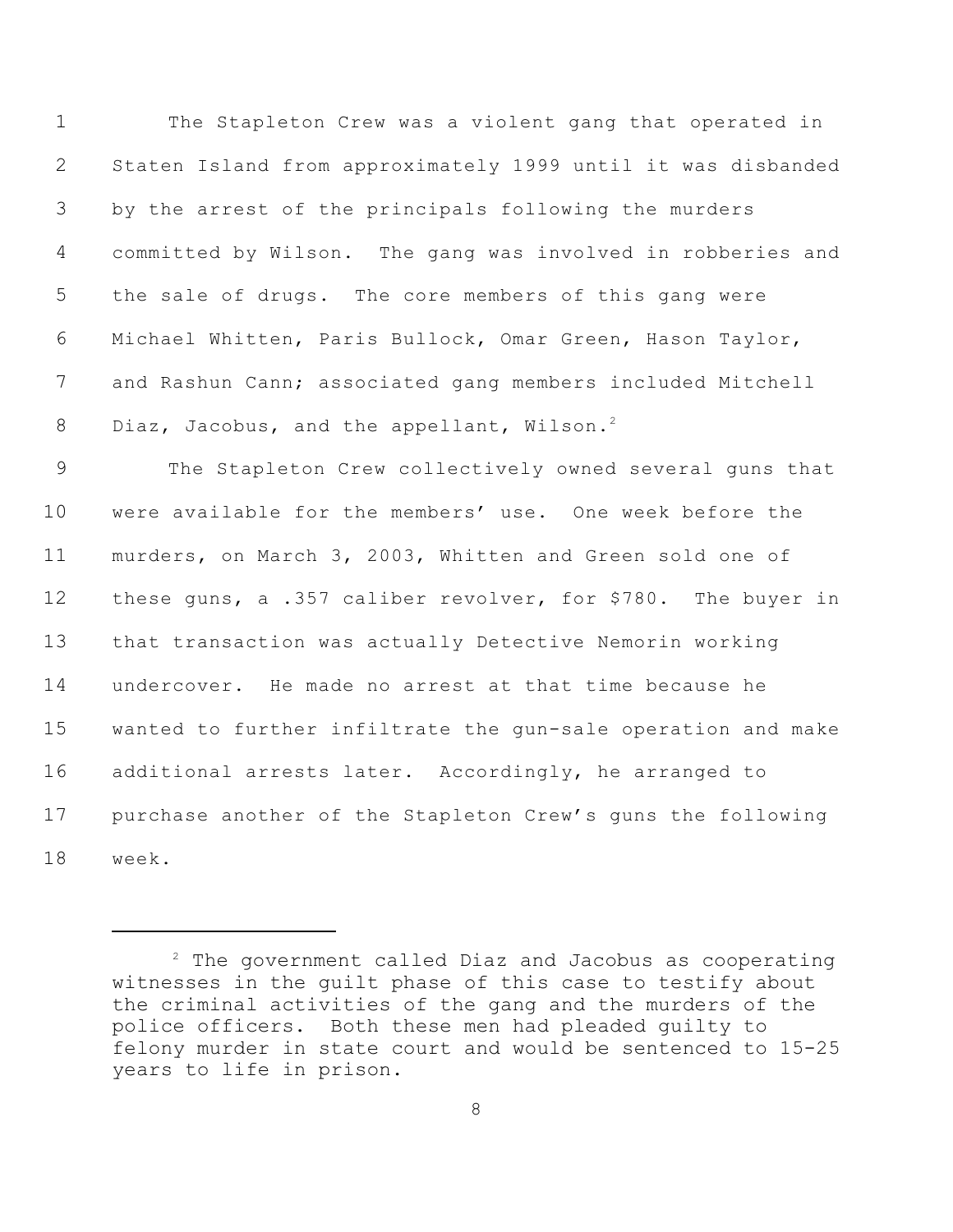The Stapleton Crew was a violent gang that operated in Staten Island from approximately 1999 until it was disbanded by the arrest of the principals following the murders committed by Wilson. The gang was involved in robberies and the sale of drugs. The core members of this gang were Michael Whitten, Paris Bullock, Omar Green, Hason Taylor, and Rashun Cann; associated gang members included Mitchell 8 Diaz, Jacobus, and the appellant, Wilson.<sup>2</sup> The Stapleton Crew collectively owned several guns that were available for the members' use. One week before the murders, on March 3, 2003, Whitten and Green sold one of these guns, a .357 caliber revolver, for \$780. The buyer in that transaction was actually Detective Nemorin working undercover. He made no arrest at that time because he wanted to further infiltrate the gun-sale operation and make additional arrests later. Accordingly, he arranged to purchase another of the Stapleton Crew's guns the following week.

 The government called Diaz and Jacobus as cooperating witnesses in the guilt phase of this case to testify about the criminal activities of the gang and the murders of the police officers. Both these men had pleaded guilty to felony murder in state court and would be sentenced to 15-25 years to life in prison.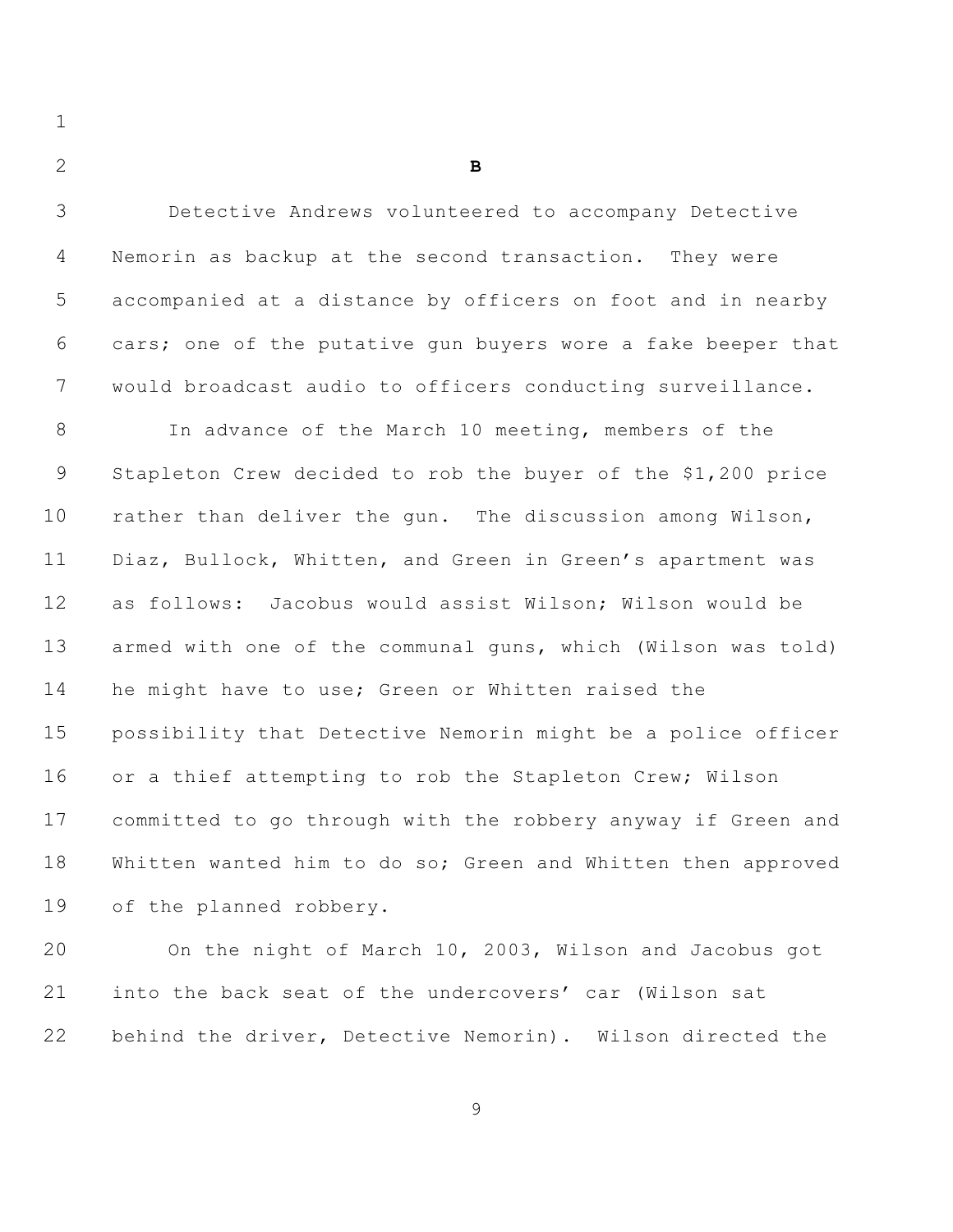**B**

| 3              | Detective Andrews volunteered to accompany Detective         |
|----------------|--------------------------------------------------------------|
| 4              | Nemorin as backup at the second transaction. They were       |
| 5              | accompanied at a distance by officers on foot and in nearby  |
| 6              | cars; one of the putative gun buyers wore a fake beeper that |
| 7              | would broadcast audio to officers conducting surveillance.   |
| $8\,$          | In advance of the March 10 meeting, members of the           |
| $\overline{9}$ | Stapleton Crew decided to rob the buyer of the \$1,200 price |
| 10             | rather than deliver the gun. The discussion among Wilson,    |
| 11             | Diaz, Bullock, Whitten, and Green in Green's apartment was   |
| 12             | as follows: Jacobus would assist Wilson; Wilson would be     |
| 13             | armed with one of the communal guns, which (Wilson was told) |
| 14             | he might have to use; Green or Whitten raised the            |
| 15             | possibility that Detective Nemorin might be a police officer |
| 16             | or a thief attempting to rob the Stapleton Crew; Wilson      |
| 17             | committed to go through with the robbery anyway if Green and |
| 18             | Whitten wanted him to do so; Green and Whitten then approved |
| 19             | of the planned robbery.                                      |
| 20             | On the night of March 10, 2003, Wilson and Jacobus got       |

 On the night of March 10, 2003, Wilson and Jacobus got into the back seat of the undercovers' car (Wilson sat behind the driver, Detective Nemorin). Wilson directed the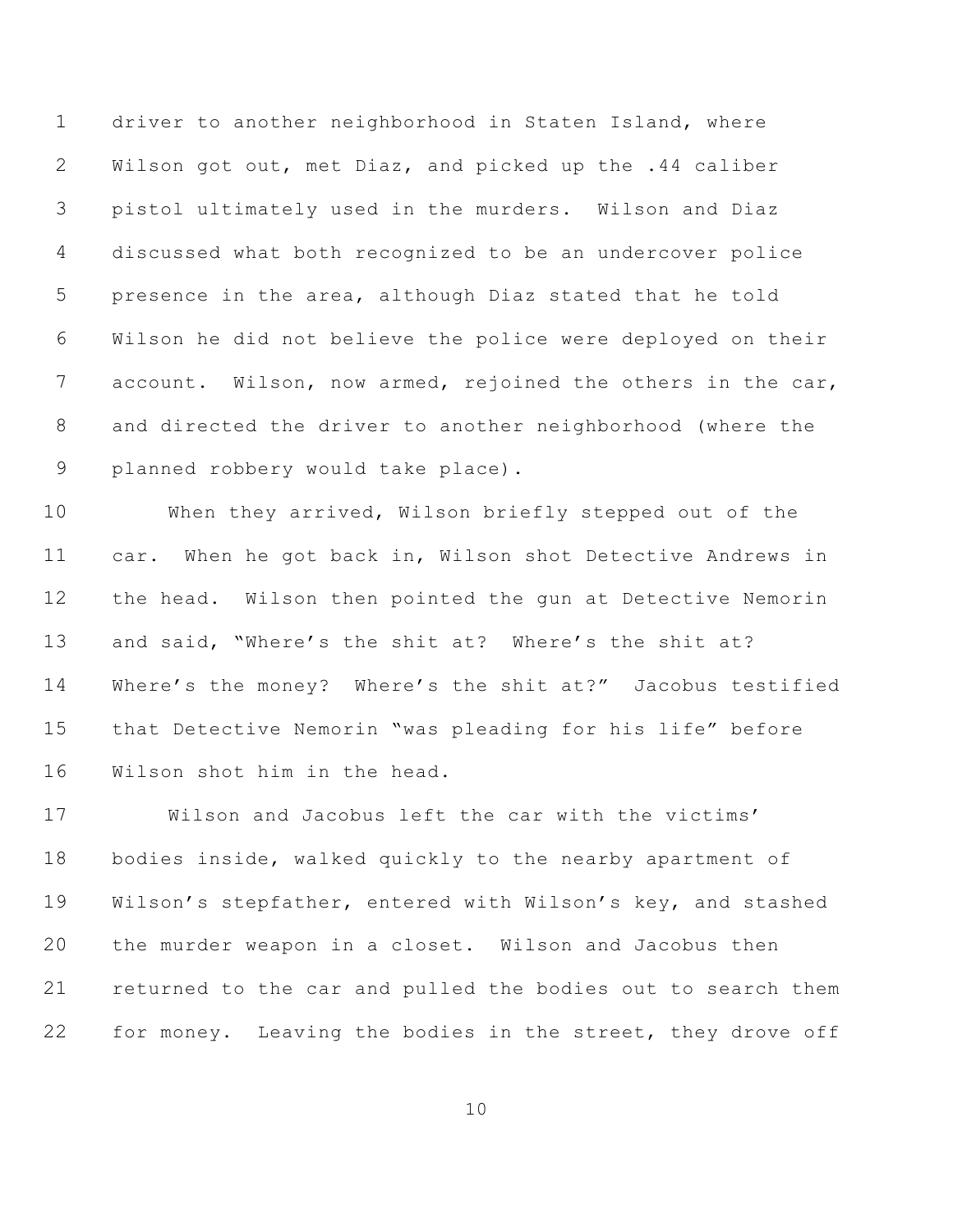driver to another neighborhood in Staten Island, where Wilson got out, met Diaz, and picked up the .44 caliber pistol ultimately used in the murders. Wilson and Diaz discussed what both recognized to be an undercover police presence in the area, although Diaz stated that he told Wilson he did not believe the police were deployed on their 7 account. Wilson, now armed, rejoined the others in the car, and directed the driver to another neighborhood (where the planned robbery would take place).

 When they arrived, Wilson briefly stepped out of the car. When he got back in, Wilson shot Detective Andrews in the head. Wilson then pointed the gun at Detective Nemorin and said, "Where's the shit at? Where's the shit at? Where's the money? Where's the shit at?" Jacobus testified that Detective Nemorin "was pleading for his life" before Wilson shot him in the head.

 Wilson and Jacobus left the car with the victims' bodies inside, walked quickly to the nearby apartment of Wilson's stepfather, entered with Wilson's key, and stashed the murder weapon in a closet. Wilson and Jacobus then returned to the car and pulled the bodies out to search them 22 for money. Leaving the bodies in the street, they drove off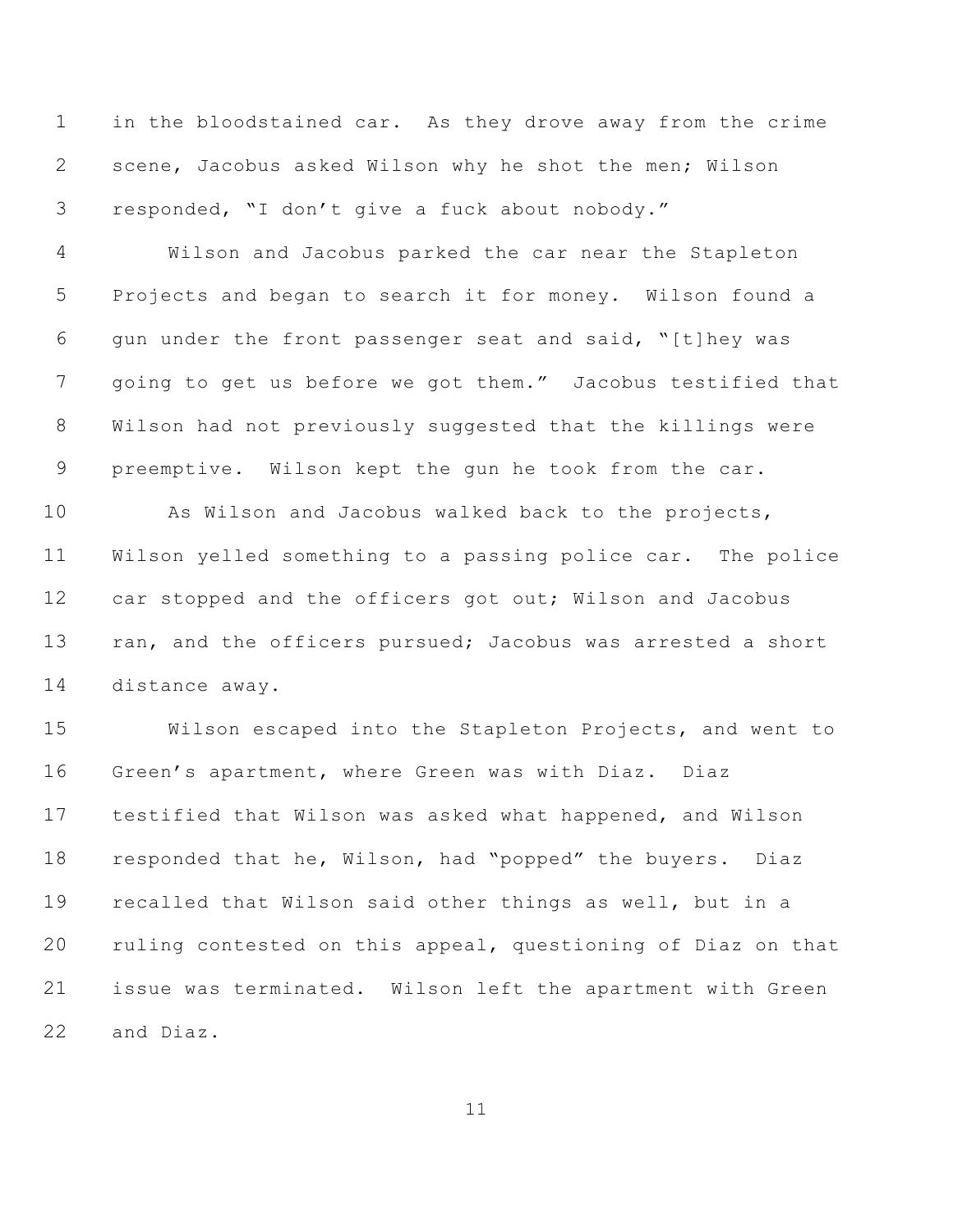in the bloodstained car. As they drove away from the crime scene, Jacobus asked Wilson why he shot the men; Wilson responded, "I don't give a fuck about nobody."

 Wilson and Jacobus parked the car near the Stapleton Projects and began to search it for money. Wilson found a gun under the front passenger seat and said, "[t]hey was going to get us before we got them." Jacobus testified that Wilson had not previously suggested that the killings were preemptive. Wilson kept the gun he took from the car.

 As Wilson and Jacobus walked back to the projects, Wilson yelled something to a passing police car. The police 12 car stopped and the officers got out; Wilson and Jacobus 13 ran, and the officers pursued; Jacobus was arrested a short distance away.

 Wilson escaped into the Stapleton Projects, and went to Green's apartment, where Green was with Diaz. Diaz testified that Wilson was asked what happened, and Wilson responded that he, Wilson, had "popped" the buyers. Diaz recalled that Wilson said other things as well, but in a ruling contested on this appeal, questioning of Diaz on that issue was terminated. Wilson left the apartment with Green and Diaz.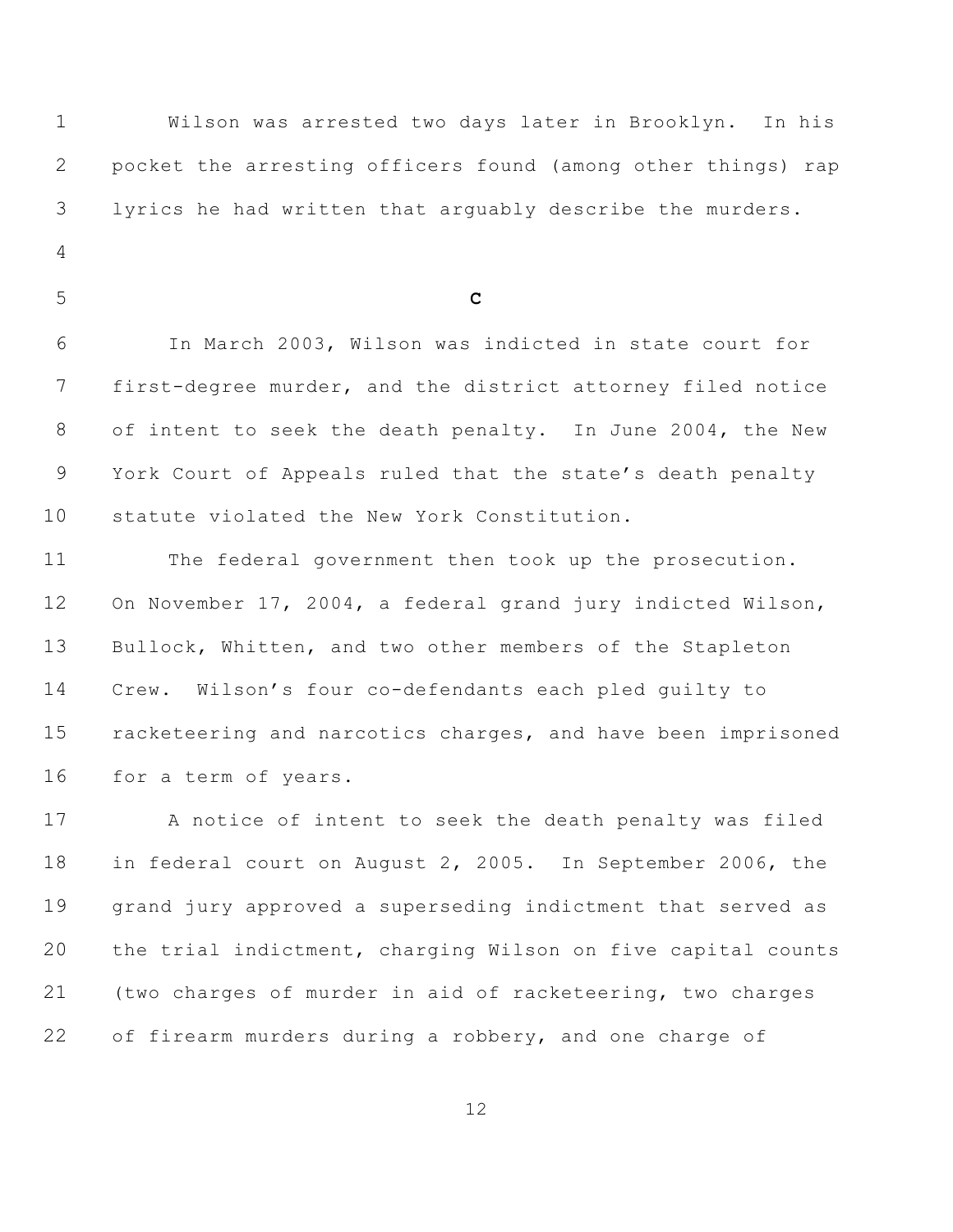Wilson was arrested two days later in Brooklyn. In his pocket the arresting officers found (among other things) rap lyrics he had written that arguably describe the murders. **C** In March 2003, Wilson was indicted in state court for first-degree murder, and the district attorney filed notice of intent to seek the death penalty. In June 2004, the New York Court of Appeals ruled that the state's death penalty statute violated the New York Constitution. The federal government then took up the prosecution. On November 17, 2004, a federal grand jury indicted Wilson, Bullock, Whitten, and two other members of the Stapleton Crew. Wilson's four co-defendants each pled guilty to racketeering and narcotics charges, and have been imprisoned for a term of years. A notice of intent to seek the death penalty was filed

 in federal court on August 2, 2005. In September 2006, the grand jury approved a superseding indictment that served as the trial indictment, charging Wilson on five capital counts (two charges of murder in aid of racketeering, two charges 22 of firearm murders during a robbery, and one charge of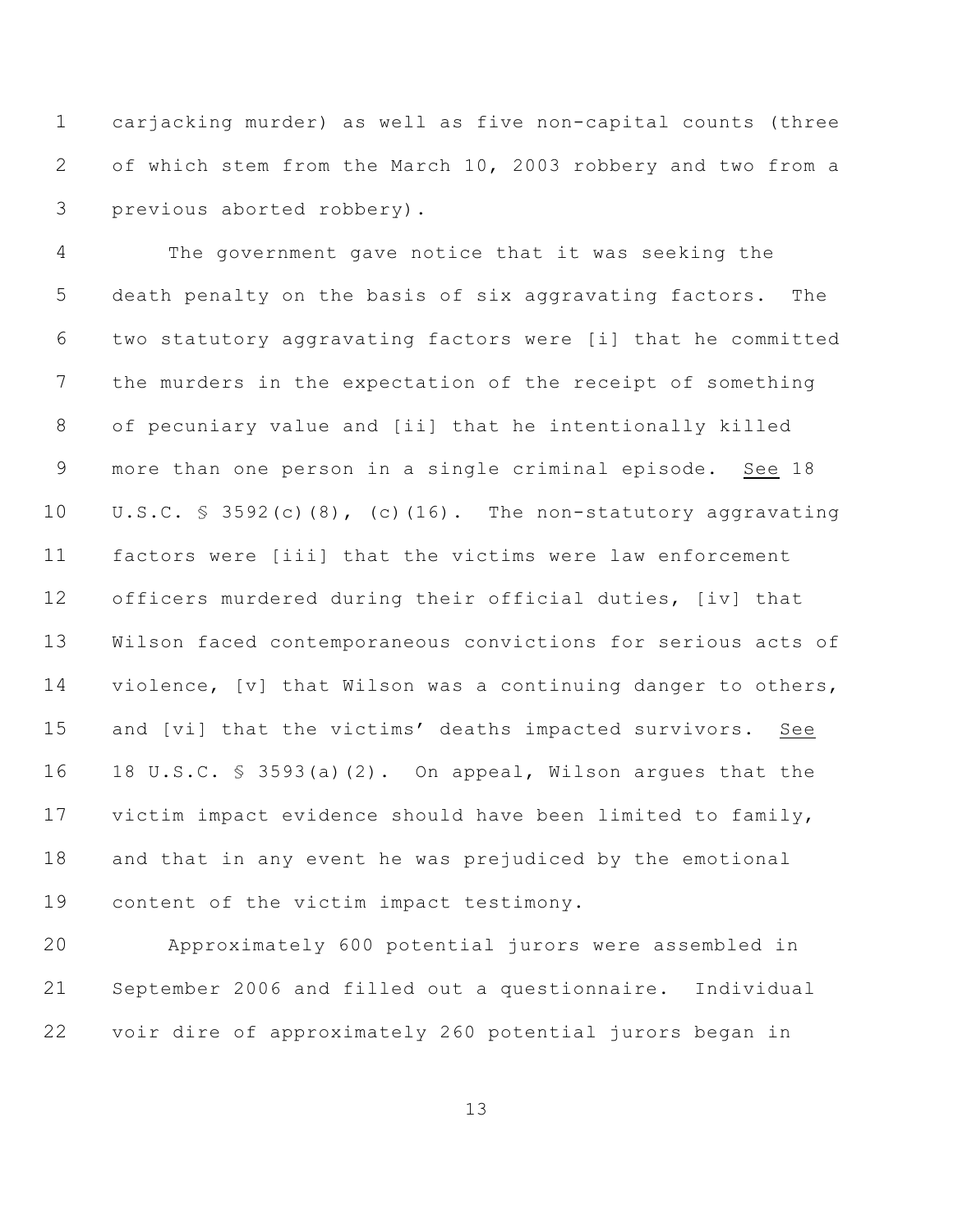carjacking murder) as well as five non-capital counts (three of which stem from the March 10, 2003 robbery and two from a previous aborted robbery).

 The government gave notice that it was seeking the death penalty on the basis of six aggravating factors. The two statutory aggravating factors were [i] that he committed the murders in the expectation of the receipt of something of pecuniary value and [ii] that he intentionally killed more than one person in a single criminal episode. See 18 U.S.C. § 3592(c)(8), (c)(16). The non-statutory aggravating factors were [iii] that the victims were law enforcement officers murdered during their official duties, [iv] that Wilson faced contemporaneous convictions for serious acts of violence, [v] that Wilson was a continuing danger to others, and [vi] that the victims' deaths impacted survivors. See 18 U.S.C. § 3593(a)(2). On appeal, Wilson argues that the victim impact evidence should have been limited to family, and that in any event he was prejudiced by the emotional content of the victim impact testimony.

 Approximately 600 potential jurors were assembled in September 2006 and filled out a questionnaire. Individual voir dire of approximately 260 potential jurors began in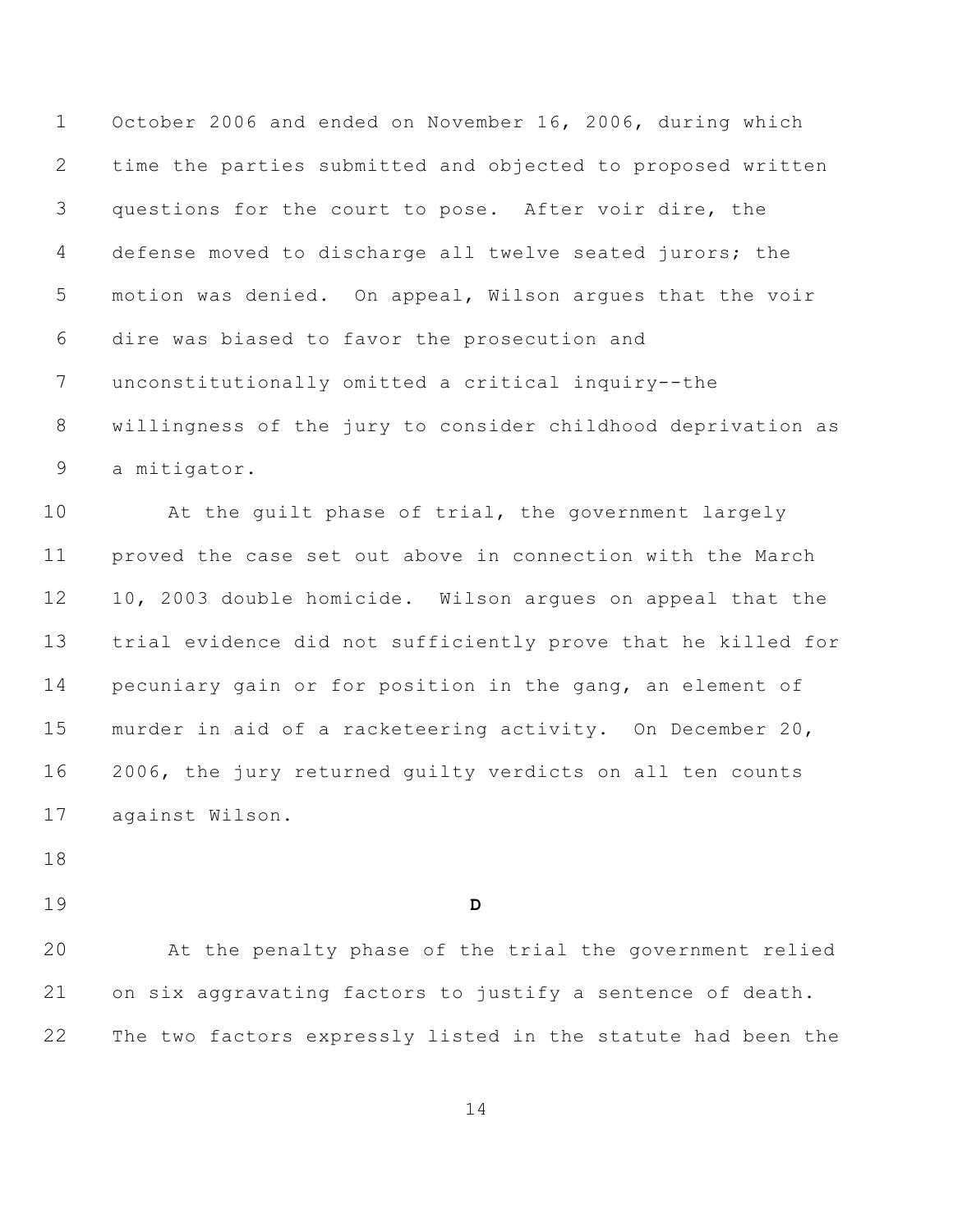October 2006 and ended on November 16, 2006, during which time the parties submitted and objected to proposed written questions for the court to pose. After voir dire, the defense moved to discharge all twelve seated jurors; the motion was denied. On appeal, Wilson argues that the voir dire was biased to favor the prosecution and unconstitutionally omitted a critical inquiry--the willingness of the jury to consider childhood deprivation as a mitigator.

 At the guilt phase of trial, the government largely proved the case set out above in connection with the March 10, 2003 double homicide. Wilson argues on appeal that the trial evidence did not sufficiently prove that he killed for pecuniary gain or for position in the gang, an element of murder in aid of a racketeering activity. On December 20, 2006, the jury returned guilty verdicts on all ten counts against Wilson.

**D**

 At the penalty phase of the trial the government relied on six aggravating factors to justify a sentence of death. The two factors expressly listed in the statute had been the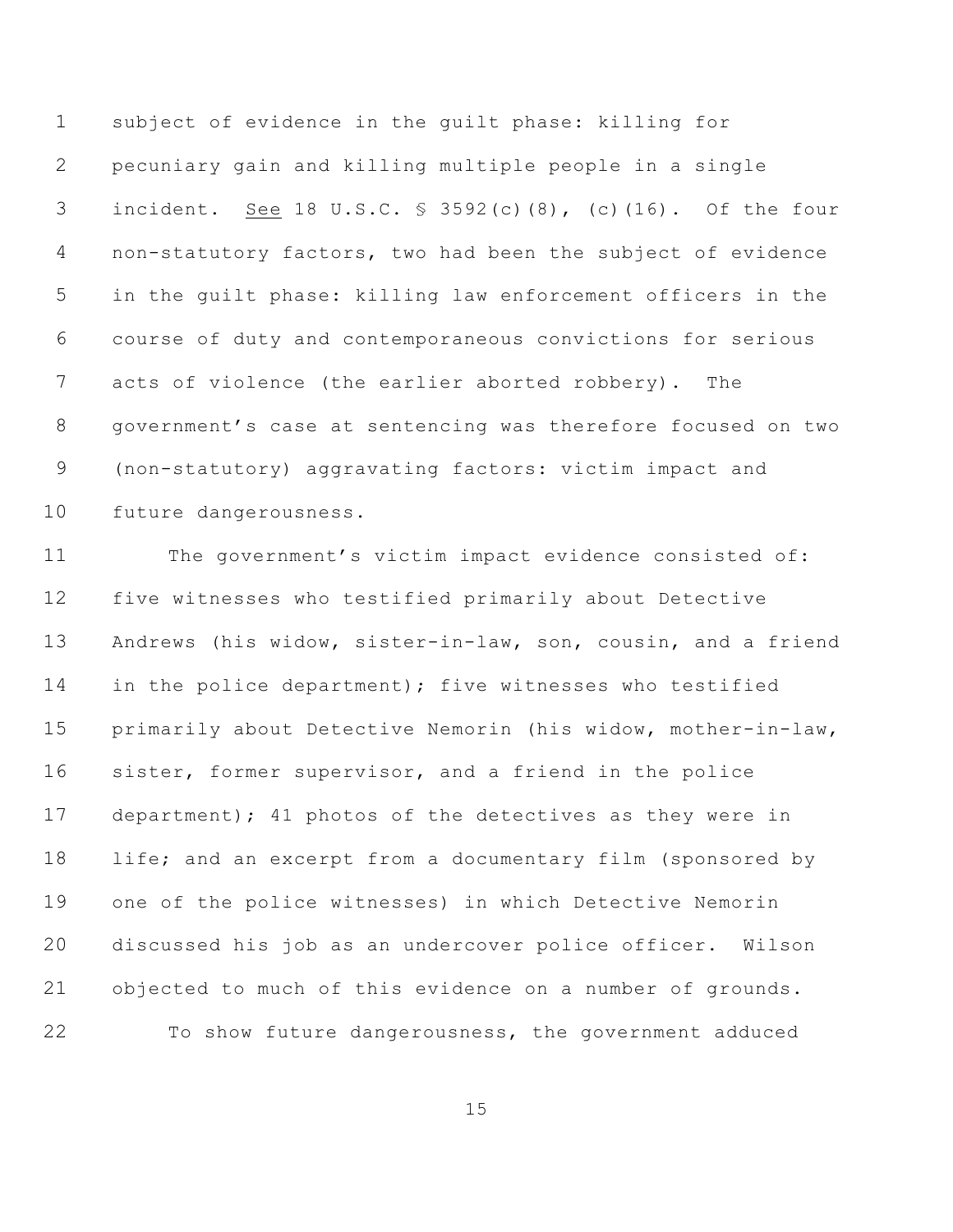subject of evidence in the guilt phase: killing for pecuniary gain and killing multiple people in a single incident. See 18 U.S.C. § 3592(c)(8), (c)(16). Of the four non-statutory factors, two had been the subject of evidence in the guilt phase: killing law enforcement officers in the course of duty and contemporaneous convictions for serious acts of violence (the earlier aborted robbery). The government's case at sentencing was therefore focused on two (non-statutory) aggravating factors: victim impact and future dangerousness.

 The government's victim impact evidence consisted of: five witnesses who testified primarily about Detective Andrews (his widow, sister-in-law, son, cousin, and a friend in the police department); five witnesses who testified primarily about Detective Nemorin (his widow, mother-in-law, sister, former supervisor, and a friend in the police department); 41 photos of the detectives as they were in life; and an excerpt from a documentary film (sponsored by one of the police witnesses) in which Detective Nemorin discussed his job as an undercover police officer. Wilson objected to much of this evidence on a number of grounds. To show future dangerousness, the government adduced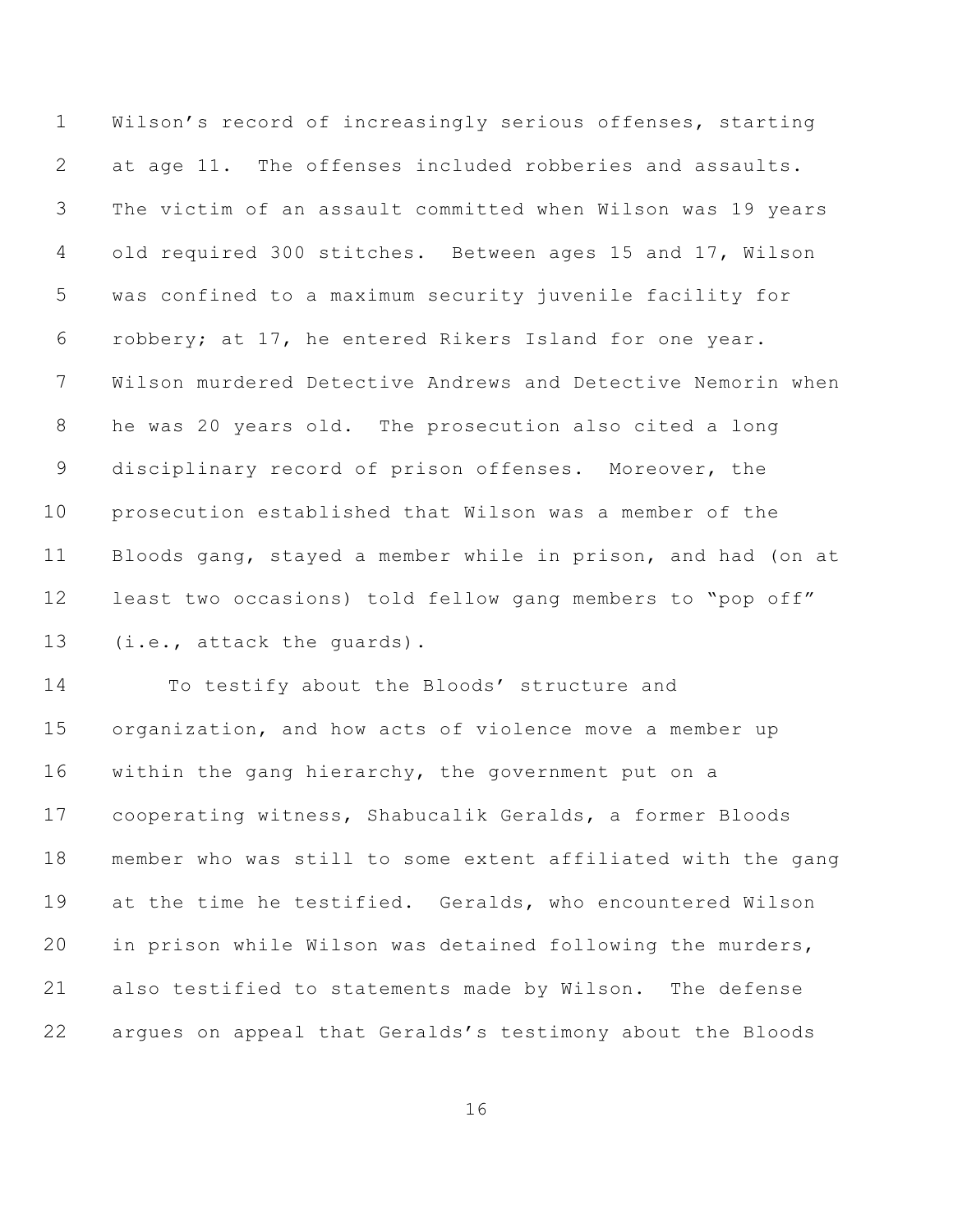Wilson's record of increasingly serious offenses, starting at age 11. The offenses included robberies and assaults. The victim of an assault committed when Wilson was 19 years old required 300 stitches. Between ages 15 and 17, Wilson was confined to a maximum security juvenile facility for robbery; at 17, he entered Rikers Island for one year. Wilson murdered Detective Andrews and Detective Nemorin when he was 20 years old. The prosecution also cited a long disciplinary record of prison offenses. Moreover, the prosecution established that Wilson was a member of the Bloods gang, stayed a member while in prison, and had (on at least two occasions) told fellow gang members to "pop off" (i.e., attack the guards).

 To testify about the Bloods' structure and organization, and how acts of violence move a member up within the gang hierarchy, the government put on a cooperating witness, Shabucalik Geralds, a former Bloods member who was still to some extent affiliated with the gang at the time he testified. Geralds, who encountered Wilson in prison while Wilson was detained following the murders, also testified to statements made by Wilson. The defense argues on appeal that Geralds's testimony about the Bloods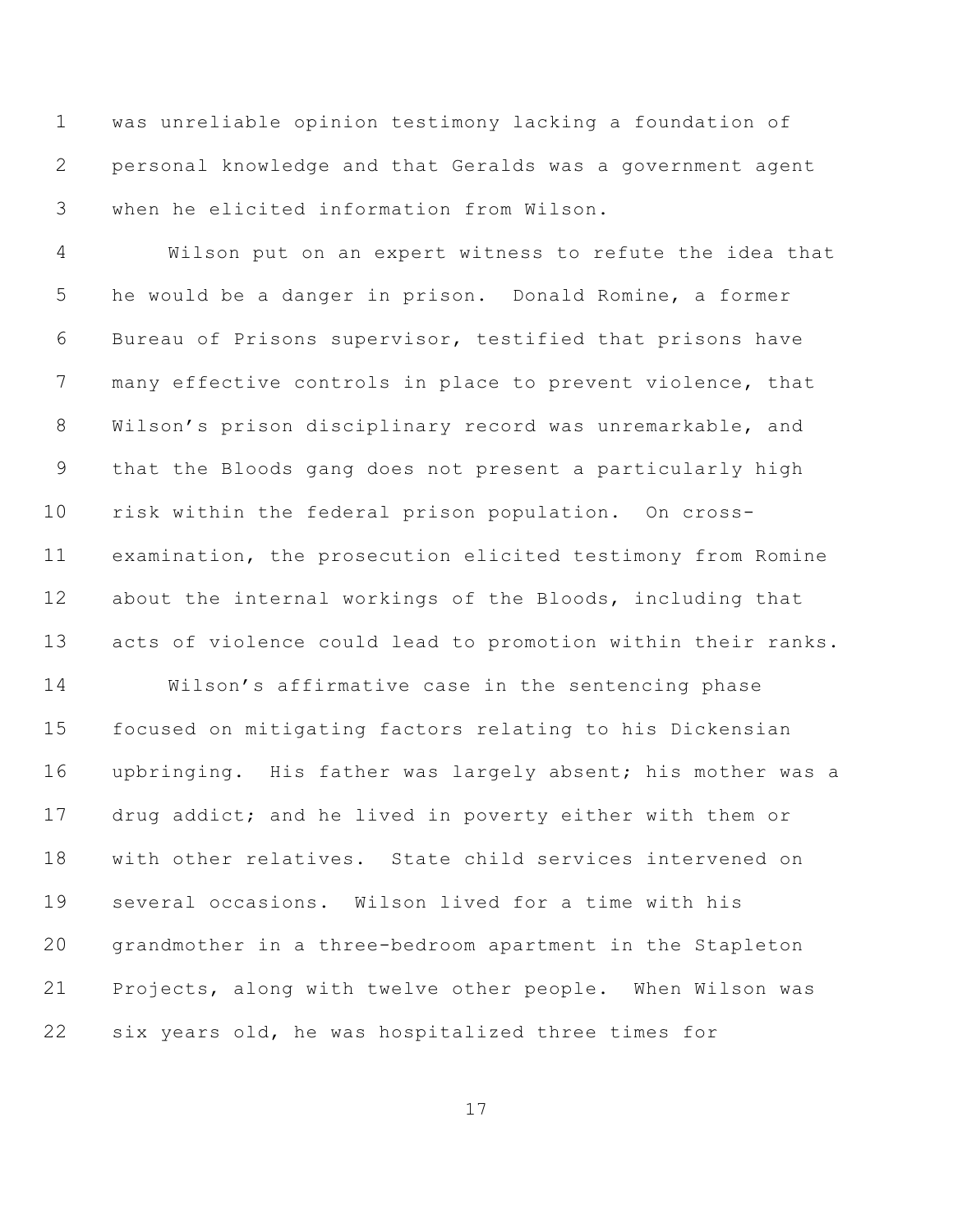was unreliable opinion testimony lacking a foundation of personal knowledge and that Geralds was a government agent when he elicited information from Wilson.

 Wilson put on an expert witness to refute the idea that he would be a danger in prison. Donald Romine, a former Bureau of Prisons supervisor, testified that prisons have many effective controls in place to prevent violence, that Wilson's prison disciplinary record was unremarkable, and that the Bloods gang does not present a particularly high risk within the federal prison population. On cross- examination, the prosecution elicited testimony from Romine about the internal workings of the Bloods, including that acts of violence could lead to promotion within their ranks.

 Wilson's affirmative case in the sentencing phase focused on mitigating factors relating to his Dickensian upbringing. His father was largely absent; his mother was a drug addict; and he lived in poverty either with them or with other relatives. State child services intervened on several occasions. Wilson lived for a time with his grandmother in a three-bedroom apartment in the Stapleton Projects, along with twelve other people. When Wilson was six years old, he was hospitalized three times for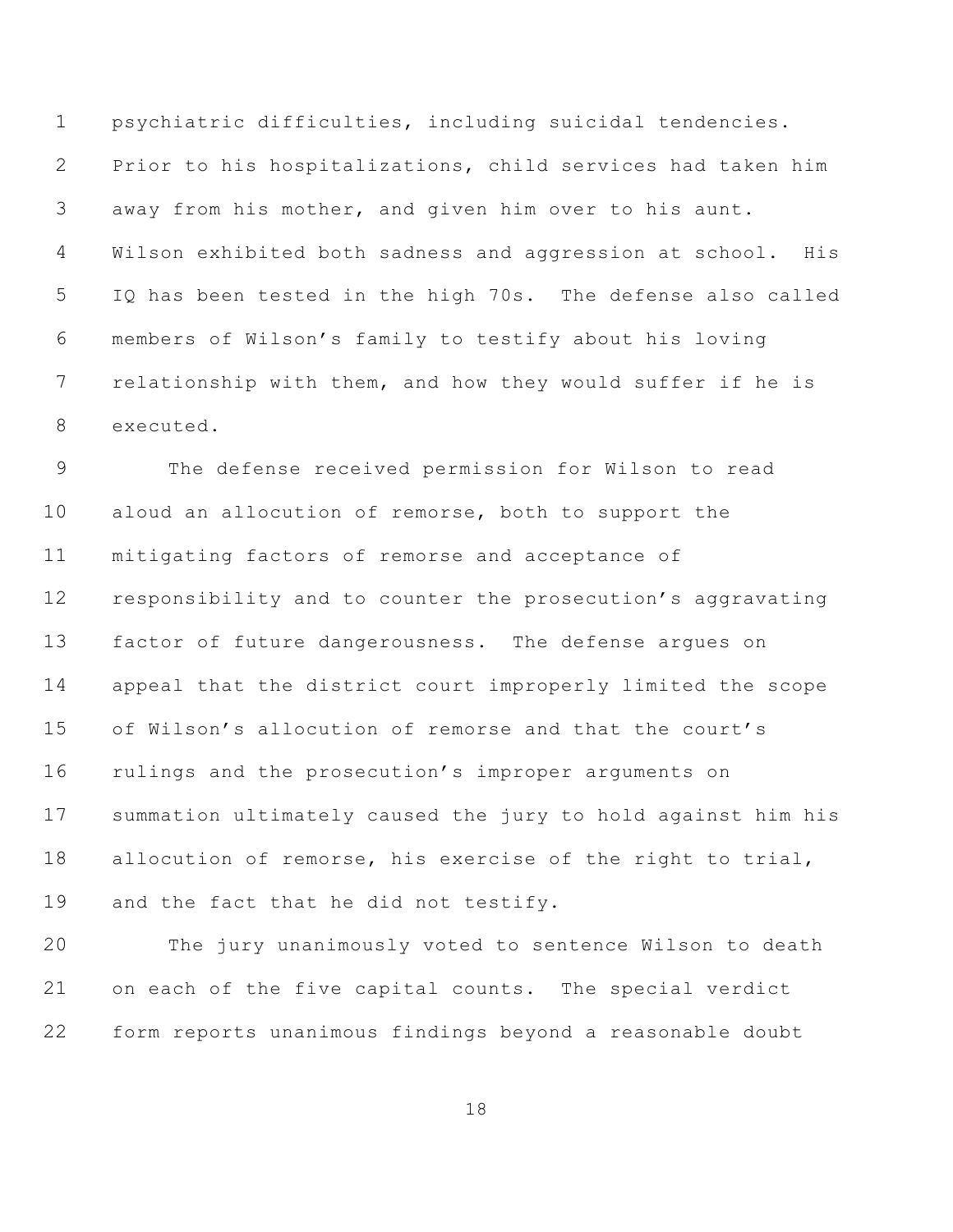psychiatric difficulties, including suicidal tendencies. Prior to his hospitalizations, child services had taken him away from his mother, and given him over to his aunt. Wilson exhibited both sadness and aggression at school. His IQ has been tested in the high 70s. The defense also called members of Wilson's family to testify about his loving relationship with them, and how they would suffer if he is executed.

 The defense received permission for Wilson to read aloud an allocution of remorse, both to support the mitigating factors of remorse and acceptance of responsibility and to counter the prosecution's aggravating factor of future dangerousness. The defense argues on appeal that the district court improperly limited the scope of Wilson's allocution of remorse and that the court's rulings and the prosecution's improper arguments on summation ultimately caused the jury to hold against him his allocution of remorse, his exercise of the right to trial, and the fact that he did not testify.

 The jury unanimously voted to sentence Wilson to death on each of the five capital counts. The special verdict form reports unanimous findings beyond a reasonable doubt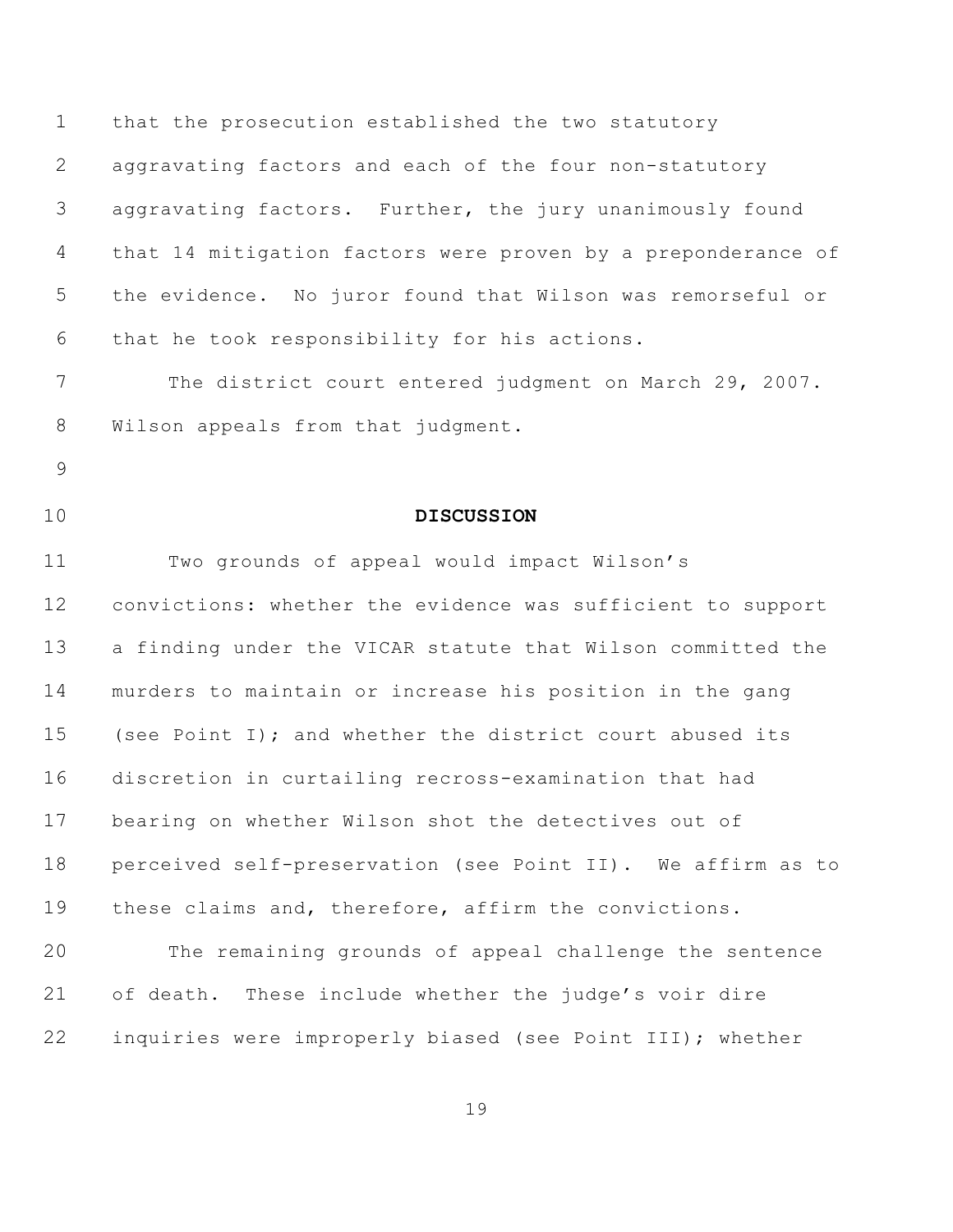that the prosecution established the two statutory aggravating factors and each of the four non-statutory aggravating factors. Further, the jury unanimously found that 14 mitigation factors were proven by a preponderance of the evidence. No juror found that Wilson was remorseful or that he took responsibility for his actions.

 The district court entered judgment on March 29, 2007. Wilson appeals from that judgment.

- 
- 

## **DISCUSSION**

 Two grounds of appeal would impact Wilson's convictions: whether the evidence was sufficient to support a finding under the VICAR statute that Wilson committed the murders to maintain or increase his position in the gang (see Point I); and whether the district court abused its discretion in curtailing recross-examination that had bearing on whether Wilson shot the detectives out of perceived self-preservation (see Point II). We affirm as to these claims and, therefore, affirm the convictions. The remaining grounds of appeal challenge the sentence

inquiries were improperly biased (see Point III); whether

of death. These include whether the judge's voir dire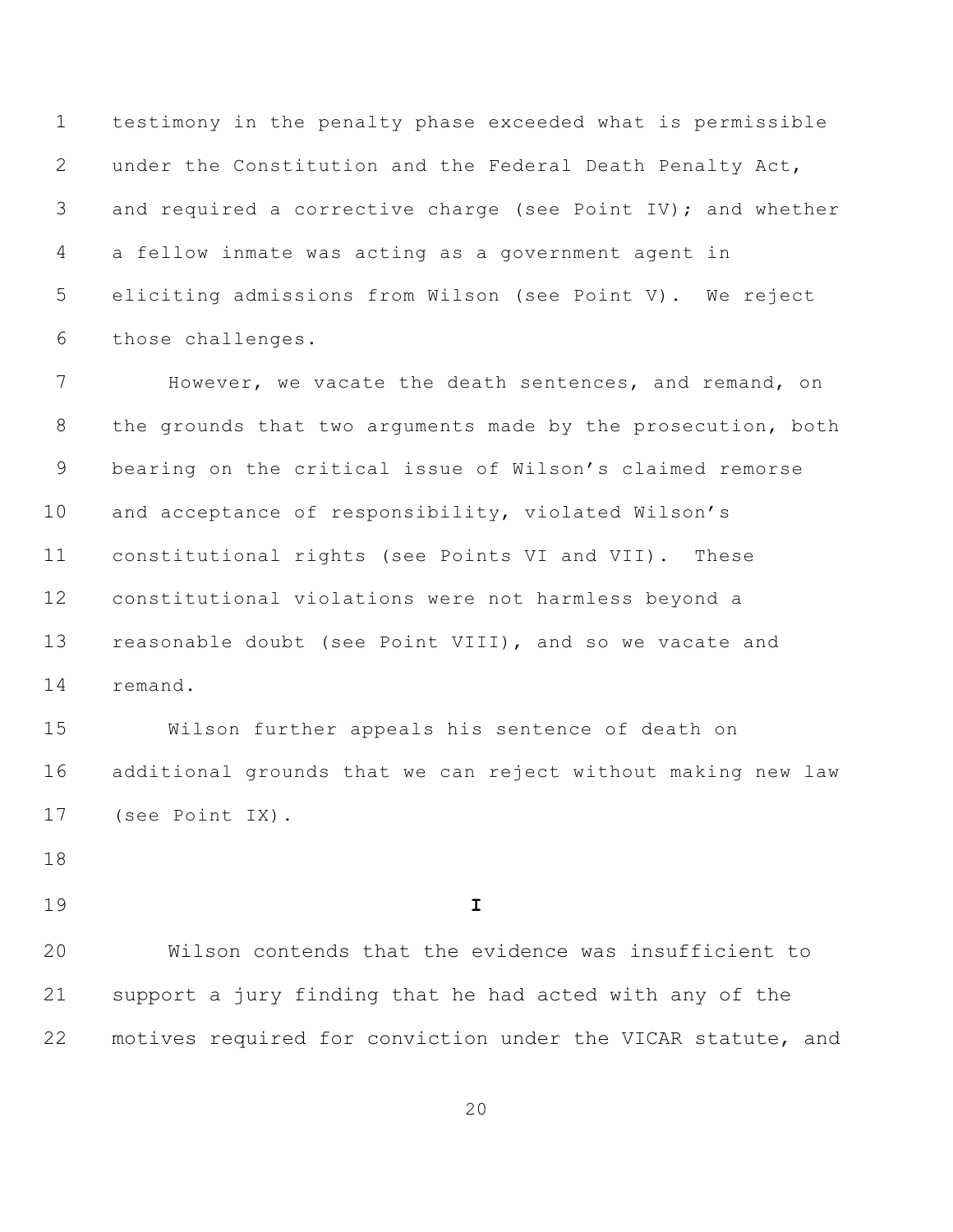testimony in the penalty phase exceeded what is permissible under the Constitution and the Federal Death Penalty Act, 3 and required a corrective charge (see Point IV); and whether a fellow inmate was acting as a government agent in eliciting admissions from Wilson (see Point V). We reject those challenges.

 However, we vacate the death sentences, and remand, on 8 the grounds that two arguments made by the prosecution, both bearing on the critical issue of Wilson's claimed remorse and acceptance of responsibility, violated Wilson's constitutional rights (see Points VI and VII). These constitutional violations were not harmless beyond a reasonable doubt (see Point VIII), and so we vacate and remand.

 Wilson further appeals his sentence of death on additional grounds that we can reject without making new law (see Point IX).

**I**

20 Wilson contends that the evidence was insufficient to support a jury finding that he had acted with any of the motives required for conviction under the VICAR statute, and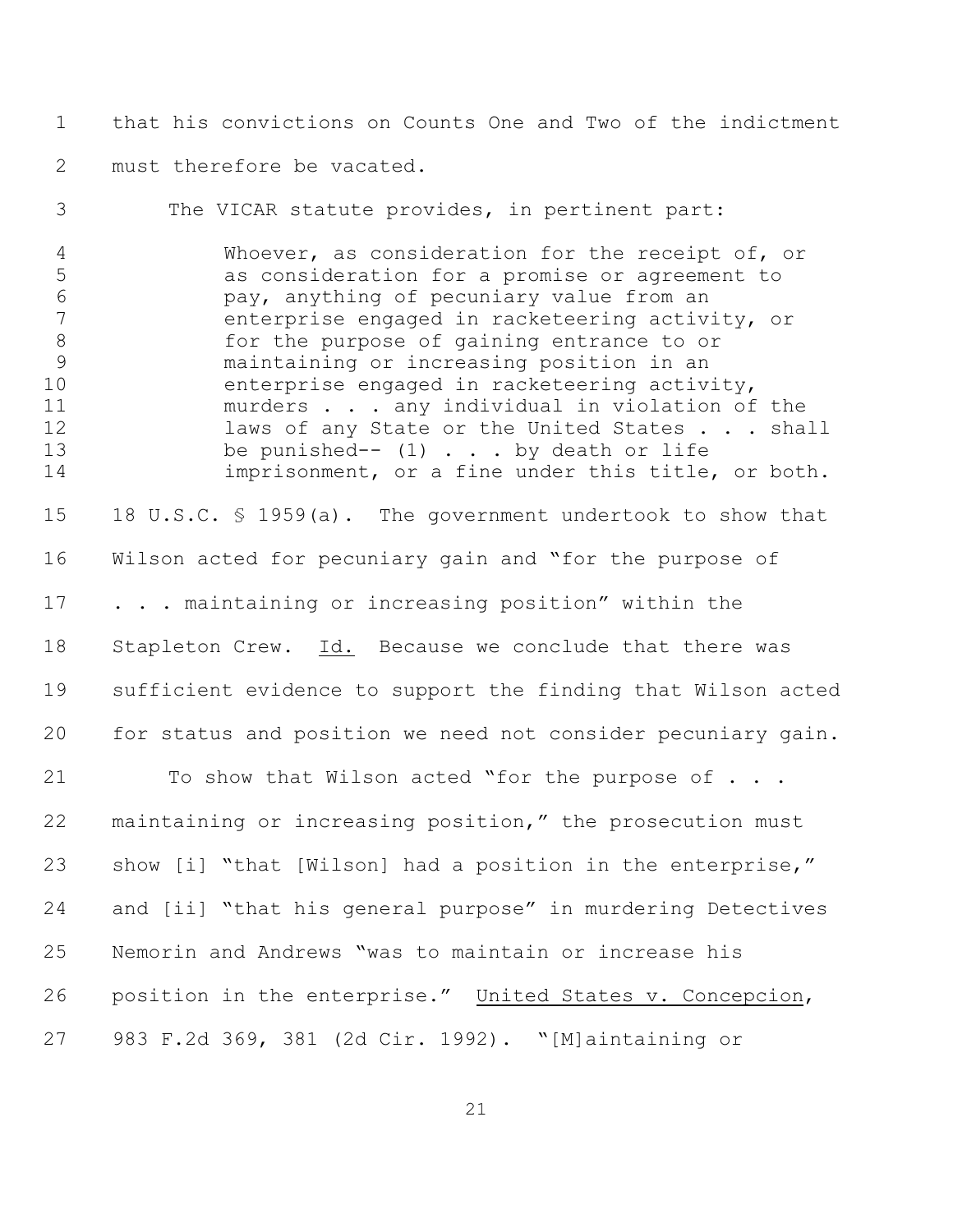that his convictions on Counts One and Two of the indictment must therefore be vacated.

 The VICAR statute provides, in pertinent part: Whoever, as consideration for the receipt of, or as consideration for a promise or agreement to pay, anything of pecuniary value from an enterprise engaged in racketeering activity, or 8 6 6 for the purpose of gaining entrance to or maintaining or increasing position in an enterprise engaged in racketeering activity, murders . . . any individual in violation of the 12 laws of any State or the United States . . . shall 13 be punished-- (1) . . . by death or life imprisonment, or a fine under this title, or both. 18 U.S.C. § 1959(a). The government undertook to show that Wilson acted for pecuniary gain and "for the purpose of 17 . . . maintaining or increasing position" within the Stapleton Crew. Id. Because we conclude that there was sufficient evidence to support the finding that Wilson acted for status and position we need not consider pecuniary gain.

21 To show that Wilson acted "for the purpose of . . . maintaining or increasing position," the prosecution must 23 show [i] "that [Wilson] had a position in the enterprise," and [ii] "that his general purpose" in murdering Detectives Nemorin and Andrews "was to maintain or increase his position in the enterprise." United States v. Concepcion, 983 F.2d 369, 381 (2d Cir. 1992). "[M]aintaining or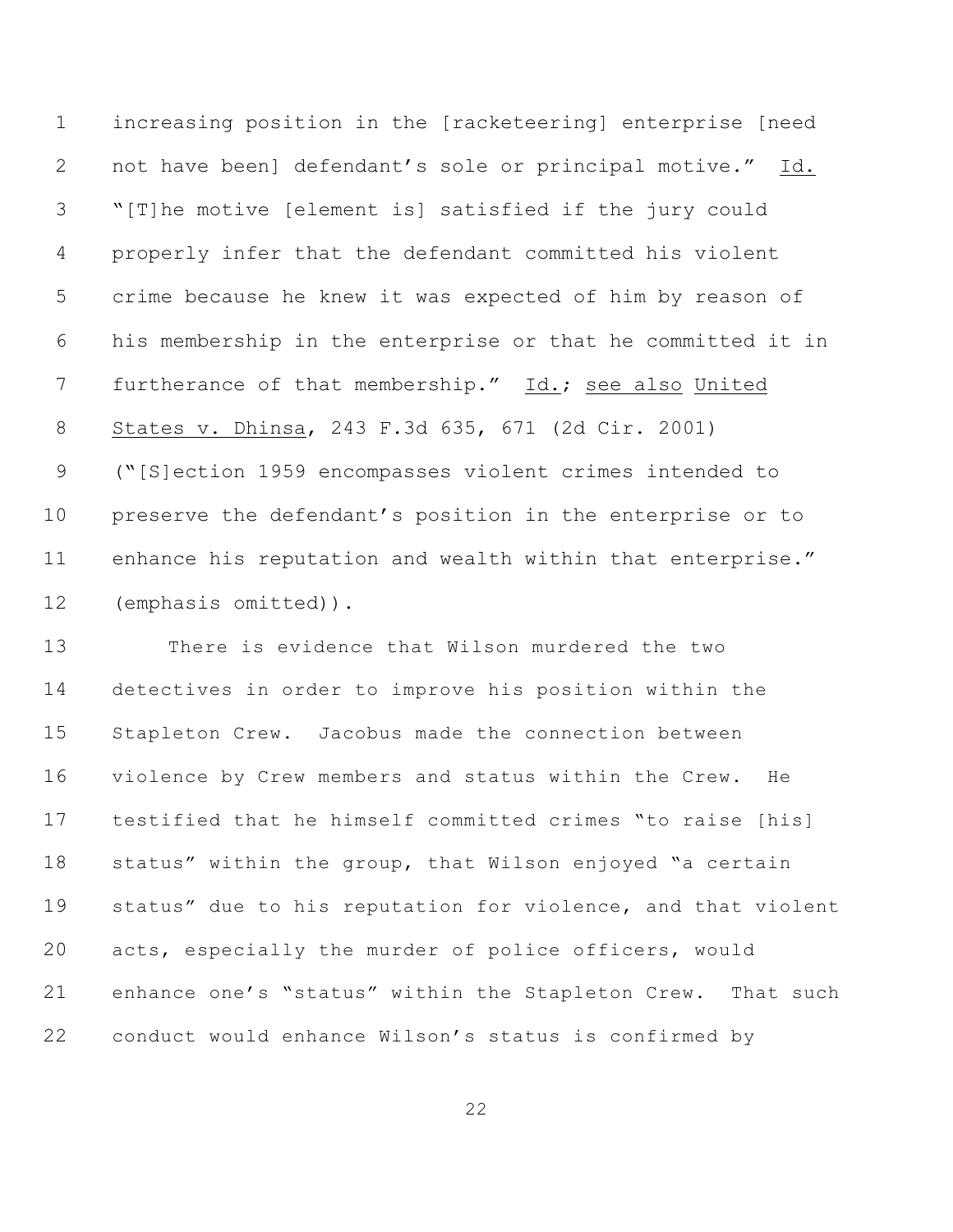increasing position in the [racketeering] enterprise [need not have been] defendant's sole or principal motive." Id. "[T]he motive [element is] satisfied if the jury could properly infer that the defendant committed his violent crime because he knew it was expected of him by reason of his membership in the enterprise or that he committed it in furtherance of that membership." Id.; see also United States v. Dhinsa, 243 F.3d 635, 671 (2d Cir. 2001) ("[S]ection 1959 encompasses violent crimes intended to preserve the defendant's position in the enterprise or to enhance his reputation and wealth within that enterprise." (emphasis omitted)).

 There is evidence that Wilson murdered the two detectives in order to improve his position within the Stapleton Crew. Jacobus made the connection between violence by Crew members and status within the Crew. He testified that he himself committed crimes "to raise [his] status" within the group, that Wilson enjoyed "a certain status" due to his reputation for violence, and that violent acts, especially the murder of police officers, would enhance one's "status" within the Stapleton Crew. That such conduct would enhance Wilson's status is confirmed by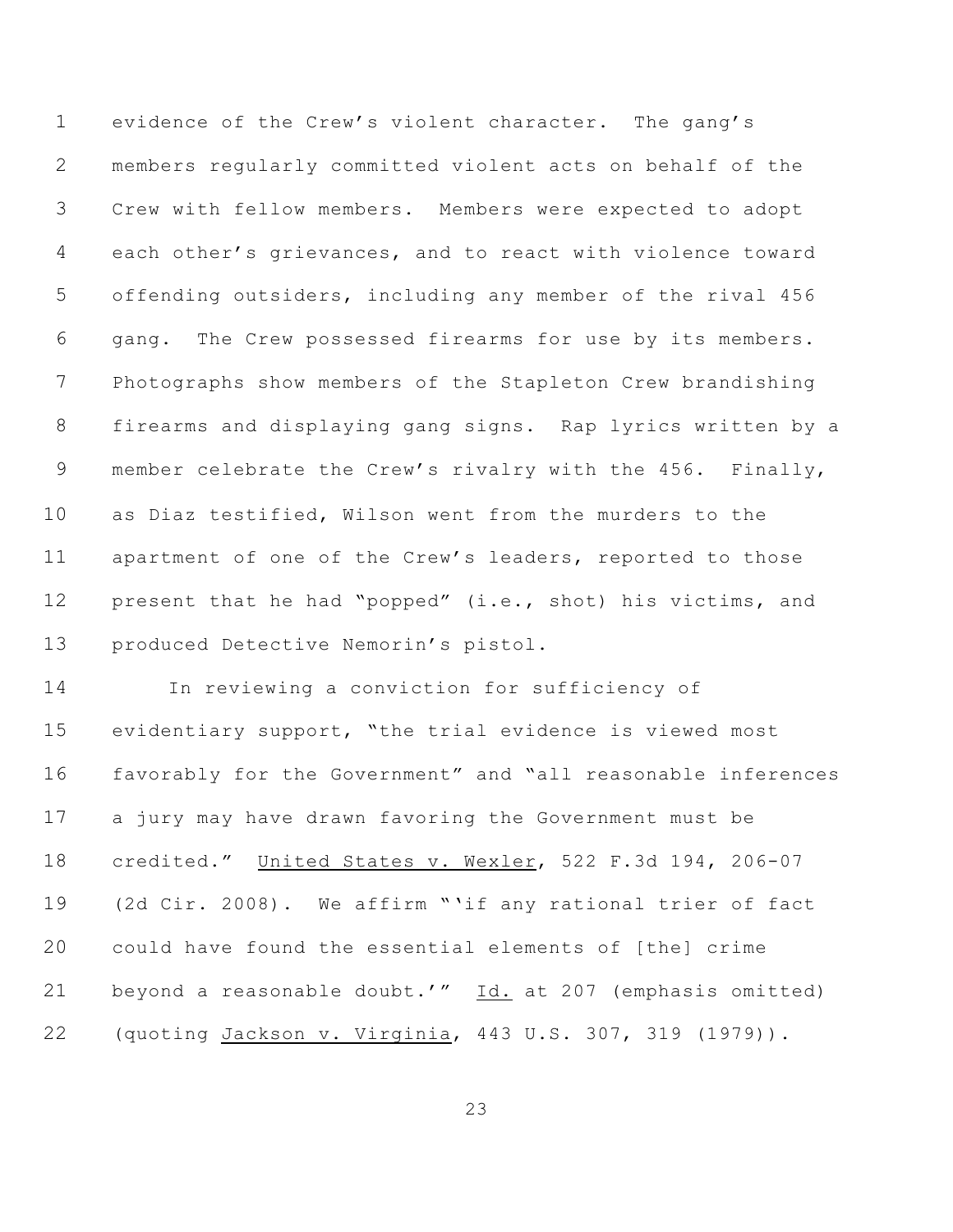evidence of the Crew's violent character. The gang's members regularly committed violent acts on behalf of the Crew with fellow members. Members were expected to adopt each other's grievances, and to react with violence toward offending outsiders, including any member of the rival 456 gang. The Crew possessed firearms for use by its members. Photographs show members of the Stapleton Crew brandishing firearms and displaying gang signs. Rap lyrics written by a member celebrate the Crew's rivalry with the 456.Finally, as Diaz testified, Wilson went from the murders to the apartment of one of the Crew's leaders, reported to those present that he had "popped" (i.e., shot) his victims, and produced Detective Nemorin's pistol.

 In reviewing a conviction for sufficiency of evidentiary support, "the trial evidence is viewed most favorably for the Government" and "all reasonable inferences a jury may have drawn favoring the Government must be credited." United States v. Wexler, 522 F.3d 194, 206-07 (2d Cir. 2008). We affirm "'if any rational trier of fact could have found the essential elements of [the] crime beyond a reasonable doubt.'" Id. at 207 (emphasis omitted) (quoting Jackson v. Virginia, 443 U.S. 307, 319 (1979)).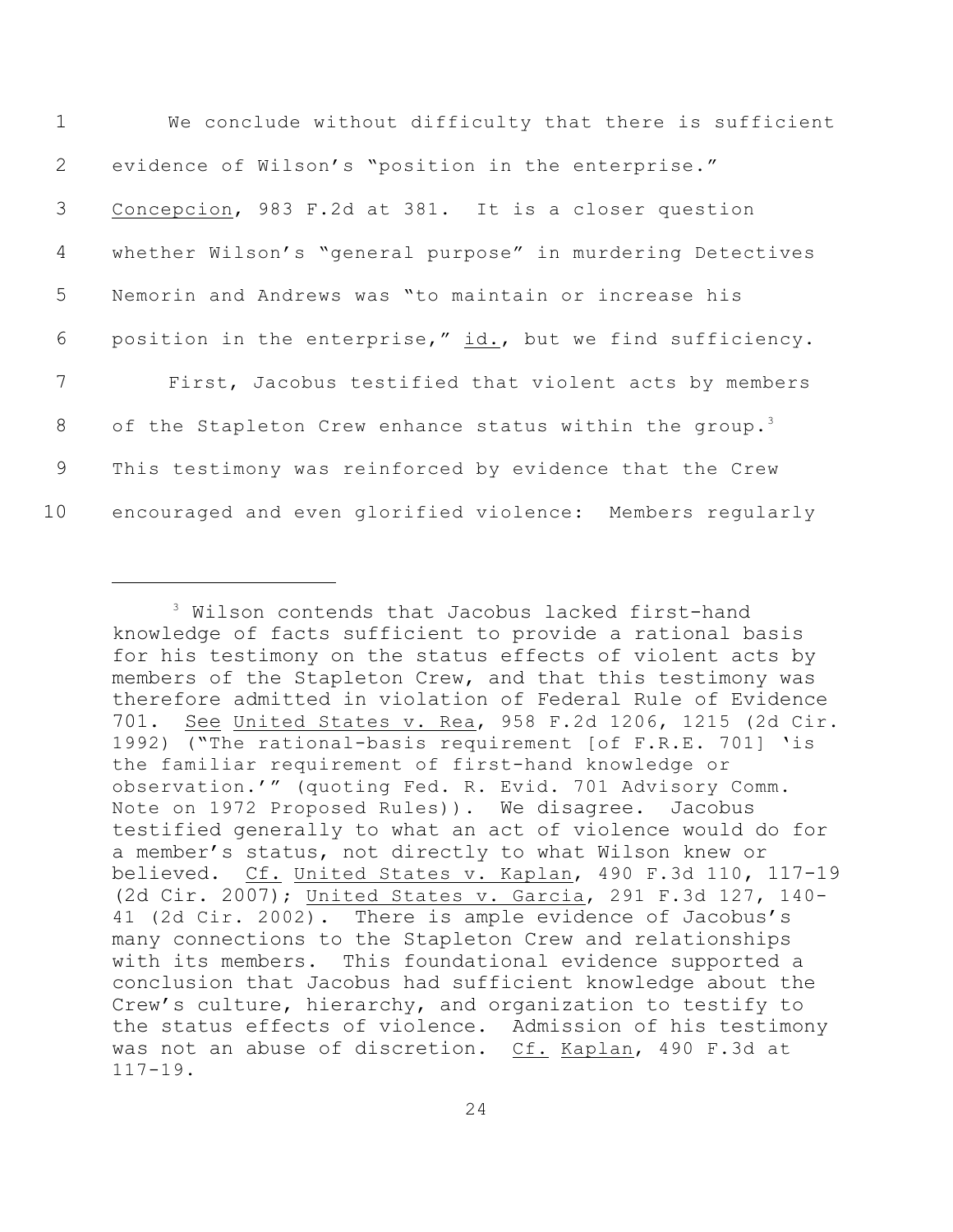| $\mathbf{1}$   | We conclude without difficulty that there is sufficient             |
|----------------|---------------------------------------------------------------------|
| 2              | evidence of Wilson's "position in the enterprise."                  |
| 3              | Concepcion, 983 F.2d at 381. It is a closer question                |
| $\overline{4}$ | whether Wilson's "general purpose" in murdering Detectives          |
| 5              | Nemorin and Andrews was "to maintain or increase his                |
| 6              | position in the enterprise," id., but we find sufficiency.          |
| 7              | First, Jacobus testified that violent acts by members               |
| 8              | of the Stapleton Crew enhance status within the group. <sup>3</sup> |
| 9              | This testimony was reinforced by evidence that the Crew             |
| 10             | encouraged and even glorified violence: Members regularly           |

<sup>&</sup>lt;sup>3</sup> Wilson contends that Jacobus lacked first-hand knowledge of facts sufficient to provide a rational basis for his testimony on the status effects of violent acts by members of the Stapleton Crew, and that this testimony was therefore admitted in violation of Federal Rule of Evidence 701. See United States v. Rea, 958 F.2d 1206, 1215 (2d Cir. 1992) ("The rational-basis requirement [of F.R.E. 701] 'is the familiar requirement of first-hand knowledge or observation.'" (quoting Fed. R. Evid. 701 Advisory Comm. Note on 1972 Proposed Rules)). We disagree. Jacobus testified generally to what an act of violence would do for a member's status, not directly to what Wilson knew or believed. Cf. United States v. Kaplan, 490 F.3d 110, 117-19 (2d Cir. 2007); United States v. Garcia, 291 F.3d 127, 140- 41 (2d Cir. 2002). There is ample evidence of Jacobus's many connections to the Stapleton Crew and relationships with its members. This foundational evidence supported a conclusion that Jacobus had sufficient knowledge about the Crew's culture, hierarchy, and organization to testify to the status effects of violence. Admission of his testimony was not an abuse of discretion. Cf. Kaplan, 490 F.3d at 117-19.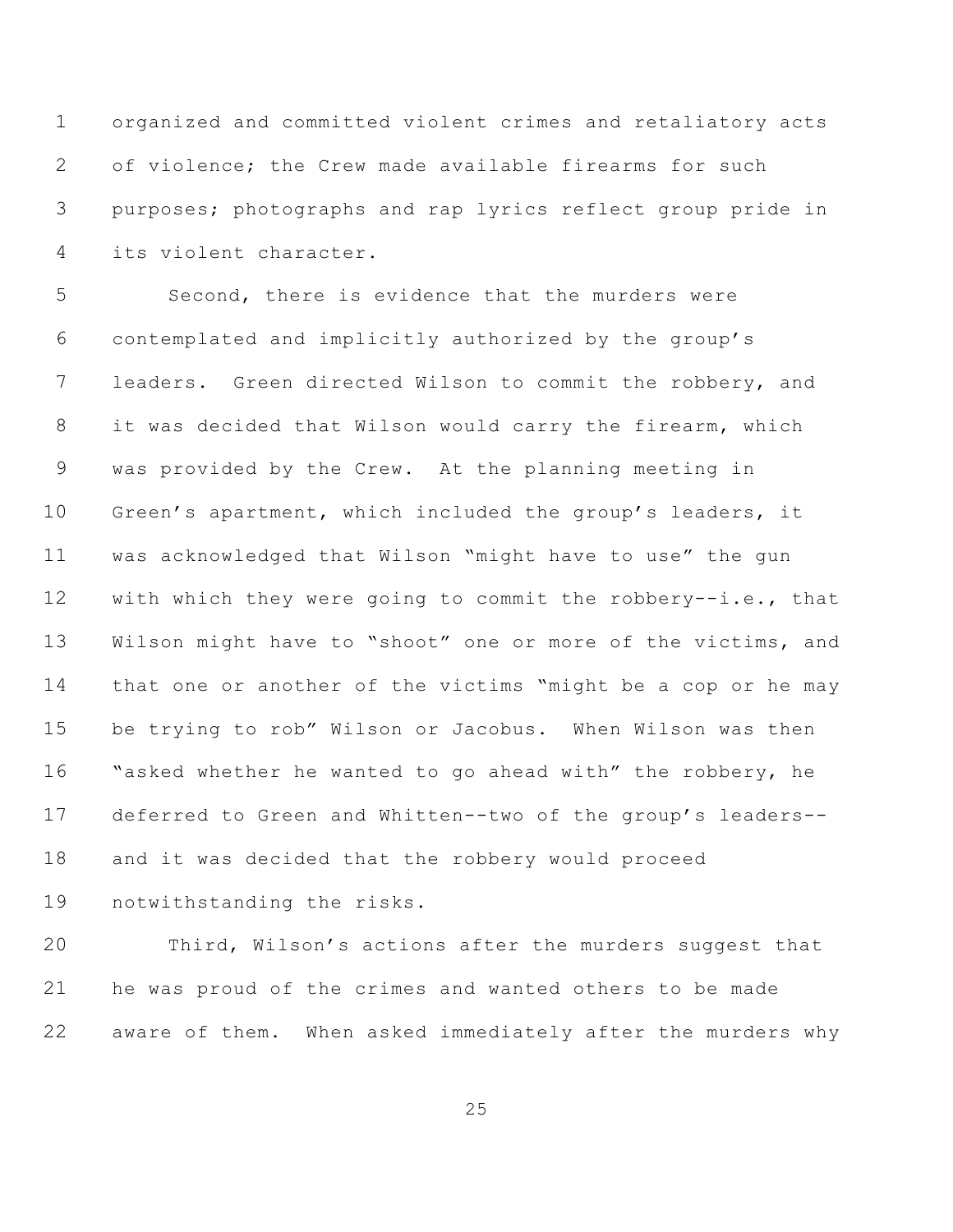organized and committed violent crimes and retaliatory acts of violence; the Crew made available firearms for such purposes; photographs and rap lyrics reflect group pride in its violent character.

 Second, there is evidence that the murders were contemplated and implicitly authorized by the group's leaders. Green directed Wilson to commit the robbery, and it was decided that Wilson would carry the firearm, which was provided by the Crew. At the planning meeting in Green's apartment, which included the group's leaders, it was acknowledged that Wilson "might have to use" the gun with which they were going to commit the robbery--i.e., that Wilson might have to "shoot" one or more of the victims, and that one or another of the victims "might be a cop or he may be trying to rob" Wilson or Jacobus. When Wilson was then "asked whether he wanted to go ahead with" the robbery, he deferred to Green and Whitten--two of the group's leaders-- and it was decided that the robbery would proceed notwithstanding the risks.

 Third, Wilson's actions after the murders suggest that he was proud of the crimes and wanted others to be made aware of them. When asked immediately after the murders why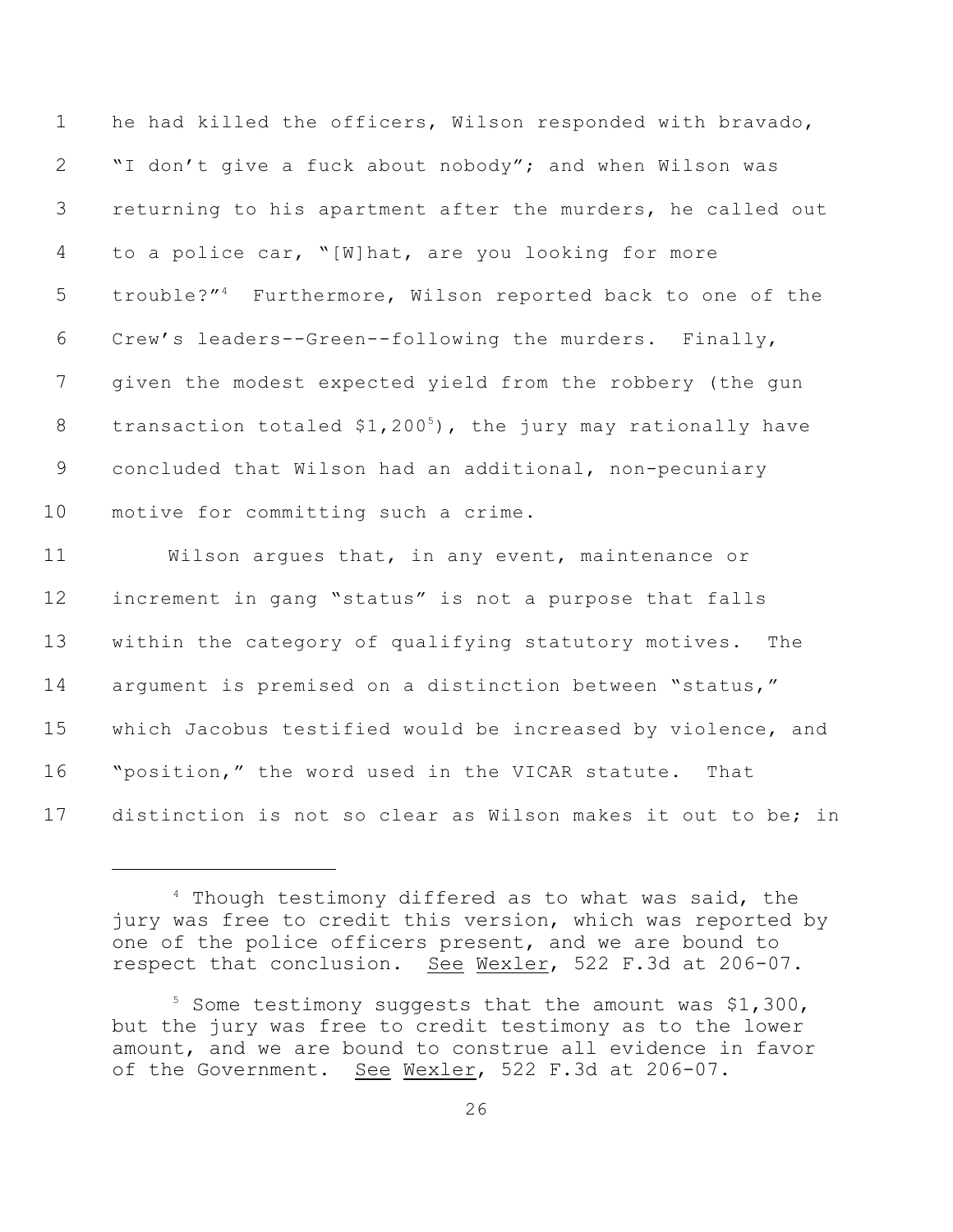he had killed the officers, Wilson responded with bravado, "I don't give a fuck about nobody"; and when Wilson was returning to his apartment after the murders, he called out to a police car, "[W]hat, are you looking for more 5 trouble?"<sup>4</sup> Furthermore, Wilson reported back to one of the Crew's leaders--Green--following the murders. Finally, given the modest expected yield from the robbery (the gun 8 transaction totaled  $$1,200<sup>5</sup>$ , the jury may rationally have concluded that Wilson had an additional, non-pecuniary motive for committing such a crime. Wilson argues that, in any event, maintenance or increment in gang "status" is not a purpose that falls within the category of qualifying statutory motives. The argument is premised on a distinction between "status," which Jacobus testified would be increased by violence, and "position," the word used in the VICAR statute. That

distinction is not so clear as Wilson makes it out to be; in

 Though testimony differed as to what was said, the jury was free to credit this version, which was reported by one of the police officers present, and we are bound to respect that conclusion. See Wexler, 522 F.3d at 206-07.

 Some testimony suggests that the amount was \$1,300, but the jury was free to credit testimony as to the lower amount, and we are bound to construe all evidence in favor of the Government. See Wexler, 522 F.3d at 206-07.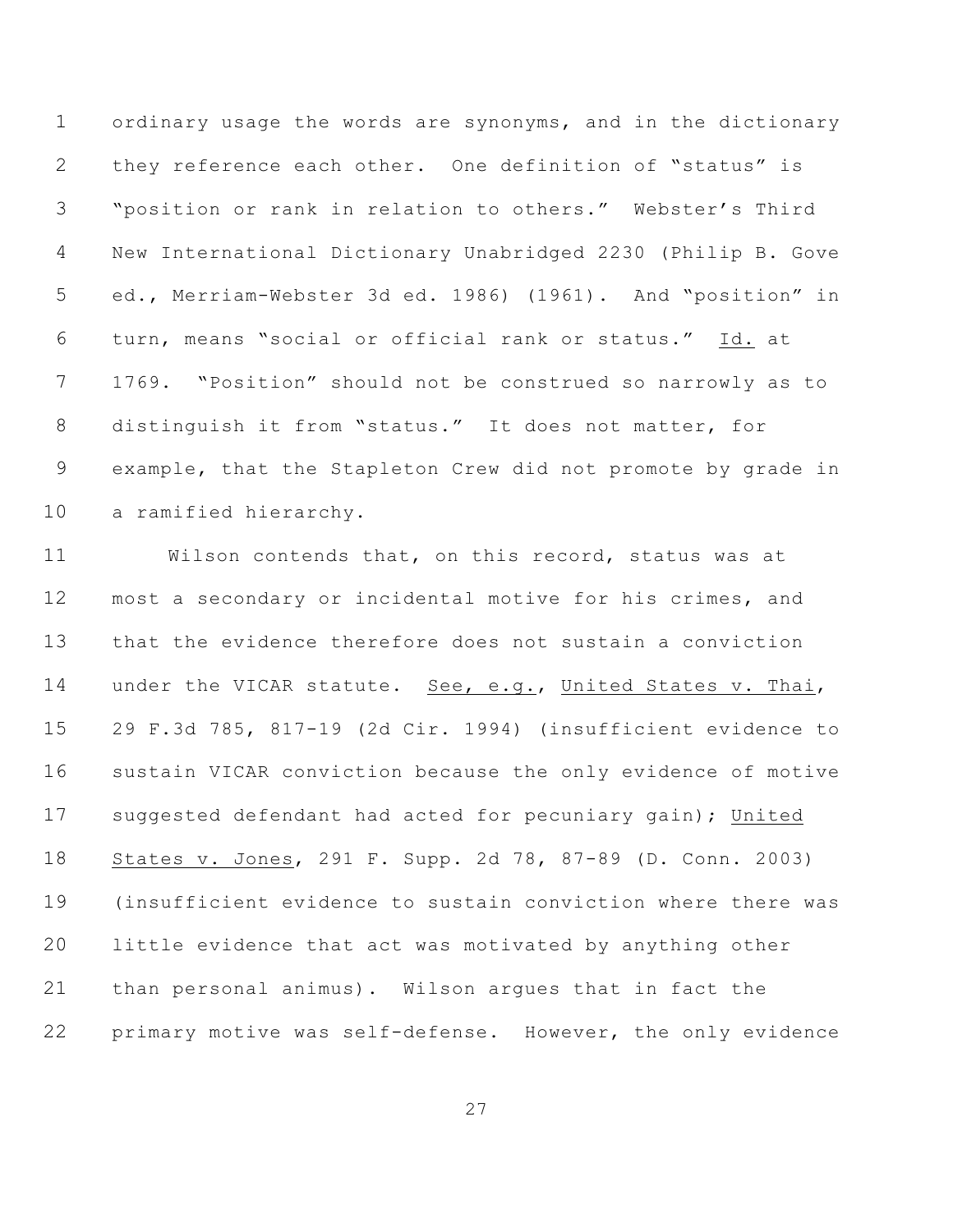ordinary usage the words are synonyms, and in the dictionary they reference each other. One definition of "status" is "position or rank in relation to others." Webster's Third New International Dictionary Unabridged 2230 (Philip B. Gove ed., Merriam-Webster 3d ed. 1986) (1961). And "position" in turn, means "social or official rank or status." Id. at 1769. "Position" should not be construed so narrowly as to distinguish it from "status." It does not matter, for example, that the Stapleton Crew did not promote by grade in a ramified hierarchy.

 Wilson contends that, on this record, status was at most a secondary or incidental motive for his crimes, and that the evidence therefore does not sustain a conviction 14 under the VICAR statute. See, e.g., United States v. Thai, 29 F.3d 785, 817-19 (2d Cir. 1994) (insufficient evidence to sustain VICAR conviction because the only evidence of motive suggested defendant had acted for pecuniary gain); United States v. Jones, 291 F. Supp. 2d 78, 87-89 (D. Conn. 2003) (insufficient evidence to sustain conviction where there was little evidence that act was motivated by anything other than personal animus). Wilson argues that in fact the primary motive was self-defense. However, the only evidence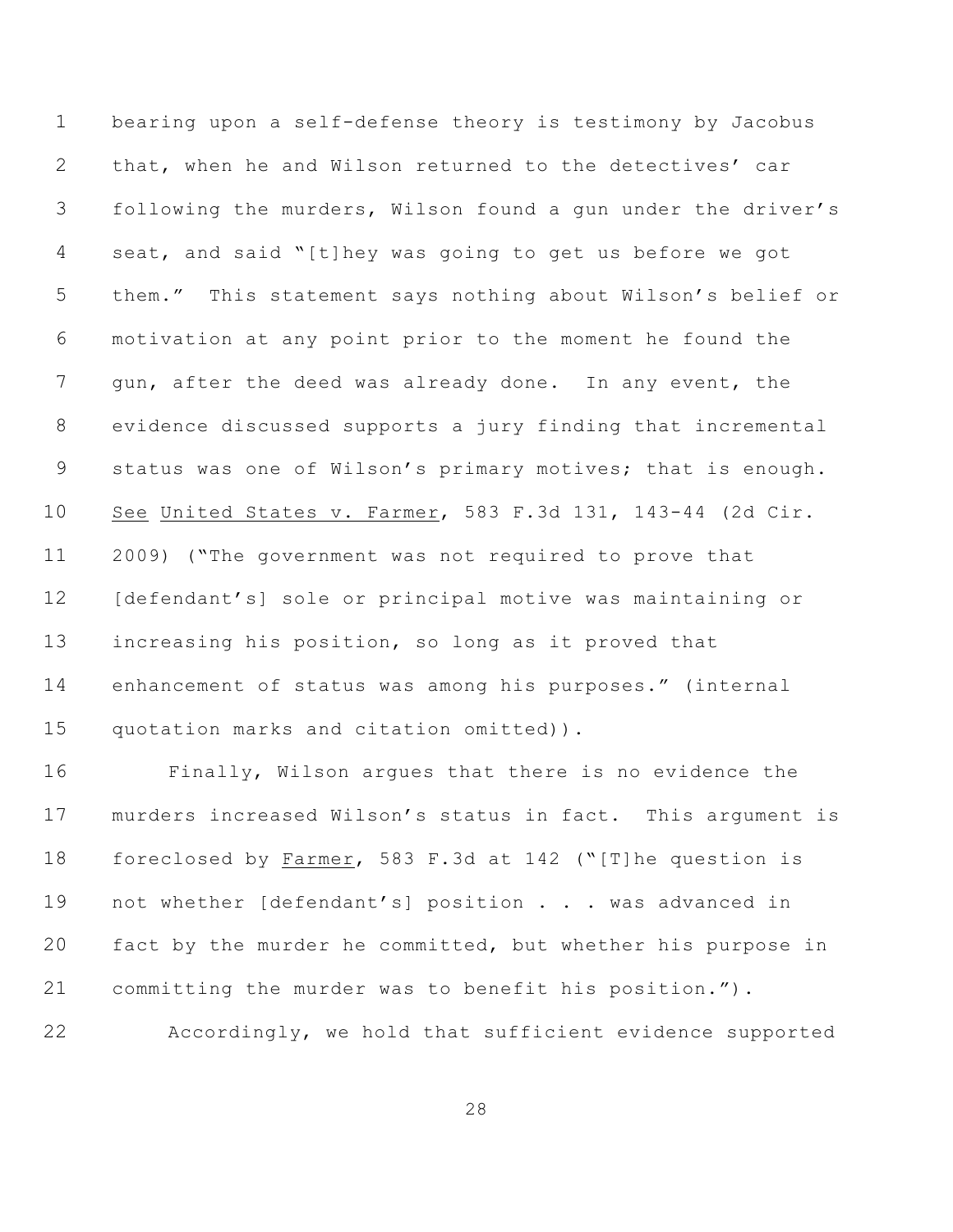bearing upon a self-defense theory is testimony by Jacobus that, when he and Wilson returned to the detectives' car following the murders, Wilson found a gun under the driver's seat, and said "[t]hey was going to get us before we got them." This statement says nothing about Wilson's belief or motivation at any point prior to the moment he found the gun, after the deed was already done. In any event, the evidence discussed supports a jury finding that incremental status was one of Wilson's primary motives; that is enough. See United States v. Farmer, 583 F.3d 131, 143-44 (2d Cir. 2009) ("The government was not required to prove that [defendant's] sole or principal motive was maintaining or increasing his position, so long as it proved that enhancement of status was among his purposes." (internal quotation marks and citation omitted)).

 Finally, Wilson argues that there is no evidence the murders increased Wilson's status in fact. This argument is foreclosed by Farmer, 583 F.3d at 142 ("[T]he question is 19 not whether [defendant's] position . . . was advanced in fact by the murder he committed, but whether his purpose in committing the murder was to benefit his position."). Accordingly, we hold that sufficient evidence supported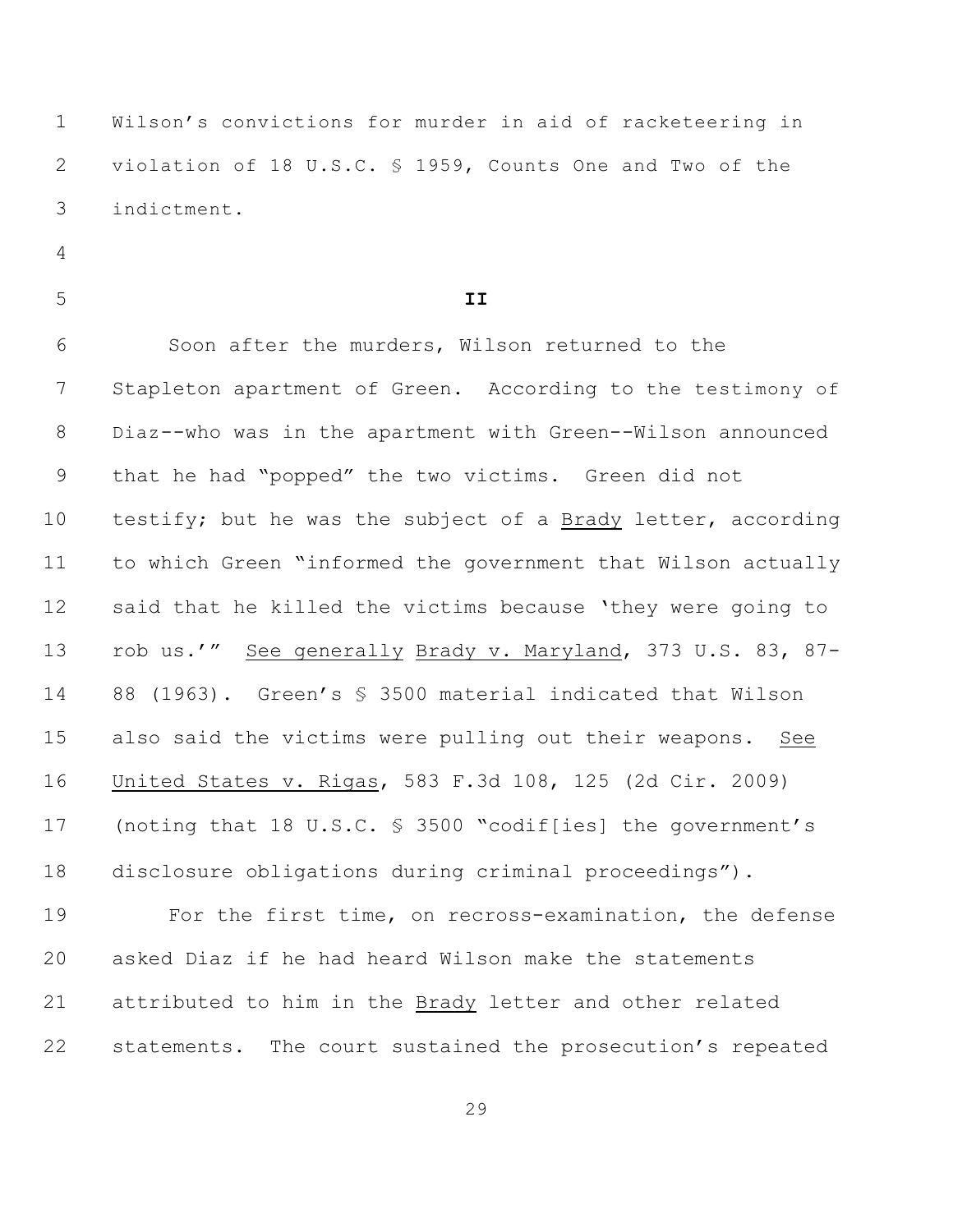Wilson's convictions for murder in aid of racketeering in violation of 18 U.S.C. § 1959, Counts One and Two of the indictment.

- 
- 

## **II**

 Soon after the murders, Wilson returned to the Stapleton apartment of Green. According to the testimony of Diaz--who was in the apartment with Green--Wilson announced that he had "popped" the two victims. Green did not testify; but he was the subject of a Brady letter, according to which Green "informed the government that Wilson actually said that he killed the victims because 'they were going to rob us.'" See generally Brady v. Maryland, 373 U.S. 83, 87- 88 (1963). Green's § 3500 material indicated that Wilson also said the victims were pulling out their weapons. See United States v. Rigas, 583 F.3d 108, 125 (2d Cir. 2009) (noting that 18 U.S.C. § 3500 "codif[ies] the government's disclosure obligations during criminal proceedings").

 For the first time, on recross-examination, the defense asked Diaz if he had heard Wilson make the statements attributed to him in the Brady letter and other related statements. The court sustained the prosecution's repeated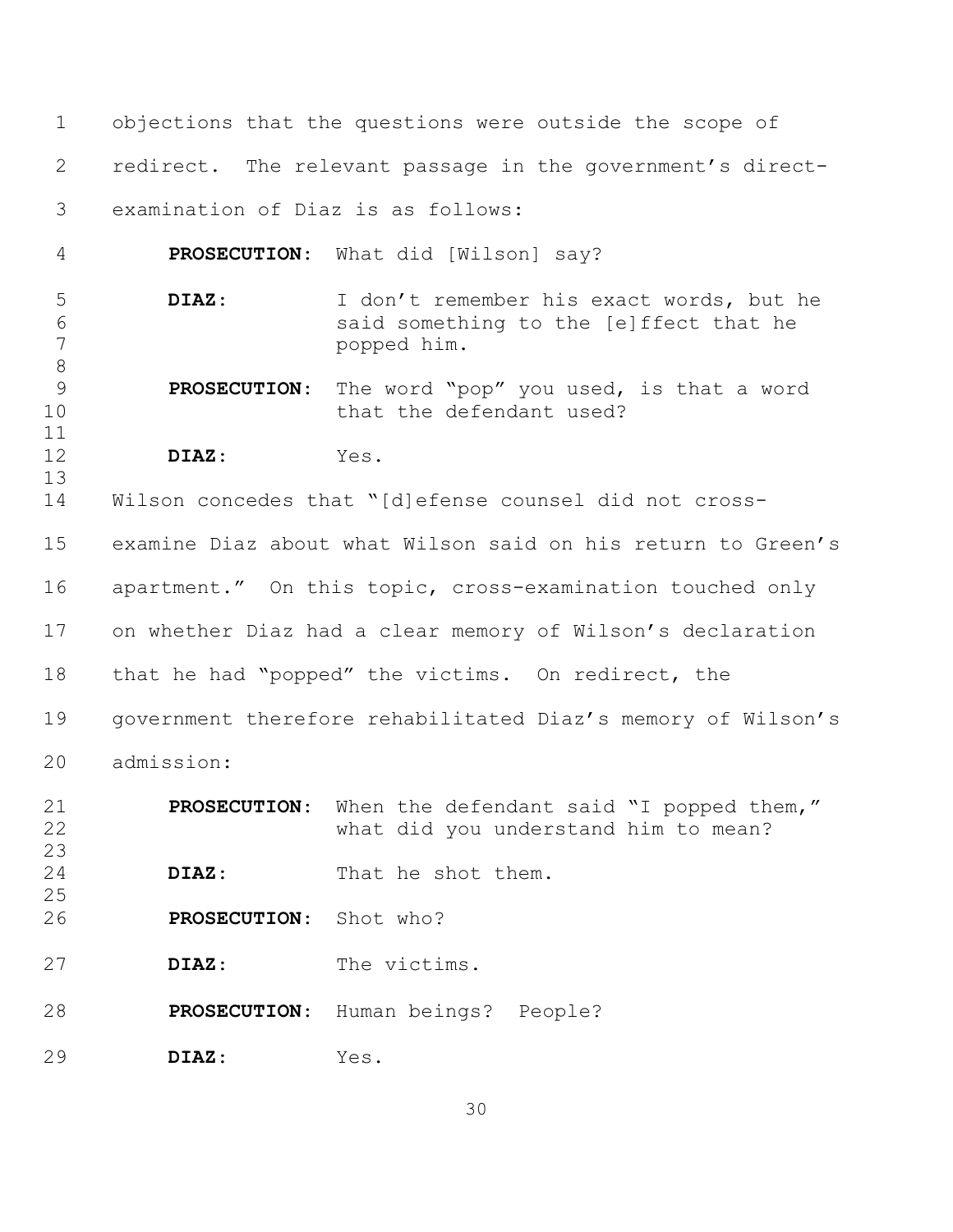objections that the questions were outside the scope of redirect. The relevant passage in the government's direct- examination of Diaz is as follows: **PROSECUTION**: What did [Wilson] say? **DIAZ**: I don't remember his exact words, but he said something to the [e]ffect that he popped him. **PROSECUTION**: The word "pop" you used, is that a word 10 that the defendant used? **DIAZ**: Yes. 

 Wilson concedes that "[d]efense counsel did not cross- examine Diaz about what Wilson said on his return to Green's apartment." On this topic, cross-examination touched only on whether Diaz had a clear memory of Wilson's declaration that he had "popped" the victims. On redirect, the government therefore rehabilitated Diaz's memory of Wilson's admission:

| 21<br>22<br>23 | <b>PROSECUTION:</b> | When the defendant said "I popped them,"<br>what did you understand him to mean? |
|----------------|---------------------|----------------------------------------------------------------------------------|
| 24<br>25       | DIAZ:               | That he shot them.                                                               |
| 26             | <b>PROSECUTION:</b> | Shot who?                                                                        |
| 27             | DIAZ:               | The victims.                                                                     |
| 28             | <b>PROSECUTION:</b> | Human beings? People?                                                            |
| 29             | DIAZ:               | Yes.                                                                             |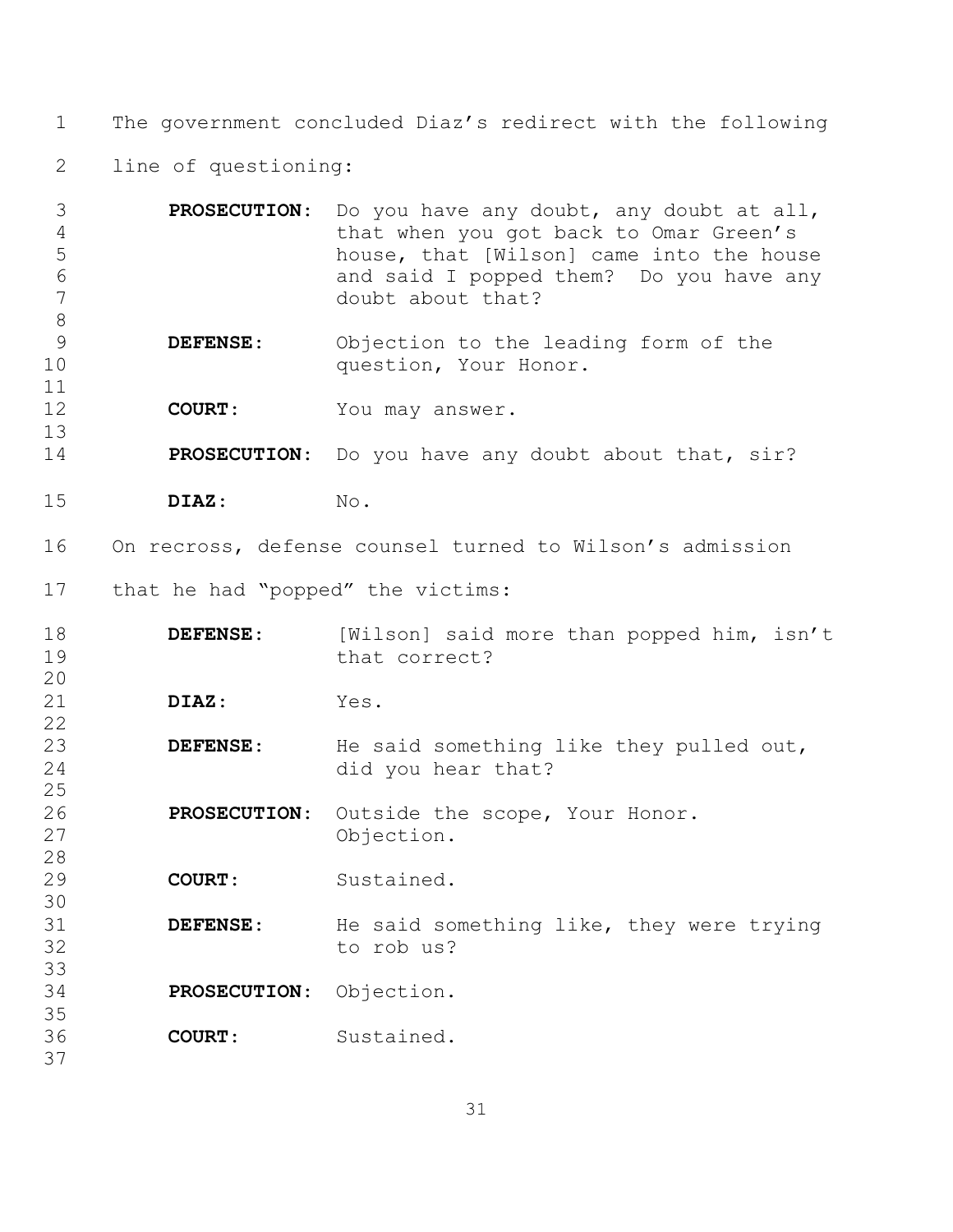The government concluded Diaz's redirect with the following

line of questioning:

| 3  | <b>PROSECUTION:</b> Do you have any doubt, any doubt at all, |
|----|--------------------------------------------------------------|
| 4  | that when you got back to Omar Green's                       |
| -5 | house, that [Wilson] came into the house                     |
| -6 | and said I popped them? Do you have any                      |
|    | doubt about that?                                            |
|    |                                                              |

- **DEFENSE**: Objection to the leading form of the 10 question, Your Honor.
- **COURT**: You may answer.
- **PROSECUTION**: Do you have any doubt about that, sir?
- **DIAZ**: No.

On recross, defense counsel turned to Wilson's admission

that he had "popped" the victims:

| 18 | DEFENSE:            | [Wilson] said more than popped him, isn't |
|----|---------------------|-------------------------------------------|
| 19 |                     | that correct?                             |
| 20 |                     |                                           |
| 21 | DIAZ:               | Yes.                                      |
| 22 |                     |                                           |
| 23 | <b>DEFENSE:</b>     | He said something like they pulled out,   |
| 24 |                     | did you hear that?                        |
| 25 |                     |                                           |
| 26 | <b>PROSECUTION:</b> | Outside the scope, Your Honor.            |
| 27 |                     | Objection.                                |
| 28 |                     |                                           |
| 29 | <b>COURT:</b>       | Sustained.                                |
| 30 |                     |                                           |
| 31 | <b>DEFENSE:</b>     | He said something like, they were trying  |
| 32 |                     | to rob us?                                |
| 33 |                     |                                           |
| 34 | <b>PROSECUTION:</b> | Objection.                                |
| 35 |                     |                                           |
| 36 | COURT:              | Sustained.                                |
| 37 |                     |                                           |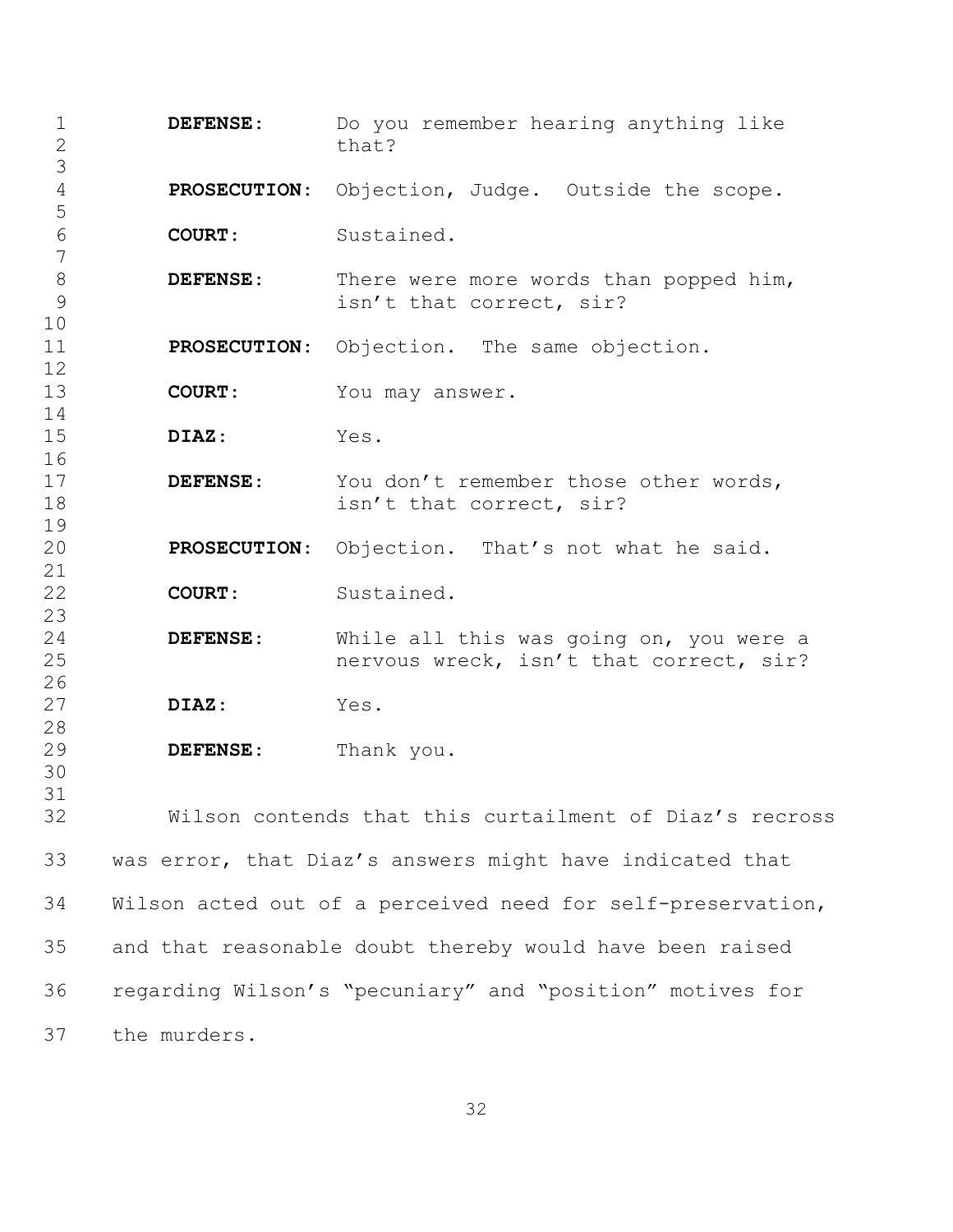| $\mathbf 1$<br>$\frac{2}{3}$ | DEFENSE:                                                    | Do you remember hearing anything like<br>that?                                     |
|------------------------------|-------------------------------------------------------------|------------------------------------------------------------------------------------|
| $\sqrt{4}$<br>5              | <b>PROSECUTION:</b>                                         | Objection, Judge. Outside the scope.                                               |
| $\sqrt{6}$<br>$\overline{7}$ | <b>COURT:</b>                                               | Sustained.                                                                         |
| $\,8\,$<br>9<br>10           | DEFENSE:                                                    | There were more words than popped him,<br>isn't that correct, sir?                 |
| 11<br>12                     | <b>PROSECUTION:</b>                                         | Objection. The same objection.                                                     |
| 13<br>14                     | <b>COURT:</b>                                               | You may answer.                                                                    |
| 15<br>16                     | DIAZ:                                                       | Yes.                                                                               |
| 17<br>18<br>19               | <b>DEFENSE:</b>                                             | You don't remember those other words,<br>isn't that correct, sir?                  |
| 20<br>21                     | <b>PROSECUTION:</b>                                         | Objection. That's not what he said.                                                |
| 22<br>23                     | <b>COURT:</b>                                               | Sustained.                                                                         |
| 24<br>25<br>26               | DEFENSE:                                                    | While all this was going on, you were a<br>nervous wreck, isn't that correct, sir? |
| 27<br>28                     | DIAZ:                                                       | Yes.                                                                               |
| 29<br>30                     | DEFENSE:                                                    | Thank you.                                                                         |
| 31<br>32                     | Wilson contends that this curtailment of Diaz's recross     |                                                                                    |
| 33                           | was error, that Diaz's answers might have indicated that    |                                                                                    |
| 34                           | Wilson acted out of a perceived need for self-preservation, |                                                                                    |
| 35                           | and that reasonable doubt thereby would have been raised    |                                                                                    |
| 36                           | regarding Wilson's "pecuniary" and "position" motives for   |                                                                                    |
| 37                           | the murders.                                                |                                                                                    |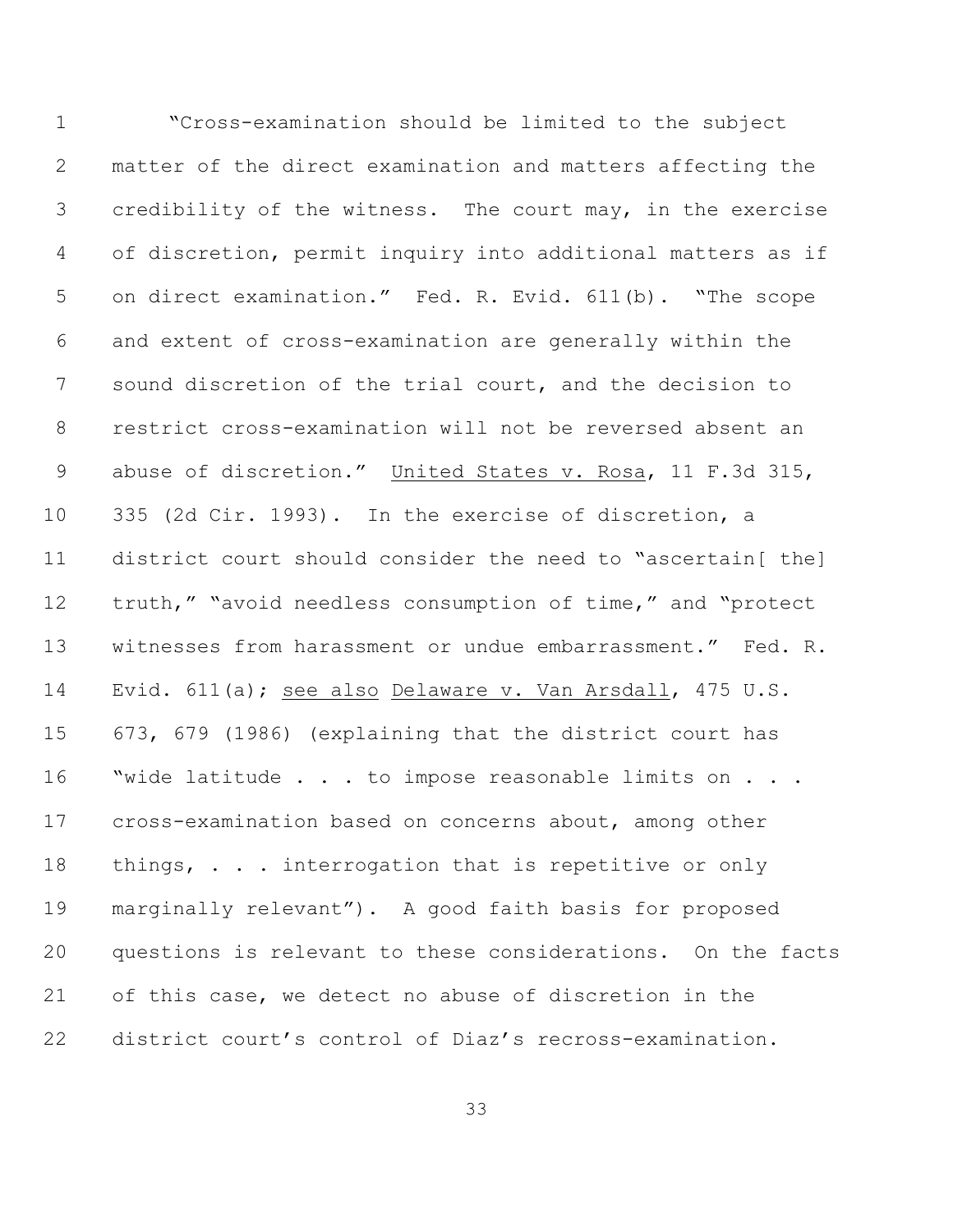"Cross-examination should be limited to the subject matter of the direct examination and matters affecting the credibility of the witness. The court may, in the exercise of discretion, permit inquiry into additional matters as if on direct examination." Fed. R. Evid. 611(b). "The scope and extent of cross-examination are generally within the sound discretion of the trial court, and the decision to restrict cross-examination will not be reversed absent an abuse of discretion." United States v. Rosa, 11 F.3d 315, 335 (2d Cir. 1993). In the exercise of discretion, a district court should consider the need to "ascertain[ the] truth," "avoid needless consumption of time," and "protect witnesses from harassment or undue embarrassment." Fed. R. Evid. 611(a); see also Delaware v. Van Arsdall, 475 U.S. 673, 679 (1986) (explaining that the district court has "wide latitude . . . to impose reasonable limits on . . . cross-examination based on concerns about, among other 18 things, . . . interrogation that is repetitive or only marginally relevant"). A good faith basis for proposed questions is relevant to these considerations. On the facts of this case, we detect no abuse of discretion in the district court's control of Diaz's recross-examination.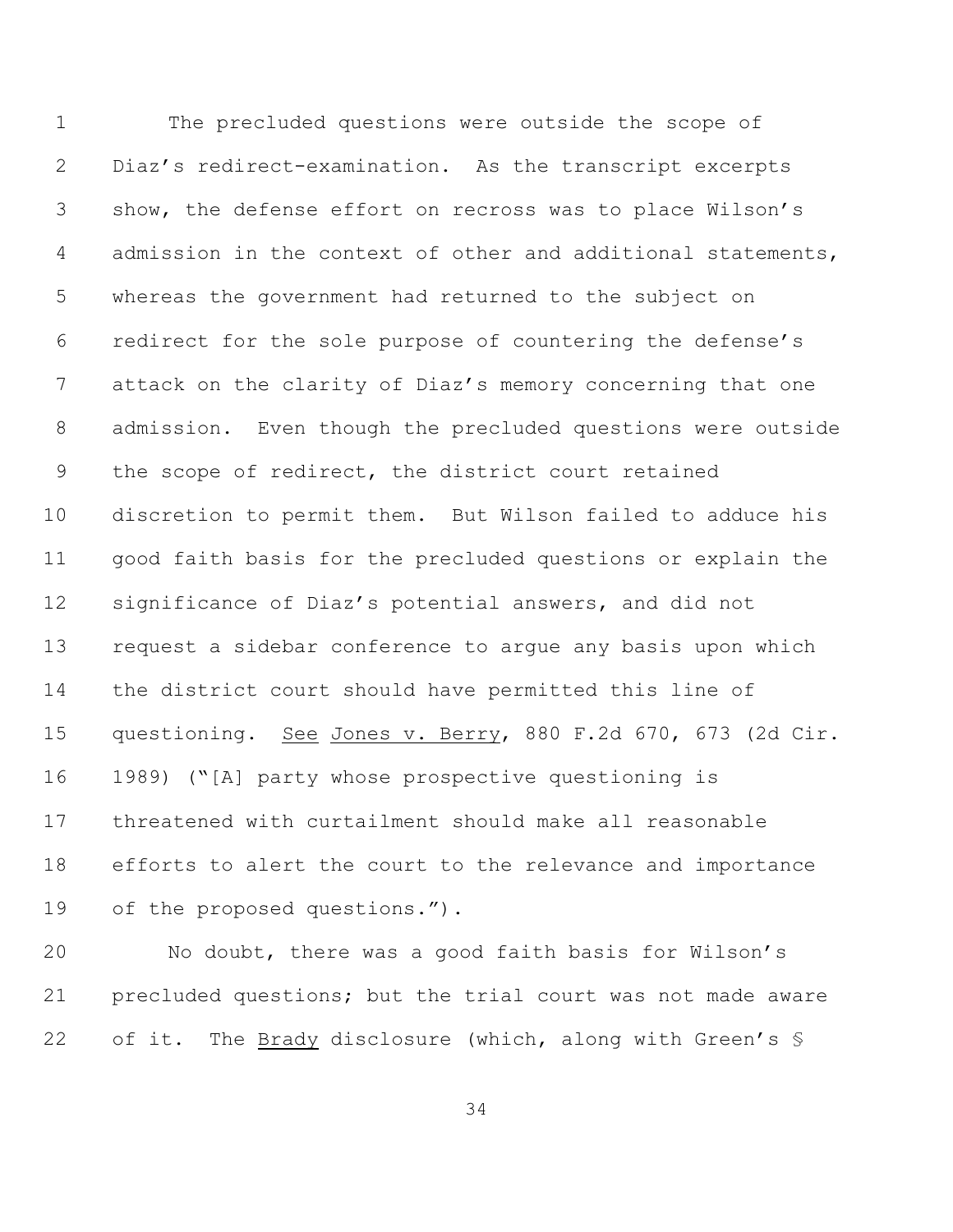The precluded questions were outside the scope of Diaz's redirect-examination. As the transcript excerpts show, the defense effort on recross was to place Wilson's admission in the context of other and additional statements, whereas the government had returned to the subject on redirect for the sole purpose of countering the defense's attack on the clarity of Diaz's memory concerning that one admission. Even though the precluded questions were outside the scope of redirect, the district court retained discretion to permit them. But Wilson failed to adduce his good faith basis for the precluded questions or explain the significance of Diaz's potential answers, and did not request a sidebar conference to argue any basis upon which the district court should have permitted this line of questioning. See Jones v. Berry, 880 F.2d 670, 673 (2d Cir. 1989) ("[A] party whose prospective questioning is threatened with curtailment should make all reasonable efforts to alert the court to the relevance and importance of the proposed questions.").

 No doubt, there was a good faith basis for Wilson's precluded questions; but the trial court was not made aware 22 of it. The Brady disclosure (which, along with Green's §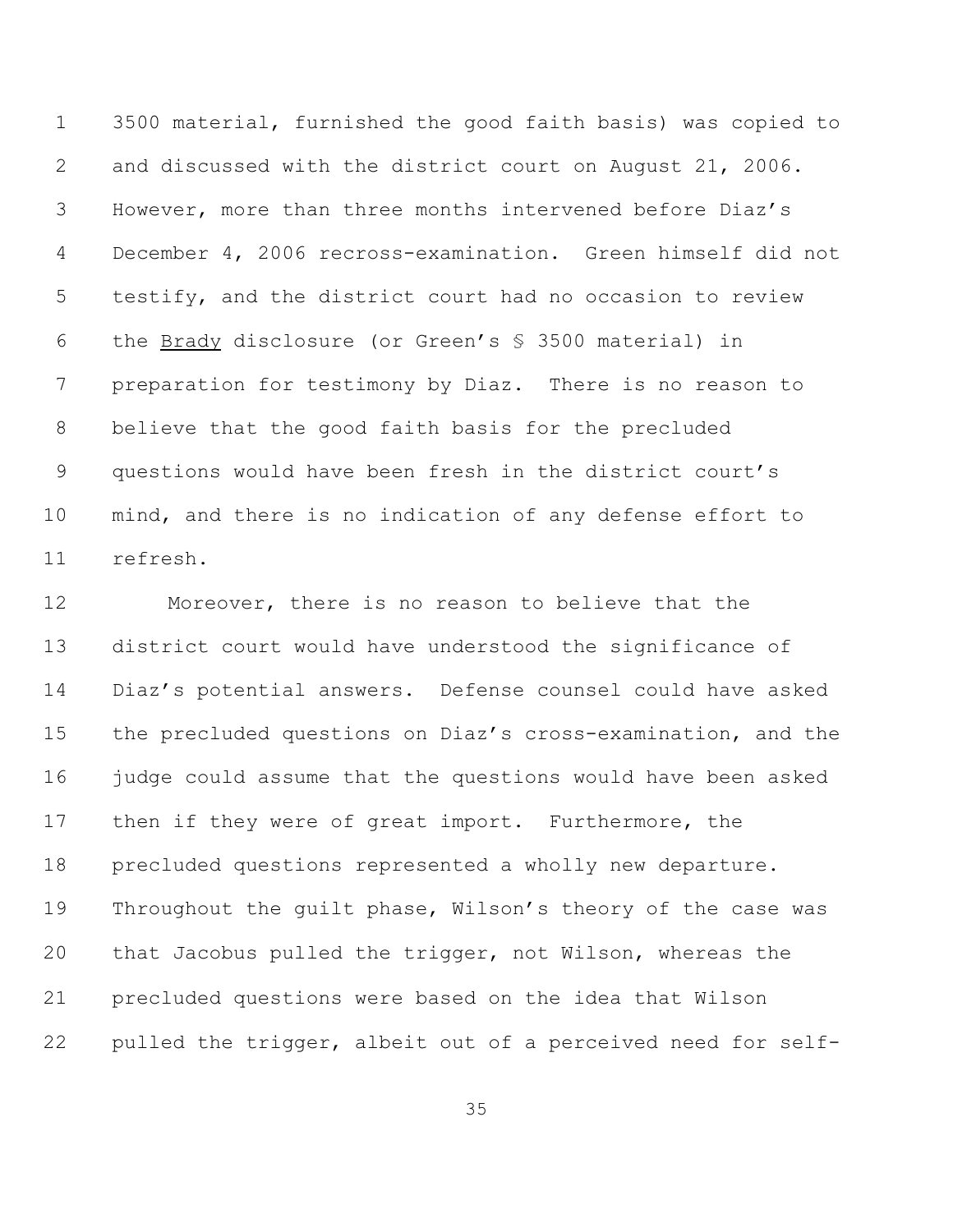3500 material, furnished the good faith basis) was copied to and discussed with the district court on August 21, 2006. However, more than three months intervened before Diaz's December 4, 2006 recross-examination. Green himself did not testify, and the district court had no occasion to review the Brady disclosure (or Green's § 3500 material) in preparation for testimony by Diaz. There is no reason to believe that the good faith basis for the precluded questions would have been fresh in the district court's mind, and there is no indication of any defense effort to refresh.

 Moreover, there is no reason to believe that the district court would have understood the significance of Diaz's potential answers. Defense counsel could have asked the precluded questions on Diaz's cross-examination, and the judge could assume that the questions would have been asked then if they were of great import. Furthermore, the precluded questions represented a wholly new departure. Throughout the guilt phase, Wilson's theory of the case was that Jacobus pulled the trigger, not Wilson, whereas the precluded questions were based on the idea that Wilson pulled the trigger, albeit out of a perceived need for self-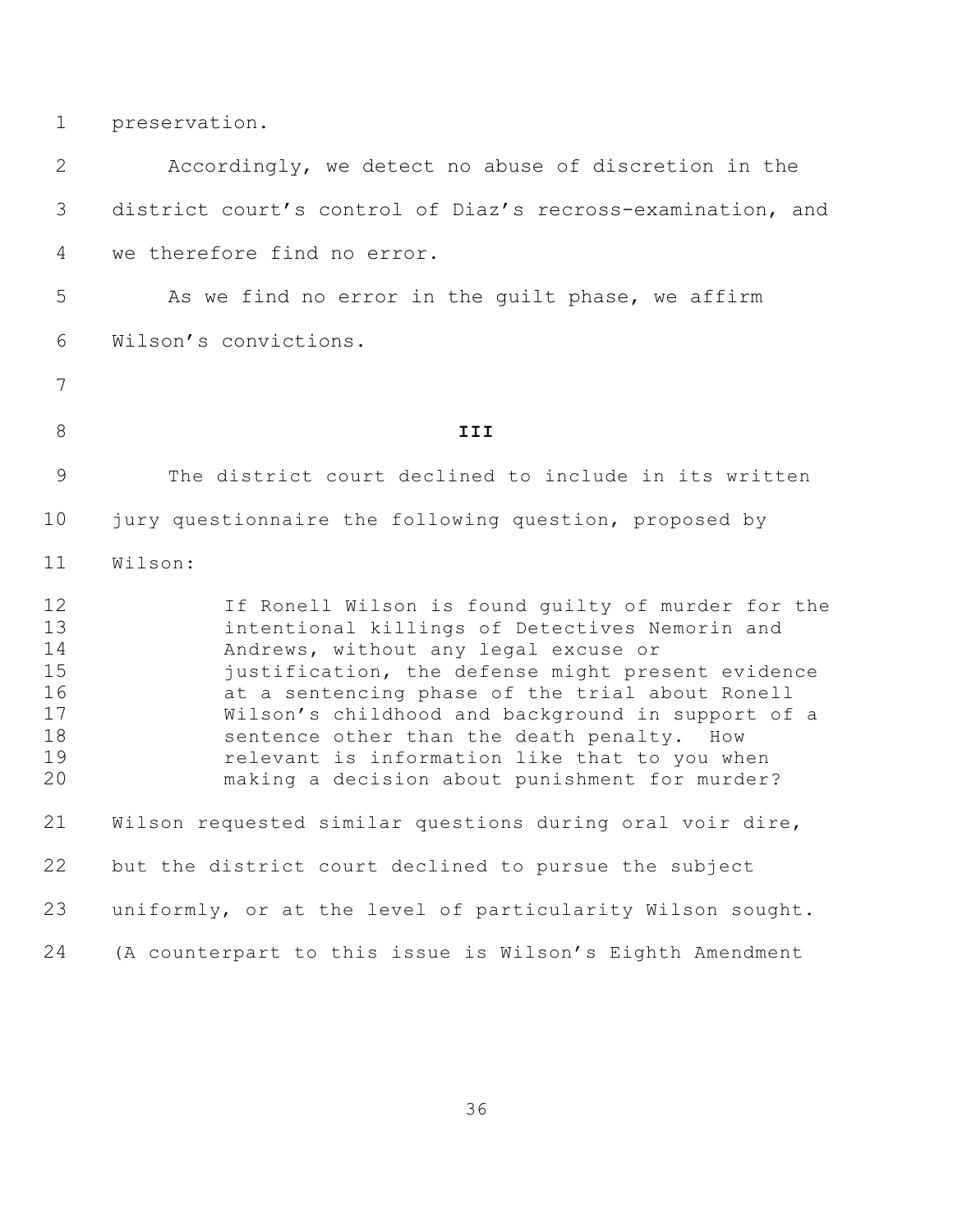preservation.

 Accordingly, we detect no abuse of discretion in the district court's control of Diaz's recross-examination, and we therefore find no error. 5 As we find no error in the quilt phase, we affirm Wilson's convictions. **III** The district court declined to include in its written 10 jury questionnaire the following question, proposed by Wilson: If Ronell Wilson is found guilty of murder for the intentional killings of Detectives Nemorin and Andrews, without any legal excuse or justification, the defense might present evidence at a sentencing phase of the trial about Ronell Wilson's childhood and background in support of a 18 sentence other than the death penalty. How relevant is information like that to you when making a decision about punishment for murder? Wilson requested similar questions during oral voir dire, but the district court declined to pursue the subject uniformly, or at the level of particularity Wilson sought. (A counterpart to this issue is Wilson's Eighth Amendment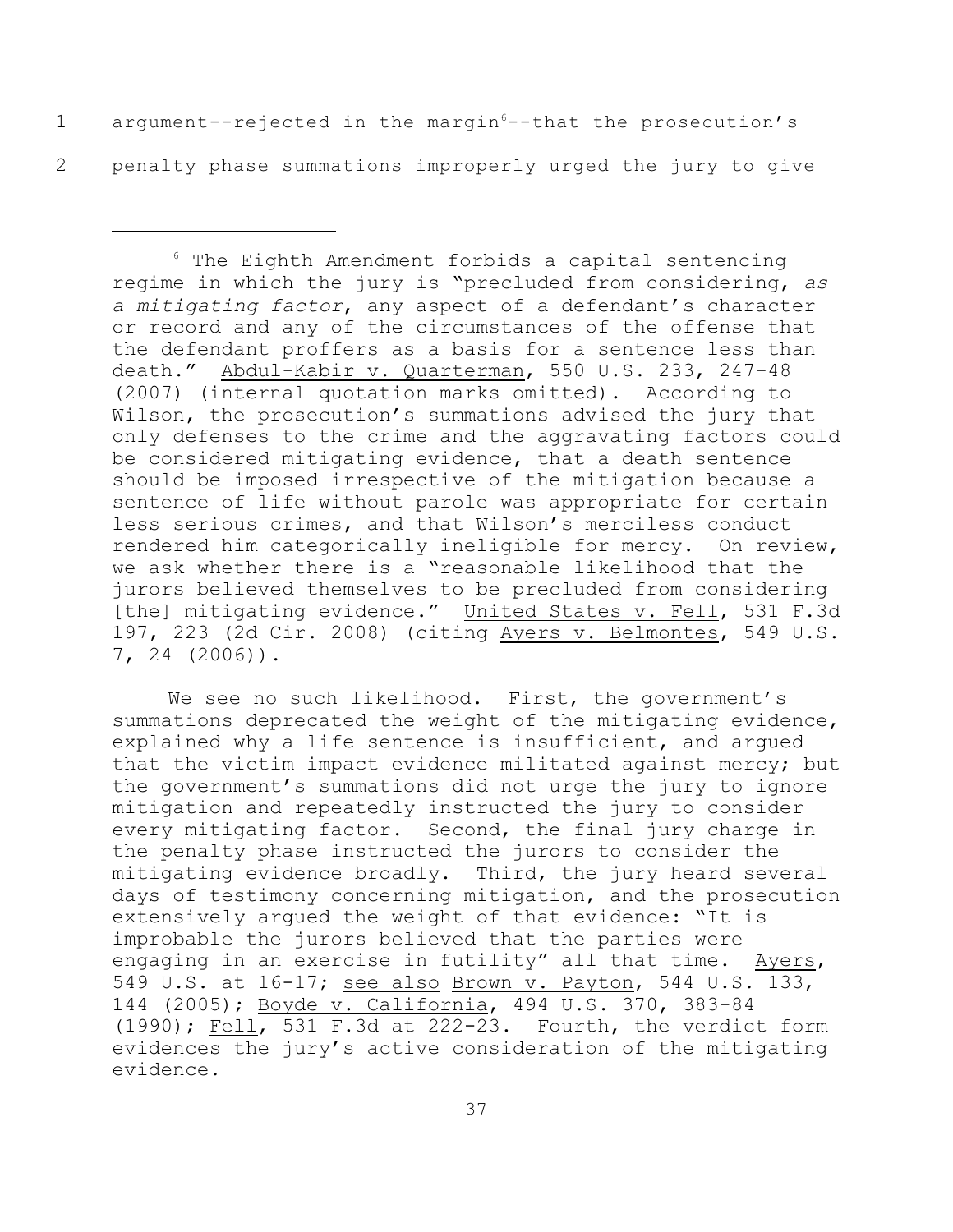1 argument--rejected in the margin<sup>6</sup>--that the prosecution's 2 penalty phase summations improperly urged the jury to give

 $6$  The Eighth Amendment forbids a capital sentencing regime in which the jury is "precluded from considering, *as a mitigating factor*, any aspect of a defendant's character or record and any of the circumstances of the offense that the defendant proffers as a basis for a sentence less than death." Abdul-Kabir v. Quarterman, 550 U.S. 233, 247-48 (2007) (internal quotation marks omitted). According to Wilson, the prosecution's summations advised the jury that only defenses to the crime and the aggravating factors could be considered mitigating evidence, that a death sentence should be imposed irrespective of the mitigation because a sentence of life without parole was appropriate for certain less serious crimes, and that Wilson's merciless conduct rendered him categorically ineligible for mercy. On review, we ask whether there is a "reasonable likelihood that the jurors believed themselves to be precluded from considering [the] mitigating evidence." United States v. Fell, 531 F.3d 197, 223 (2d Cir. 2008) (citing Ayers v. Belmontes, 549 U.S. 7, 24 (2006)).

We see no such likelihood. First, the government's summations deprecated the weight of the mitigating evidence, explained why a life sentence is insufficient, and argued that the victim impact evidence militated against mercy; but the government's summations did not urge the jury to ignore mitigation and repeatedly instructed the jury to consider every mitigating factor. Second, the final jury charge in the penalty phase instructed the jurors to consider the mitigating evidence broadly. Third, the jury heard several days of testimony concerning mitigation, and the prosecution extensively argued the weight of that evidence: "It is improbable the jurors believed that the parties were engaging in an exercise in futility" all that time. Ayers, 549 U.S. at 16-17; see also Brown v. Payton, 544 U.S. 133, 144 (2005); Boyde v. California, 494 U.S. 370, 383-84 (1990); Fell, 531 F.3d at 222-23. Fourth, the verdict form evidences the jury's active consideration of the mitigating evidence.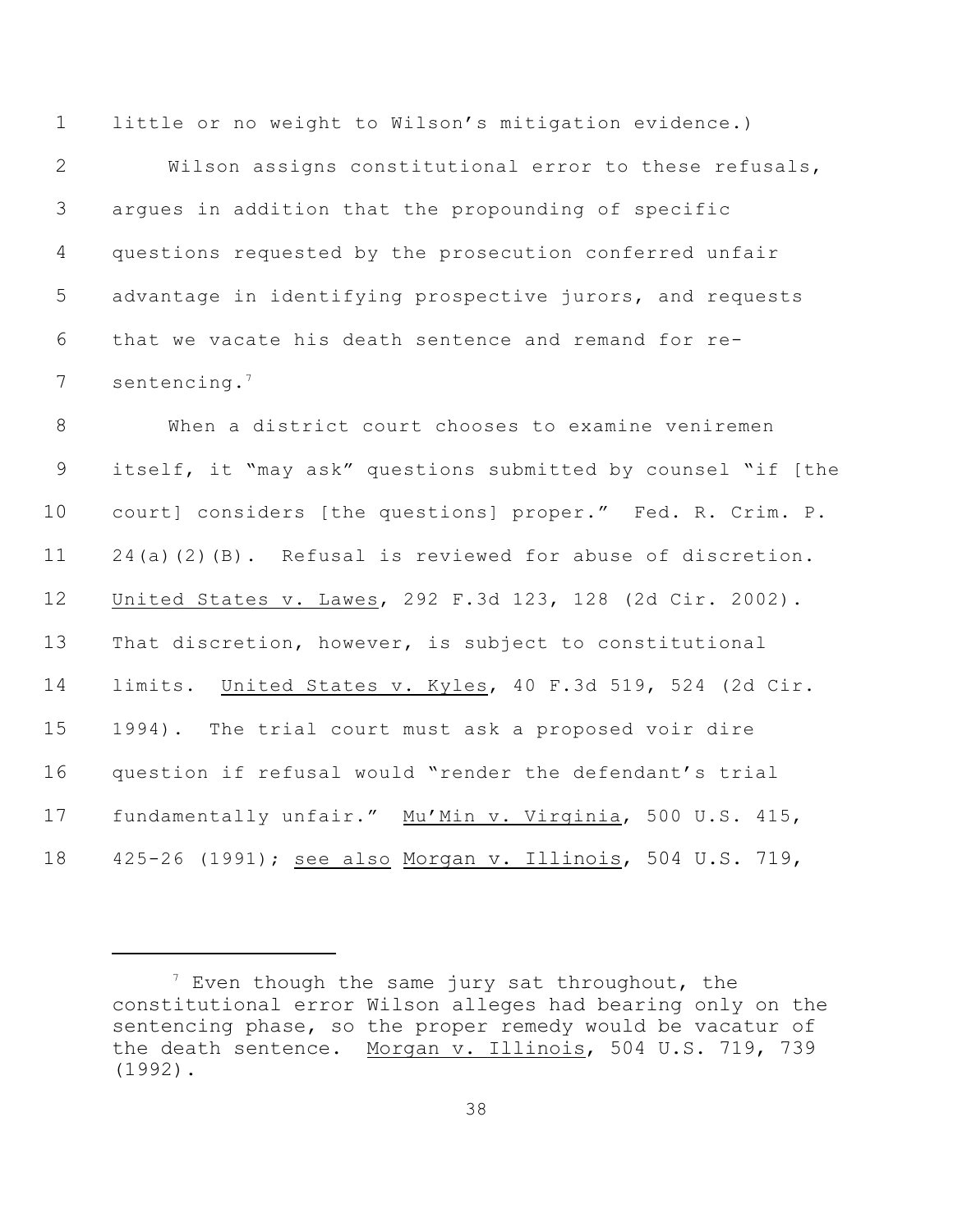little or no weight to Wilson's mitigation evidence.)

 Wilson assigns constitutional error to these refusals, argues in addition that the propounding of specific questions requested by the prosecution conferred unfair advantage in identifying prospective jurors, and requests that we vacate his death sentence and remand for re-7 sentencing.<sup>7</sup>

 When a district court chooses to examine veniremen itself, it "may ask" questions submitted by counsel "if [the court] considers [the questions] proper." Fed. R. Crim. P. 24(a)(2)(B). Refusal is reviewed for abuse of discretion. United States v. Lawes, 292 F.3d 123, 128 (2d Cir. 2002). That discretion, however, is subject to constitutional limits. United States v. Kyles, 40 F.3d 519, 524 (2d Cir. 1994). The trial court must ask a proposed voir dire question if refusal would "render the defendant's trial fundamentally unfair." Mu'Min v. Virginia, 500 U.S. 415, 425-26 (1991); see also Morgan v. Illinois, 504 U.S. 719,

 $\frac{1}{2}$  Even though the same jury sat throughout, the constitutional error Wilson alleges had bearing only on the sentencing phase, so the proper remedy would be vacatur of the death sentence. Morgan v. Illinois, 504 U.S. 719, 739 (1992).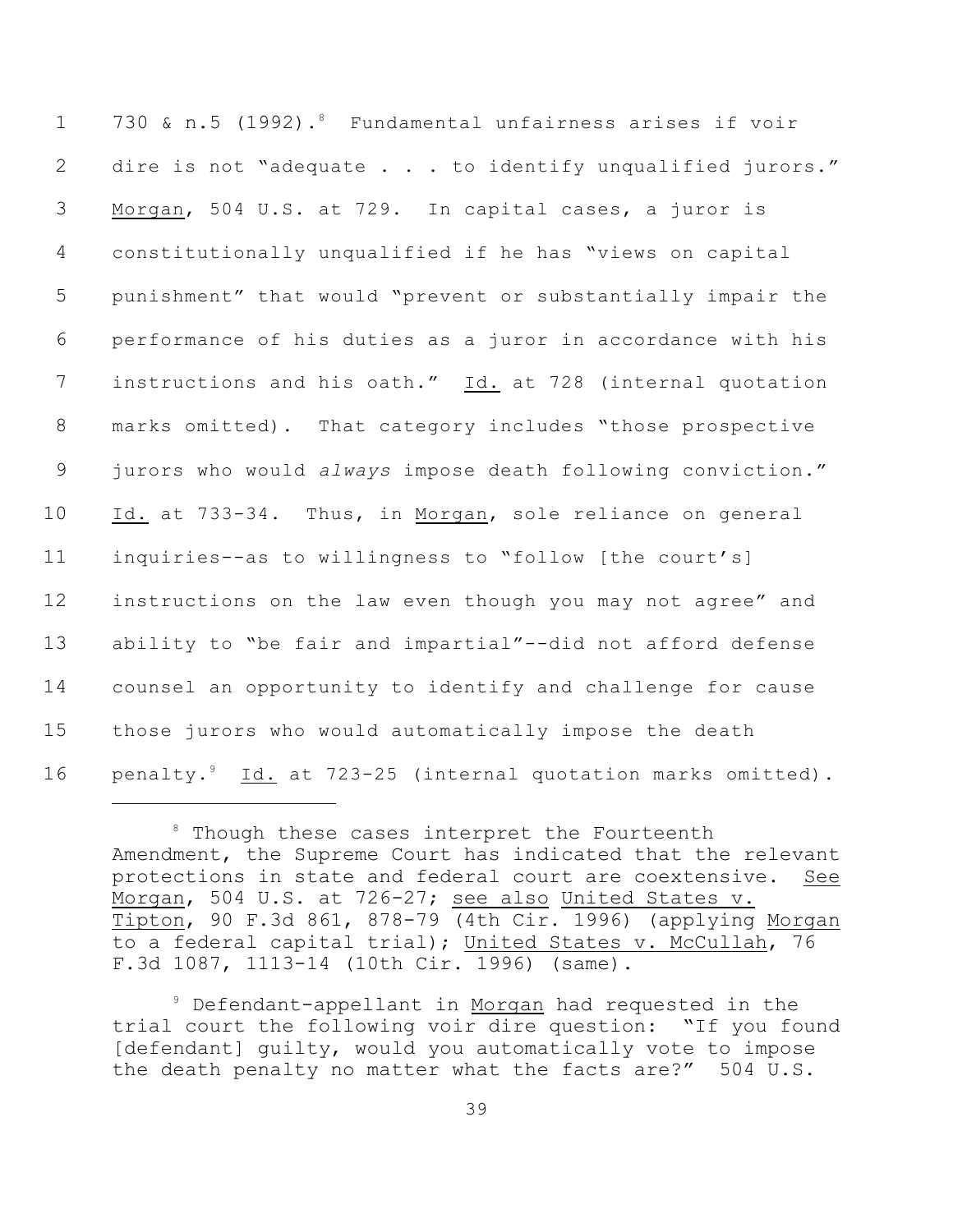1 730 & n.5 (1992).<sup>8</sup> Fundamental unfairness arises if voir 2 dire is not "adequate . . . to identify unqualified jurors." Morgan, 504 U.S. at 729. In capital cases, a juror is constitutionally unqualified if he has "views on capital punishment" that would "prevent or substantially impair the performance of his duties as a juror in accordance with his 7 instructions and his oath." Id. at 728 (internal quotation marks omitted). That category includes "those prospective jurors who would *always* impose death following conviction." Id. at 733-34. Thus, in Morgan, sole reliance on general inquiries--as to willingness to "follow [the court's] instructions on the law even though you may not agree" and ability to "be fair and impartial"--did not afford defense counsel an opportunity to identify and challenge for cause those jurors who would automatically impose the death 16 penalty.<sup>9</sup> Id. at 723-25 (internal quotation marks omitted).

 $8$  Though these cases interpret the Fourteenth Amendment, the Supreme Court has indicated that the relevant protections in state and federal court are coextensive. See Morgan, 504 U.S. at 726-27; see also United States v. Tipton, 90 F.3d 861, 878-79 (4th Cir. 1996) (applying Morgan to a federal capital trial); United States v. McCullah, 76 F.3d 1087, 1113-14 (10th Cir. 1996) (same).

<sup>&</sup>lt;sup>9</sup> Defendant-appellant in Morgan had requested in the trial court the following voir dire question: "If you found [defendant] quilty, would you automatically vote to impose the death penalty no matter what the facts are?" 504 U.S.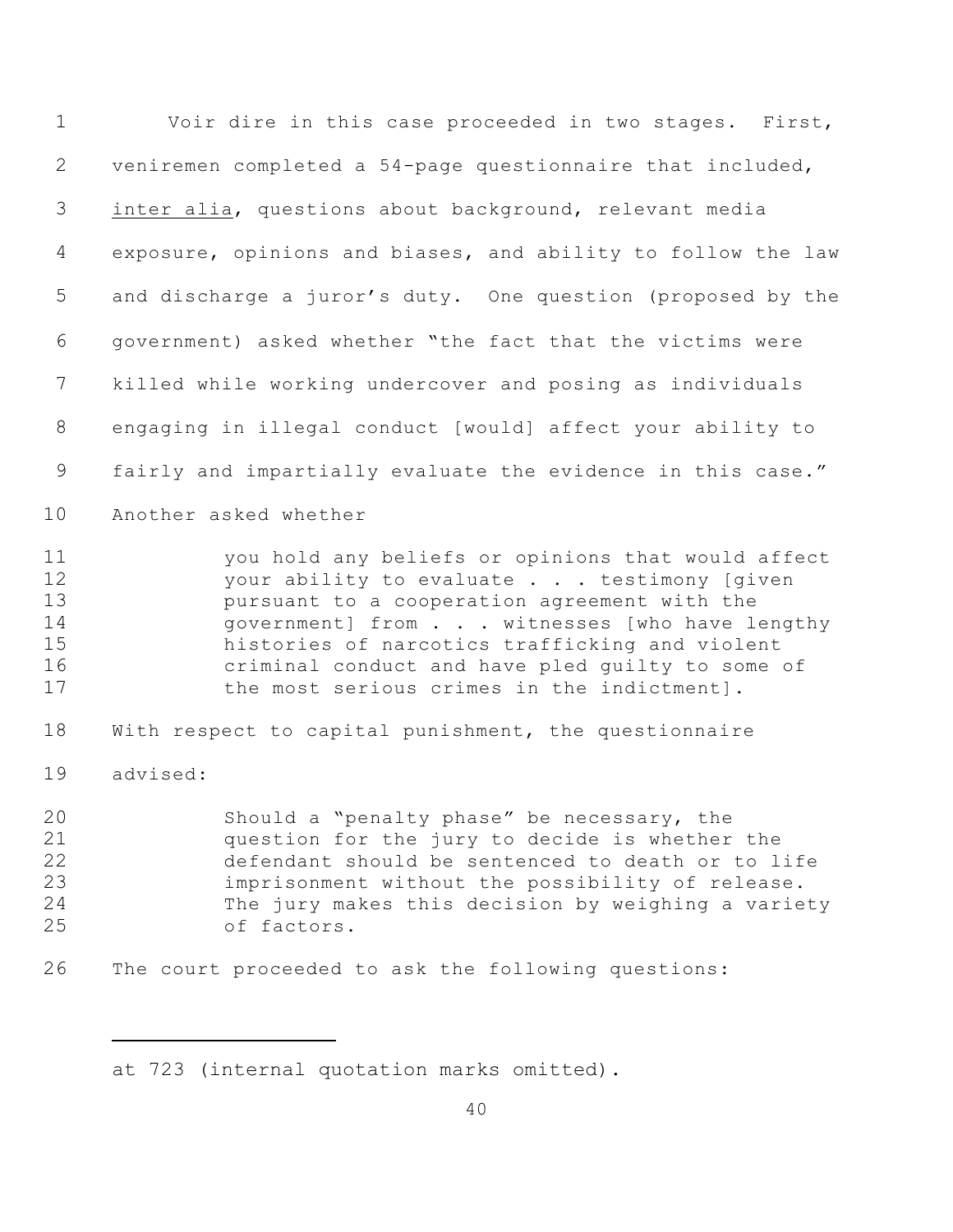| $\mathbf 1$                                   | Voir dire in this case proceeded in two stages. First,                                                                                                                                                                                                                                                                                               |
|-----------------------------------------------|------------------------------------------------------------------------------------------------------------------------------------------------------------------------------------------------------------------------------------------------------------------------------------------------------------------------------------------------------|
| 2                                             | veniremen completed a 54-page questionnaire that included,                                                                                                                                                                                                                                                                                           |
| 3                                             | inter alia, questions about background, relevant media                                                                                                                                                                                                                                                                                               |
| 4                                             | exposure, opinions and biases, and ability to follow the law                                                                                                                                                                                                                                                                                         |
| 5                                             | and discharge a juror's duty. One question (proposed by the                                                                                                                                                                                                                                                                                          |
| 6                                             | government) asked whether "the fact that the victims were                                                                                                                                                                                                                                                                                            |
| 7                                             | killed while working undercover and posing as individuals                                                                                                                                                                                                                                                                                            |
| $8\,$                                         | engaging in illegal conduct [would] affect your ability to                                                                                                                                                                                                                                                                                           |
| $\mathsf 9$                                   | fairly and impartially evaluate the evidence in this case."                                                                                                                                                                                                                                                                                          |
| 10                                            | Another asked whether                                                                                                                                                                                                                                                                                                                                |
| 11<br>12<br>13<br>14<br>15<br>16<br>17        | you hold any beliefs or opinions that would affect<br>your ability to evaluate testimony [given<br>pursuant to a cooperation agreement with the<br>government] from witnesses [who have lengthy<br>histories of narcotics trafficking and violent<br>criminal conduct and have pled quilty to some of<br>the most serious crimes in the indictment]. |
| 18                                            | With respect to capital punishment, the questionnaire                                                                                                                                                                                                                                                                                                |
| 19                                            | advised:                                                                                                                                                                                                                                                                                                                                             |
| 20 <sub>o</sub><br>21<br>22<br>23<br>24<br>25 | Should a "penalty phase" be necessary, the<br>question for the jury to decide is whether the<br>defendant should be sentenced to death or to life<br>imprisonment without the possibility of release.<br>The jury makes this decision by weighing a variety<br>of factors.                                                                           |
| 26                                            | The court proceeded to ask the following questions:                                                                                                                                                                                                                                                                                                  |

at 723 (internal quotation marks omitted).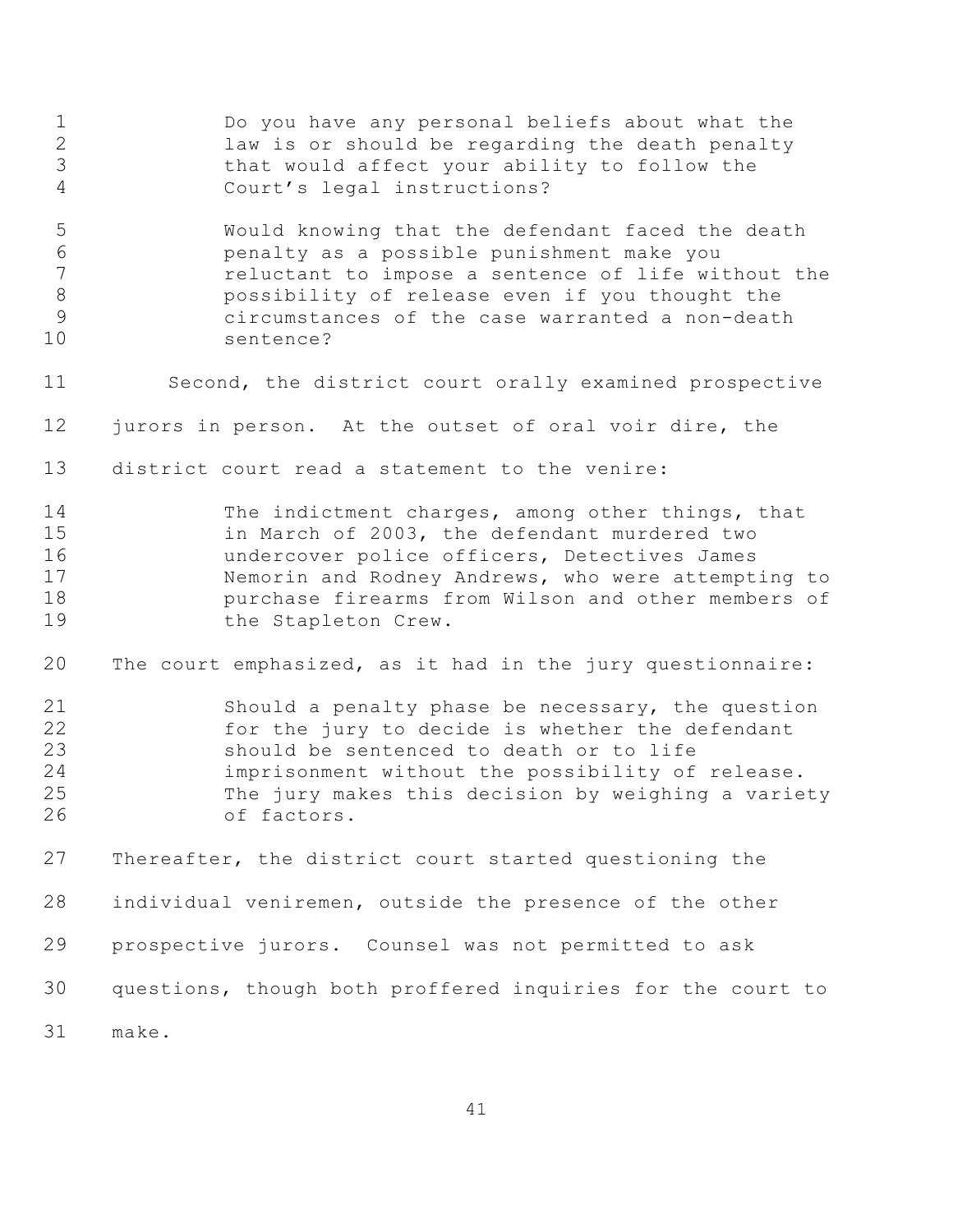Do you have any personal beliefs about what the law is or should be regarding the death penalty that would affect your ability to follow the Court's legal instructions? Would knowing that the defendant faced the death penalty as a possible punishment make you reluctant to impose a sentence of life without the possibility of release even if you thought the circumstances of the case warranted a non-death sentence? Second, the district court orally examined prospective jurors in person. At the outset of oral voir dire, the district court read a statement to the venire: The indictment charges, among other things, that in March of 2003, the defendant murdered two undercover police officers, Detectives James Nemorin and Rodney Andrews, who were attempting to purchase firearms from Wilson and other members of the Stapleton Crew. The court emphasized, as it had in the jury questionnaire: Should a penalty phase be necessary, the question for the jury to decide is whether the defendant should be sentenced to death or to life imprisonment without the possibility of release. The jury makes this decision by weighing a variety of factors. Thereafter, the district court started questioning the individual veniremen, outside the presence of the other prospective jurors. Counsel was not permitted to ask questions, though both proffered inquiries for the court to make.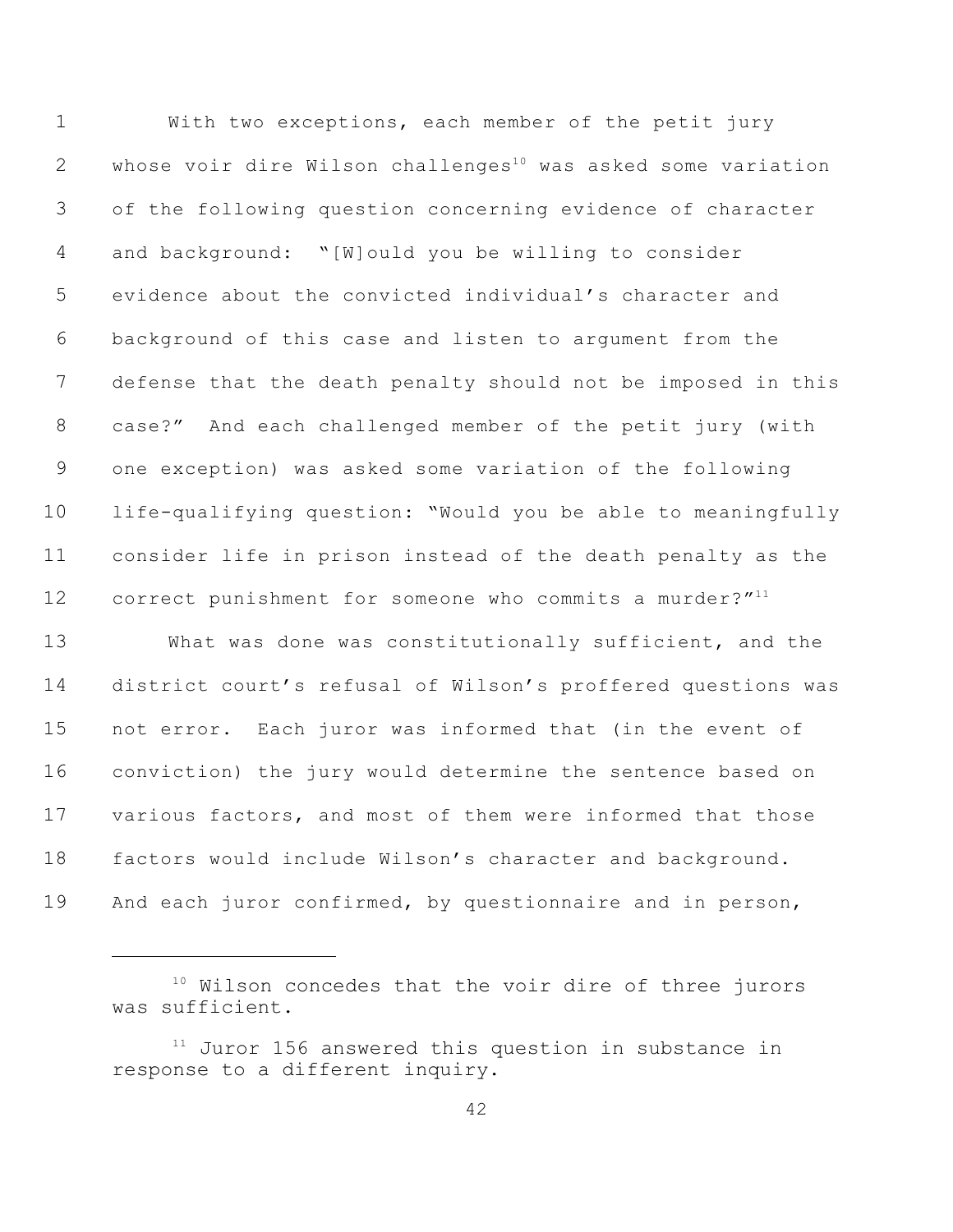With two exceptions, each member of the petit jury 2 whose voir dire Wilson challenges<sup>10</sup> was asked some variation of the following question concerning evidence of character and background: "[W]ould you be willing to consider evidence about the convicted individual's character and background of this case and listen to argument from the defense that the death penalty should not be imposed in this case?" And each challenged member of the petit jury (with one exception) was asked some variation of the following life-qualifying question: "Would you be able to meaningfully consider life in prison instead of the death penalty as the 12 correct punishment for someone who commits a murder?"<sup>11</sup> What was done was constitutionally sufficient, and the district court's refusal of Wilson's proffered questions was not error. Each juror was informed that (in the event of conviction) the jury would determine the sentence based on various factors, and most of them were informed that those factors would include Wilson's character and background. And each juror confirmed, by questionnaire and in person,

 Wilson concedes that the voir dire of three jurors was sufficient.

 Juror 156 answered this question in substance in response to a different inquiry.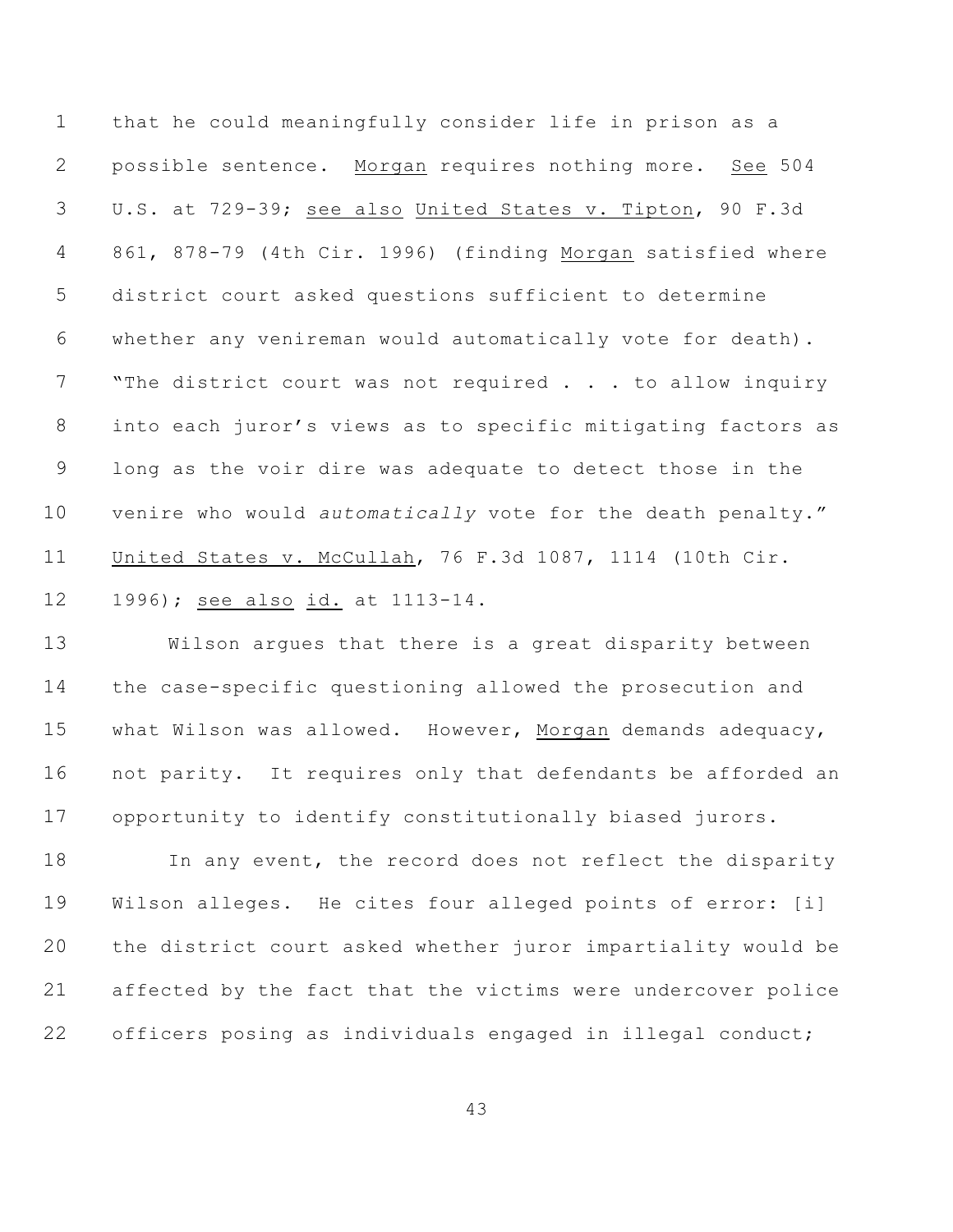that he could meaningfully consider life in prison as a possible sentence. Morgan requires nothing more. See 504 U.S. at 729-39; see also United States v. Tipton, 90 F.3d 861, 878-79 (4th Cir. 1996) (finding Morgan satisfied where district court asked questions sufficient to determine whether any venireman would automatically vote for death). 7 The district court was not required . . . to allow inquiry into each juror's views as to specific mitigating factors as long as the voir dire was adequate to detect those in the venire who would *automatically* vote for the death penalty." United States v. McCullah, 76 F.3d 1087, 1114 (10th Cir.

## 1996); see also id. at 1113-14.

 Wilson argues that there is a great disparity between the case-specific questioning allowed the prosecution and what Wilson was allowed. However, Morgan demands adequacy, not parity. It requires only that defendants be afforded an opportunity to identify constitutionally biased jurors.

18 In any event, the record does not reflect the disparity Wilson alleges. He cites four alleged points of error: [i] the district court asked whether juror impartiality would be affected by the fact that the victims were undercover police officers posing as individuals engaged in illegal conduct;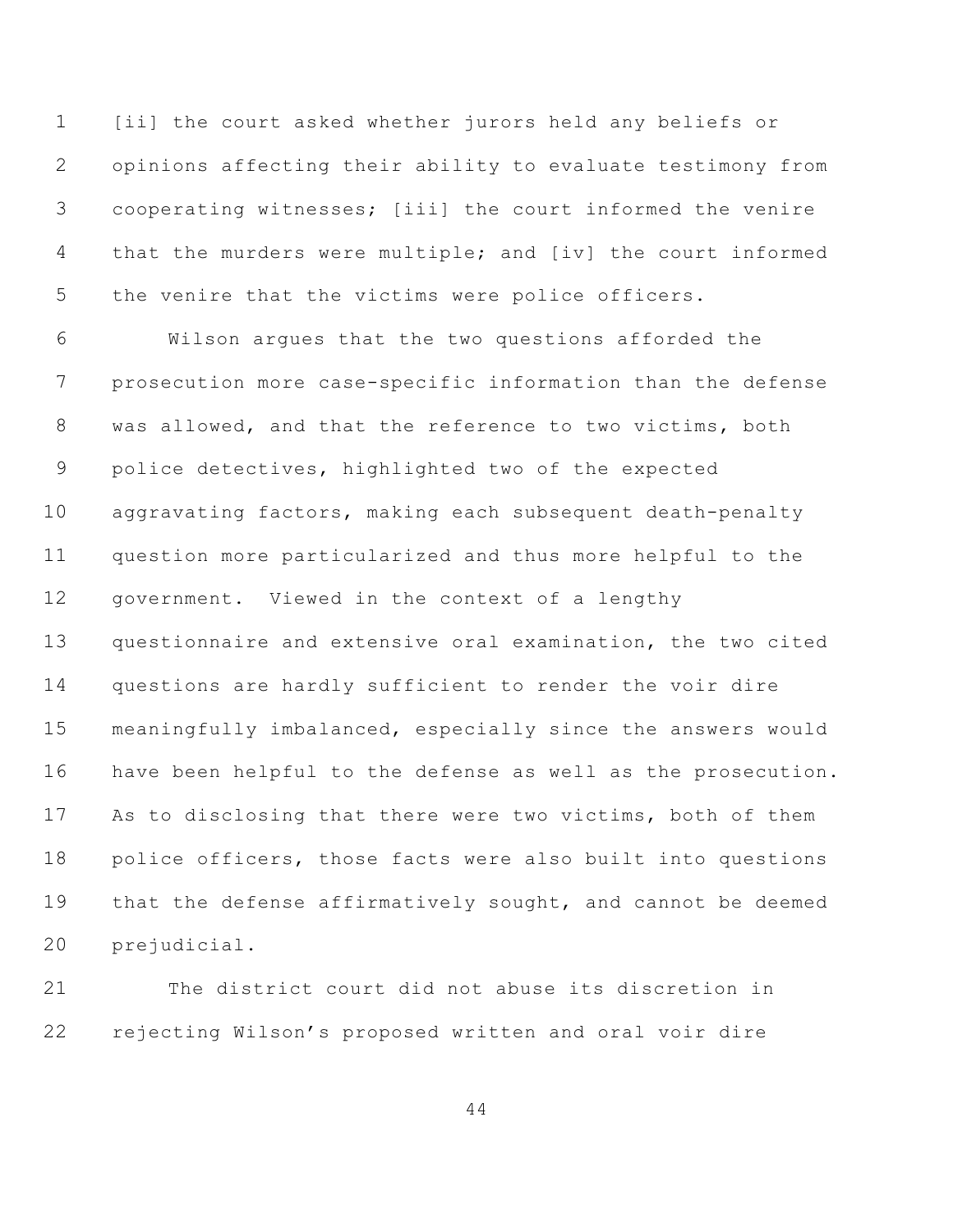[ii] the court asked whether jurors held any beliefs or opinions affecting their ability to evaluate testimony from cooperating witnesses; [iii] the court informed the venire that the murders were multiple; and [iv] the court informed the venire that the victims were police officers.

 Wilson argues that the two questions afforded the prosecution more case-specific information than the defense was allowed, and that the reference to two victims, both police detectives, highlighted two of the expected aggravating factors, making each subsequent death-penalty question more particularized and thus more helpful to the government. Viewed in the context of a lengthy questionnaire and extensive oral examination, the two cited questions are hardly sufficient to render the voir dire meaningfully imbalanced, especially since the answers would have been helpful to the defense as well as the prosecution. As to disclosing that there were two victims, both of them police officers, those facts were also built into questions that the defense affirmatively sought, and cannot be deemed prejudicial.

 The district court did not abuse its discretion in rejecting Wilson's proposed written and oral voir dire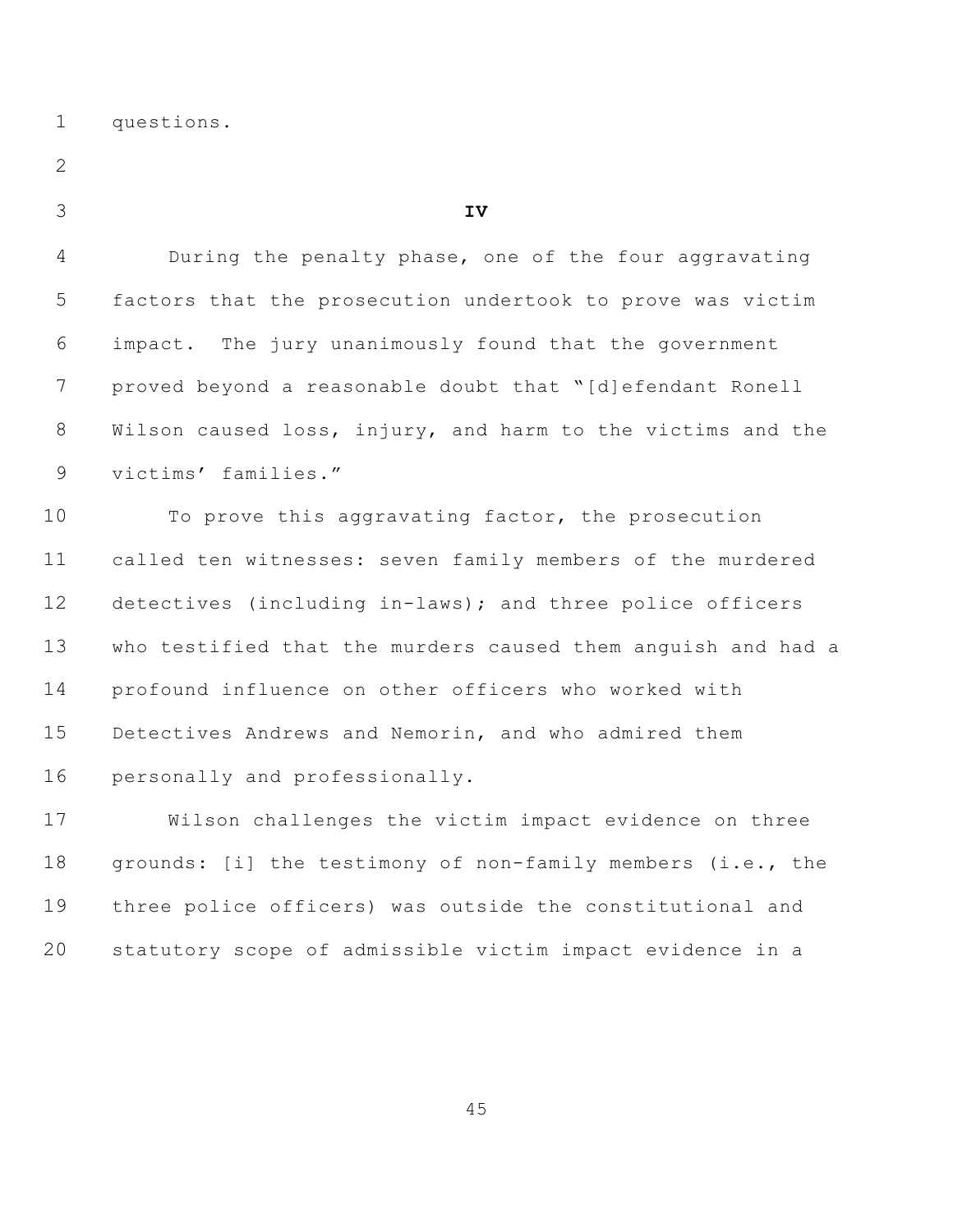questions.

| v<br>I<br>×. |
|--------------|
| ł<br>۰.      |
|              |

**IV**

 During the penalty phase, one of the four aggravating factors that the prosecution undertook to prove was victim impact. The jury unanimously found that the government proved beyond a reasonable doubt that "[d]efendant Ronell Wilson caused loss, injury, and harm to the victims and the victims' families."

 To prove this aggravating factor, the prosecution called ten witnesses: seven family members of the murdered detectives (including in-laws); and three police officers who testified that the murders caused them anguish and had a profound influence on other officers who worked with Detectives Andrews and Nemorin, and who admired them personally and professionally.

 Wilson challenges the victim impact evidence on three 18 grounds: [i] the testimony of non-family members (i.e., the three police officers) was outside the constitutional and statutory scope of admissible victim impact evidence in a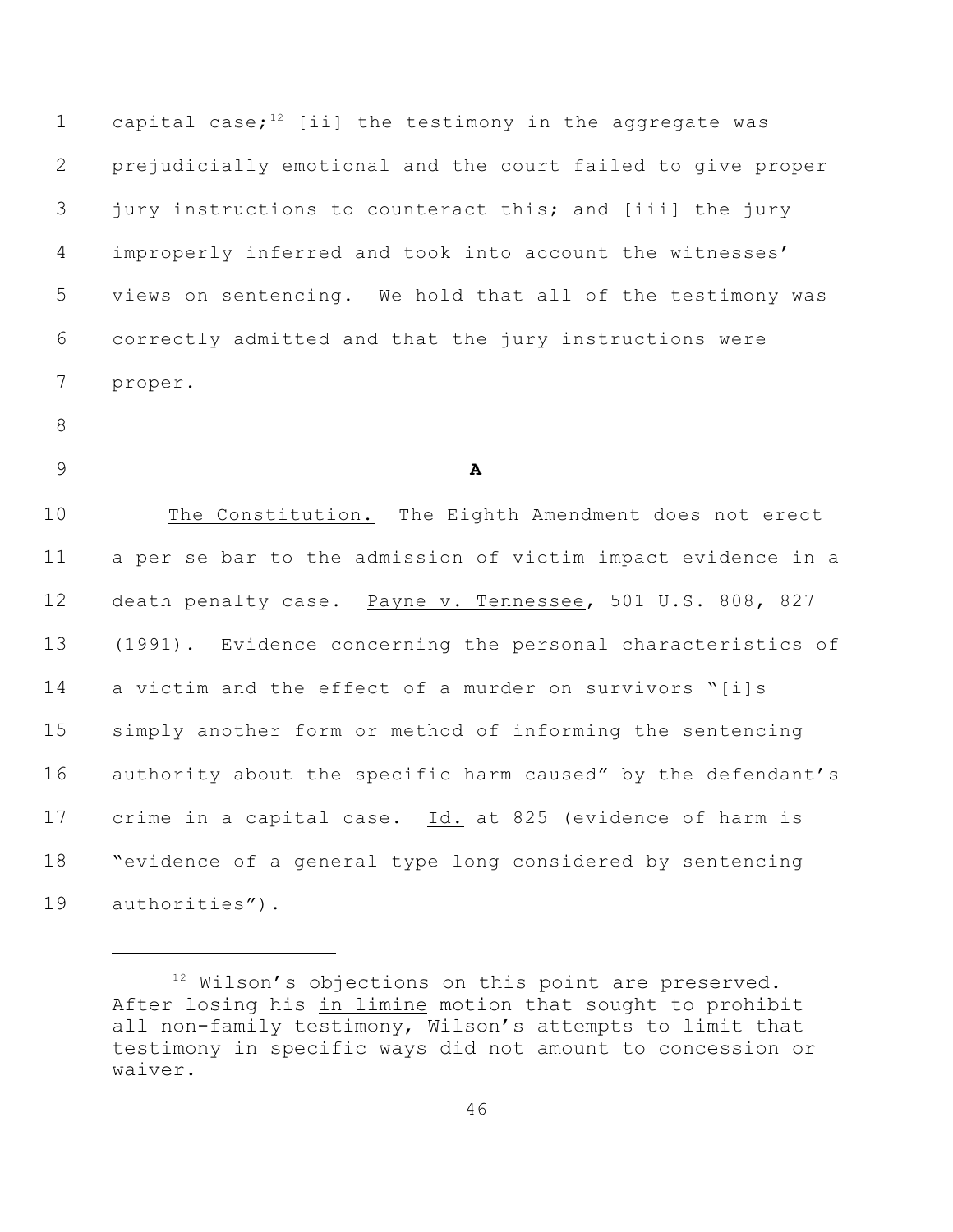1 capital case;<sup>12</sup> [ii] the testimony in the aggregate was prejudicially emotional and the court failed to give proper jury instructions to counteract this; and [iii] the jury improperly inferred and took into account the witnesses' views on sentencing. We hold that all of the testimony was correctly admitted and that the jury instructions were proper.

- 
- 

**A**

 The Constitution. The Eighth Amendment does not erect a per se bar to the admission of victim impact evidence in a death penalty case. Payne v. Tennessee, 501 U.S. 808, 827 (1991). Evidence concerning the personal characteristics of a victim and the effect of a murder on survivors "[i]s simply another form or method of informing the sentencing authority about the specific harm caused" by the defendant's crime in a capital case. Id. at 825 (evidence of harm is "evidence of a general type long considered by sentencing authorities").

 Wilson's objections on this point are preserved. After losing his in limine motion that sought to prohibit all non-family testimony, Wilson's attempts to limit that testimony in specific ways did not amount to concession or waiver.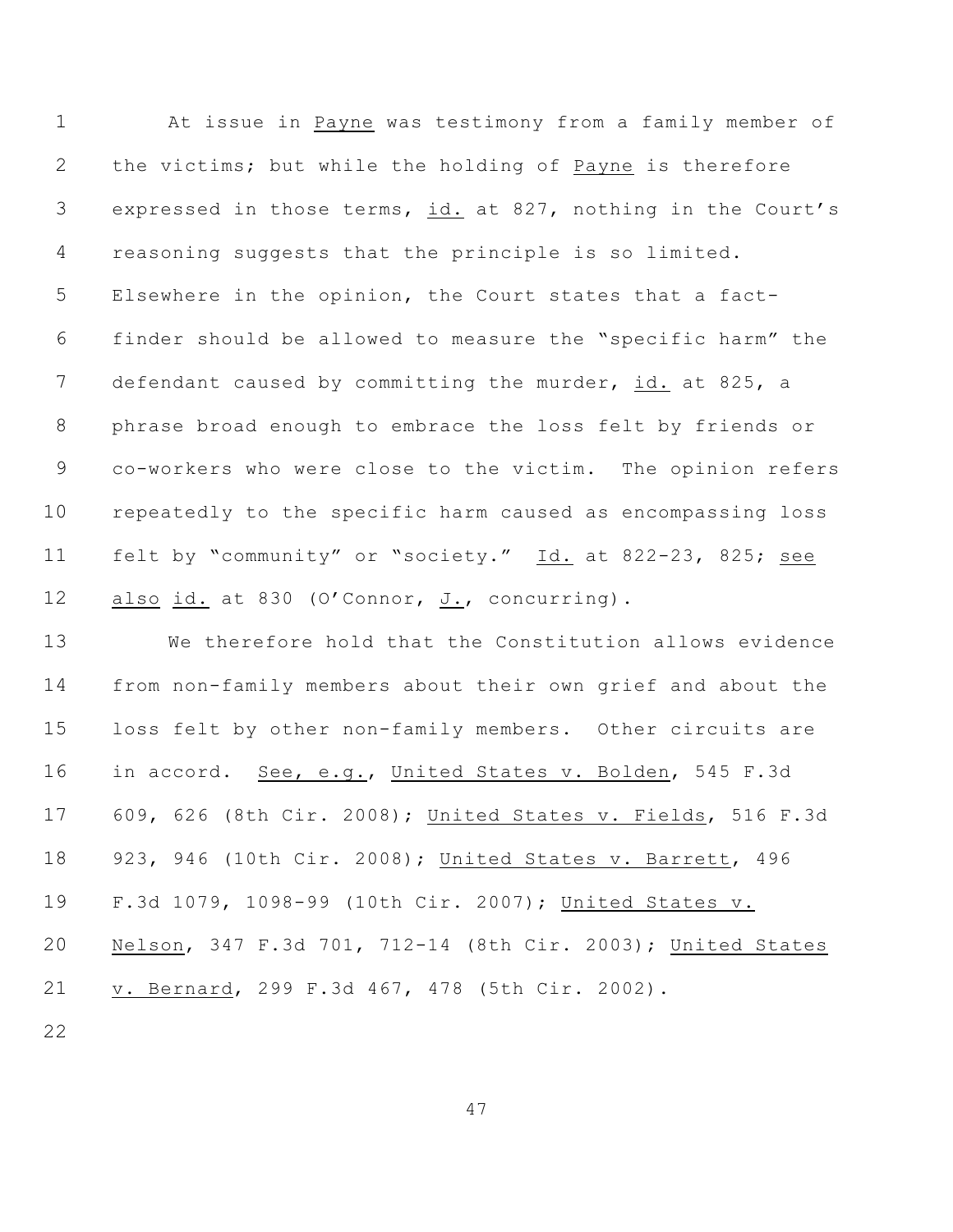At issue in Payne was testimony from a family member of the victims; but while the holding of Payne is therefore expressed in those terms, id. at 827, nothing in the Court's reasoning suggests that the principle is so limited. Elsewhere in the opinion, the Court states that a fact- finder should be allowed to measure the "specific harm" the defendant caused by committing the murder, id. at 825, a phrase broad enough to embrace the loss felt by friends or co-workers who were close to the victim. The opinion refers repeatedly to the specific harm caused as encompassing loss felt by "community" or "society." Id. at 822-23, 825; see also id. at 830 (O'Connor, J., concurring).

 We therefore hold that the Constitution allows evidence from non-family members about their own grief and about the loss felt by other non-family members. Other circuits are in accord. See, e.g., United States v. Bolden, 545 F.3d 609, 626 (8th Cir. 2008); United States v. Fields, 516 F.3d 923, 946 (10th Cir. 2008); United States v. Barrett, 496 F.3d 1079, 1098-99 (10th Cir. 2007); United States v. Nelson, 347 F.3d 701, 712-14 (8th Cir. 2003); United States v. Bernard, 299 F.3d 467, 478 (5th Cir. 2002).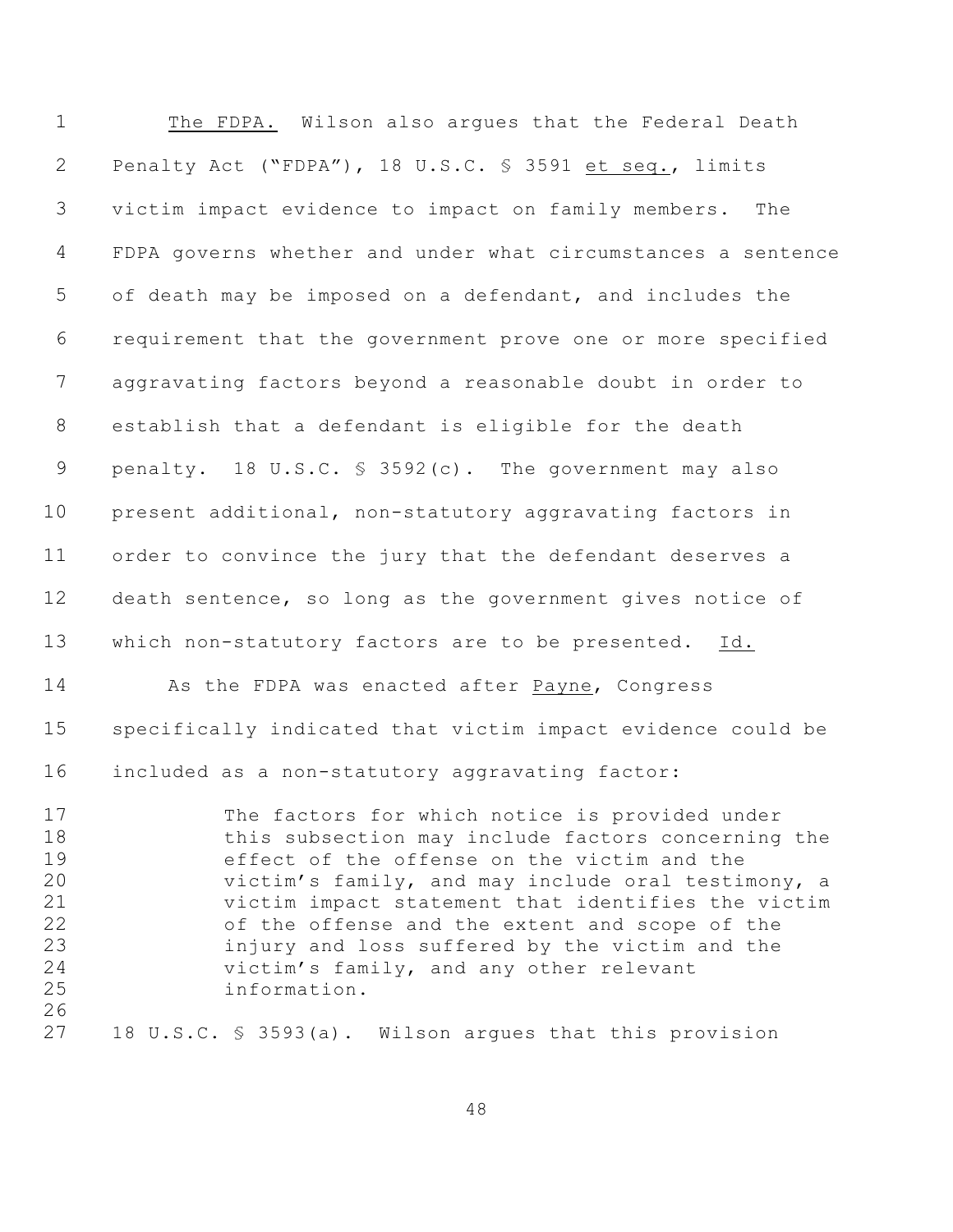The FDPA. Wilson also argues that the Federal Death Penalty Act ("FDPA"), 18 U.S.C. § 3591 et seq., limits victim impact evidence to impact on family members. The FDPA governs whether and under what circumstances a sentence of death may be imposed on a defendant, and includes the requirement that the government prove one or more specified aggravating factors beyond a reasonable doubt in order to establish that a defendant is eligible for the death penalty. 18 U.S.C. § 3592(c). The government may also present additional, non-statutory aggravating factors in order to convince the jury that the defendant deserves a death sentence, so long as the government gives notice of which non-statutory factors are to be presented. Id. As the FDPA was enacted after Payne, Congress specifically indicated that victim impact evidence could be included as a non-statutory aggravating factor: The factors for which notice is provided under this subsection may include factors concerning the effect of the offense on the victim and the victim's family, and may include oral testimony, a victim impact statement that identifies the victim of the offense and the extent and scope of the injury and loss suffered by the victim and the victim's family, and any other relevant information. 18 U.S.C. § 3593(a). Wilson argues that this provision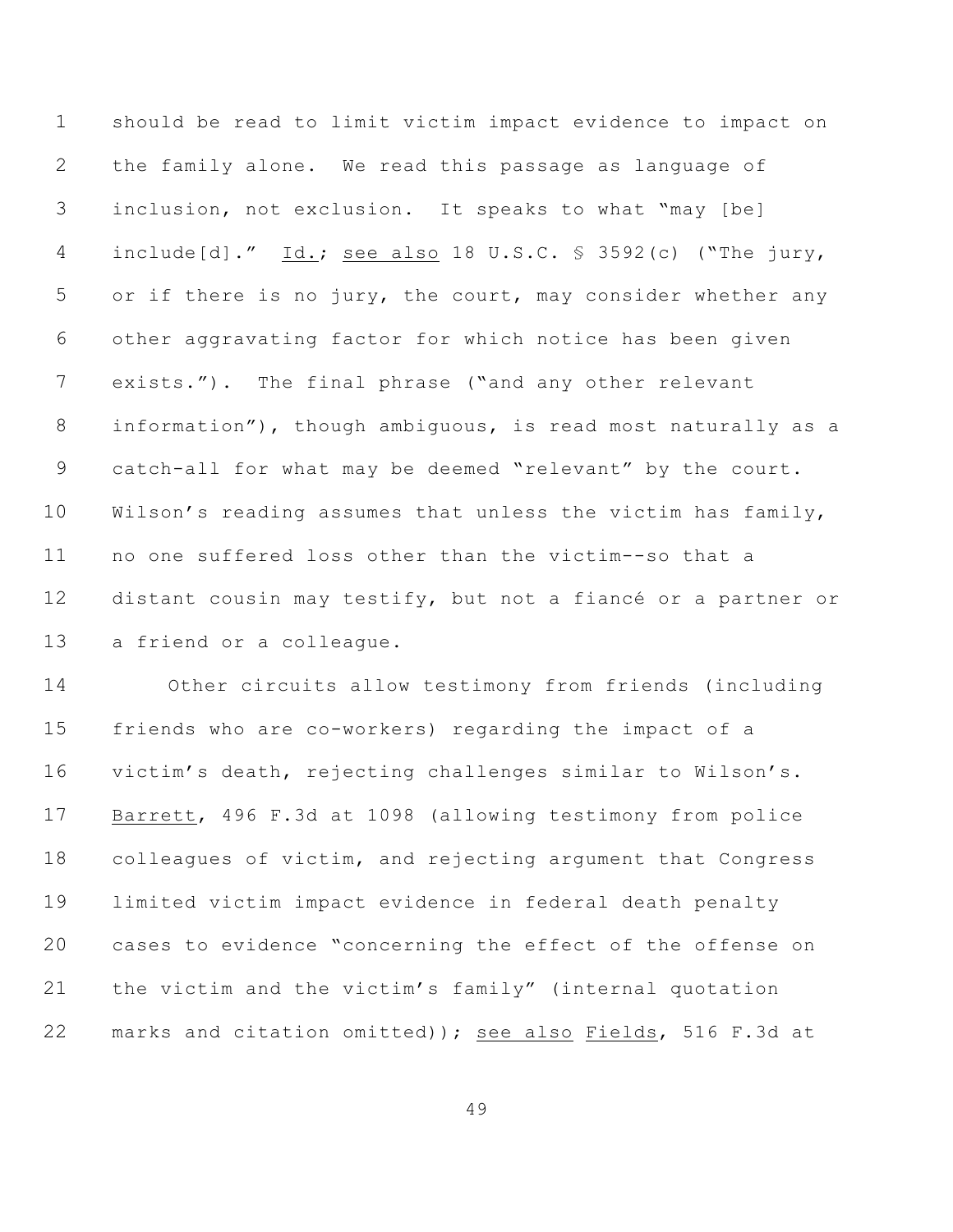should be read to limit victim impact evidence to impact on the family alone. We read this passage as language of inclusion, not exclusion. It speaks to what "may [be] include[d]." Id.; see also 18 U.S.C. § 3592(c) ("The jury, or if there is no jury, the court, may consider whether any other aggravating factor for which notice has been given exists."). The final phrase ("and any other relevant information"), though ambiguous, is read most naturally as a catch-all for what may be deemed "relevant" by the court. Wilson's reading assumes that unless the victim has family, no one suffered loss other than the victim--so that a distant cousin may testify, but not a fiancé or a partner or a friend or a colleague.

 Other circuits allow testimony from friends (including friends who are co-workers) regarding the impact of a victim's death, rejecting challenges similar to Wilson's. Barrett, 496 F.3d at 1098 (allowing testimony from police colleagues of victim, and rejecting argument that Congress limited victim impact evidence in federal death penalty cases to evidence "concerning the effect of the offense on the victim and the victim's family" (internal quotation marks and citation omitted)); see also Fields, 516 F.3d at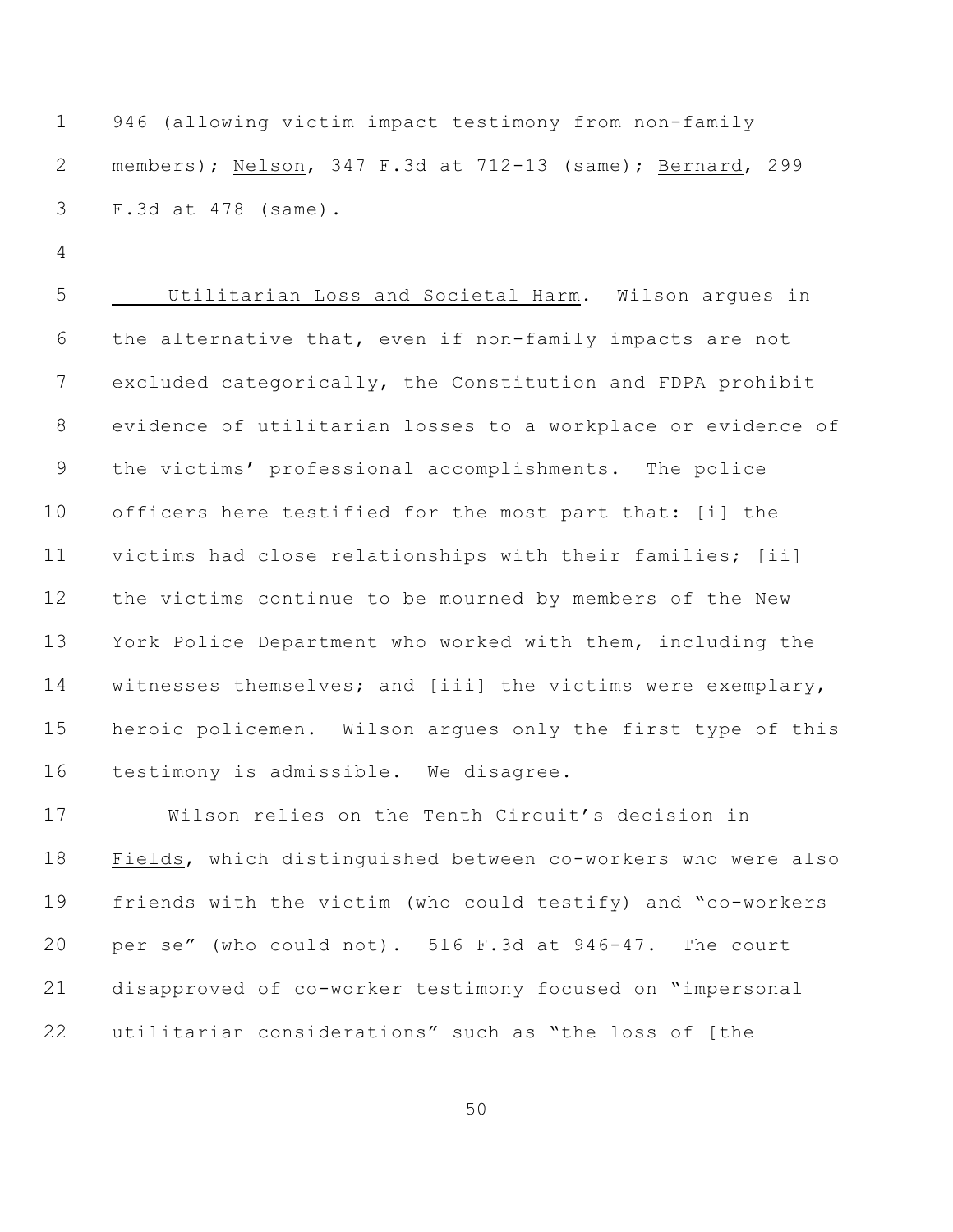946 (allowing victim impact testimony from non-family members); Nelson, 347 F.3d at 712-13 (same); Bernard, 299 F.3d at 478 (same).

 Utilitarian Loss and Societal Harm. Wilson argues in the alternative that, even if non-family impacts are not excluded categorically, the Constitution and FDPA prohibit evidence of utilitarian losses to a workplace or evidence of the victims' professional accomplishments. The police officers here testified for the most part that: [i] the victims had close relationships with their families; [ii] the victims continue to be mourned by members of the New York Police Department who worked with them, including the witnesses themselves; and [iii] the victims were exemplary, heroic policemen. Wilson argues only the first type of this testimony is admissible. We disagree.

 Wilson relies on the Tenth Circuit's decision in Fields, which distinguished between co-workers who were also friends with the victim (who could testify) and "co-workers per se" (who could not). 516 F.3d at 946-47. The court disapproved of co-worker testimony focused on "impersonal utilitarian considerations" such as "the loss of [the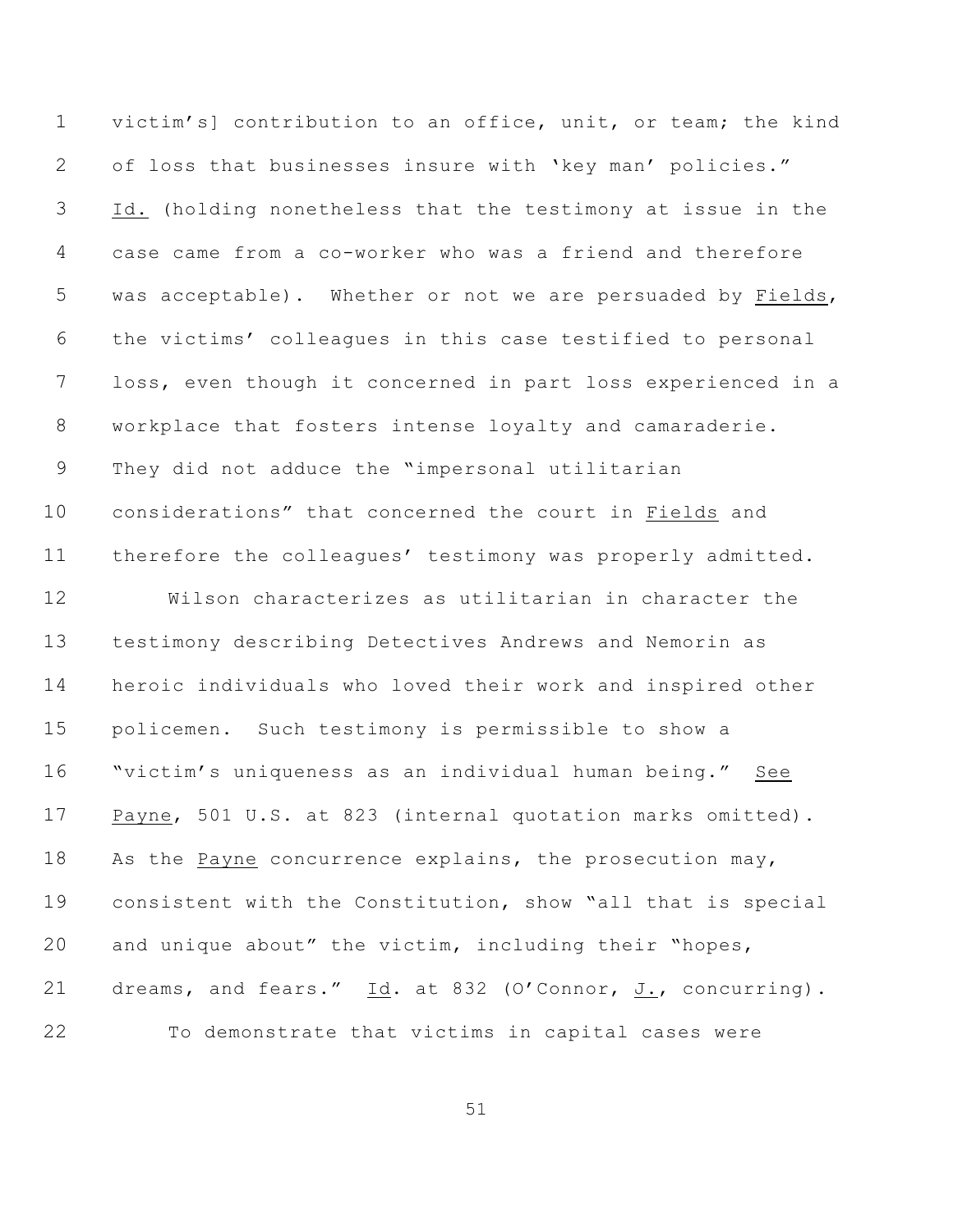victim's] contribution to an office, unit, or team; the kind of loss that businesses insure with 'key man' policies." Id. (holding nonetheless that the testimony at issue in the case came from a co-worker who was a friend and therefore was acceptable). Whether or not we are persuaded by Fields, the victims' colleagues in this case testified to personal loss, even though it concerned in part loss experienced in a workplace that fosters intense loyalty and camaraderie. They did not adduce the "impersonal utilitarian considerations" that concerned the court in Fields and therefore the colleagues' testimony was properly admitted. Wilson characterizes as utilitarian in character the testimony describing Detectives Andrews and Nemorin as heroic individuals who loved their work and inspired other policemen. Such testimony is permissible to show a "victim's uniqueness as an individual human being." See Payne, 501 U.S. at 823 (internal quotation marks omitted). As the Payne concurrence explains, the prosecution may, consistent with the Constitution, show "all that is special and unique about" the victim, including their "hopes,

To demonstrate that victims in capital cases were

21 dreams, and fears." Id. at 832 (O'Connor, J., concurring).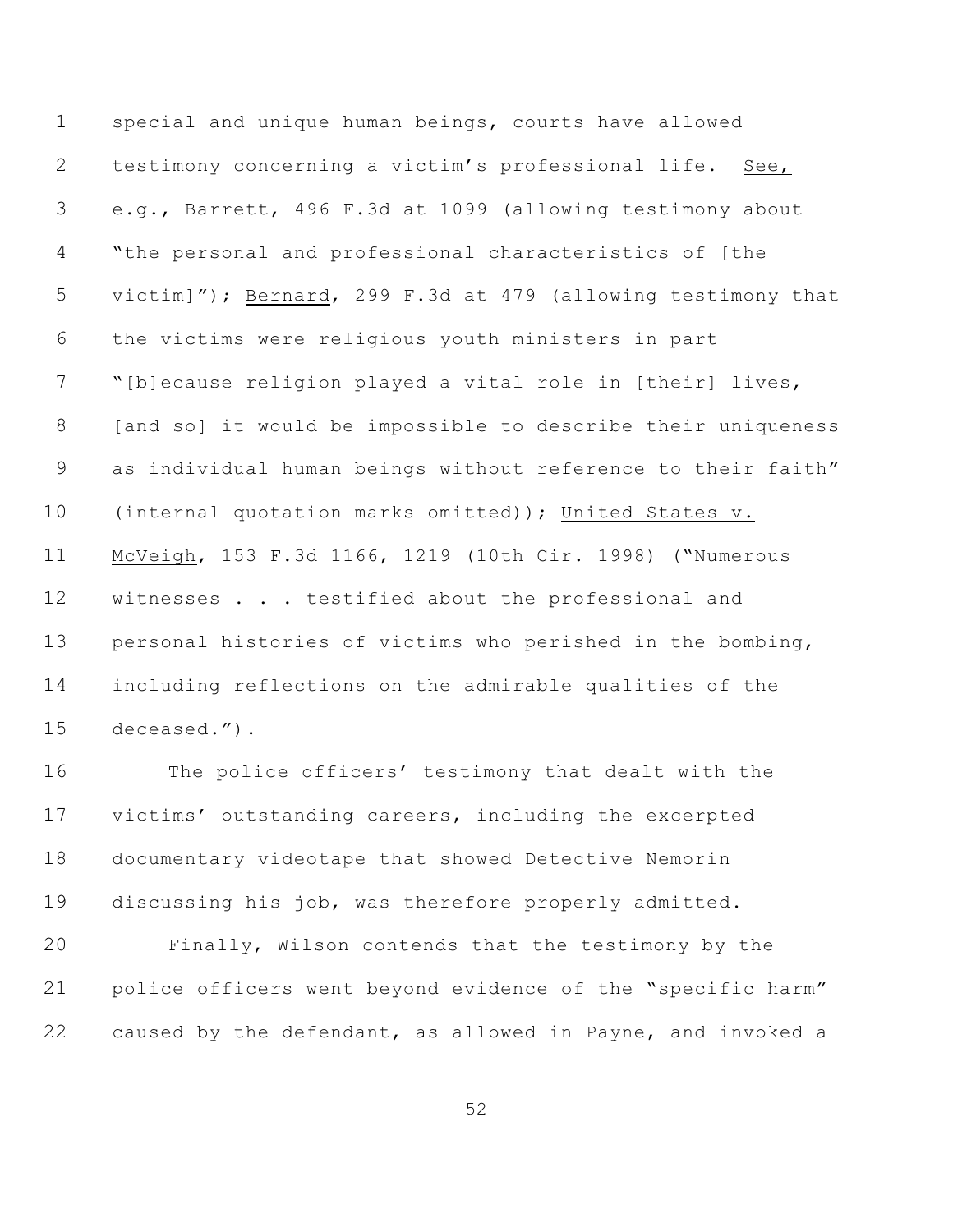special and unique human beings, courts have allowed testimony concerning a victim's professional life. See, e.g., Barrett, 496 F.3d at 1099 (allowing testimony about "the personal and professional characteristics of [the victim]"); Bernard, 299 F.3d at 479 (allowing testimony that the victims were religious youth ministers in part "[b]ecause religion played a vital role in [their] lives, 8 [and so] it would be impossible to describe their uniqueness as individual human beings without reference to their faith" (internal quotation marks omitted)); United States v. McVeigh, 153 F.3d 1166, 1219 (10th Cir. 1998) ("Numerous 12 witnesses . . . testified about the professional and personal histories of victims who perished in the bombing, including reflections on the admirable qualities of the deceased.").

 The police officers' testimony that dealt with the victims' outstanding careers, including the excerpted documentary videotape that showed Detective Nemorin discussing his job, was therefore properly admitted.

 Finally, Wilson contends that the testimony by the police officers went beyond evidence of the "specific harm" caused by the defendant, as allowed in Payne, and invoked a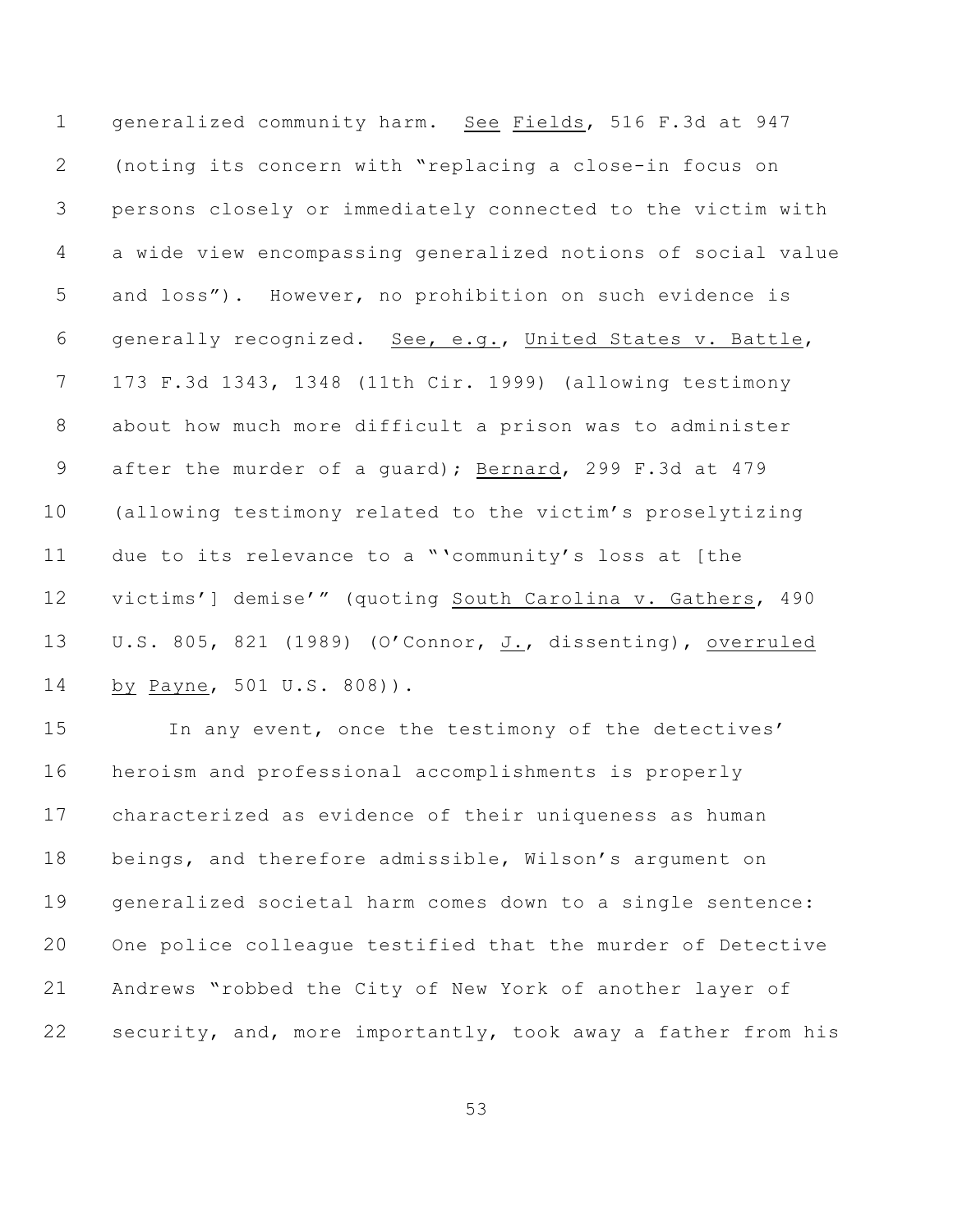generalized community harm. See Fields, 516 F.3d at 947 (noting its concern with "replacing a close-in focus on persons closely or immediately connected to the victim with a wide view encompassing generalized notions of social value and loss"). However, no prohibition on such evidence is generally recognized. See, e.g., United States v. Battle, 173 F.3d 1343, 1348 (11th Cir. 1999) (allowing testimony about how much more difficult a prison was to administer after the murder of a guard); Bernard, 299 F.3d at 479 (allowing testimony related to the victim's proselytizing due to its relevance to a "'community's loss at [the victims'] demise'" (quoting South Carolina v. Gathers, 490 U.S. 805, 821 (1989) (O'Connor, J., dissenting), overruled by Payne, 501 U.S. 808)).

 In any event, once the testimony of the detectives' heroism and professional accomplishments is properly characterized as evidence of their uniqueness as human beings, and therefore admissible, Wilson's argument on generalized societal harm comes down to a single sentence: One police colleague testified that the murder of Detective Andrews "robbed the City of New York of another layer of security, and, more importantly, took away a father from his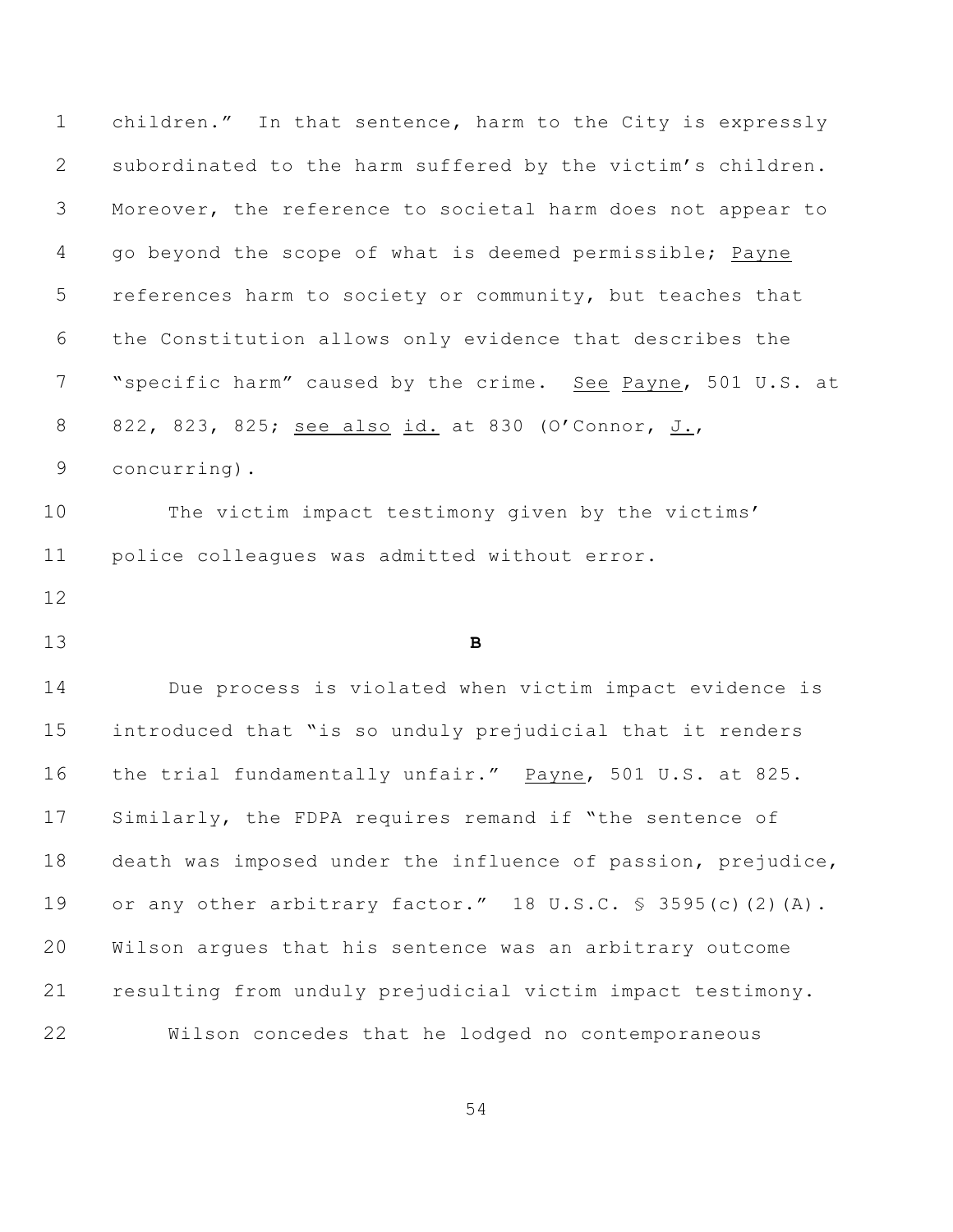children." In that sentence, harm to the City is expressly subordinated to the harm suffered by the victim's children. Moreover, the reference to societal harm does not appear to go beyond the scope of what is deemed permissible; Payne references harm to society or community, but teaches that the Constitution allows only evidence that describes the "specific harm" caused by the crime. See Payne, 501 U.S. at 822, 823, 825; see also id. at 830 (O'Connor, J., concurring). The victim impact testimony given by the victims' police colleagues was admitted without error. **B** Due process is violated when victim impact evidence is introduced that "is so unduly prejudicial that it renders the trial fundamentally unfair." Payne, 501 U.S. at 825. Similarly, the FDPA requires remand if "the sentence of death was imposed under the influence of passion, prejudice, or any other arbitrary factor." 18 U.S.C. § 3595(c)(2)(A). Wilson argues that his sentence was an arbitrary outcome resulting from unduly prejudicial victim impact testimony. Wilson concedes that he lodged no contemporaneous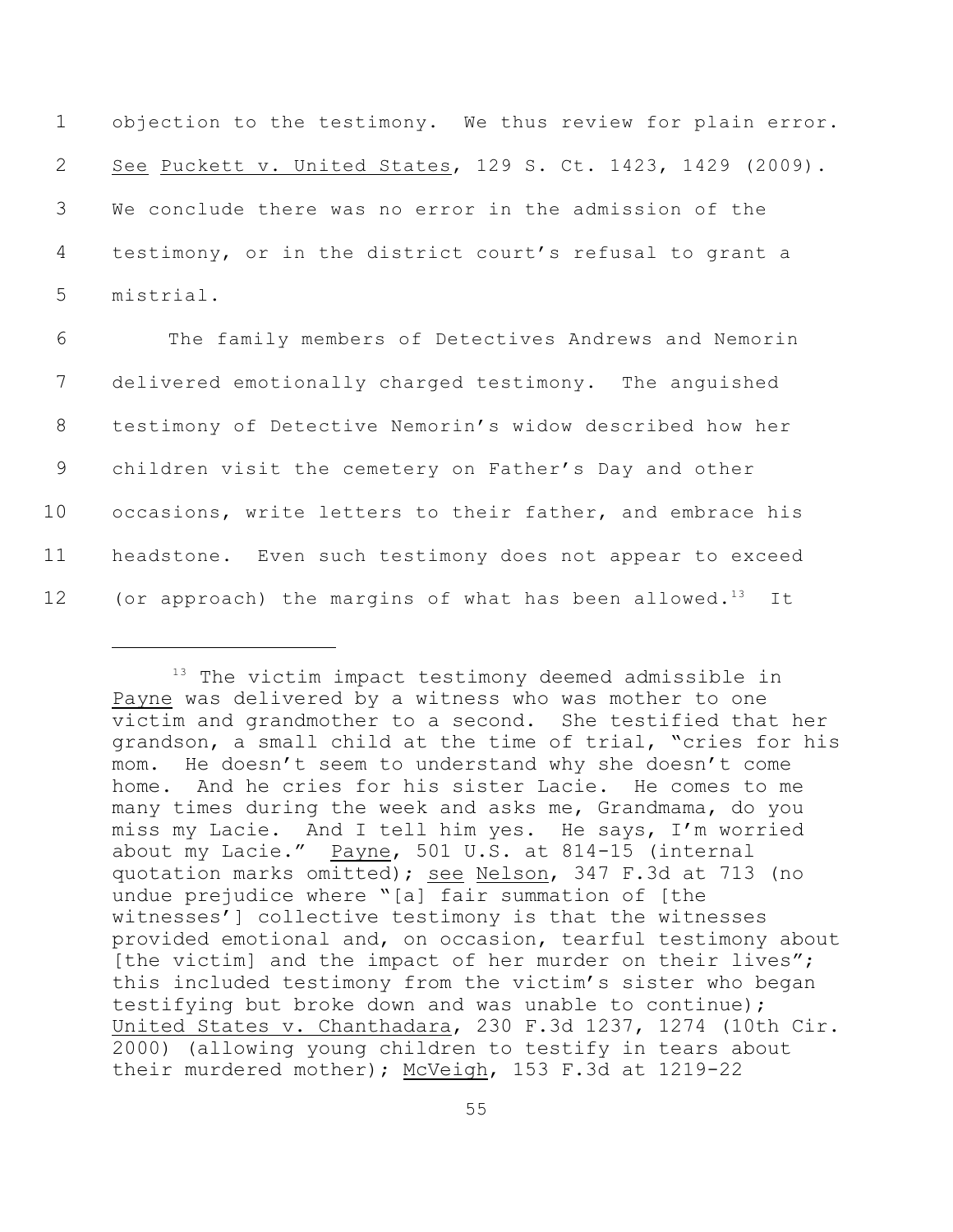objection to the testimony. We thus review for plain error. See Puckett v. United States, 129 S. Ct. 1423, 1429 (2009). We conclude there was no error in the admission of the testimony, or in the district court's refusal to grant a mistrial.

 The family members of Detectives Andrews and Nemorin delivered emotionally charged testimony. The anguished testimony of Detective Nemorin's widow described how her children visit the cemetery on Father's Day and other occasions, write letters to their father, and embrace his headstone. Even such testimony does not appear to exceed 12 (or approach) the margins of what has been allowed.<sup>13</sup> It

 $13$  The victim impact testimony deemed admissible in Payne was delivered by a witness who was mother to one victim and grandmother to a second. She testified that her grandson, a small child at the time of trial, "cries for his mom. He doesn't seem to understand why she doesn't come home. And he cries for his sister Lacie. He comes to me many times during the week and asks me, Grandmama, do you miss my Lacie. And I tell him yes. He says, I'm worried about my Lacie." Payne, 501 U.S. at 814-15 (internal quotation marks omitted); see Nelson, 347 F.3d at 713 (no undue prejudice where "[a] fair summation of [the witnesses'] collective testimony is that the witnesses provided emotional and, on occasion, tearful testimony about [the victim] and the impact of her murder on their lives"; this included testimony from the victim's sister who began testifying but broke down and was unable to continue); United States v. Chanthadara, 230 F.3d 1237, 1274 (10th Cir. 2000) (allowing young children to testify in tears about their murdered mother); McVeigh, 153 F.3d at 1219-22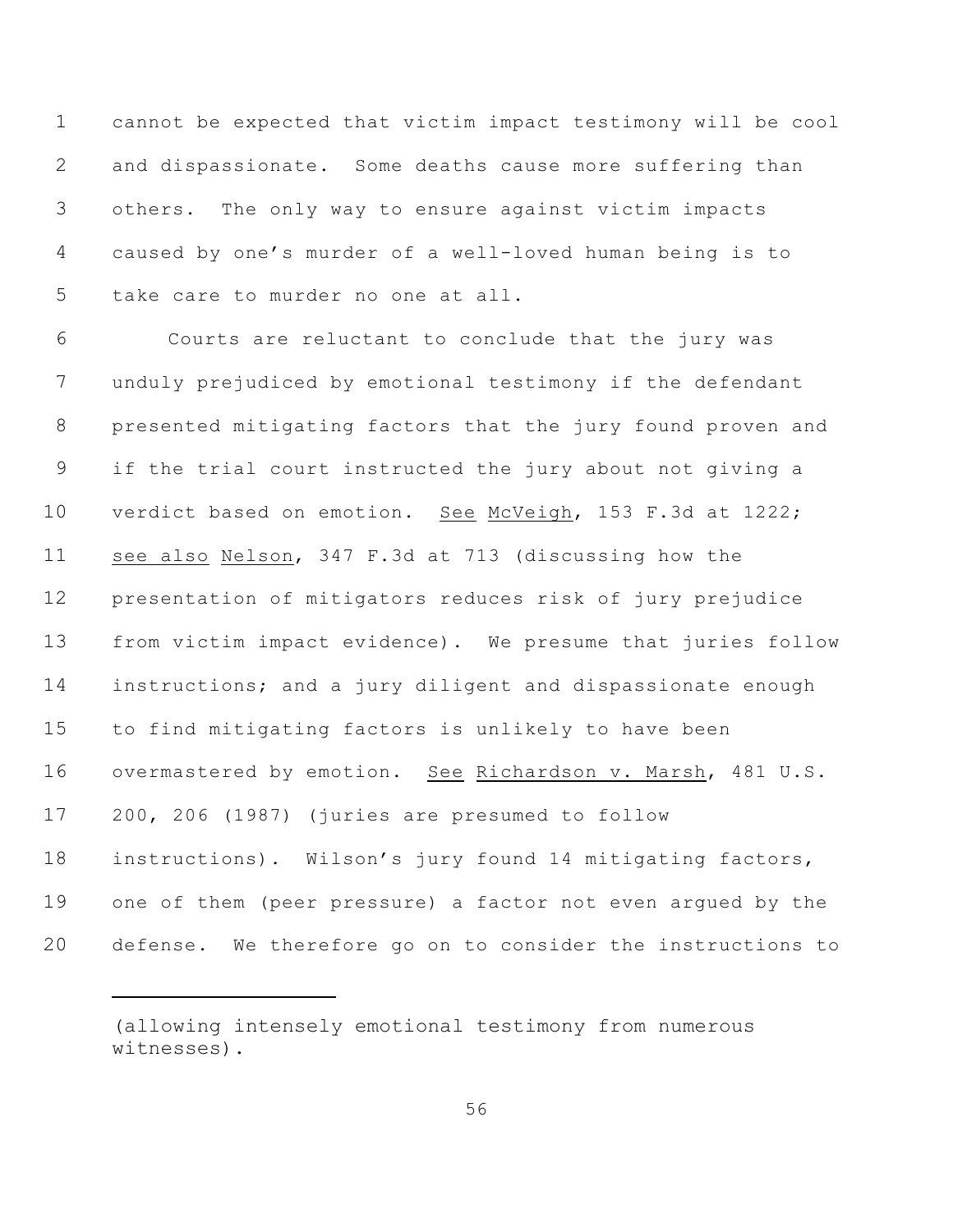cannot be expected that victim impact testimony will be cool and dispassionate. Some deaths cause more suffering than others. The only way to ensure against victim impacts caused by one's murder of a well-loved human being is to take care to murder no one at all.

 Courts are reluctant to conclude that the jury was unduly prejudiced by emotional testimony if the defendant presented mitigating factors that the jury found proven and if the trial court instructed the jury about not giving a verdict based on emotion. See McVeigh, 153 F.3d at 1222; see also Nelson, 347 F.3d at 713 (discussing how the presentation of mitigators reduces risk of jury prejudice from victim impact evidence). We presume that juries follow instructions; and a jury diligent and dispassionate enough to find mitigating factors is unlikely to have been overmastered by emotion. See Richardson v. Marsh, 481 U.S. 200, 206 (1987) (juries are presumed to follow instructions). Wilson's jury found 14 mitigating factors, one of them (peer pressure) a factor not even argued by the defense. We therefore go on to consider the instructions to

<sup>(</sup>allowing intensely emotional testimony from numerous witnesses).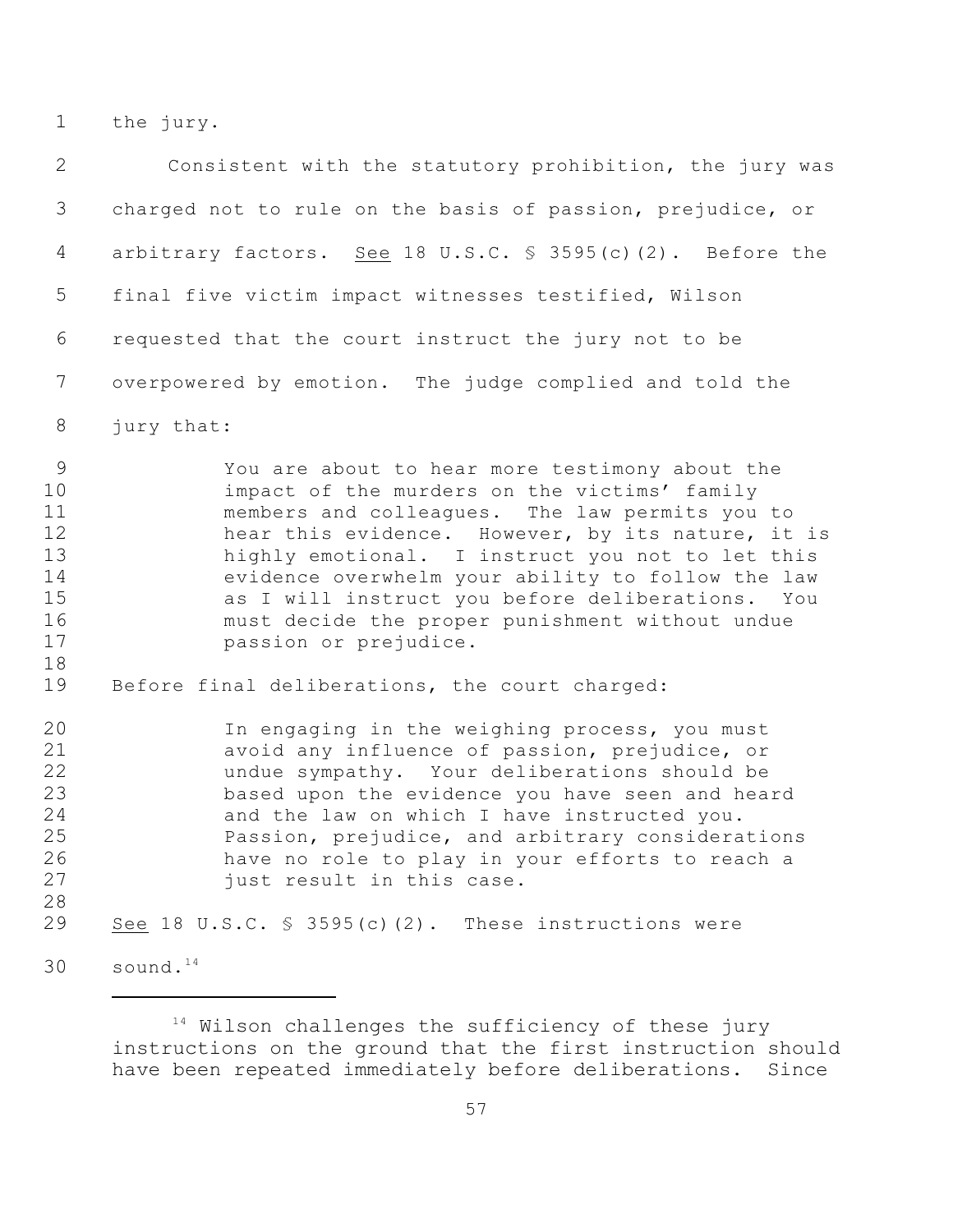the jury.

| 2                                                       | Consistent with the statutory prohibition, the jury was                                                                                                                                                                                                                                                                                                                                                                                        |
|---------------------------------------------------------|------------------------------------------------------------------------------------------------------------------------------------------------------------------------------------------------------------------------------------------------------------------------------------------------------------------------------------------------------------------------------------------------------------------------------------------------|
| 3                                                       | charged not to rule on the basis of passion, prejudice, or                                                                                                                                                                                                                                                                                                                                                                                     |
| 4                                                       | arbitrary factors. See 18 U.S.C. $\frac{1}{5}$ 3595(c)(2). Before the                                                                                                                                                                                                                                                                                                                                                                          |
| 5                                                       | final five victim impact witnesses testified, Wilson                                                                                                                                                                                                                                                                                                                                                                                           |
| 6                                                       | requested that the court instruct the jury not to be                                                                                                                                                                                                                                                                                                                                                                                           |
| 7                                                       | overpowered by emotion. The judge complied and told the                                                                                                                                                                                                                                                                                                                                                                                        |
| 8                                                       | jury that:                                                                                                                                                                                                                                                                                                                                                                                                                                     |
| 9<br>10<br>11<br>12<br>13<br>14<br>15<br>16<br>17<br>18 | You are about to hear more testimony about the<br>impact of the murders on the victims' family<br>members and colleagues. The law permits you to<br>hear this evidence. However, by its nature, it is<br>highly emotional. I instruct you not to let this<br>evidence overwhelm your ability to follow the law<br>as I will instruct you before deliberations. You<br>must decide the proper punishment without undue<br>passion or prejudice. |
| 19                                                      | Before final deliberations, the court charged:                                                                                                                                                                                                                                                                                                                                                                                                 |
| 20<br>21<br>22<br>23<br>24<br>25<br>26<br>27<br>28      | In engaging in the weighing process, you must<br>avoid any influence of passion, prejudice, or<br>undue sympathy. Your deliberations should be<br>based upon the evidence you have seen and heard<br>and the law on which I have instructed you.<br>Passion, prejudice, and arbitrary considerations<br>have no role to play in your efforts to reach a<br>just result in this case.                                                           |
| 29                                                      | See 18 U.S.C. $\frac{1}{5}$ 3595(c)(2). These instructions were                                                                                                                                                                                                                                                                                                                                                                                |
| 30                                                      | sound. <sup>14</sup>                                                                                                                                                                                                                                                                                                                                                                                                                           |

 Wilson challenges the sufficiency of these jury instructions on the ground that the first instruction should have been repeated immediately before deliberations. Since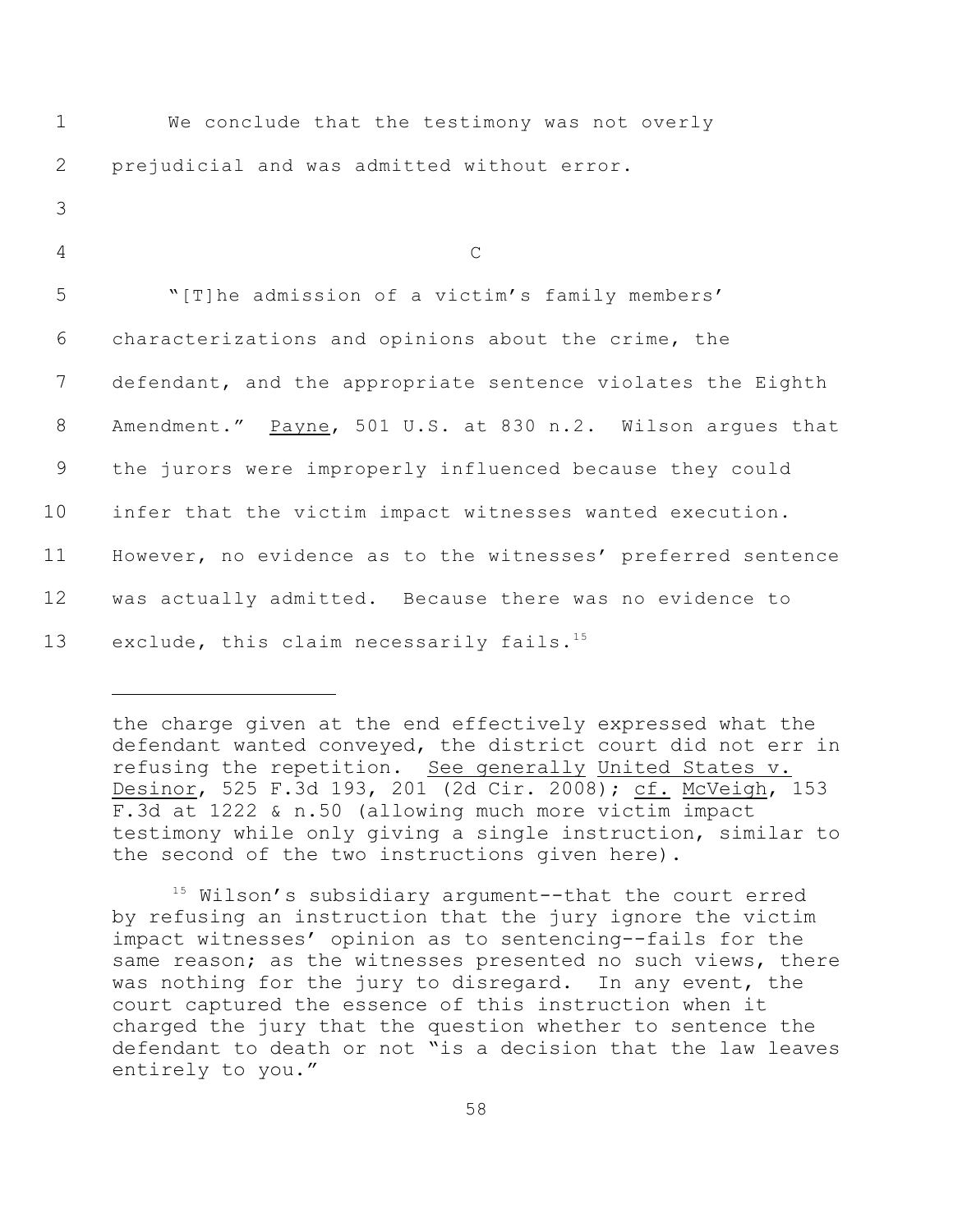| $\mathbf 1$ | We conclude that the testimony was not overly                |
|-------------|--------------------------------------------------------------|
| 2           | prejudicial and was admitted without error.                  |
| 3           |                                                              |
| 4           | $\mathsf{C}$                                                 |
| 5           | "[T]he admission of a victim's family members'               |
| 6           | characterizations and opinions about the crime, the          |
| 7           | defendant, and the appropriate sentence violates the Eighth  |
| 8           | Amendment." Payne, 501 U.S. at 830 n.2. Wilson argues that   |
| 9           | the jurors were improperly influenced because they could     |
| 10          | infer that the victim impact witnesses wanted execution.     |
| 11          | However, no evidence as to the witnesses' preferred sentence |
| 12          | was actually admitted. Because there was no evidence to      |
| 13          | exclude, this claim necessarily fails. <sup>15</sup>         |

the charge given at the end effectively expressed what the defendant wanted conveyed, the district court did not err in refusing the repetition. See generally United States v. Desinor, 525 F.3d 193, 201 (2d Cir. 2008); cf. McVeigh, 153 F.3d at 1222 & n.50 (allowing much more victim impact testimony while only giving a single instruction, similar to the second of the two instructions given here).

 $15$  Wilson's subsidiary argument--that the court erred by refusing an instruction that the jury ignore the victim impact witnesses' opinion as to sentencing--fails for the same reason; as the witnesses presented no such views, there was nothing for the jury to disregard. In any event, the court captured the essence of this instruction when it charged the jury that the question whether to sentence the defendant to death or not "is a decision that the law leaves entirely to you."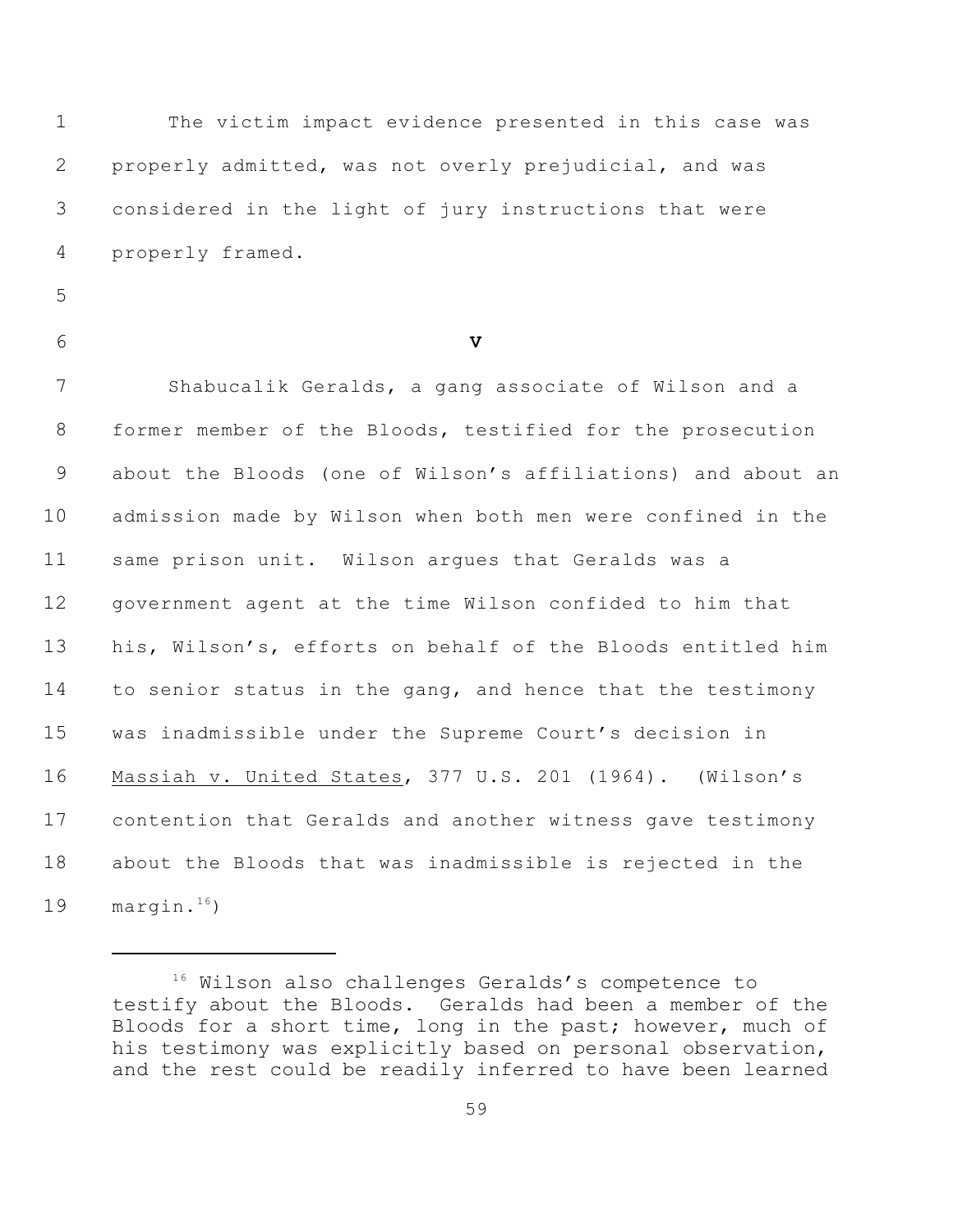The victim impact evidence presented in this case was properly admitted, was not overly prejudicial, and was considered in the light of jury instructions that were properly framed.

- 
- 

**V**

 Shabucalik Geralds, a gang associate of Wilson and a former member of the Bloods, testified for the prosecution about the Bloods (one of Wilson's affiliations) and about an admission made by Wilson when both men were confined in the same prison unit. Wilson argues that Geralds was a government agent at the time Wilson confided to him that his, Wilson's, efforts on behalf of the Bloods entitled him 14 to senior status in the gang, and hence that the testimony was inadmissible under the Supreme Court's decision in Massiah v. United States, 377 U.S. 201 (1964). (Wilson's contention that Geralds and another witness gave testimony about the Bloods that was inadmissible is rejected in the 19 margin. $16$ )

<sup>16</sup> Wilson also challenges Geralds's competence to testify about the Bloods. Geralds had been a member of the Bloods for a short time, long in the past; however, much of his testimony was explicitly based on personal observation, and the rest could be readily inferred to have been learned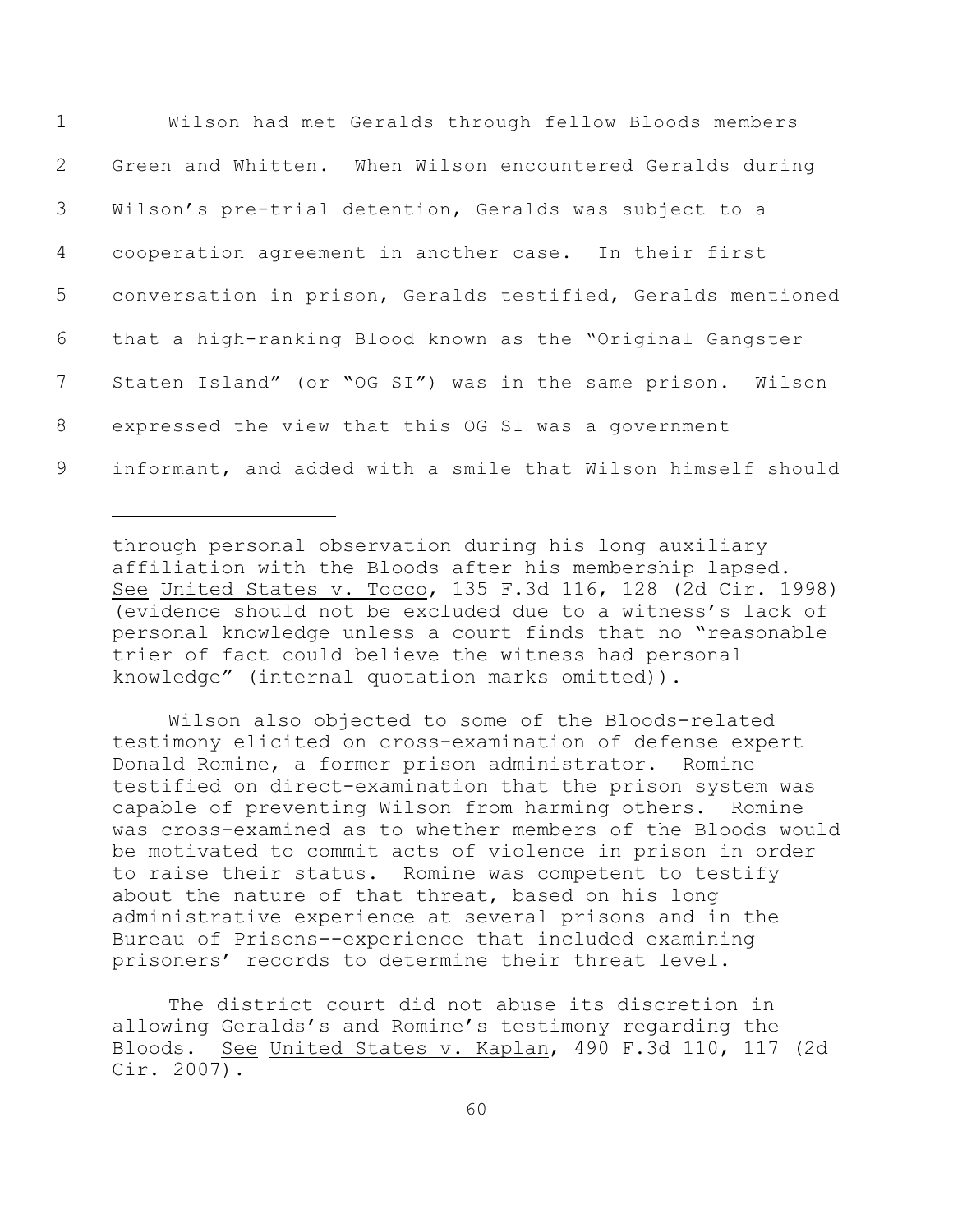| 1               | Wilson had met Geralds through fellow Bloods members         |
|-----------------|--------------------------------------------------------------|
| $\overline{2}$  | Green and Whitten. When Wilson encountered Geralds during    |
| 3 <sup>7</sup>  | Wilson's pre-trial detention, Geralds was subject to a       |
| $4\overline{ }$ | cooperation agreement in another case. In their first        |
| 5 <sup>5</sup>  | conversation in prison, Geralds testified, Geralds mentioned |
| 6               | that a high-ranking Blood known as the "Original Gangster    |
| $7\overline{ }$ | Staten Island" (or "OG SI") was in the same prison. Wilson   |
| 8               | expressed the view that this OG SI was a government          |
| 9               | informant, and added with a smile that Wilson himself should |

through personal observation during his long auxiliary affiliation with the Bloods after his membership lapsed. See United States v. Tocco, 135 F.3d 116, 128 (2d Cir. 1998) (evidence should not be excluded due to a witness's lack of personal knowledge unless a court finds that no "reasonable trier of fact could believe the witness had personal knowledge" (internal quotation marks omitted)).

Wilson also objected to some of the Bloods-related testimony elicited on cross-examination of defense expert Donald Romine, a former prison administrator. Romine testified on direct-examination that the prison system was capable of preventing Wilson from harming others. Romine was cross-examined as to whether members of the Bloods would be motivated to commit acts of violence in prison in order to raise their status. Romine was competent to testify about the nature of that threat, based on his long administrative experience at several prisons and in the Bureau of Prisons--experience that included examining prisoners' records to determine their threat level.

The district court did not abuse its discretion in allowing Geralds's and Romine's testimony regarding the Bloods. See United States v. Kaplan, 490 F.3d 110, 117 (2d Cir. 2007).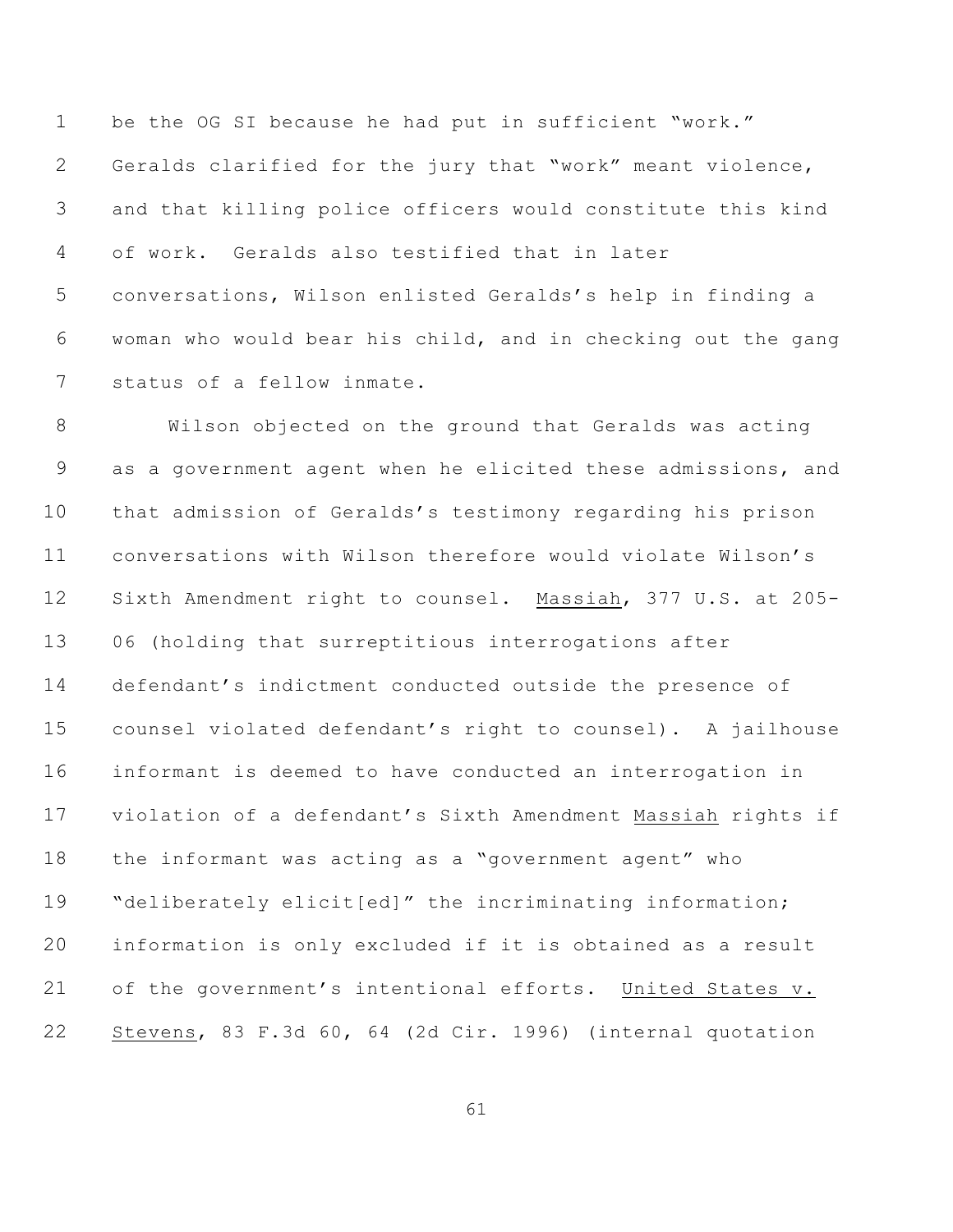be the OG SI because he had put in sufficient "work." Geralds clarified for the jury that "work" meant violence, and that killing police officers would constitute this kind of work. Geralds also testified that in later conversations, Wilson enlisted Geralds's help in finding a woman who would bear his child, and in checking out the gang status of a fellow inmate.

 Wilson objected on the ground that Geralds was acting as a government agent when he elicited these admissions, and that admission of Geralds's testimony regarding his prison conversations with Wilson therefore would violate Wilson's Sixth Amendment right to counsel. Massiah, 377 U.S. at 205- 06 (holding that surreptitious interrogations after defendant's indictment conducted outside the presence of counsel violated defendant's right to counsel). A jailhouse informant is deemed to have conducted an interrogation in violation of a defendant's Sixth Amendment Massiah rights if the informant was acting as a "government agent" who 19 "deliberately elicit[ed]" the incriminating information; information is only excluded if it is obtained as a result of the government's intentional efforts. United States v. Stevens, 83 F.3d 60, 64 (2d Cir. 1996) (internal quotation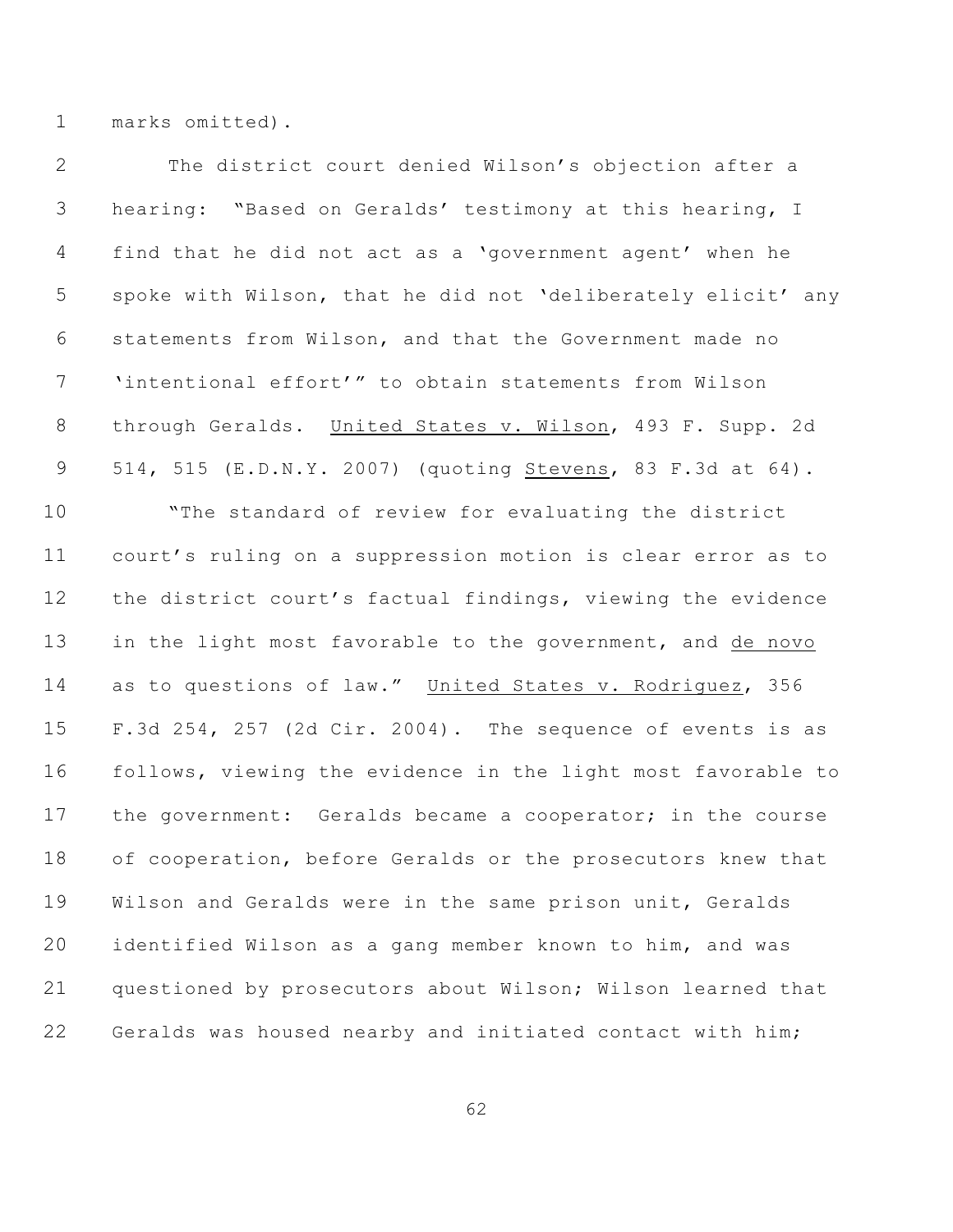marks omitted).

| $\mathbf{2}$   | The district court denied Wilson's objection after a         |
|----------------|--------------------------------------------------------------|
| 3              | hearing: "Based on Geralds' testimony at this hearing, I     |
| $\overline{4}$ | find that he did not act as a 'government agent' when he     |
| 5              | spoke with Wilson, that he did not 'deliberately elicit' any |
| 6              | statements from Wilson, and that the Government made no      |
| 7              | 'intentional effort'" to obtain statements from Wilson       |
| $8\,$          | through Geralds. United States v. Wilson, 493 F. Supp. 2d    |
| $\mathsf 9$    | 514, 515 (E.D.N.Y. 2007) (quoting Stevens, 83 F.3d at 64).   |
| 10             | "The standard of review for evaluating the district          |
| 11             | court's ruling on a suppression motion is clear error as to  |
| 12             | the district court's factual findings, viewing the evidence  |
| 13             | in the light most favorable to the government, and de novo   |
| 14             | as to questions of law." United States v. Rodriguez, 356     |
| 15             | F.3d 254, 257 (2d Cir. 2004). The sequence of events is as   |
| 16             | follows, viewing the evidence in the light most favorable to |
| 17             | the government: Geralds became a cooperator; in the course   |
| 18             | of cooperation, before Geralds or the prosecutors knew that  |
| 19             | Wilson and Geralds were in the same prison unit, Geralds     |
| 20             | identified Wilson as a gang member known to him, and was     |
| 21             | questioned by prosecutors about Wilson; Wilson learned that  |
| 22             | Geralds was housed nearby and initiated contact with him;    |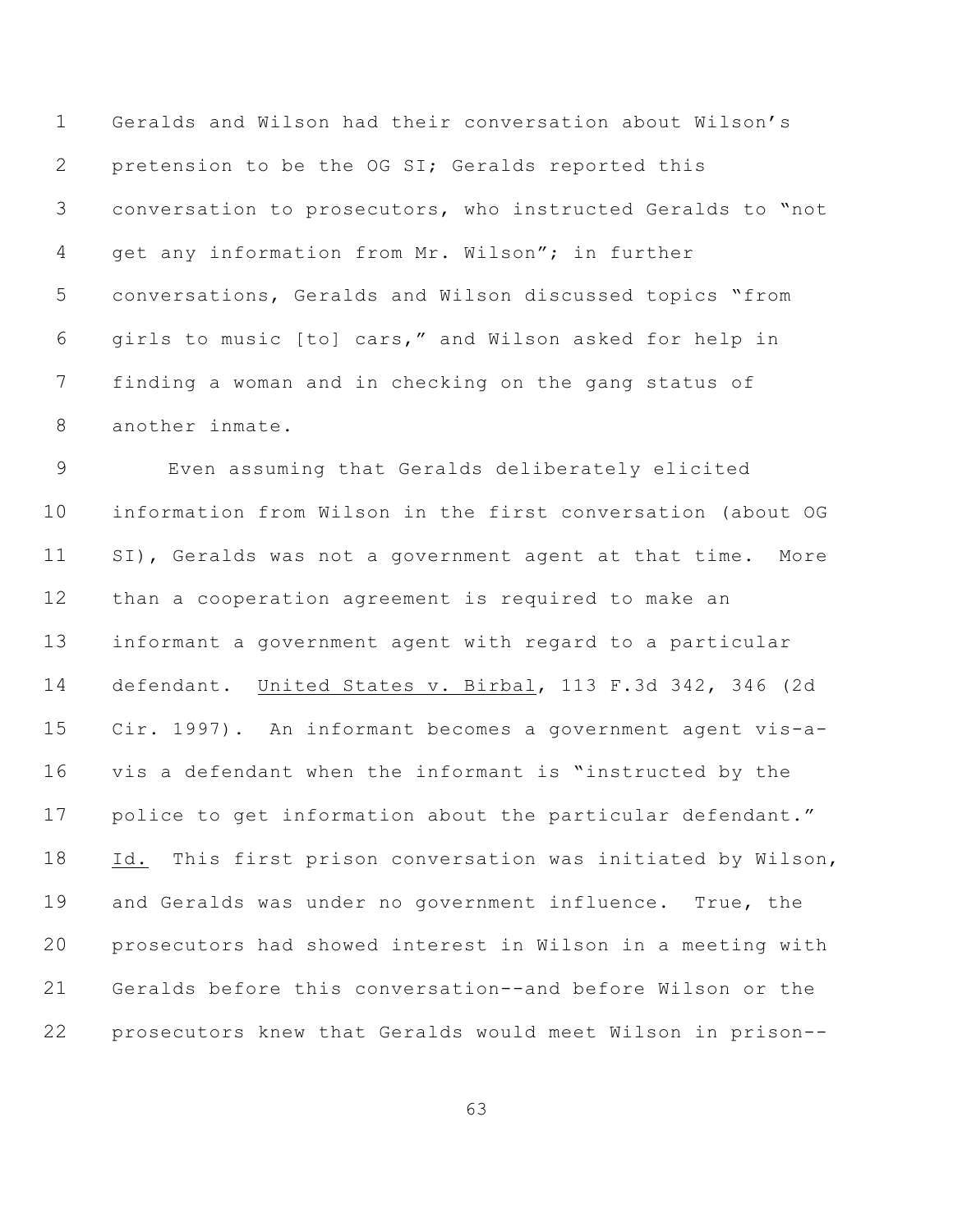Geralds and Wilson had their conversation about Wilson's pretension to be the OG SI; Geralds reported this conversation to prosecutors, who instructed Geralds to "not get any information from Mr. Wilson"; in further conversations, Geralds and Wilson discussed topics "from girls to music [to] cars," and Wilson asked for help in finding a woman and in checking on the gang status of another inmate.

 Even assuming that Geralds deliberately elicited information from Wilson in the first conversation (about OG SI), Geralds was not a government agent at that time. More than a cooperation agreement is required to make an informant a government agent with regard to a particular defendant. United States v. Birbal, 113 F.3d 342, 346 (2d Cir. 1997). An informant becomes a government agent vis-a- vis a defendant when the informant is "instructed by the 17 police to get information about the particular defendant." Id. This first prison conversation was initiated by Wilson, and Geralds was under no government influence. True, the prosecutors had showed interest in Wilson in a meeting with Geralds before this conversation--and before Wilson or the prosecutors knew that Geralds would meet Wilson in prison--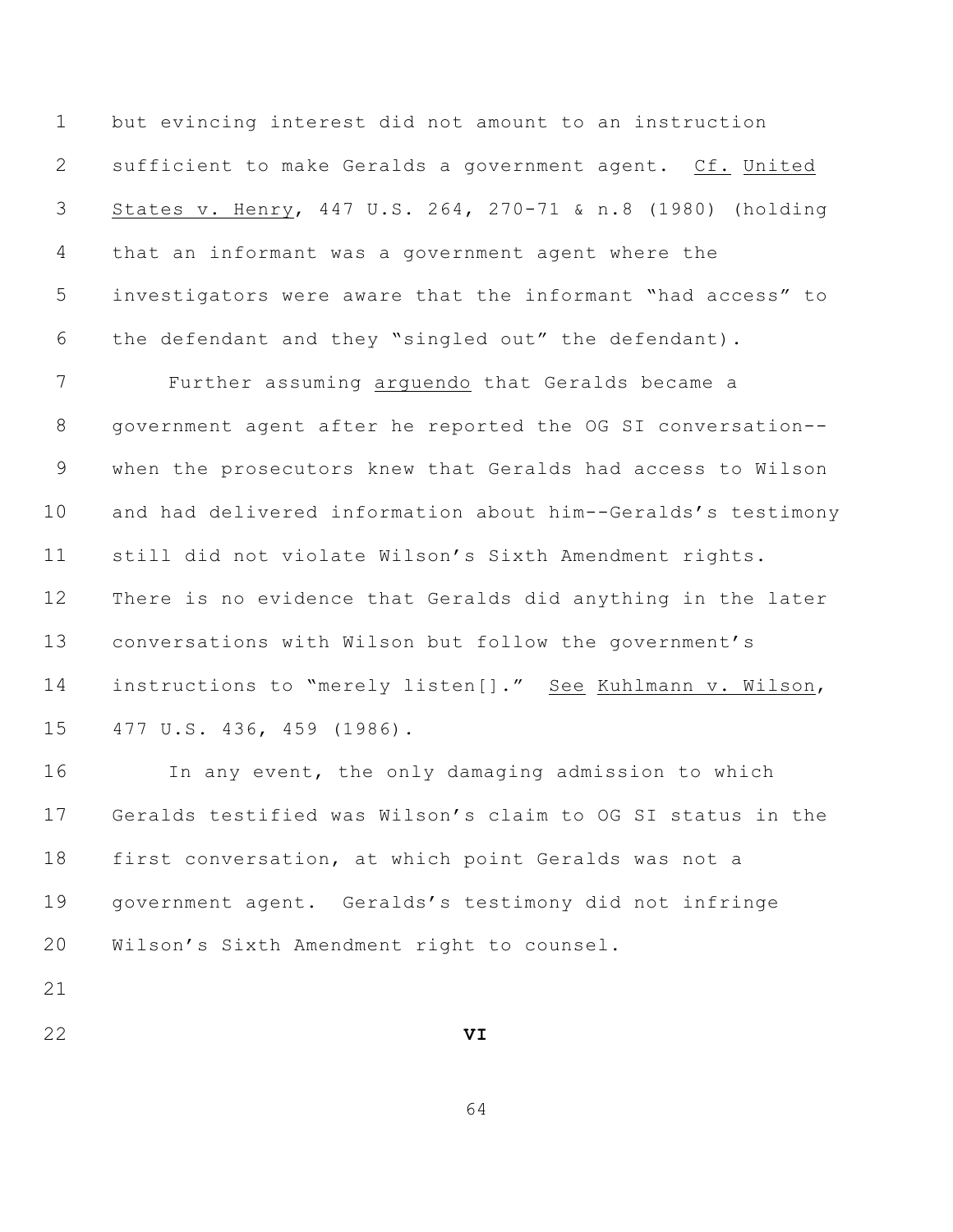but evincing interest did not amount to an instruction sufficient to make Geralds a government agent. Cf. United States v. Henry, 447 U.S. 264, 270-71 & n.8 (1980) (holding that an informant was a government agent where the investigators were aware that the informant "had access" to the defendant and they "singled out" the defendant).

 Further assuming arguendo that Geralds became a government agent after he reported the OG SI conversation-- when the prosecutors knew that Geralds had access to Wilson and had delivered information about him--Geralds's testimony still did not violate Wilson's Sixth Amendment rights. There is no evidence that Geralds did anything in the later conversations with Wilson but follow the government's instructions to "merely listen[]." See Kuhlmann v. Wilson, 477 U.S. 436, 459 (1986).

 In any event, the only damaging admission to which Geralds testified was Wilson's claim to OG SI status in the first conversation, at which point Geralds was not a government agent. Geralds's testimony did not infringe Wilson's Sixth Amendment right to counsel.

**VI**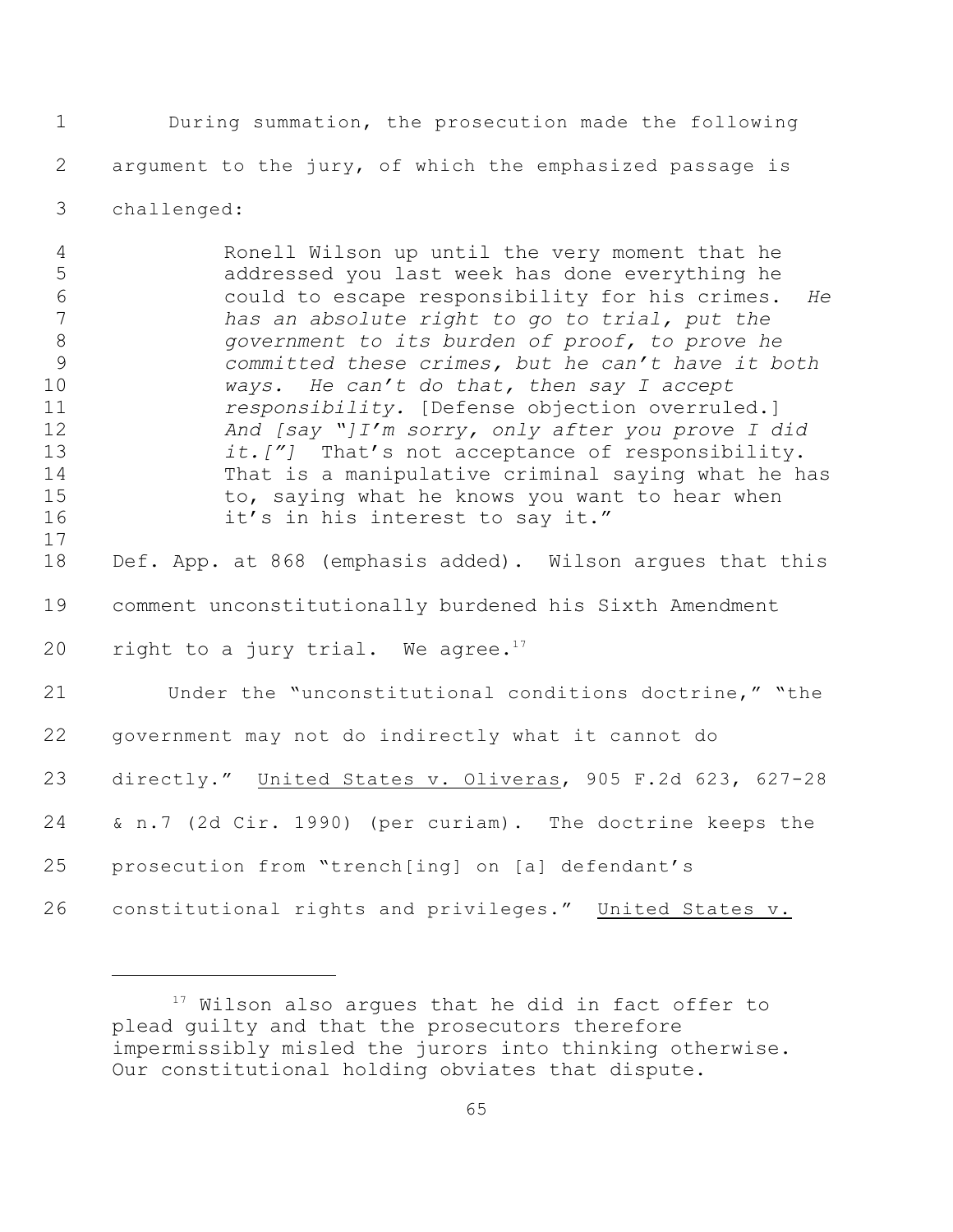During summation, the prosecution made the following argument to the jury, of which the emphasized passage is

challenged:

 Ronell Wilson up until the very moment that he addressed you last week has done everything he could to escape responsibility for his crimes. *He has an absolute right to go to trial, put the government to its burden of proof, to prove he committed these crimes, but he can't have it both ways. He can't do that, then say I accept responsibility.* [Defense objection overruled.] *And [say "]I'm sorry, only after you prove I did it.["]* That's not acceptance of responsibility. That is a manipulative criminal saying what he has 15 to, saying what he knows you want to hear when 16 it's in his interest to say it." Def. App. at 868 (emphasis added). Wilson argues that this

 comment unconstitutionally burdened his Sixth Amendment 20 right to a jury trial. We agree.<sup>17</sup>

 Under the "unconstitutional conditions doctrine," "the government may not do indirectly what it cannot do directly." United States v. Oliveras, 905 F.2d 623, 627-28 & n.7 (2d Cir. 1990) (per curiam). The doctrine keeps the prosecution from "trench[ing] on [a] defendant's

constitutional rights and privileges." United States v.

 Wilson also arques that he did in fact offer to plead guilty and that the prosecutors therefore impermissibly misled the jurors into thinking otherwise. Our constitutional holding obviates that dispute.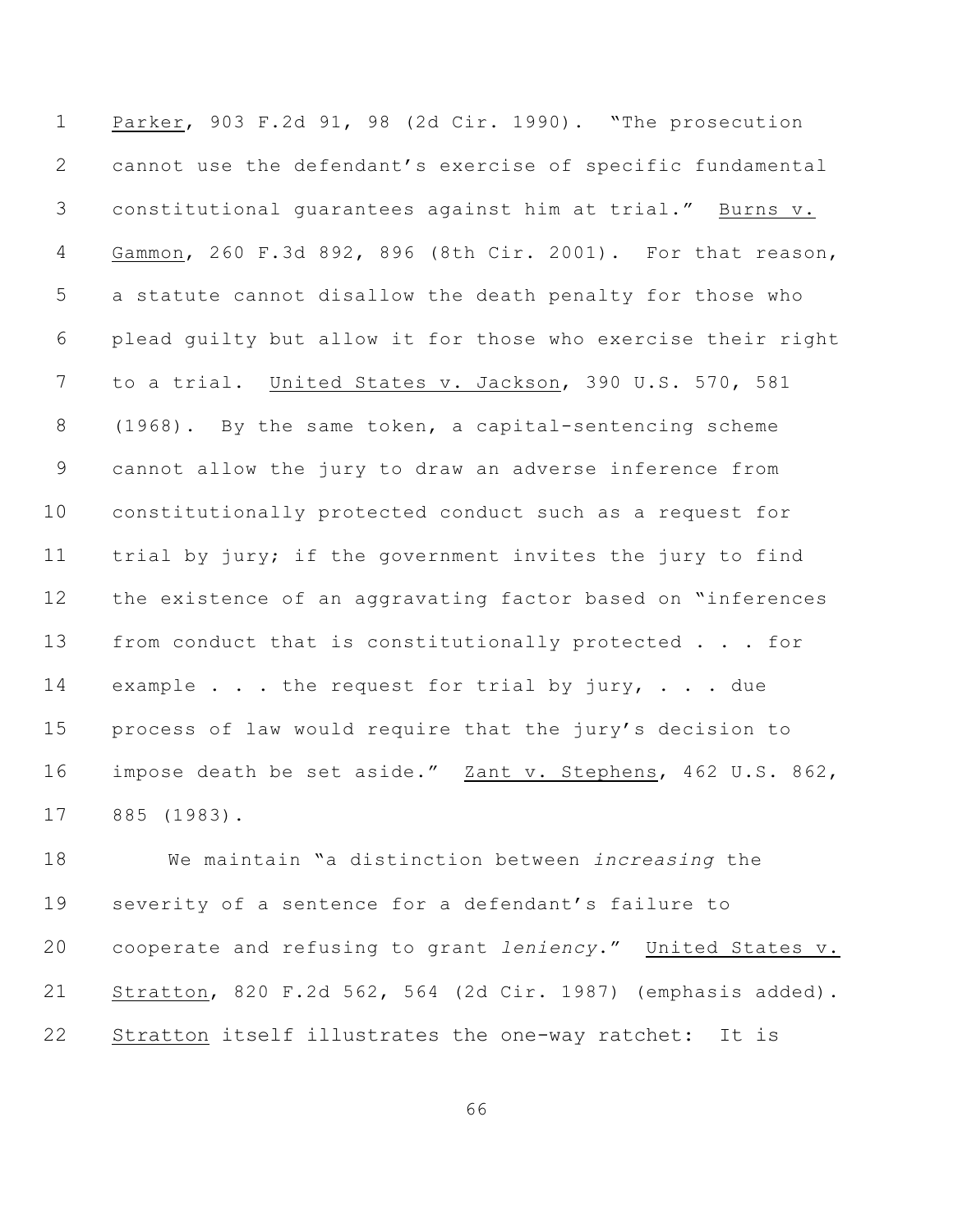Parker, 903 F.2d 91, 98 (2d Cir. 1990). "The prosecution cannot use the defendant's exercise of specific fundamental constitutional guarantees against him at trial." Burns v. Gammon, 260 F.3d 892, 896 (8th Cir. 2001). For that reason, a statute cannot disallow the death penalty for those who plead guilty but allow it for those who exercise their right to a trial. United States v. Jackson, 390 U.S. 570, 581 (1968). By the same token, a capital-sentencing scheme cannot allow the jury to draw an adverse inference from constitutionally protected conduct such as a request for trial by jury; if the government invites the jury to find the existence of an aggravating factor based on "inferences from conduct that is constitutionally protected . . . for 14 example . . . the request for trial by jury, . . . due process of law would require that the jury's decision to impose death be set aside." Zant v. Stephens, 462 U.S. 862, 885 (1983).

 We maintain "a distinction between *increasing* the severity of a sentence for a defendant's failure to cooperate and refusing to grant *leniency*." United States v. Stratton, 820 F.2d 562, 564 (2d Cir. 1987) (emphasis added). Stratton itself illustrates the one-way ratchet: It is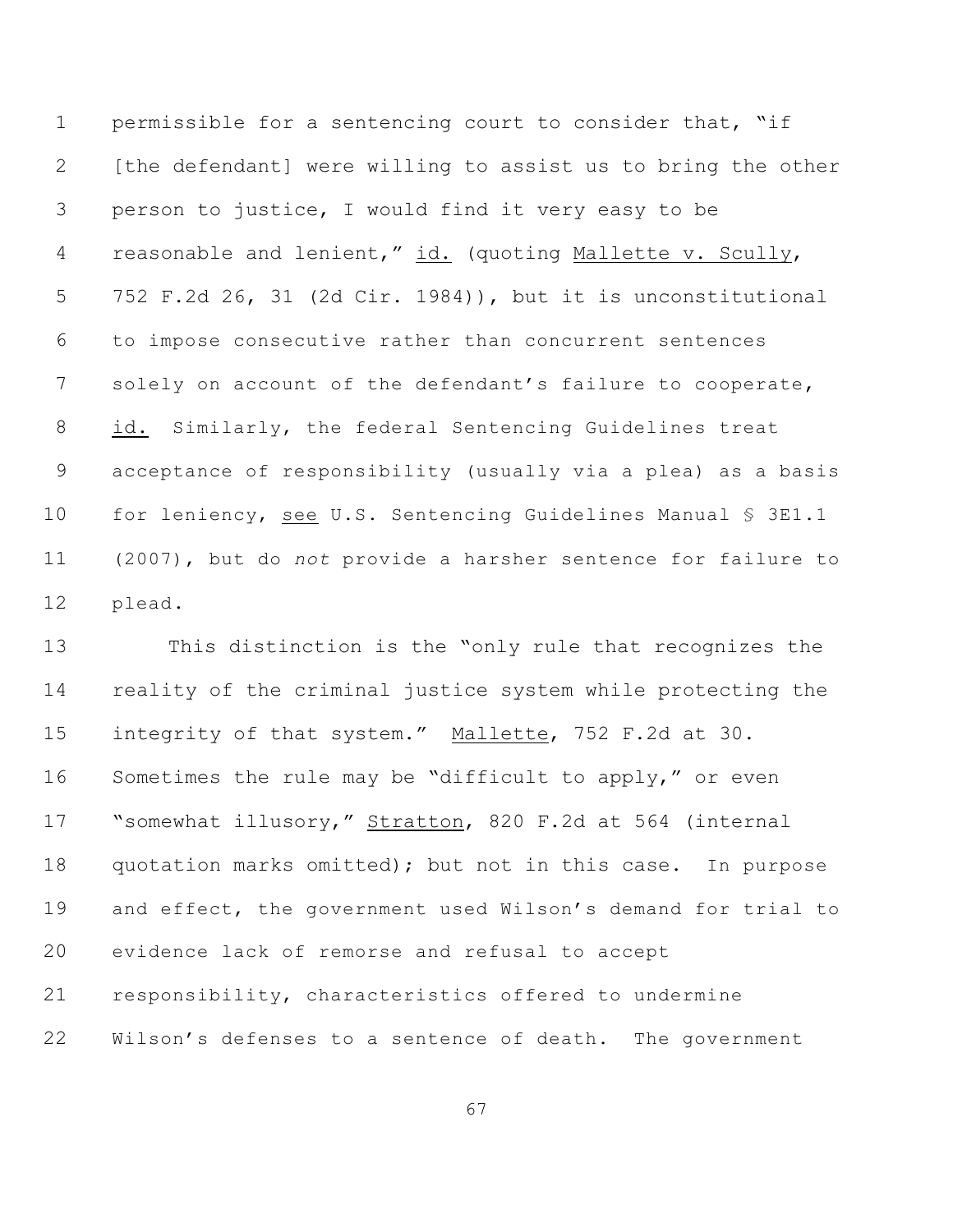permissible for a sentencing court to consider that, "if [the defendant] were willing to assist us to bring the other person to justice, I would find it very easy to be 4 reasonable and lenient," id. (quoting Mallette v. Scully, 752 F.2d 26, 31 (2d Cir. 1984)), but it is unconstitutional to impose consecutive rather than concurrent sentences 7 solely on account of the defendant's failure to cooperate, id. Similarly, the federal Sentencing Guidelines treat acceptance of responsibility (usually via a plea) as a basis 10 for leniency, see U.S. Sentencing Guidelines Manual § 3E1.1 (2007), but do *not* provide a harsher sentence for failure to plead.

 This distinction is the "only rule that recognizes the reality of the criminal justice system while protecting the 15 integrity of that system." Mallette, 752 F.2d at 30. Sometimes the rule may be "difficult to apply," or even "somewhat illusory," Stratton, 820 F.2d at 564 (internal quotation marks omitted); but not in this case. In purpose and effect, the government used Wilson's demand for trial to evidence lack of remorse and refusal to accept responsibility, characteristics offered to undermine 22 Wilson's defenses to a sentence of death. The government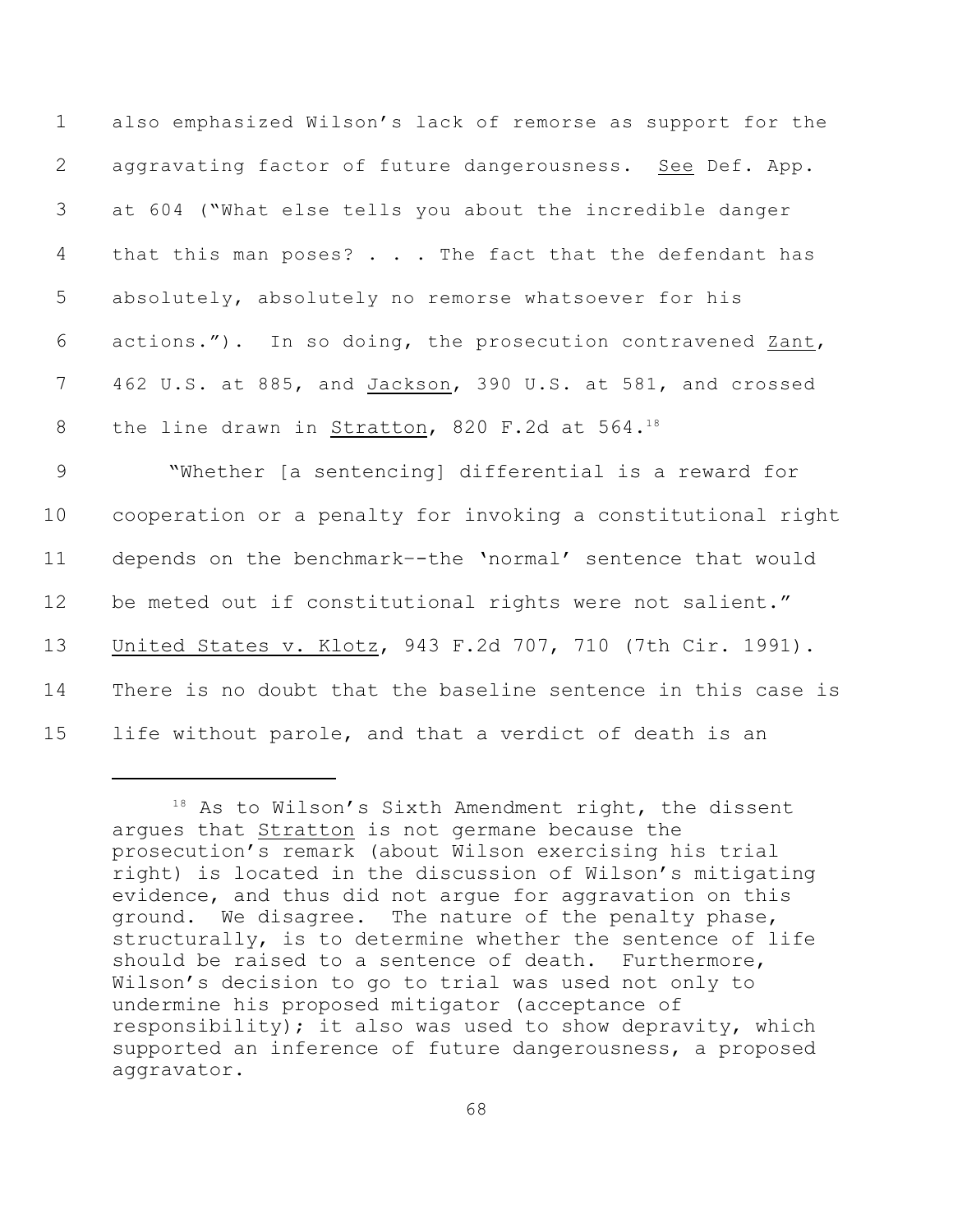| $\mathbf 1$     | also emphasized Wilson's lack of remorse as support for the  |
|-----------------|--------------------------------------------------------------|
| $\mathbf{2}$    | aggravating factor of future dangerousness. See Def. App.    |
| 3               | at 604 ("What else tells you about the incredible danger     |
| $\overline{4}$  | that this man poses? The fact that the defendant has         |
| 5               | absolutely, absolutely no remorse whatsoever for his         |
| 6               | actions."). In so doing, the prosecution contravened Zant,   |
| $7\overline{ }$ | 462 U.S. at 885, and Jackson, 390 U.S. at 581, and crossed   |
| 8               | the line drawn in Stratton, 820 F.2d at 564.18               |
| 9               | "Whether [a sentencing] differential is a reward for         |
| 10 <sub>o</sub> | cooperation or a penalty for invoking a constitutional right |
| 11              | depends on the benchmark--the 'normal' sentence that would   |
| 12              | be meted out if constitutional rights were not salient."     |
| 13              | United States v. Klotz, 943 F.2d 707, 710 (7th Cir. 1991).   |

14 There is no doubt that the baseline sentence in this case is

<sup>15</sup> life without parole, and that a verdict of death is an

 $18$  As to Wilson's Sixth Amendment right, the dissent argues that Stratton is not germane because the prosecution's remark (about Wilson exercising his trial right) is located in the discussion of Wilson's mitigating evidence, and thus did not argue for aggravation on this ground. We disagree. The nature of the penalty phase, structurally, is to determine whether the sentence of life should be raised to a sentence of death. Furthermore, Wilson's decision to go to trial was used not only to undermine his proposed mitigator (acceptance of responsibility); it also was used to show depravity, which supported an inference of future dangerousness, a proposed aggravator.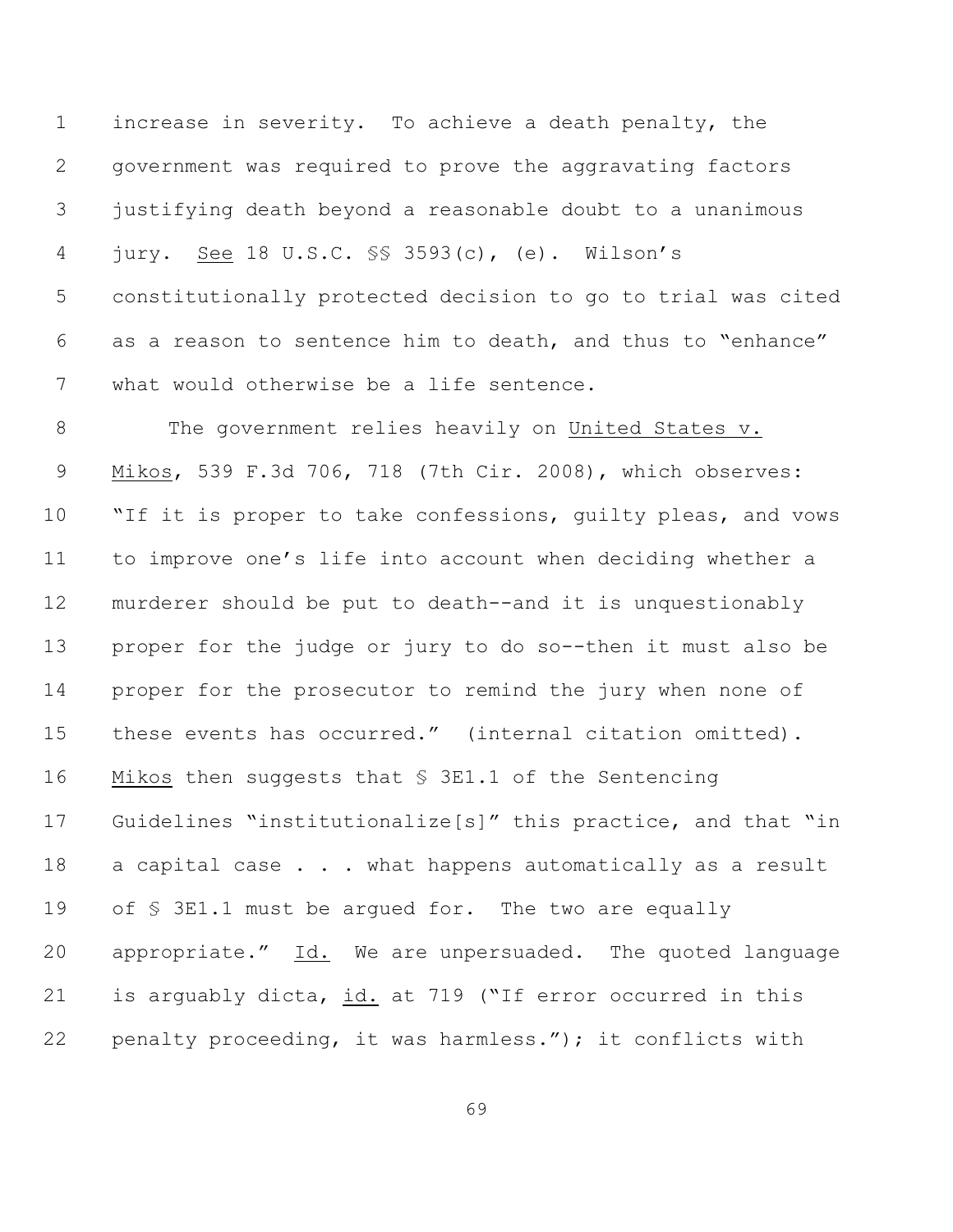increase in severity. To achieve a death penalty, the government was required to prove the aggravating factors justifying death beyond a reasonable doubt to a unanimous jury. See 18 U.S.C. §§ 3593(c), (e). Wilson's constitutionally protected decision to go to trial was cited as a reason to sentence him to death, and thus to "enhance" what would otherwise be a life sentence.

8 The government relies heavily on United States v. Mikos, 539 F.3d 706, 718 (7th Cir. 2008), which observes: 10 "If it is proper to take confessions, quilty pleas, and vows to improve one's life into account when deciding whether a murderer should be put to death--and it is unquestionably proper for the judge or jury to do so--then it must also be proper for the prosecutor to remind the jury when none of these events has occurred." (internal citation omitted). Mikos then suggests that § 3E1.1 of the Sentencing Guidelines "institutionalize[s]" this practice, and that "in 18 a capital case . . . what happens automatically as a result 19 of  $\S$  3E1.1 must be argued for. The two are equally 20 appropriate." Id. We are unpersuaded. The quoted language is arguably dicta, id. at 719 ("If error occurred in this penalty proceeding, it was harmless."); it conflicts with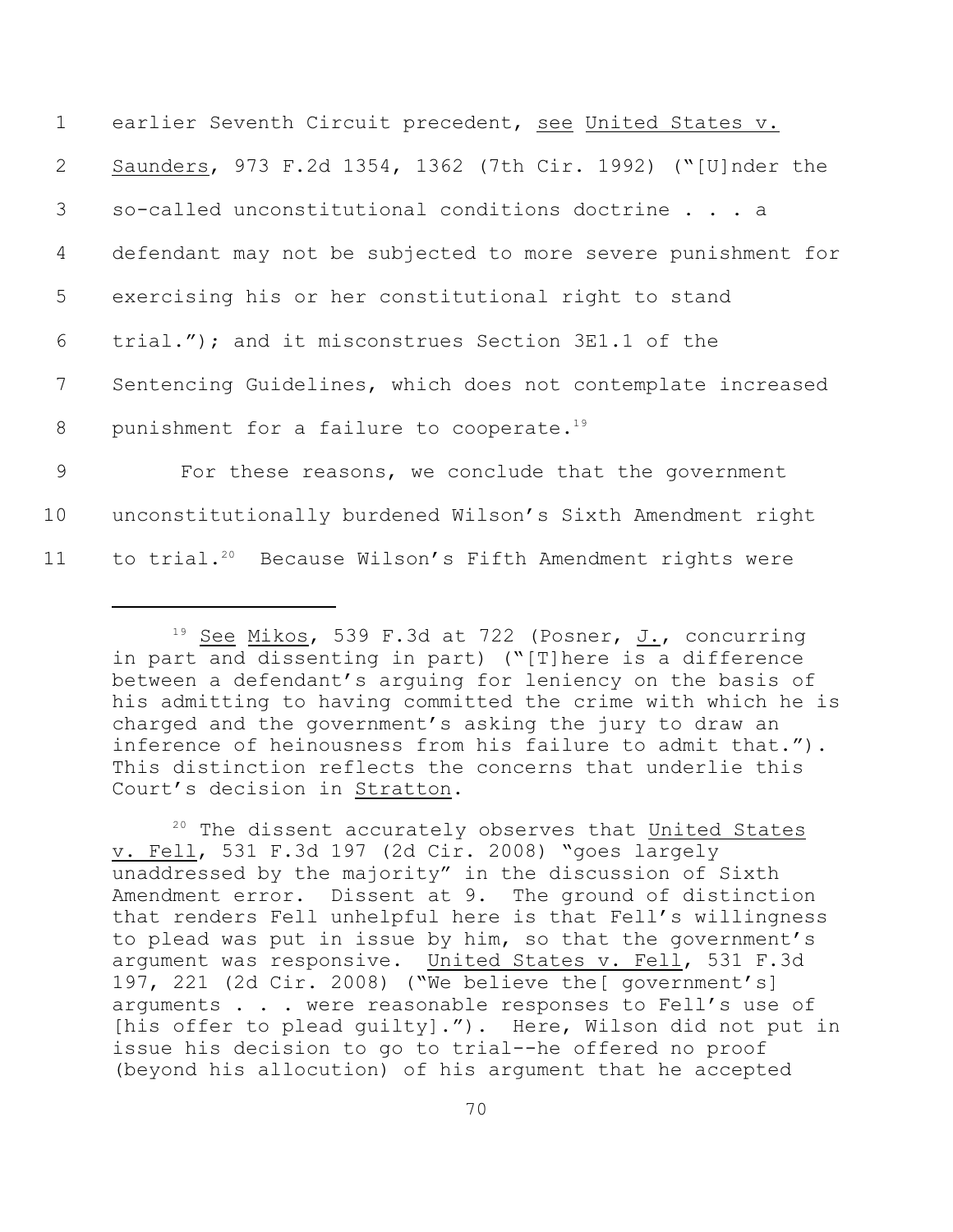| $\mathbf 1$               | earlier Seventh Circuit precedent, see United States v.              |
|---------------------------|----------------------------------------------------------------------|
| $\mathbf{2}^{\mathsf{I}}$ | Saunders, 973 F.2d 1354, 1362 (7th Cir. 1992) ("[U]nder the          |
| $\mathcal{S}$             | so-called unconstitutional conditions doctrine a                     |
| 4                         | defendant may not be subjected to more severe punishment for         |
| 5                         | exercising his or her constitutional right to stand                  |
| 6                         | trial."); and it misconstrues Section 3E1.1 of the                   |
| 7                         | Sentencing Guidelines, which does not contemplate increased          |
| 8                         | punishment for a failure to cooperate. <sup>19</sup>                 |
| 9                         | For these reasons, we conclude that the government                   |
| 10                        | unconstitutionally burdened Wilson's Sixth Amendment right           |
| 11                        | to trial. <sup>20</sup> Because Wilson's Fifth Amendment rights were |

<sup>&</sup>lt;sup>19</sup> See Mikos, 539 F.3d at 722 (Posner, J., concurring in part and dissenting in part) ("[T]here is a difference between a defendant's arguing for leniency on the basis of his admitting to having committed the crime with which he is charged and the government's asking the jury to draw an inference of heinousness from his failure to admit that."). This distinction reflects the concerns that underlie this Court's decision in Stratton.

<sup>20</sup> The dissent accurately observes that United States v. Fell, 531 F.3d 197 (2d Cir. 2008) "goes largely unaddressed by the majority" in the discussion of Sixth Amendment error. Dissent at 9. The ground of distinction that renders Fell unhelpful here is that Fell's willingness to plead was put in issue by him, so that the government's argument was responsive. United States v. Fell, 531 F.3d 197, 221 (2d Cir. 2008) ("We believe the[ government's] arguments . . . were reasonable responses to Fell's use of [his offer to plead guilty]."). Here, Wilson did not put in issue his decision to go to trial--he offered no proof (beyond his allocution) of his argument that he accepted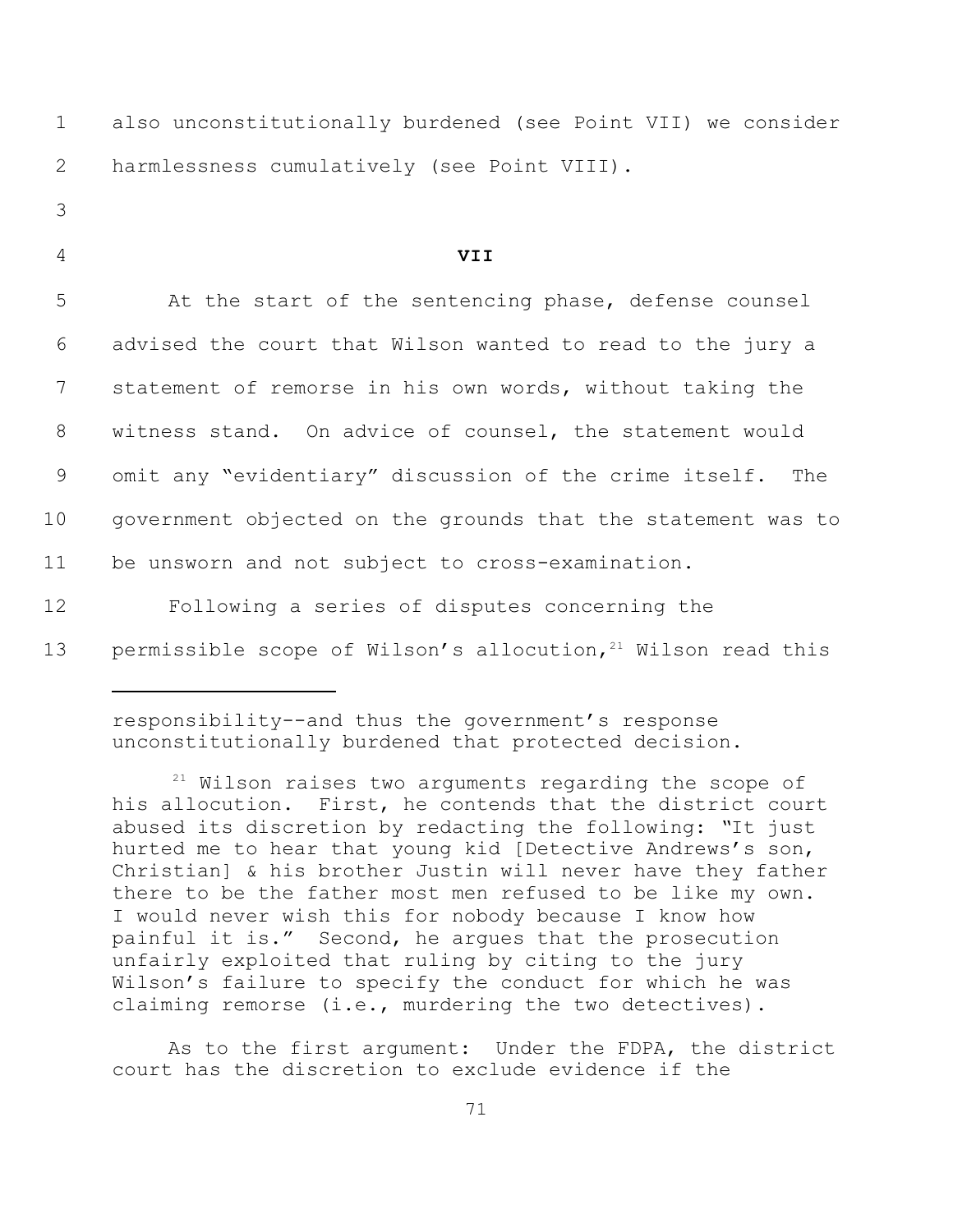| $\mathbf 1$ | also unconstitutionally burdened (see Point VII) we consider             |
|-------------|--------------------------------------------------------------------------|
| 2           | harmlessness cumulatively (see Point VIII).                              |
| 3           |                                                                          |
| 4           | <b>VII</b>                                                               |
| 5           | At the start of the sentencing phase, defense counsel                    |
| 6           | advised the court that Wilson wanted to read to the jury a               |
| 7           | statement of remorse in his own words, without taking the                |
| 8           | witness stand. On advice of counsel, the statement would                 |
| 9           | omit any "evidentiary" discussion of the crime itself.<br>The            |
| 10          | government objected on the grounds that the statement was to             |
| 11          | be unsworn and not subject to cross-examination.                         |
| 12          | Following a series of disputes concerning the                            |
| 13          | permissible scope of Wilson's allocution, <sup>21</sup> Wilson read this |
|             |                                                                          |

responsibility--and thus the government's response unconstitutionally burdened that protected decision.

 $21$  Wilson raises two arguments regarding the scope of his allocution. First, he contends that the district court abused its discretion by redacting the following: *"*It just hurted me to hear that young kid [Detective Andrews's son, Christian] & his brother Justin will never have they father there to be the father most men refused to be like my own**.**  I would never wish this for nobody because I know how painful it is." Second, he argues that the prosecution unfairly exploited that ruling by citing to the jury Wilson's failure to specify the conduct for which he was claiming remorse (i.e., murdering the two detectives).

As to the first argument: Under the FDPA, the district court has the discretion to exclude evidence if the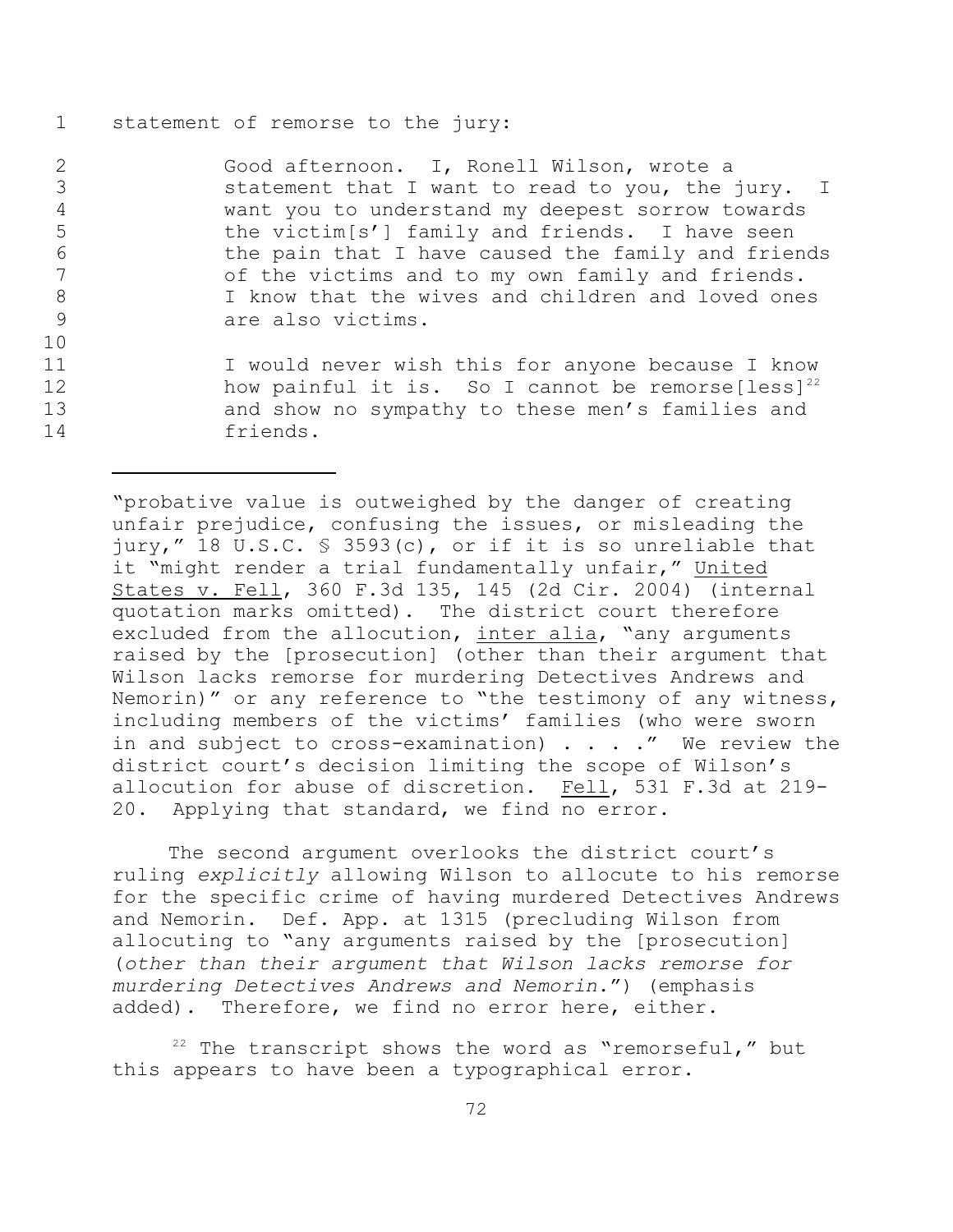## 1 statement of remorse to the jury:

10

 Good afternoon. I, Ronell Wilson, wrote a statement that I want to read to you, the jury. I want you to understand my deepest sorrow towards the victim[s'] family and friends. I have seen 6 the pain that I have caused the family and friends<br>7 of the victims and to my own family and friends. of the victims and to my own family and friends. I know that the wives and children and loved ones are also victims.

11 I would never wish this for anyone because I know 12 how painful it is. So I cannot be remorse  $[less]^{22}$ 13 and show no sympathy to these men's families and 14 friends.

"probative value is outweighed by the danger of creating unfair prejudice, confusing the issues, or misleading the jury," 18 U.S.C. § 3593(c), or if it is so unreliable that it "might render a trial fundamentally unfair," United States v. Fell, 360 F.3d 135, 145 (2d Cir. 2004) (internal quotation marks omitted). The district court therefore excluded from the allocution, inter alia, "any arguments raised by the [prosecution] (other than their argument that Wilson lacks remorse for murdering Detectives Andrews and Nemorin)" or any reference to "the testimony of any witness, including members of the victims' families (who were sworn in and subject to cross-examination)  $\cdot \cdot \cdot$  . We review the district court's decision limiting the scope of Wilson's allocution for abuse of discretion. Fell, 531 F.3d at 219- 20. Applying that standard, we find no error.

The second argument overlooks the district court's ruling *explicitly* allowing Wilson to allocute to his remorse for the specific crime of having murdered Detectives Andrews and Nemorin. Def. App. at 1315 (precluding Wilson from allocuting to "any arguments raised by the [prosecution] (*other than their argument that Wilson lacks remorse for murdering Detectives Andrews and Nemorin*.") (emphasis added). Therefore, we find no error here, either.

 $22$  The transcript shows the word as "remorseful," but this appears to have been a typographical error.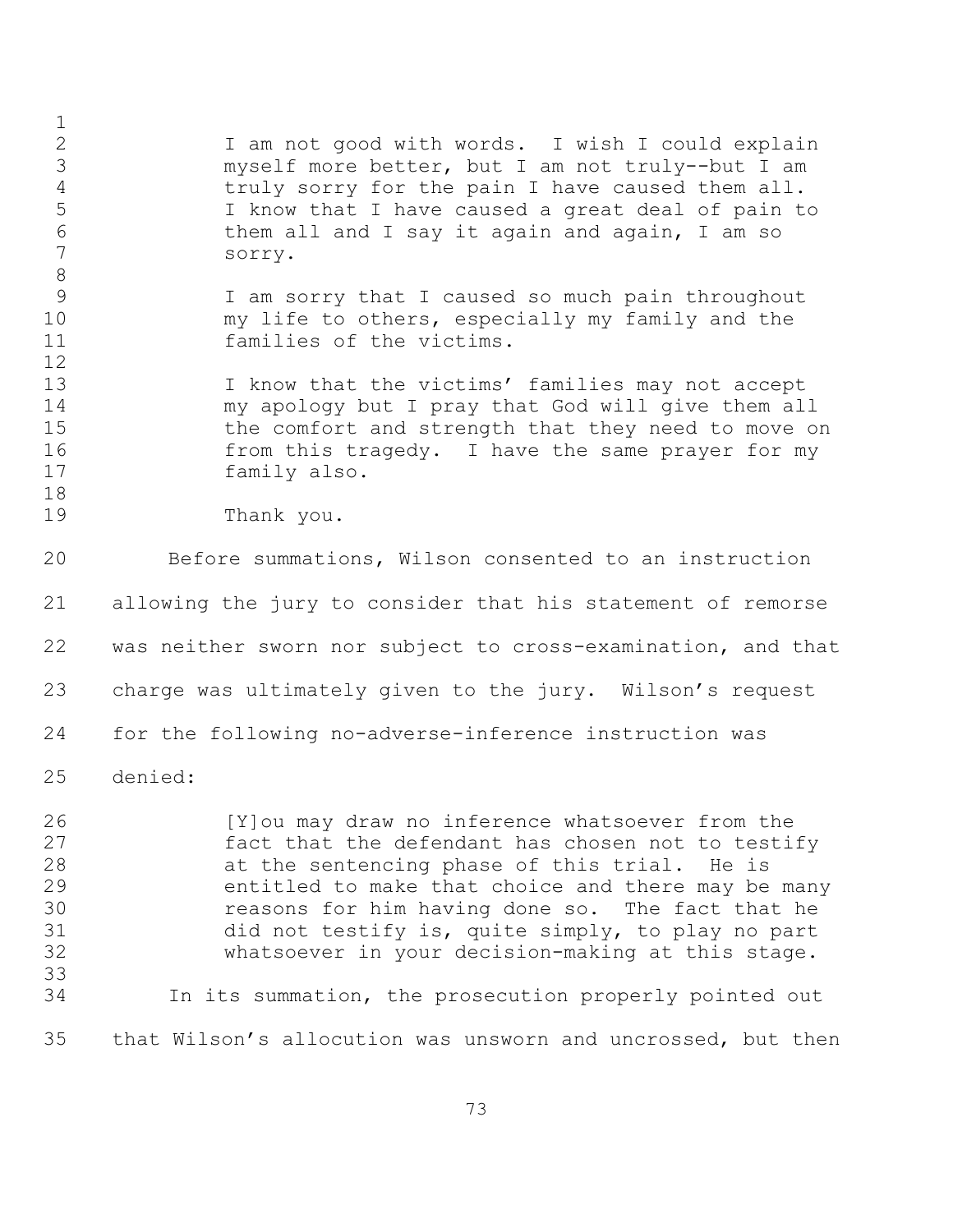I am not good with words. I wish I could explain myself more better, but I am not truly--but I am truly sorry for the pain I have caused them all. I know that I have caused a great deal of pain to them all and I say it again and again, I am so sorry. I am sorry that I caused so much pain throughout my life to others, especially my family and the families of the victims. 13 I know that the victims' families may not accept my apology but I pray that God will give them all 15 the comfort and strength that they need to move on from this tragedy. I have the same prayer for my family also. Thank you. Before summations, Wilson consented to an instruction allowing the jury to consider that his statement of remorse was neither sworn nor subject to cross-examination, and that charge was ultimately given to the jury. Wilson's request for the following no-adverse-inference instruction was denied: [Y]ou may draw no inference whatsoever from the fact that the defendant has chosen not to testify at the sentencing phase of this trial. He is entitled to make that choice and there may be many reasons for him having done so. The fact that he did not testify is, quite simply, to play no part whatsoever in your decision-making at this stage. In its summation, the prosecution properly pointed out that Wilson's allocution was unsworn and uncrossed, but then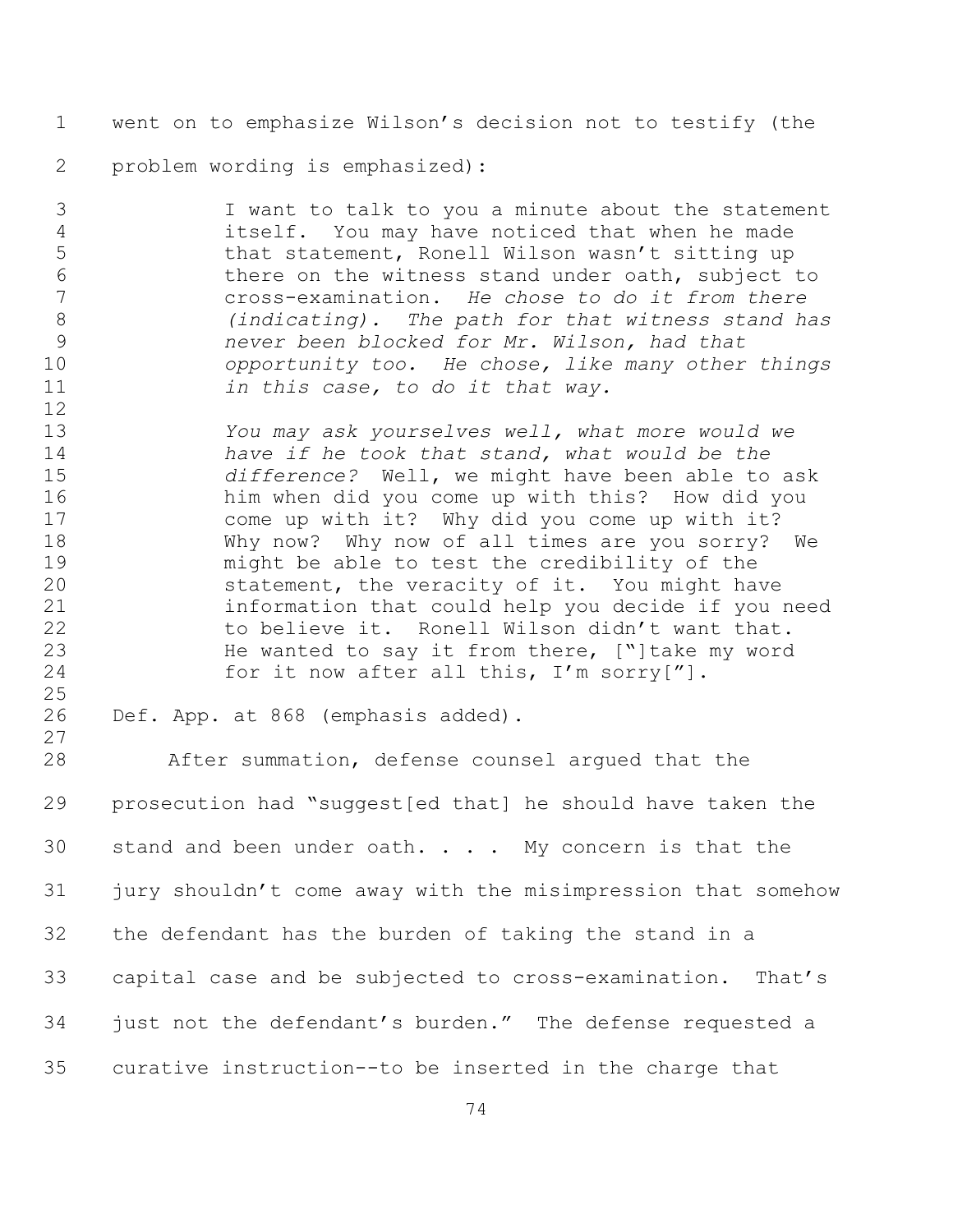went on to emphasize Wilson's decision not to testify (the

problem wording is emphasized):

 I want to talk to you a minute about the statement itself. You may have noticed that when he made 5 that statement, Ronell Wilson wasn't sitting up there on the witness stand under oath, subject to cross-examination. *He chose to do it from there (indicating). The path for that witness stand has never been blocked for Mr. Wilson, had that opportunity too. He chose, like many other things in this case, to do it that way.* 

 *You may ask yourselves well, what more would we have if he took that stand, what would be the difference?* Well, we might have been able to ask him when did you come up with this? How did you come up with it? Why did you come up with it? Why now? Why now of all times are you sorry? We might be able to test the credibility of the statement, the veracity of it. You might have information that could help you decide if you need 22 to believe it. Ronell Wilson didn't want that. He wanted to say it from there, ["]take my word 24 for it now after all this, I'm sorry["].

 

Def. App. at 868 (emphasis added).

 After summation, defense counsel argued that the prosecution had "suggest[ed that] he should have taken the 30 stand and been under oath.  $\ldots$  My concern is that the jury shouldn't come away with the misimpression that somehow the defendant has the burden of taking the stand in a capital case and be subjected to cross-examination. That's just not the defendant's burden."The defense requested a curative instruction--to be inserted in the charge that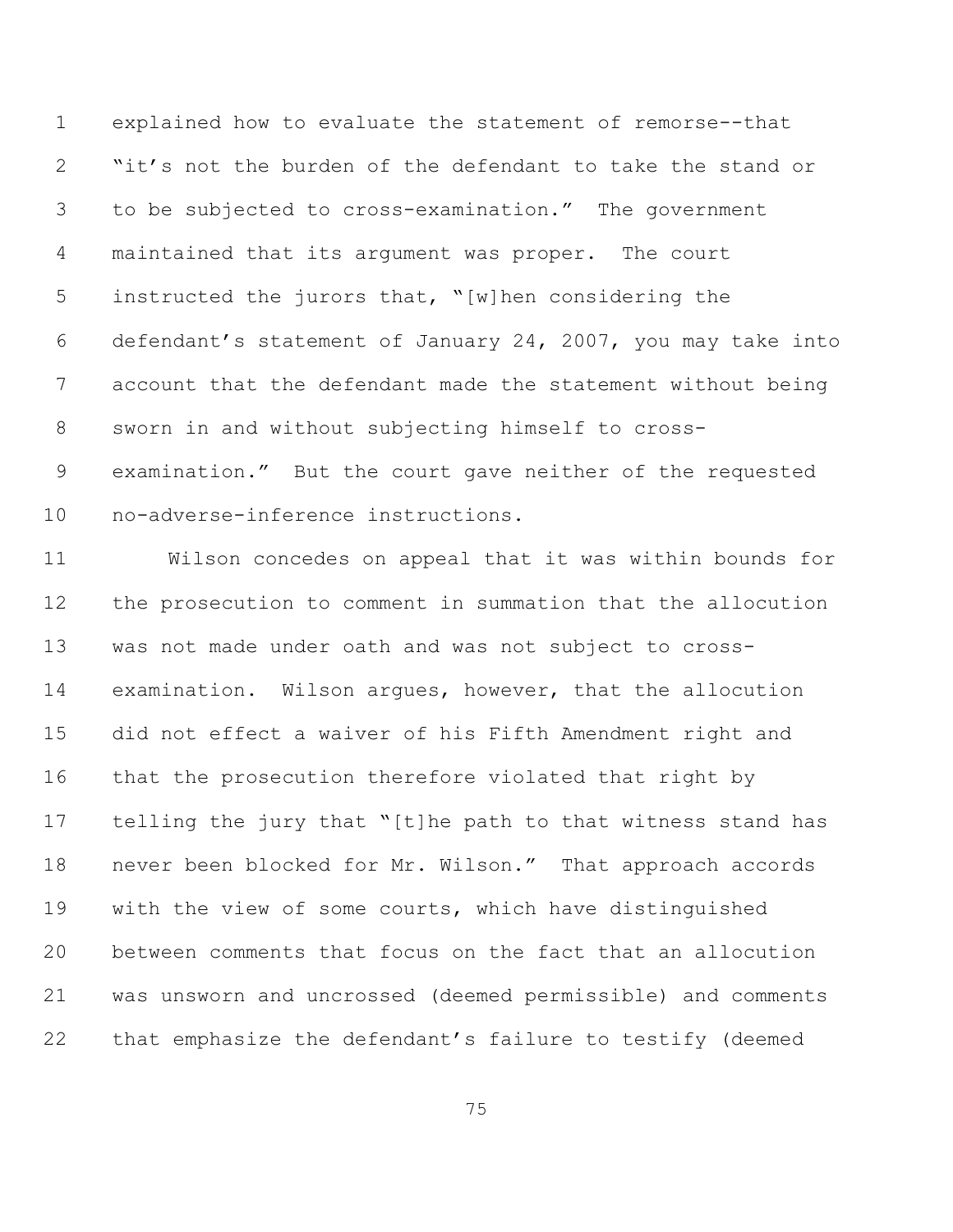explained how to evaluate the statement of remorse--that "it's not the burden of the defendant to take the stand or to be subjected to cross-examination." The government maintained that its argument was proper. The court instructed the jurors that, "[w]hen considering the defendant's statement of January 24, 2007, you may take into account that the defendant made the statement without being sworn in and without subjecting himself to cross- examination." But the court gave neither of the requested no-adverse-inference instructions.

 Wilson concedes on appeal that it was within bounds for the prosecution to comment in summation that the allocution was not made under oath and was not subject to cross- examination. Wilson argues, however, that the allocution did not effect a waiver of his Fifth Amendment right and that the prosecution therefore violated that right by telling the jury that "[t]he path to that witness stand has never been blocked for Mr. Wilson." That approach accords with the view of some courts, which have distinguished between comments that focus on the fact that an allocution was unsworn and uncrossed (deemed permissible) and comments that emphasize the defendant's failure to testify (deemed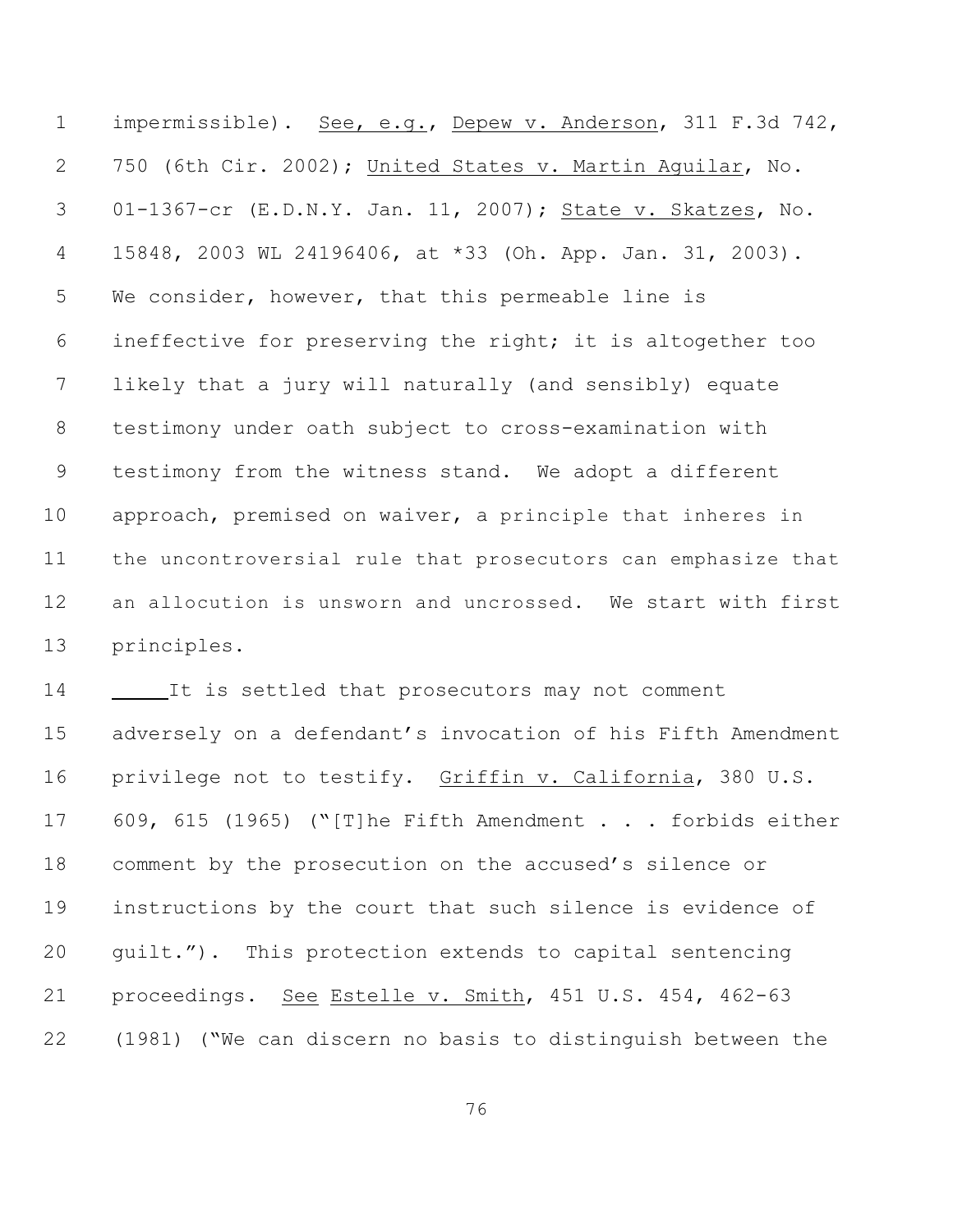impermissible). See, e.g., Depew v. Anderson, 311 F.3d 742, 750 (6th Cir. 2002); United States v. Martin Aguilar, No. 01-1367-cr (E.D.N.Y. Jan. 11, 2007); State v. Skatzes, No. 15848, 2003 WL 24196406, at \*33 (Oh. App. Jan. 31, 2003). We consider, however, that this permeable line is ineffective for preserving the right; it is altogether too likely that a jury will naturally (and sensibly) equate testimony under oath subject to cross-examination with testimony from the witness stand. We adopt a different approach, premised on waiver, a principle that inheres in the uncontroversial rule that prosecutors can emphasize that an allocution is unsworn and uncrossed. We start with first principles.

 It is settled that prosecutors may not comment adversely on a defendant's invocation of his Fifth Amendment privilege not to testify. Griffin v. California, 380 U.S. 609, 615 (1965) ("[T]he Fifth Amendment . . . forbids either comment by the prosecution on the accused's silence or instructions by the court that such silence is evidence of guilt."). This protection extends to capital sentencing proceedings. See Estelle v. Smith, 451 U.S. 454, 462-63 (1981) ("We can discern no basis to distinguish between the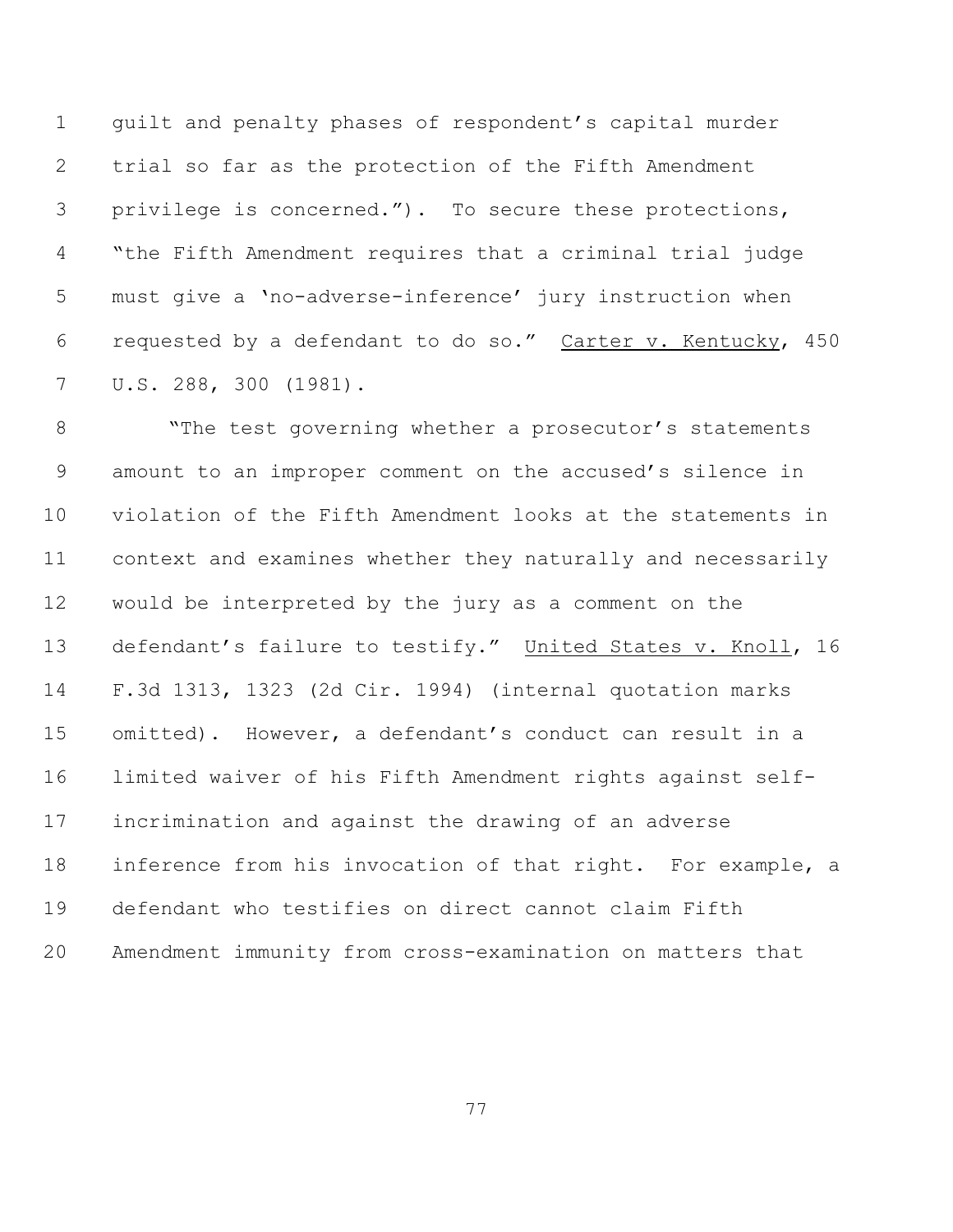guilt and penalty phases of respondent's capital murder trial so far as the protection of the Fifth Amendment privilege is concerned."). To secure these protections, "the Fifth Amendment requires that a criminal trial judge must give a 'no-adverse-inference' jury instruction when requested by a defendant to do so." Carter v. Kentucky, 450 U.S. 288, 300 (1981).

8 The test governing whether a prosecutor's statements amount to an improper comment on the accused's silence in violation of the Fifth Amendment looks at the statements in context and examines whether they naturally and necessarily would be interpreted by the jury as a comment on the defendant's failure to testify." United States v. Knoll, 16 F.3d 1313, 1323 (2d Cir. 1994) (internal quotation marks omitted). However, a defendant's conduct can result in a limited waiver of his Fifth Amendment rights against self- incrimination and against the drawing of an adverse inference from his invocation of that right. For example, a defendant who testifies on direct cannot claim Fifth Amendment immunity from cross-examination on matters that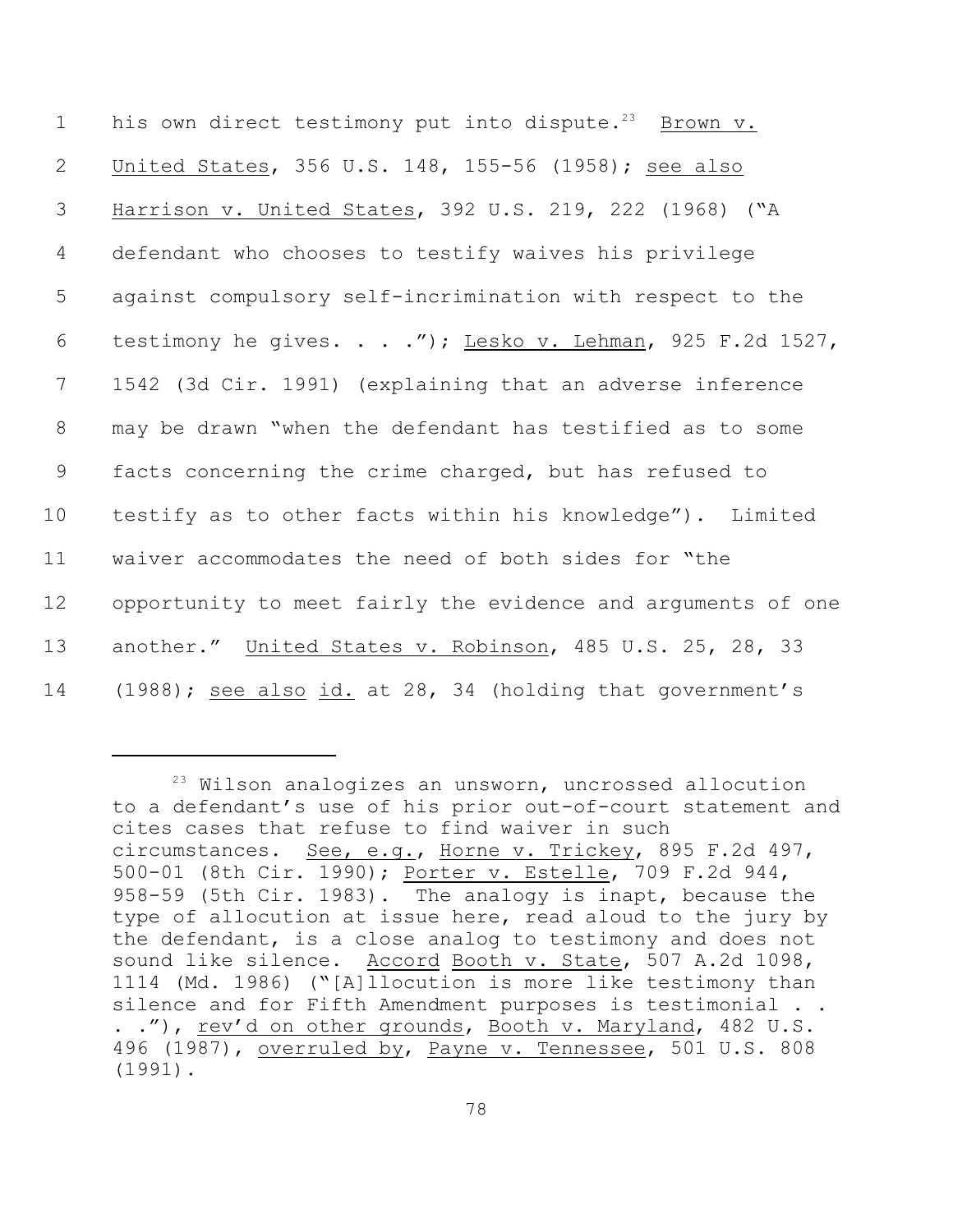1 his own direct testimony put into dispute.<sup>23</sup> Brown v. United States, 356 U.S. 148, 155-56 (1958); see also Harrison v. United States, 392 U.S. 219, 222 (1968) ("A defendant who chooses to testify waives his privilege against compulsory self-incrimination with respect to the testimony he gives. . . ."); Lesko v. Lehman, 925 F.2d 1527, 1542 (3d Cir. 1991) (explaining that an adverse inference may be drawn "when the defendant has testified as to some facts concerning the crime charged, but has refused to testify as to other facts within his knowledge"). Limited waiver accommodates the need of both sides for "the opportunity to meet fairly the evidence and arguments of one another." United States v. Robinson, 485 U.S. 25, 28, 33 14 (1988); see also id. at 28, 34 (holding that government's

 $23$  Wilson analogizes an unsworn, uncrossed allocution to a defendant's use of his prior out-of-court statement and cites cases that refuse to find waiver in such circumstances. See, e.g., Horne v. Trickey, 895 F.2d 497, 500-01 (8th Cir. 1990); Porter v. Estelle, 709 F.2d 944, 958-59 (5th Cir. 1983). The analogy is inapt, because the type of allocution at issue here, read aloud to the jury by the defendant, is a close analog to testimony and does not sound like silence. Accord Booth v. State, 507 A.2d 1098, 1114 (Md. 1986) ("[A]llocution is more like testimony than silence and for Fifth Amendment purposes is testimonial . . . ."), rev'd on other grounds, Booth v. Maryland, 482 U.S. 496 (1987), overruled by, Payne v. Tennessee, 501 U.S. 808 (1991).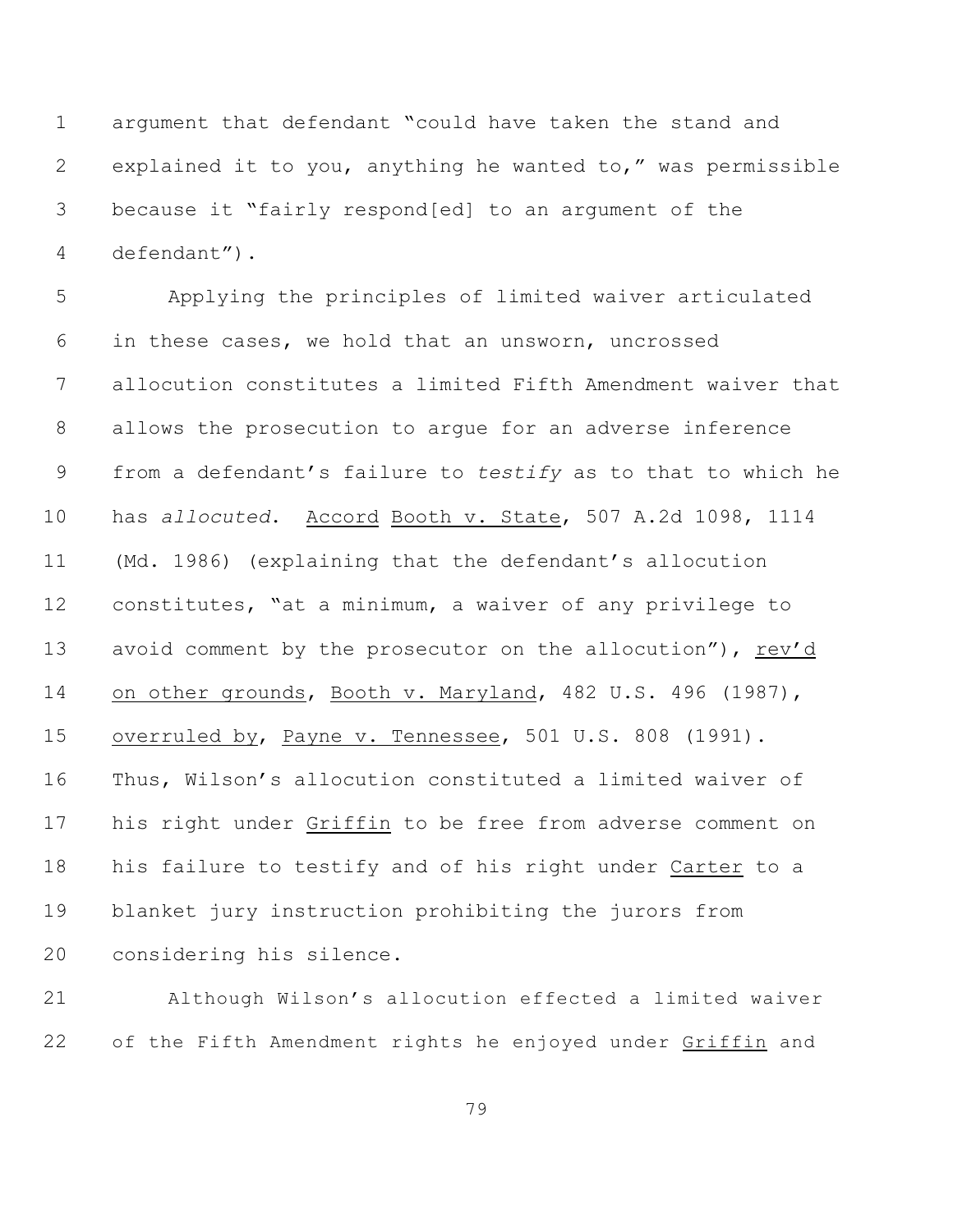argument that defendant "could have taken the stand and explained it to you, anything he wanted to," was permissible because it "fairly respond[ed] to an argument of the defendant").

 Applying the principles of limited waiver articulated in these cases, we hold that an unsworn, uncrossed allocution constitutes a limited Fifth Amendment waiver that allows the prosecution to argue for an adverse inference from a defendant's failure to *testify* as to that to which he has *allocuted*. Accord Booth v. State, 507 A.2d 1098, 1114 (Md. 1986) (explaining that the defendant's allocution constitutes, "at a minimum, a waiver of any privilege to 13 avoid comment by the prosecutor on the allocution"), rev'd on other grounds, Booth v. Maryland, 482 U.S. 496 (1987), overruled by, Payne v. Tennessee, 501 U.S. 808 (1991). Thus, Wilson's allocution constituted a limited waiver of his right under Griffin to be free from adverse comment on his failure to testify and of his right under Carter to a blanket jury instruction prohibiting the jurors from considering his silence.

 Although Wilson's allocution effected a limited waiver of the Fifth Amendment rights he enjoyed under Griffin and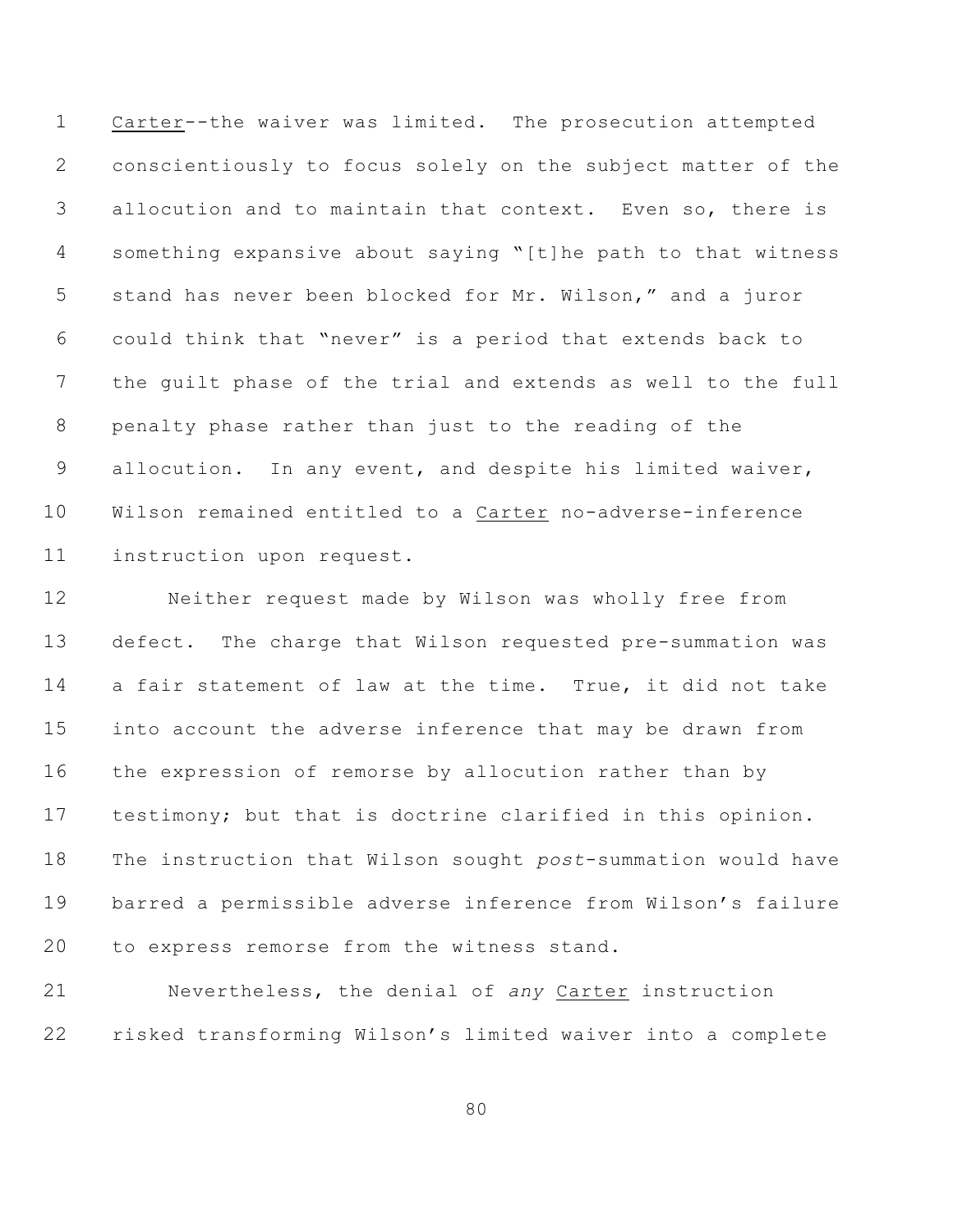Carter--the waiver was limited. The prosecution attempted conscientiously to focus solely on the subject matter of the allocution and to maintain that context. Even so, there is something expansive about saying "[t]he path to that witness stand has never been blocked for Mr. Wilson," and a juror could think that "never" is a period that extends back to the guilt phase of the trial and extends as well to the full penalty phase rather than just to the reading of the allocution. In any event, and despite his limited waiver, Wilson remained entitled to a Carter no-adverse-inference instruction upon request.

 Neither request made by Wilson was wholly free from defect. The charge that Wilson requested pre-summation was a fair statement of law at the time. True, it did not take into account the adverse inference that may be drawn from the expression of remorse by allocution rather than by testimony; but that is doctrine clarified in this opinion. The instruction that Wilson sought *post*-summation would have barred a permissible adverse inference from Wilson's failure to express remorse from the witness stand.

 Nevertheless, the denial of *any* Carter instruction risked transforming Wilson's limited waiver into a complete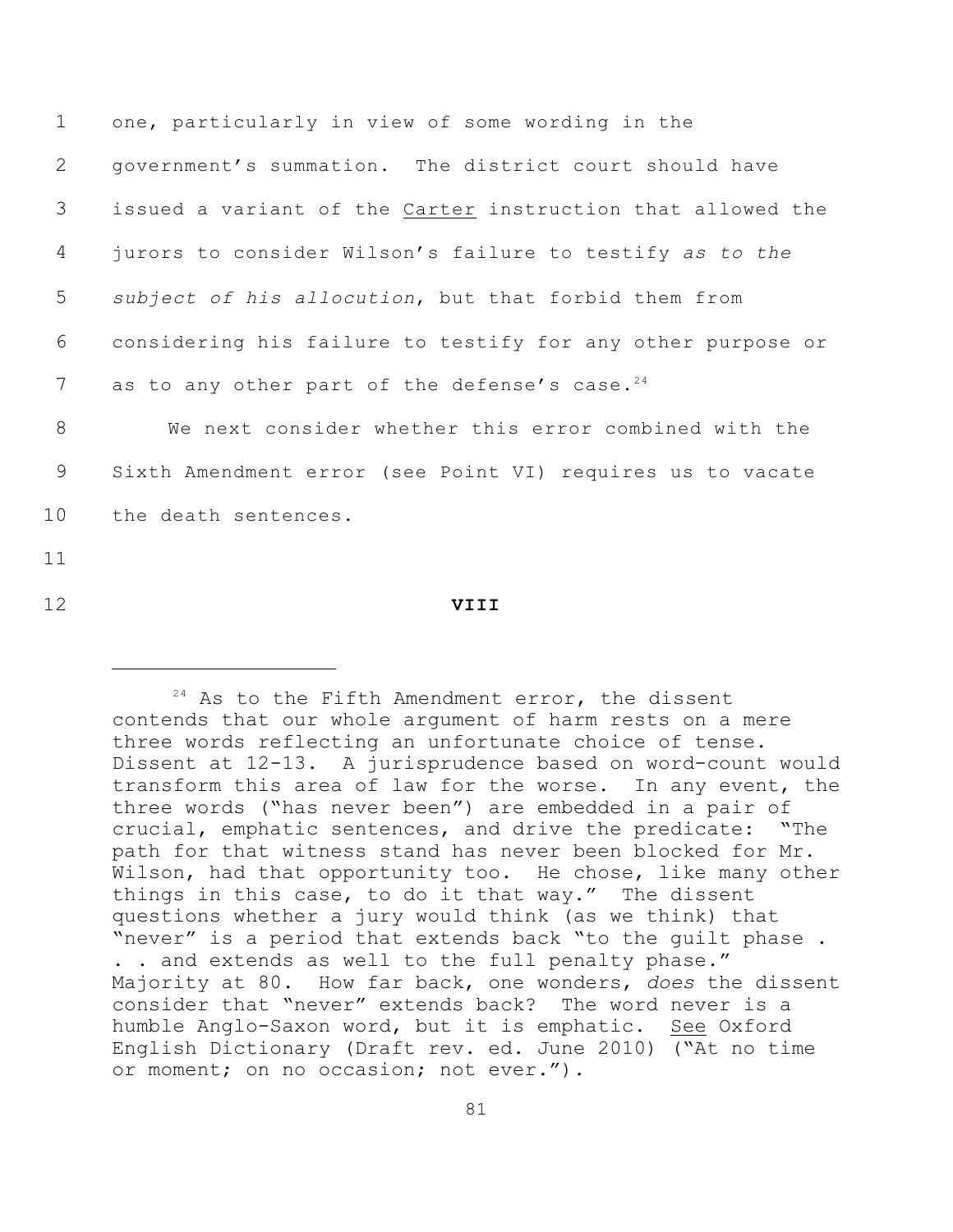| $\mathbf 1$ | one, particularly in view of some wording in the            |
|-------------|-------------------------------------------------------------|
| 2           | government's summation. The district court should have      |
| 3           | issued a variant of the Carter instruction that allowed the |
| 4           | jurors to consider Wilson's failure to testify as to the    |
| 5           | subject of his allocution, but that forbid them from        |
| 6           | considering his failure to testify for any other purpose or |
| 7           | as to any other part of the defense's case. <sup>24</sup>   |
| 8           | We next consider whether this error combined with the       |
| 9           | Sixth Amendment error (see Point VI) requires us to vacate  |
| 10          | the death sentences.                                        |
| 11          |                                                             |
| 12          | VIII                                                        |

 $24$  As to the Fifth Amendment error, the dissent contends that our whole argument of harm rests on a mere three words reflecting an unfortunate choice of tense. Dissent at 12-13. A jurisprudence based on word-count would transform this area of law for the worse. In any event, the three words ("has never been") are embedded in a pair of crucial, emphatic sentences, and drive the predicate: "The path for that witness stand has never been blocked for Mr. Wilson, had that opportunity too. He chose, like many other things in this case, to do it that way." The dissent questions whether a jury would think (as we think) that "never" is a period that extends back "to the guilt phase . . . and extends as well to the full penalty phase." Majority at 80. How far back, one wonders, *does* the dissent consider that "never" extends back? The word never is a humble Anglo-Saxon word, but it is emphatic. See Oxford English Dictionary (Draft rev. ed. June 2010) ("At no time or moment; on no occasion; not ever.").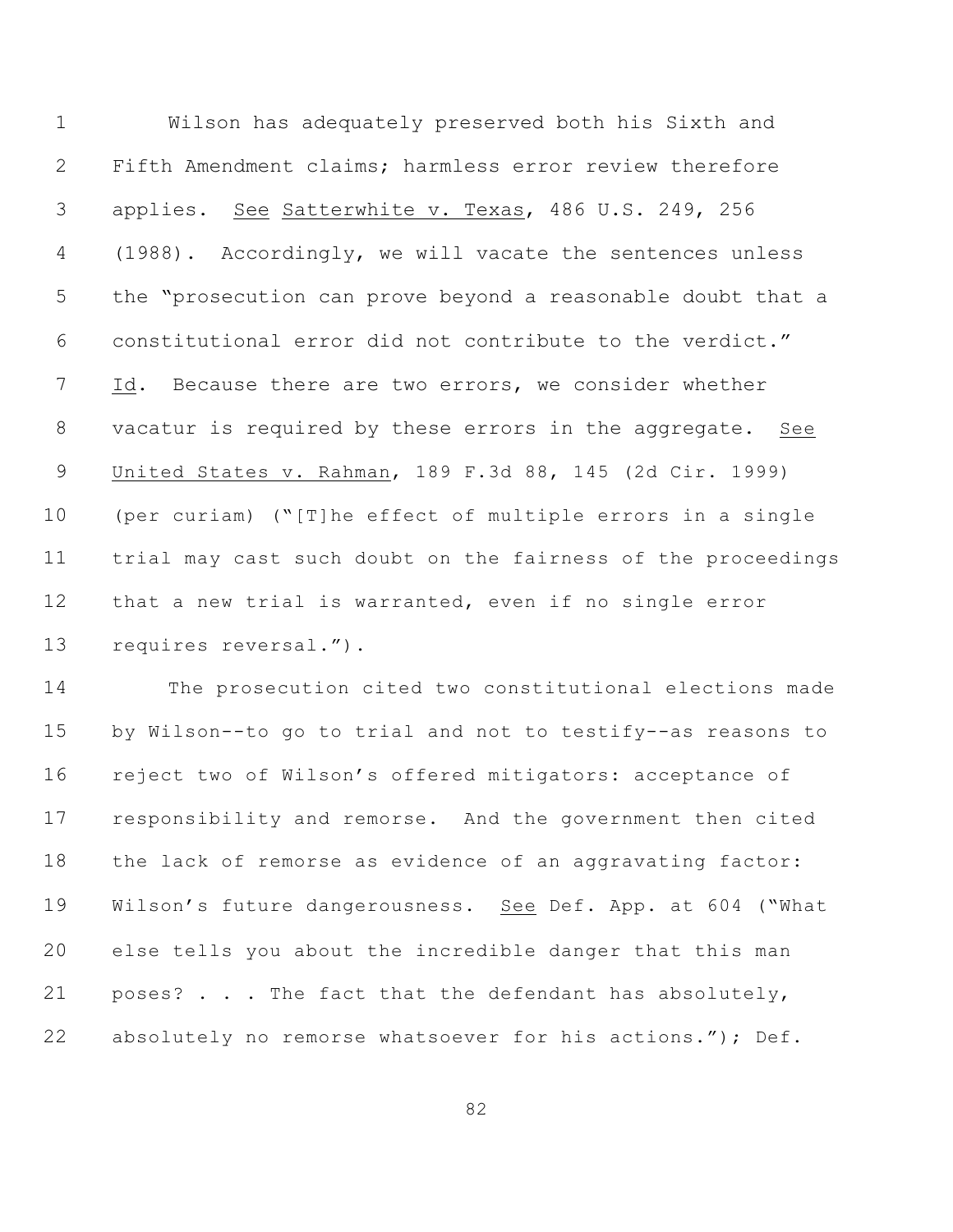Wilson has adequately preserved both his Sixth and Fifth Amendment claims; harmless error review therefore applies. See Satterwhite v. Texas, 486 U.S. 249, 256 (1988). Accordingly, we will vacate the sentences unless the "prosecution can prove beyond a reasonable doubt that a constitutional error did not contribute to the verdict." Id. Because there are two errors, we consider whether vacatur is required by these errors in the aggregate. See United States v. Rahman, 189 F.3d 88, 145 (2d Cir. 1999) (per curiam) ("[T]he effect of multiple errors in a single trial may cast such doubt on the fairness of the proceedings that a new trial is warranted, even if no single error requires reversal.").

 The prosecution cited two constitutional elections made by Wilson--to go to trial and not to testify--as reasons to reject two of Wilson's offered mitigators: acceptance of responsibility and remorse. And the government then cited the lack of remorse as evidence of an aggravating factor: Wilson's future dangerousness.See Def. App. at 604 ("What else tells you about the incredible danger that this man poses? . . . The fact that the defendant has absolutely, 22 absolutely no remorse whatsoever for his actions."); Def.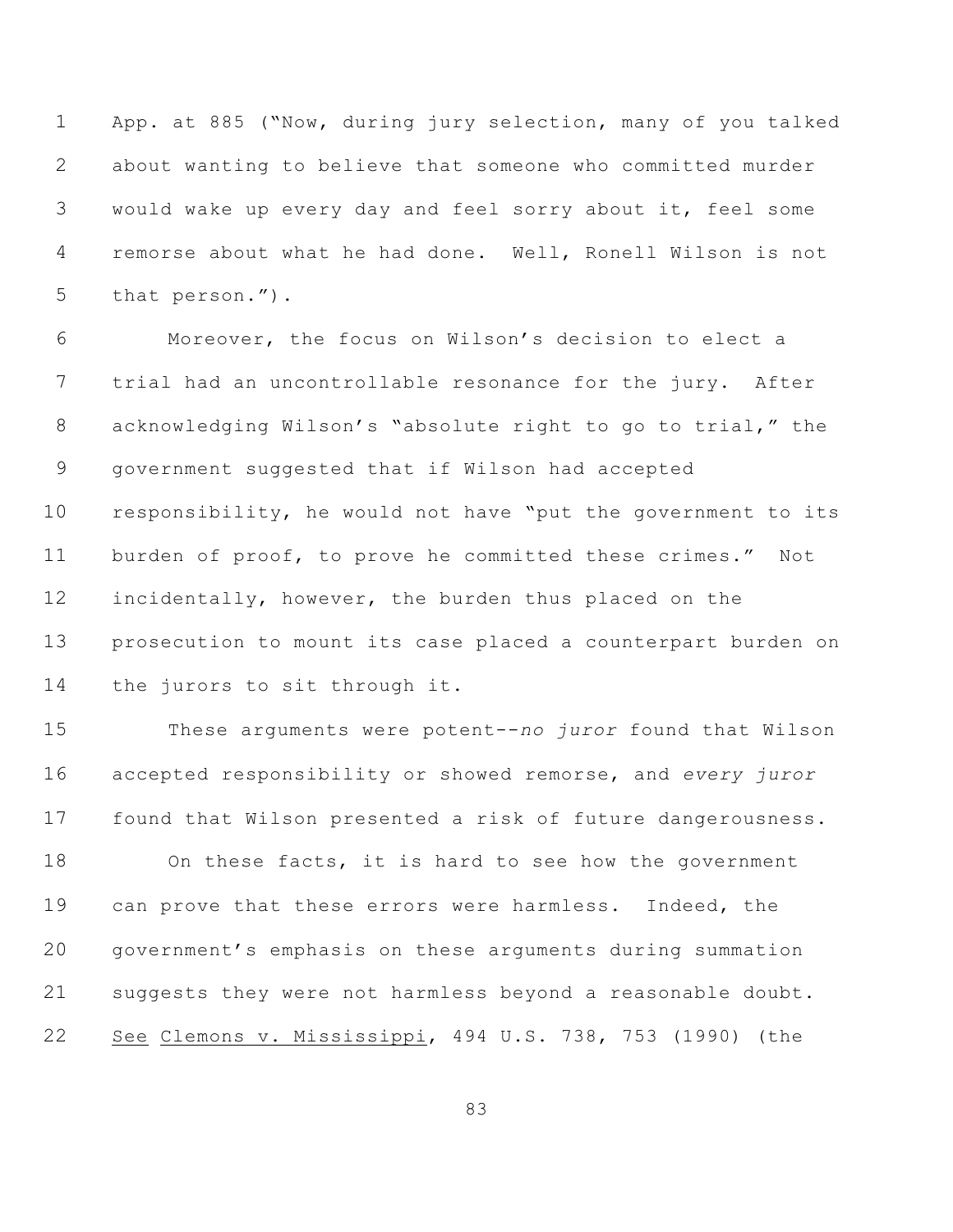App. at 885 ("Now, during jury selection, many of you talked about wanting to believe that someone who committed murder would wake up every day and feel sorry about it, feel some remorse about what he had done. Well, Ronell Wilson is not that person.").

 Moreover, the focus on Wilson's decision to elect a trial had an uncontrollable resonance for the jury. After acknowledging Wilson's "absolute right to go to trial," the government suggested that if Wilson had accepted responsibility, he would not have "put the government to its burden of proof, to prove he committed these crimes." Not incidentally, however, the burden thus placed on the prosecution to mount its case placed a counterpart burden on the jurors to sit through it.

 These arguments were potent--*no juror* found that Wilson accepted responsibility or showed remorse, and *every juror* found that Wilson presented a risk of future dangerousness.

 On these facts, it is hard to see how the government can prove that these errors were harmless. Indeed, the government's emphasis on these arguments during summation suggests they were not harmless beyond a reasonable doubt. See Clemons v. Mississippi, 494 U.S. 738, 753 (1990) (the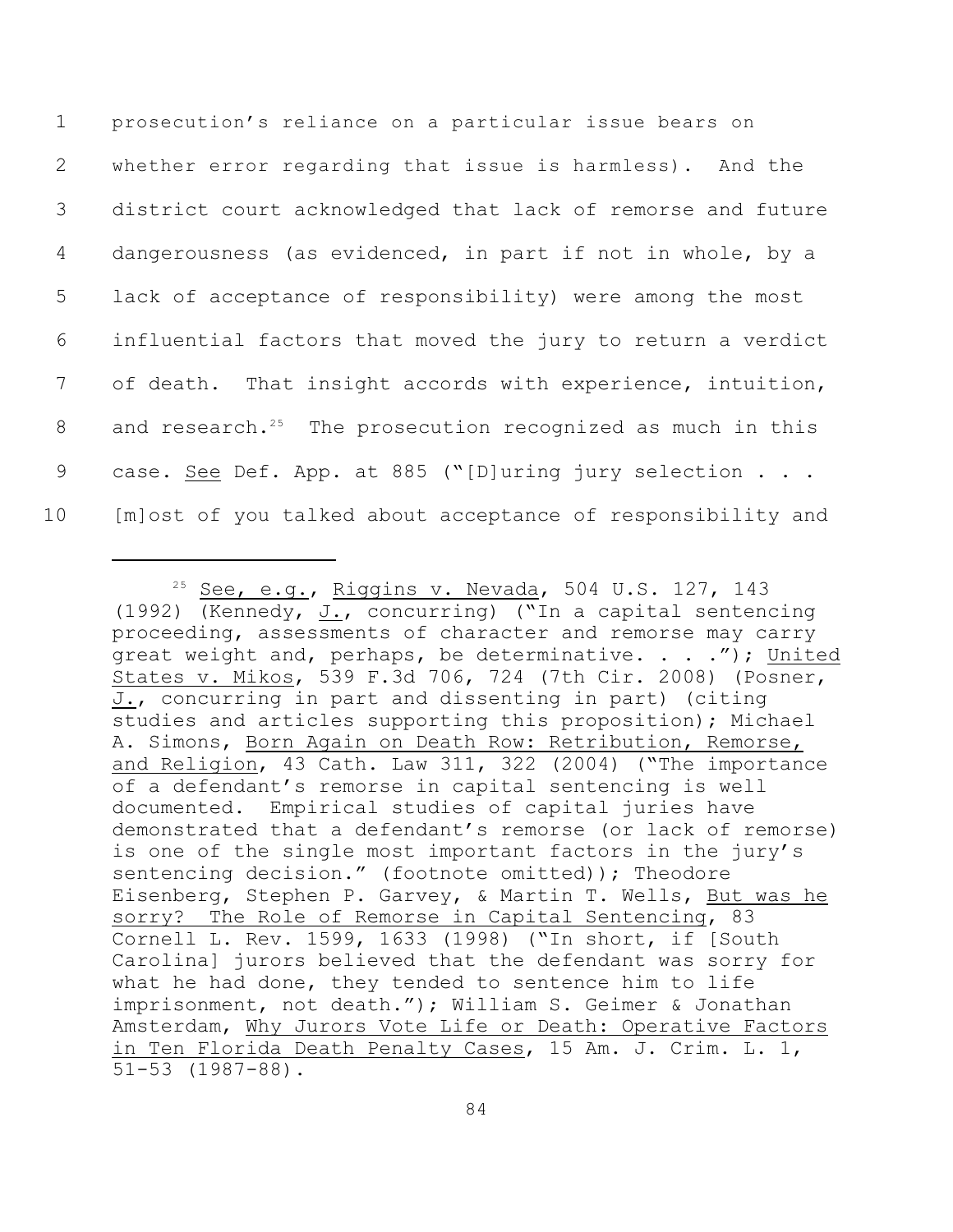prosecution's reliance on a particular issue bears on whether error regarding that issue is harmless). And the district court acknowledged that lack of remorse and future dangerousness (as evidenced, in part if not in whole, by a lack of acceptance of responsibility) were among the most influential factors that moved the jury to return a verdict of death. That insight accords with experience, intuition, 8 and research.<sup>25</sup> The prosecution recognized as much in this 9 case. See Def. App. at 885 ("[D]uring jury selection . . . [m]ost of you talked about acceptance of responsibility and

 $25$  See, e.g., Riggins v. Nevada, 504 U.S. 127, 143 (1992) (Kennedy, J., concurring) ("In a capital sentencing proceeding, assessments of character and remorse may carry great weight and, perhaps, be determinative. . . . "); United States v. Mikos, 539 F.3d 706, 724 (7th Cir. 2008) (Posner, J., concurring in part and dissenting in part) (citing studies and articles supporting this proposition); Michael A. Simons, Born Again on Death Row: Retribution, Remorse, and Religion, 43 Cath. Law 311, 322 (2004) ("The importance of a defendant's remorse in capital sentencing is well documented. Empirical studies of capital juries have demonstrated that a defendant's remorse (or lack of remorse) is one of the single most important factors in the jury's sentencing decision." (footnote omitted)); Theodore Eisenberg, Stephen P. Garvey, & Martin T. Wells, But was he sorry? The Role of Remorse in Capital Sentencing, 83 Cornell L. Rev. 1599, 1633 (1998) ("In short, if [South Carolina] jurors believed that the defendant was sorry for what he had done, they tended to sentence him to life imprisonment, not death."); William S. Geimer & Jonathan Amsterdam, Why Jurors Vote Life or Death: Operative Factors in Ten Florida Death Penalty Cases, 15 Am. J. Crim. L. 1, 51-53 (1987-88).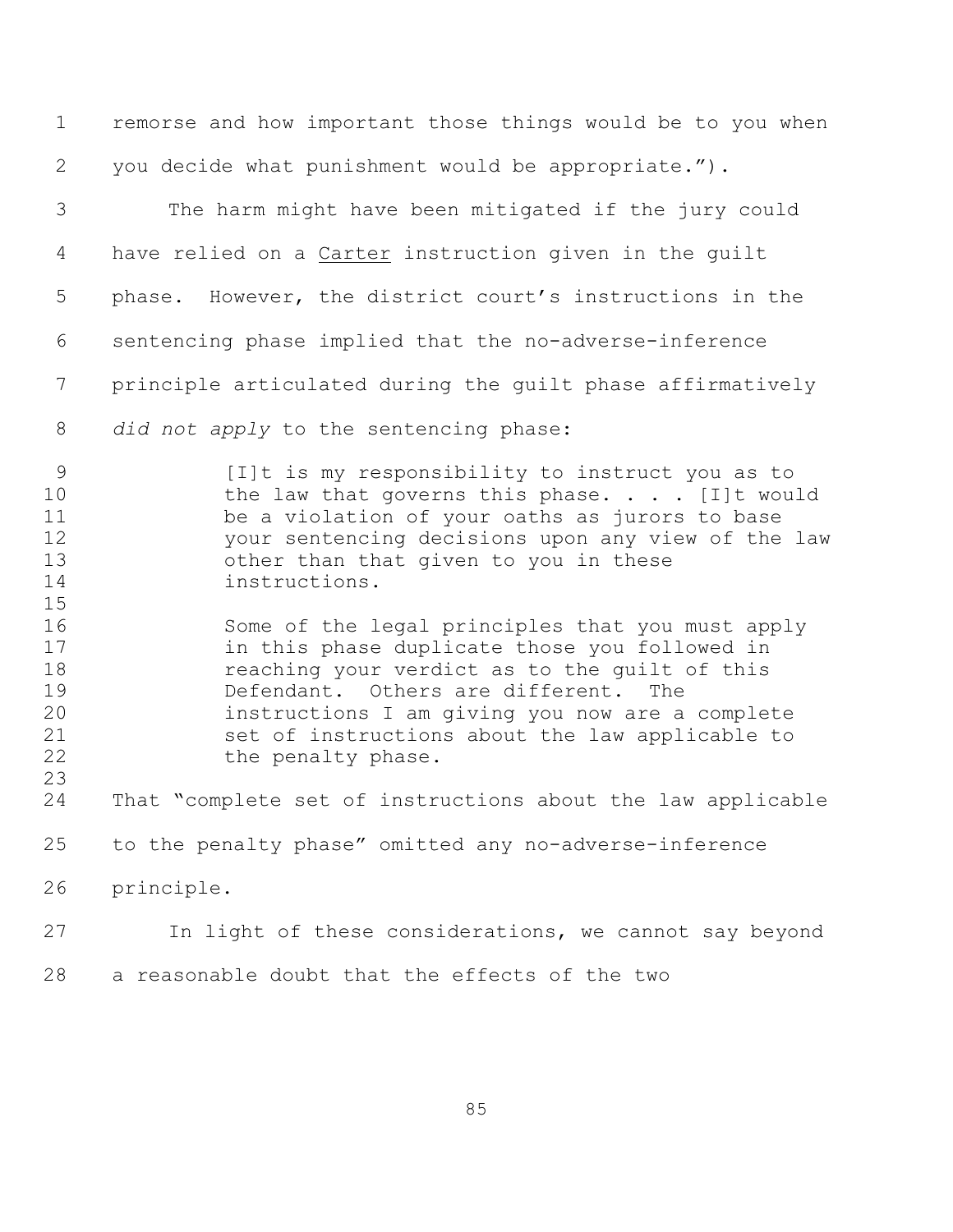remorse and how important those things would be to you when you decide what punishment would be appropriate."). The harm might have been mitigated if the jury could have relied on a Carter instruction given in the guilt phase. However, the district court's instructions in the sentencing phase implied that the no-adverse-inference principle articulated during the guilt phase affirmatively *did not apply* to the sentencing phase: [I]t is my responsibility to instruct you as to 10 the law that governs this phase. . . . [I]t would be a violation of your oaths as jurors to base your sentencing decisions upon any view of the law other than that given to you in these instructions. Some of the legal principles that you must apply in this phase duplicate those you followed in reaching your verdict as to the guilt of this Defendant. Others are different. The instructions I am giving you now are a complete set of instructions about the law applicable to 22 the penalty phase. That "complete set of instructions about the law applicable to the penalty phase" omitted any no-adverse-inference principle. In light of these considerations, we cannot say beyond a reasonable doubt that the effects of the two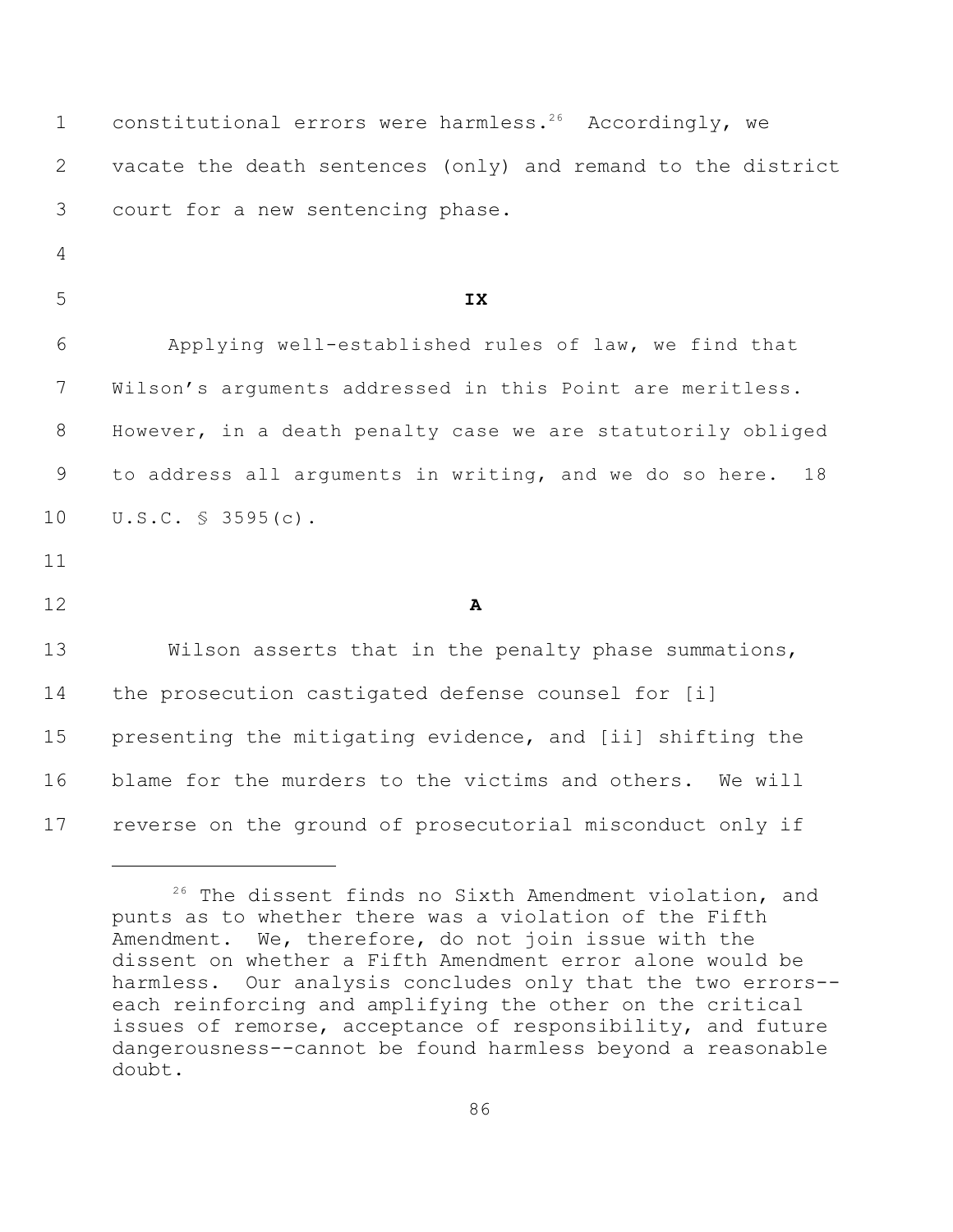| $\mathbf 1$    | constitutional errors were harmless. <sup>26</sup> Accordingly, we |
|----------------|--------------------------------------------------------------------|
| 2              | vacate the death sentences (only) and remand to the district       |
| 3              | court for a new sentencing phase.                                  |
| $\overline{4}$ |                                                                    |
| 5              | IX                                                                 |
| 6              | Applying well-established rules of law, we find that               |
| $7\phantom{.}$ | Wilson's arguments addressed in this Point are meritless.          |
| 8              | However, in a death penalty case we are statutorily obliged        |
| 9              | to address all arguments in writing, and we do so here.<br>18      |
| 10             | $U.S.C. S 3595(c)$ .                                               |
| 11             |                                                                    |
| 12             | $\mathbf{A}$                                                       |
| 13             | Wilson asserts that in the penalty phase summations,               |
| 14             | the prosecution castigated defense counsel for [i]                 |
| 15             | presenting the mitigating evidence, and [ii] shifting the          |
| 16             | blame for the murders to the victims and others. We will           |
| 17             | reverse on the ground of prosecutorial misconduct only if          |

<sup>&</sup>lt;sup>26</sup> The dissent finds no Sixth Amendment violation, and punts as to whether there was a violation of the Fifth Amendment. We, therefore, do not join issue with the dissent on whether a Fifth Amendment error alone would be harmless. Our analysis concludes only that the two errors- each reinforcing and amplifying the other on the critical issues of remorse, acceptance of responsibility, and future dangerousness--cannot be found harmless beyond a reasonable doubt.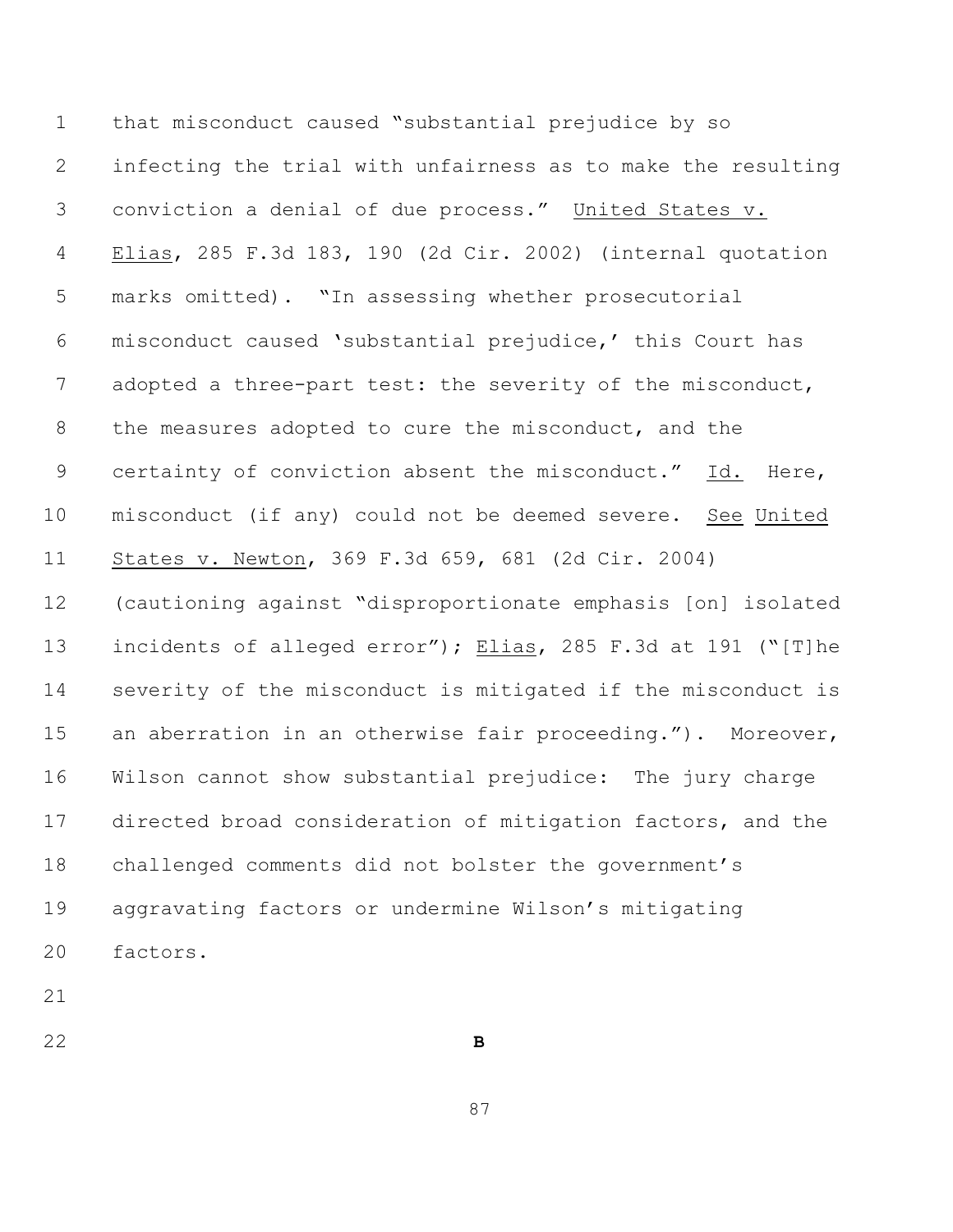that misconduct caused "substantial prejudice by so infecting the trial with unfairness as to make the resulting conviction a denial of due process." United States v. Elias, 285 F.3d 183, 190 (2d Cir. 2002) (internal quotation marks omitted). "In assessing whether prosecutorial misconduct caused 'substantial prejudice,' this Court has 7 adopted a three-part test: the severity of the misconduct, the measures adopted to cure the misconduct, and the certainty of conviction absent the misconduct." Id. Here, misconduct (if any) could not be deemed severe. See United States v. Newton, 369 F.3d 659, 681 (2d Cir. 2004) (cautioning against "disproportionate emphasis [on] isolated incidents of alleged error"); Elias, 285 F.3d at 191 ("[T]he severity of the misconduct is mitigated if the misconduct is an aberration in an otherwise fair proceeding."). Moreover, Wilson cannot show substantial prejudice: The jury charge directed broad consideration of mitigation factors, and the challenged comments did not bolster the government's aggravating factors or undermine Wilson's mitigating factors.

**B**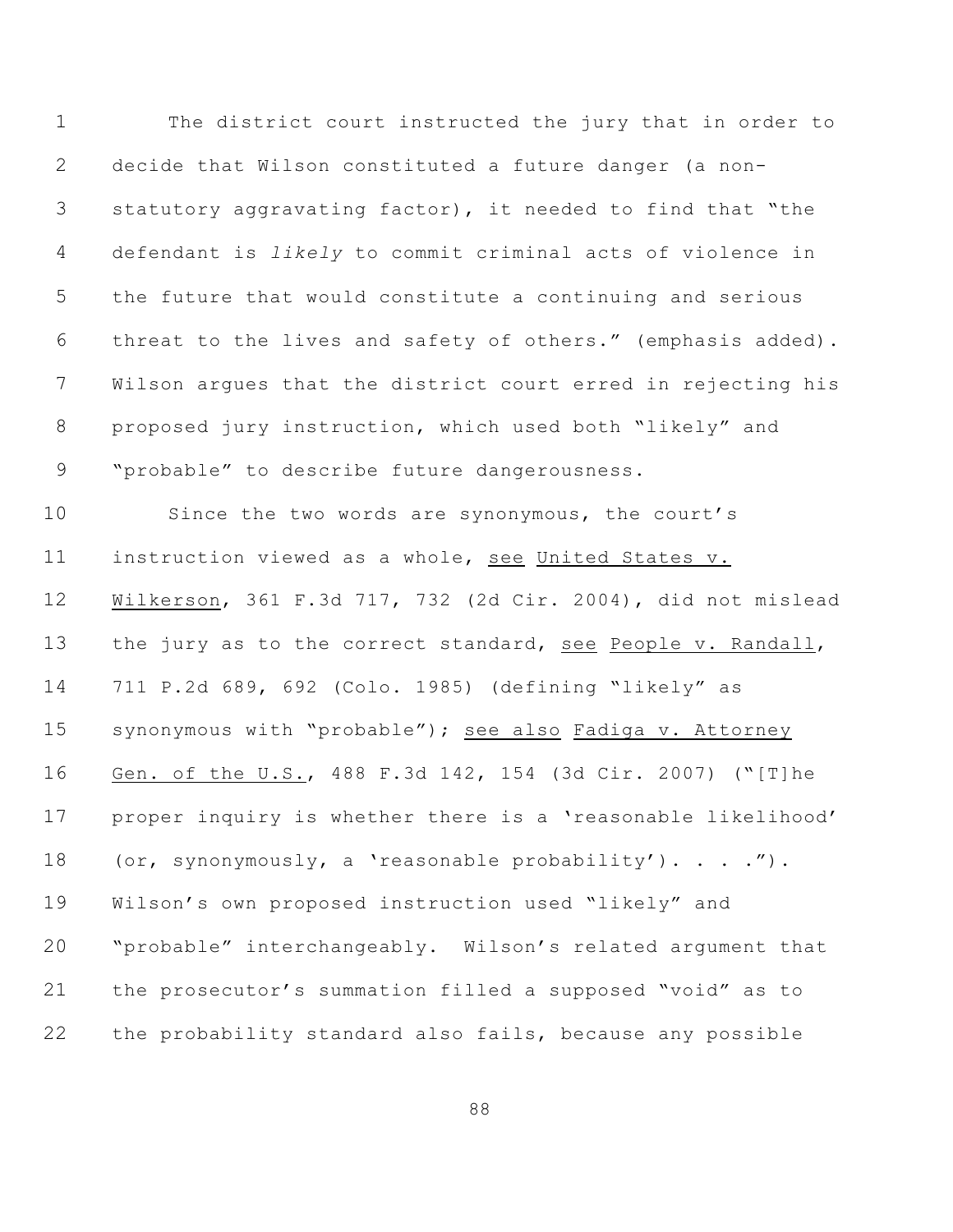| $\mathbf 1$     | The district court instructed the jury that in order to      |
|-----------------|--------------------------------------------------------------|
| 2               | decide that Wilson constituted a future danger (a non-       |
| 3               | statutory aggravating factor), it needed to find that "the   |
| 4               | defendant is likely to commit criminal acts of violence in   |
| 5               | the future that would constitute a continuing and serious    |
| 6               | threat to the lives and safety of others." (emphasis added). |
| 7               | Wilson argues that the district court erred in rejecting his |
| 8               | proposed jury instruction, which used both "likely" and      |
| 9               | "probable" to describe future dangerousness.                 |
| 10 <sub>o</sub> | Since the two words are synonymous, the court's              |
| 11              | instruction viewed as a whole, see United States v.          |
| 12              | Wilkerson, 361 F.3d 717, 732 (2d Cir. 2004), did not mislead |
| 13              | the jury as to the correct standard, see People v. Randall,  |
| 14              | 711 P.2d 689, 692 (Colo. 1985) (defining "likely" as         |
| 15              | synonymous with "probable"); see also Fadiga v. Attorney     |
| 16              | Gen. of the U.S., 488 F.3d 142, 154 (3d Cir. 2007) ("[T]he   |
| 17              | proper inquiry is whether there is a 'reasonable likelihood' |
| 18              | (or, synonymously, a 'reasonable probability'). ").          |
| 19              | Wilson's own proposed instruction used "likely" and          |
| 20              | "probable" interchangeably. Wilson's related argument that   |
| 21              | the prosecutor's summation filled a supposed "void" as to    |
| 22              | the probability standard also fails, because any possible    |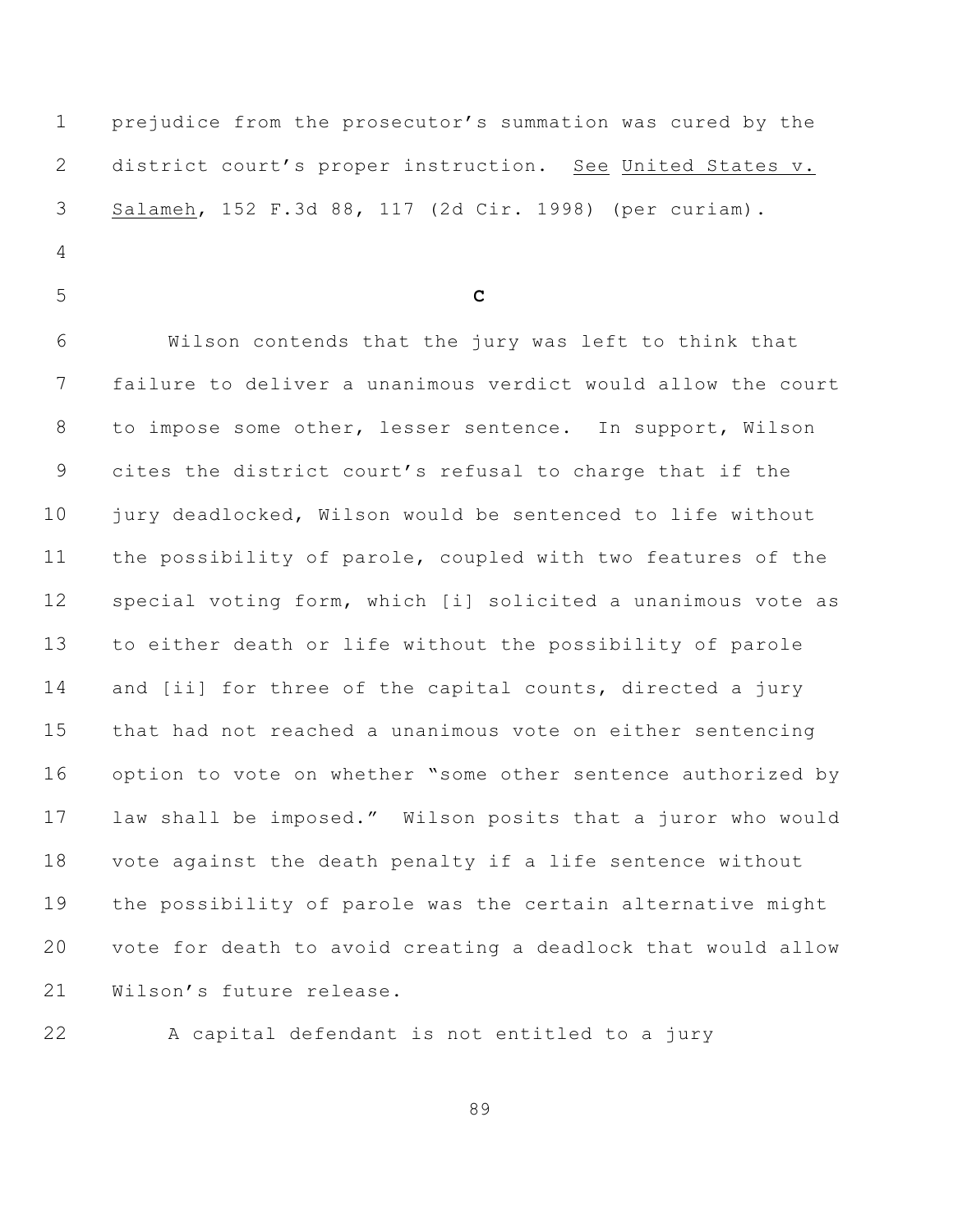prejudice from the prosecutor's summation was cured by the district court's proper instruction. See United States v. Salameh, 152 F.3d 88, 117 (2d Cir. 1998) (per curiam).

- 
- **C**

 Wilson contends that the jury was left to think that failure to deliver a unanimous verdict would allow the court to impose some other, lesser sentence. In support, Wilson cites the district court's refusal to charge that if the jury deadlocked, Wilson would be sentenced to life without the possibility of parole, coupled with two features of the special voting form, which [i] solicited a unanimous vote as to either death or life without the possibility of parole and [ii] for three of the capital counts, directed a jury that had not reached a unanimous vote on either sentencing option to vote on whether "some other sentence authorized by law shall be imposed." Wilson posits that a juror who would vote against the death penalty if a life sentence without the possibility of parole was the certain alternative might vote for death to avoid creating a deadlock that would allow Wilson's future release.



A capital defendant is not entitled to a jury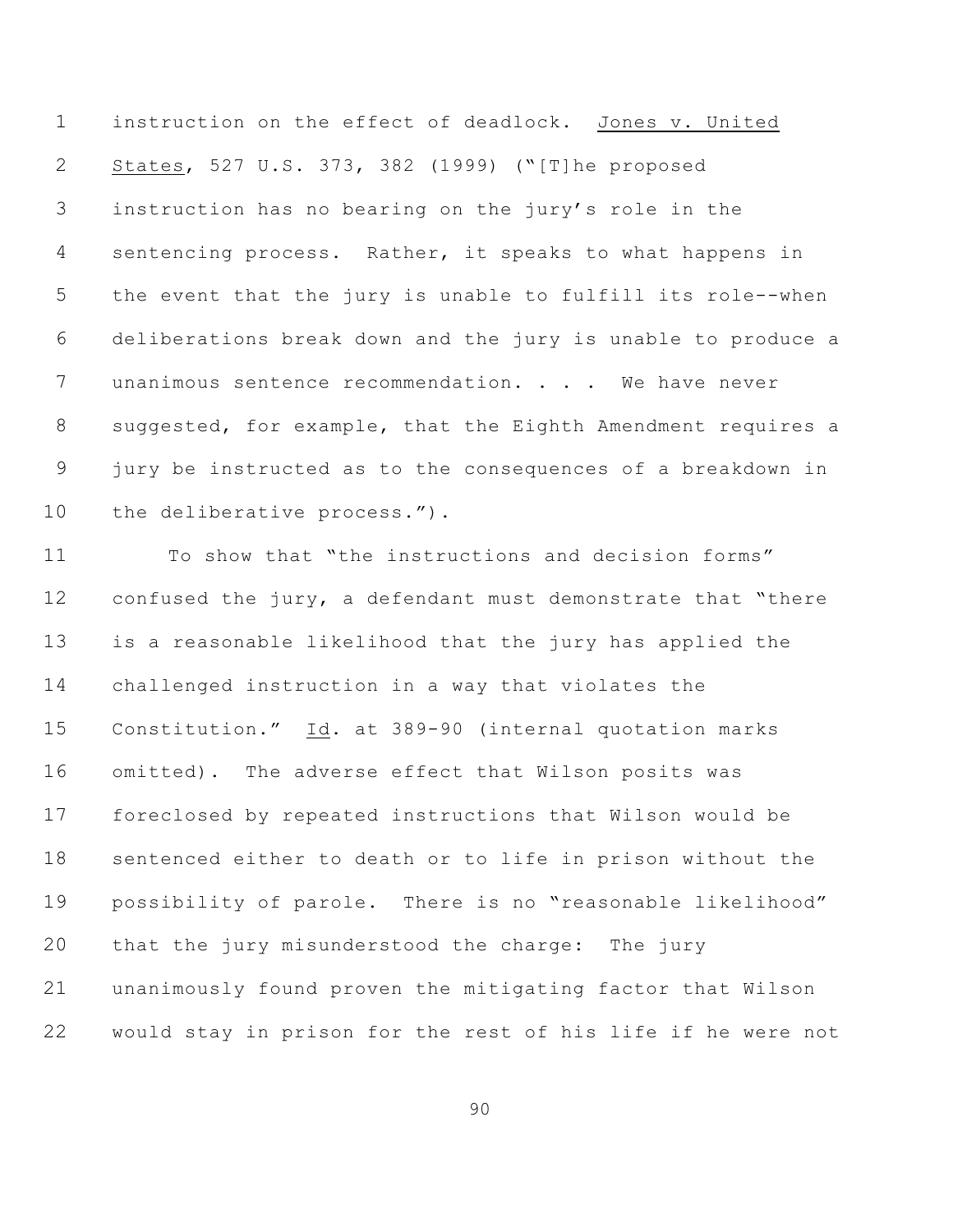instruction on the effect of deadlock. Jones v. United States, 527 U.S. 373, 382 (1999) ("[T]he proposed instruction has no bearing on the jury's role in the sentencing process. Rather, it speaks to what happens in the event that the jury is unable to fulfill its role--when deliberations break down and the jury is unable to produce a 7 unanimous sentence recommendation. . . . We have never suggested, for example, that the Eighth Amendment requires a jury be instructed as to the consequences of a breakdown in 10 the deliberative process.").

 To show that "the instructions and decision forms" 12 confused the jury, a defendant must demonstrate that "there is a reasonable likelihood that the jury has applied the challenged instruction in a way that violates the Constitution." Id. at 389-90 (internal quotation marks omitted). The adverse effect that Wilson posits was foreclosed by repeated instructions that Wilson would be sentenced either to death or to life in prison without the possibility of parole. There is no "reasonable likelihood" that the jury misunderstood the charge: The jury unanimously found proven the mitigating factor that Wilson would stay in prison for the rest of his life if he were not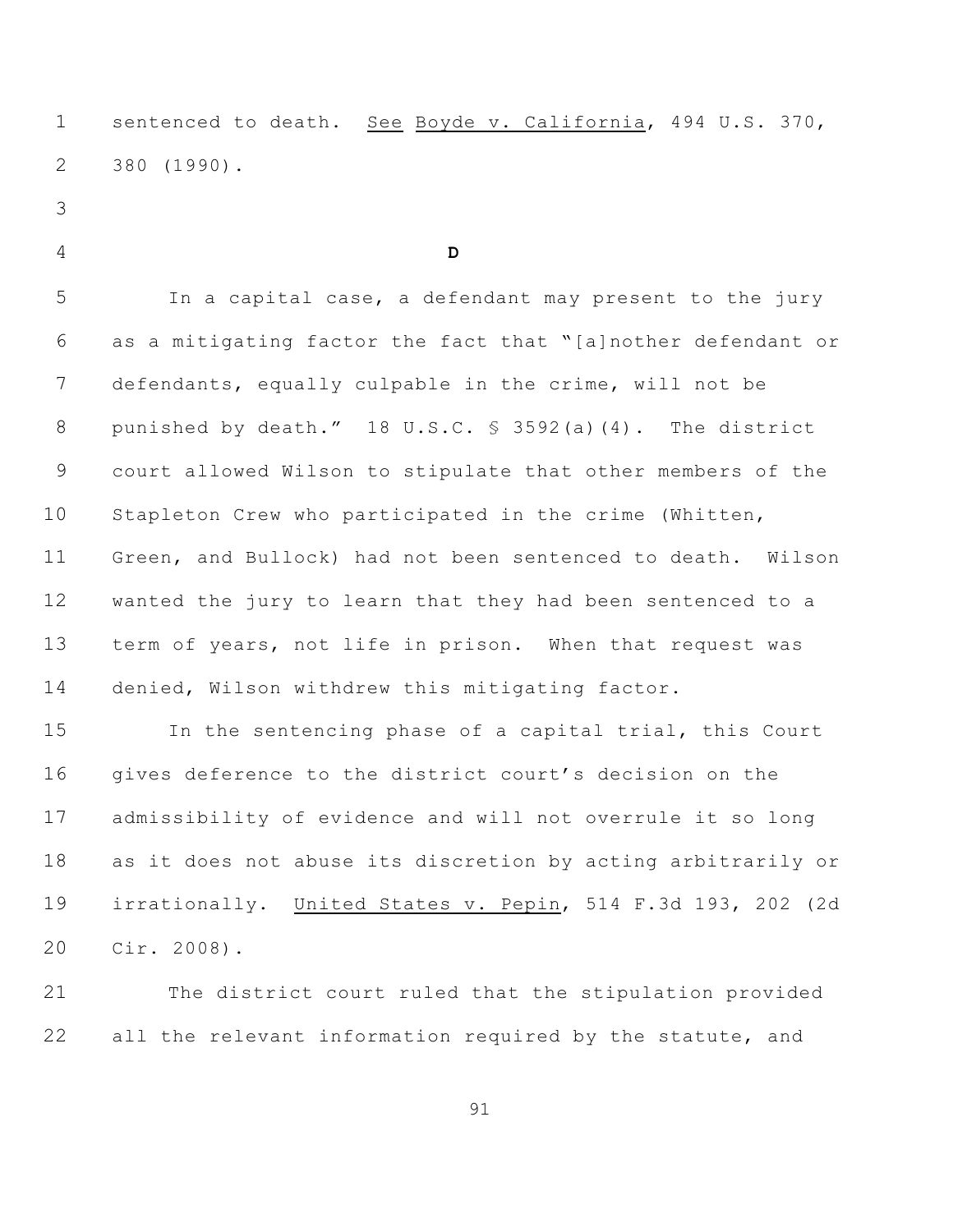sentenced to death. See Boyde v. California, 494 U.S. 370, 380 (1990).

- 
- 

## **D**

 In a capital case, a defendant may present to the jury as a mitigating factor the fact that "[a]nother defendant or defendants, equally culpable in the crime, will not be punished by death." 18 U.S.C. § 3592(a)(4). The district court allowed Wilson to stipulate that other members of the Stapleton Crew who participated in the crime (Whitten, Green, and Bullock) had not been sentenced to death. Wilson wanted the jury to learn that they had been sentenced to a term of years, not life in prison. When that request was denied, Wilson withdrew this mitigating factor.

 In the sentencing phase of a capital trial, this Court 16 gives deference to the district court's decision on the admissibility of evidence and will not overrule it so long as it does not abuse its discretion by acting arbitrarily or irrationally. United States v. Pepin, 514 F.3d 193, 202 (2d Cir. 2008).

 The district court ruled that the stipulation provided 22 all the relevant information required by the statute, and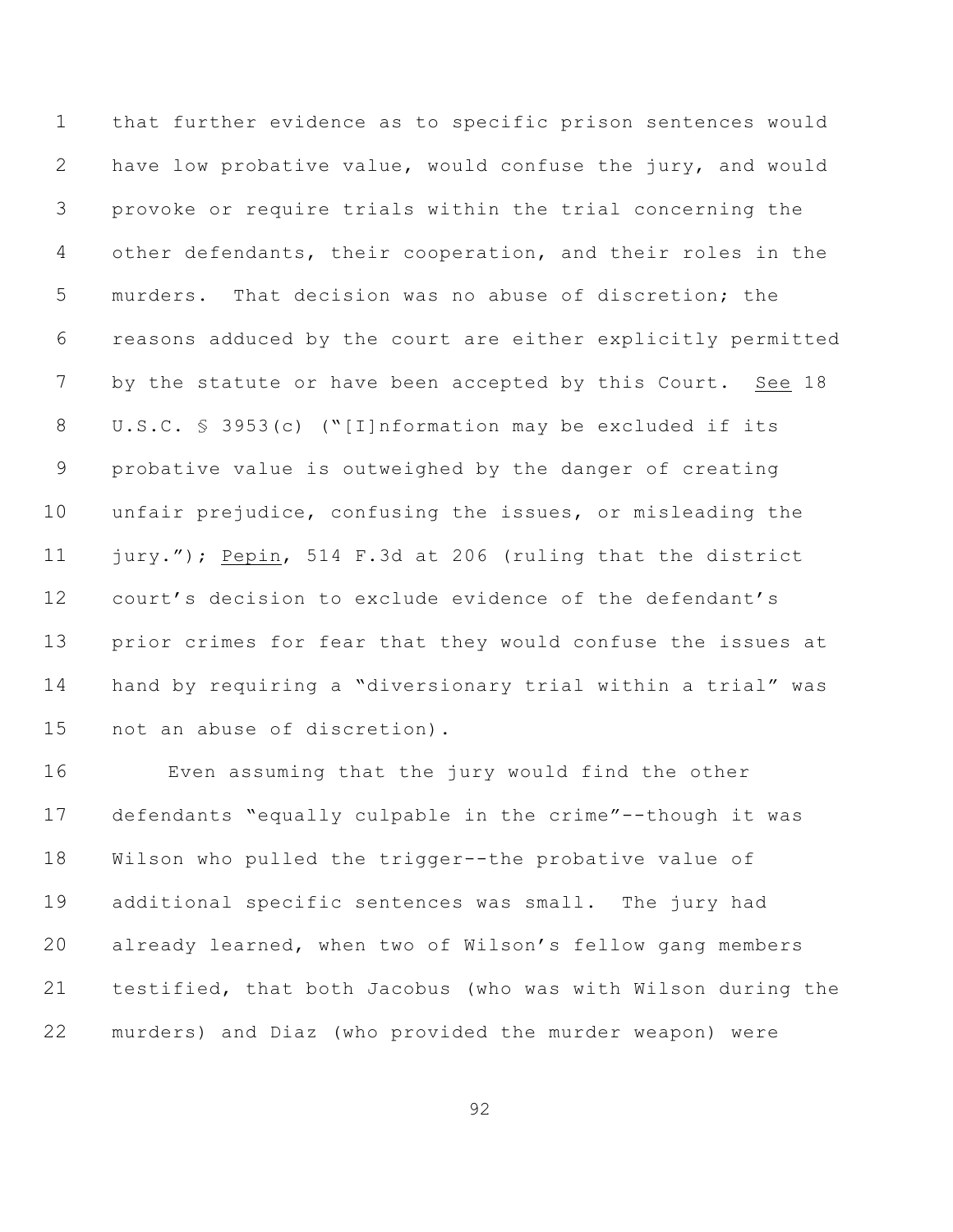that further evidence as to specific prison sentences would have low probative value, would confuse the jury, and would provoke or require trials within the trial concerning the other defendants, their cooperation, and their roles in the murders. That decision was no abuse of discretion; the reasons adduced by the court are either explicitly permitted by the statute or have been accepted by this Court. See 18 U.S.C. § 3953(c) ("[I]nformation may be excluded if its probative value is outweighed by the danger of creating unfair prejudice, confusing the issues, or misleading the jury."); Pepin, 514 F.3d at 206 (ruling that the district court's decision to exclude evidence of the defendant's prior crimes for fear that they would confuse the issues at hand by requiring a "diversionary trial within a trial" was not an abuse of discretion).

 Even assuming that the jury would find the other defendants "equally culpable in the crime"--though it was Wilson who pulled the trigger--the probative value of additional specific sentences was small. The jury had already learned, when two of Wilson's fellow gang members testified, that both Jacobus (who was with Wilson during the murders) and Diaz (who provided the murder weapon) were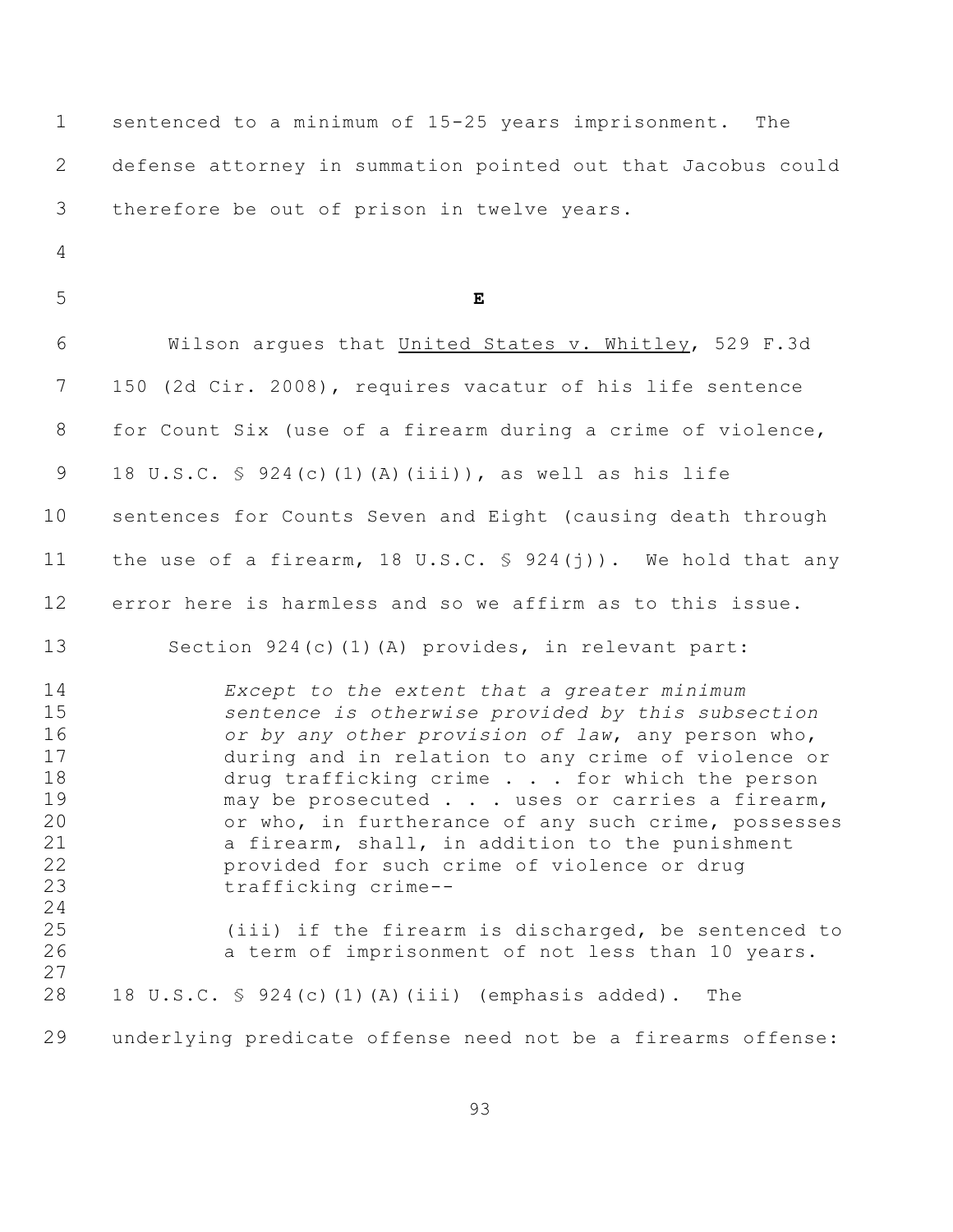| $\mathbf 1$                                                                      | sentenced to a minimum of 15-25 years imprisonment. The                                                                                                                                                                                                                                                                                                                                                                                                                                                                                                                                                |
|----------------------------------------------------------------------------------|--------------------------------------------------------------------------------------------------------------------------------------------------------------------------------------------------------------------------------------------------------------------------------------------------------------------------------------------------------------------------------------------------------------------------------------------------------------------------------------------------------------------------------------------------------------------------------------------------------|
| $\mathbf{2}$                                                                     | defense attorney in summation pointed out that Jacobus could                                                                                                                                                                                                                                                                                                                                                                                                                                                                                                                                           |
| 3                                                                                | therefore be out of prison in twelve years.                                                                                                                                                                                                                                                                                                                                                                                                                                                                                                                                                            |
| 4                                                                                |                                                                                                                                                                                                                                                                                                                                                                                                                                                                                                                                                                                                        |
| 5                                                                                | $\mathbf E$                                                                                                                                                                                                                                                                                                                                                                                                                                                                                                                                                                                            |
| 6                                                                                | Wilson argues that United States v. Whitley, 529 F.3d                                                                                                                                                                                                                                                                                                                                                                                                                                                                                                                                                  |
| 7                                                                                | 150 (2d Cir. 2008), requires vacatur of his life sentence                                                                                                                                                                                                                                                                                                                                                                                                                                                                                                                                              |
| 8                                                                                | for Count Six (use of a firearm during a crime of violence,                                                                                                                                                                                                                                                                                                                                                                                                                                                                                                                                            |
| 9                                                                                | 18 U.S.C. § 924(c)(1)(A)(iii)), as well as his life                                                                                                                                                                                                                                                                                                                                                                                                                                                                                                                                                    |
| 10                                                                               | sentences for Counts Seven and Eight (causing death through                                                                                                                                                                                                                                                                                                                                                                                                                                                                                                                                            |
| 11                                                                               | the use of a firearm, 18 U.S.C. $\frac{1}{2}$ 924(j)). We hold that any                                                                                                                                                                                                                                                                                                                                                                                                                                                                                                                                |
| 12                                                                               | error here is harmless and so we affirm as to this issue.                                                                                                                                                                                                                                                                                                                                                                                                                                                                                                                                              |
| 13                                                                               | Section 924(c)(1)(A) provides, in relevant part:                                                                                                                                                                                                                                                                                                                                                                                                                                                                                                                                                       |
| 14<br>15<br>16<br>17<br>18<br>19<br>20<br>21<br>22<br>23<br>24<br>25<br>26<br>27 | Except to the extent that a greater minimum<br>sentence is otherwise provided by this subsection<br>or by any other provision of law, any person who,<br>during and in relation to any crime of violence or<br>drug trafficking crime for which the person<br>may be prosecuted uses or carries a firearm,<br>or who, in furtherance of any such crime, possesses<br>a firearm, shall, in addition to the punishment<br>provided for such crime of violence or drug<br>trafficking crime--<br>(iii) if the firearm is discharged, be sentenced to<br>a term of imprisonment of not less than 10 years. |
| 28                                                                               | 18 U.S.C. § 924(c)(1)(A)(iii) (emphasis added).<br>The                                                                                                                                                                                                                                                                                                                                                                                                                                                                                                                                                 |
| 29                                                                               | underlying predicate offense need not be a firearms offense:                                                                                                                                                                                                                                                                                                                                                                                                                                                                                                                                           |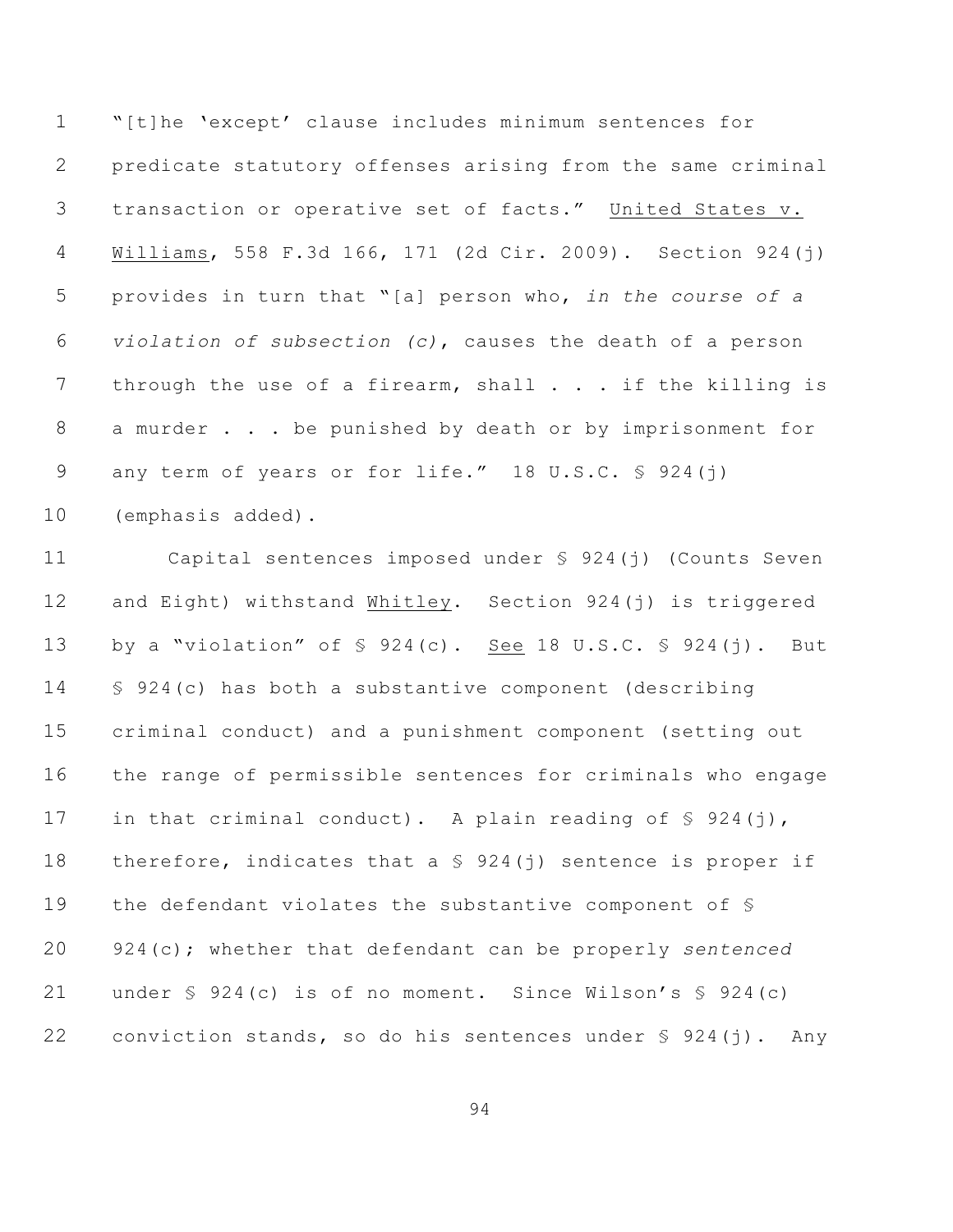"[t]he 'except' clause includes minimum sentences for predicate statutory offenses arising from the same criminal transaction or operative set of facts." United States v. Williams, 558 F.3d 166, 171 (2d Cir. 2009). Section 924(j) provides in turn that "[a] person who, *in the course of a violation of subsection (c)*, causes the death of a person 7 through the use of a firearm, shall . . . if the killing is a murder . . . be punished by death or by imprisonment for 9 any term of years or for life." 18 U.S.C. § 924(j) (emphasis added).

 Capital sentences imposed under § 924(j) (Counts Seven and Eight) withstand Whitley. Section 924(j) is triggered by a "violation" of § 924(c). See 18 U.S.C. § 924(j). But § 924(c) has both a substantive component (describing criminal conduct) and a punishment component (setting out the range of permissible sentences for criminals who engage 17 in that criminal conduct). A plain reading of  $\S$  924(j), 18 therefore, indicates that a  $$ 924(i)$  sentence is proper if the defendant violates the substantive component of § 924(c); whether that defendant can be properly *sentenced* 21 under § 924(c) is of no moment. Since Wilson's § 924(c) 22 conviction stands, so do his sentences under  $\S$  924(j). Any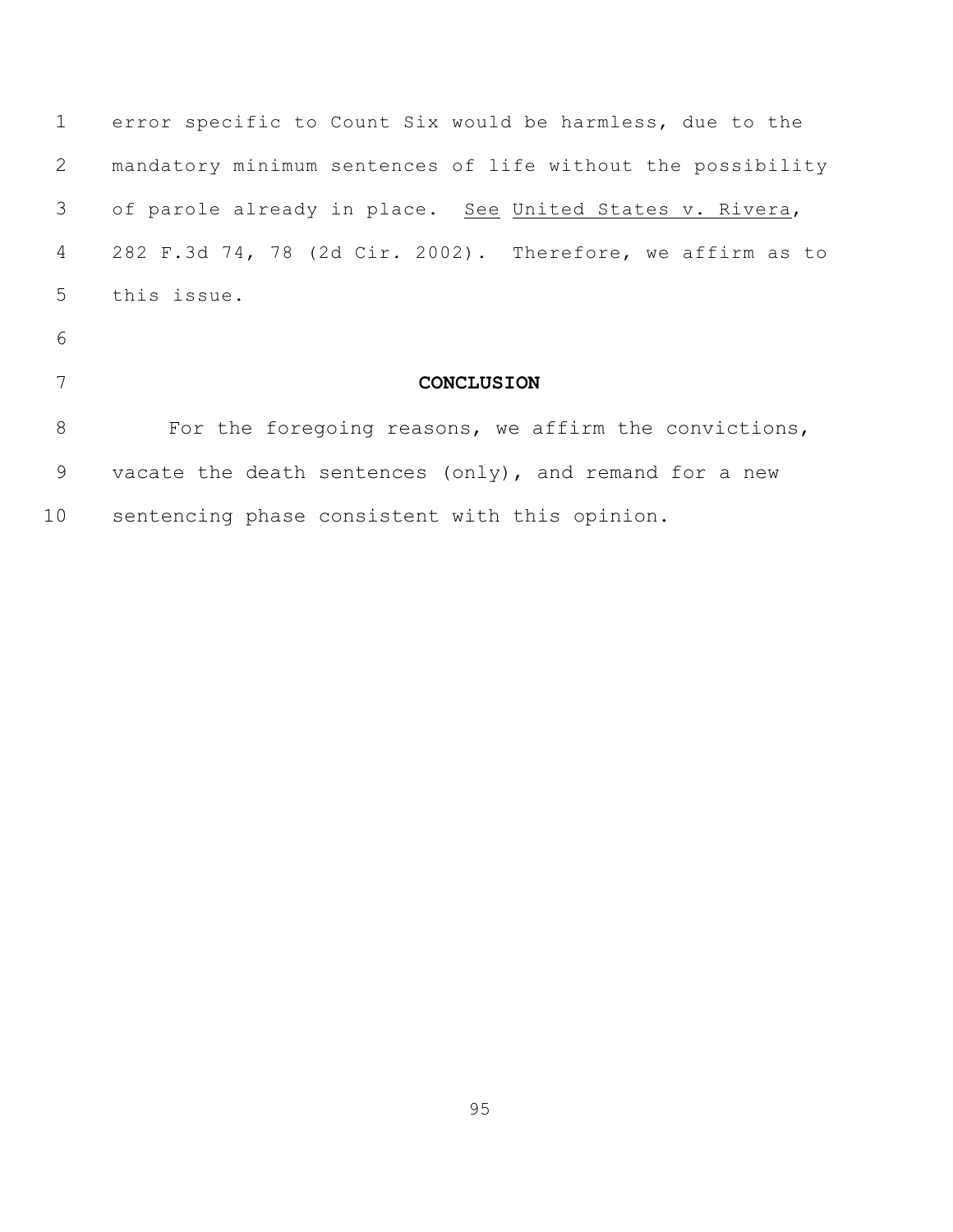| $\mathbf{1}$ | error specific to Count Six would be harmless, due to the   |
|--------------|-------------------------------------------------------------|
| 2            | mandatory minimum sentences of life without the possibility |
| 3            | of parole already in place. See United States v. Rivera,    |
| 4            | 282 F.3d 74, 78 (2d Cir. 2002). Therefore, we affirm as to  |
| 5            | this issue.                                                 |
| 6            |                                                             |
| 7            | <b>CONCLUSION</b>                                           |
| 8            | For the foregoing reasons, we affirm the convictions,       |
| 9            | vacate the death sentences (only), and remand for a new     |
| 10           | sentencing phase consistent with this opinion.              |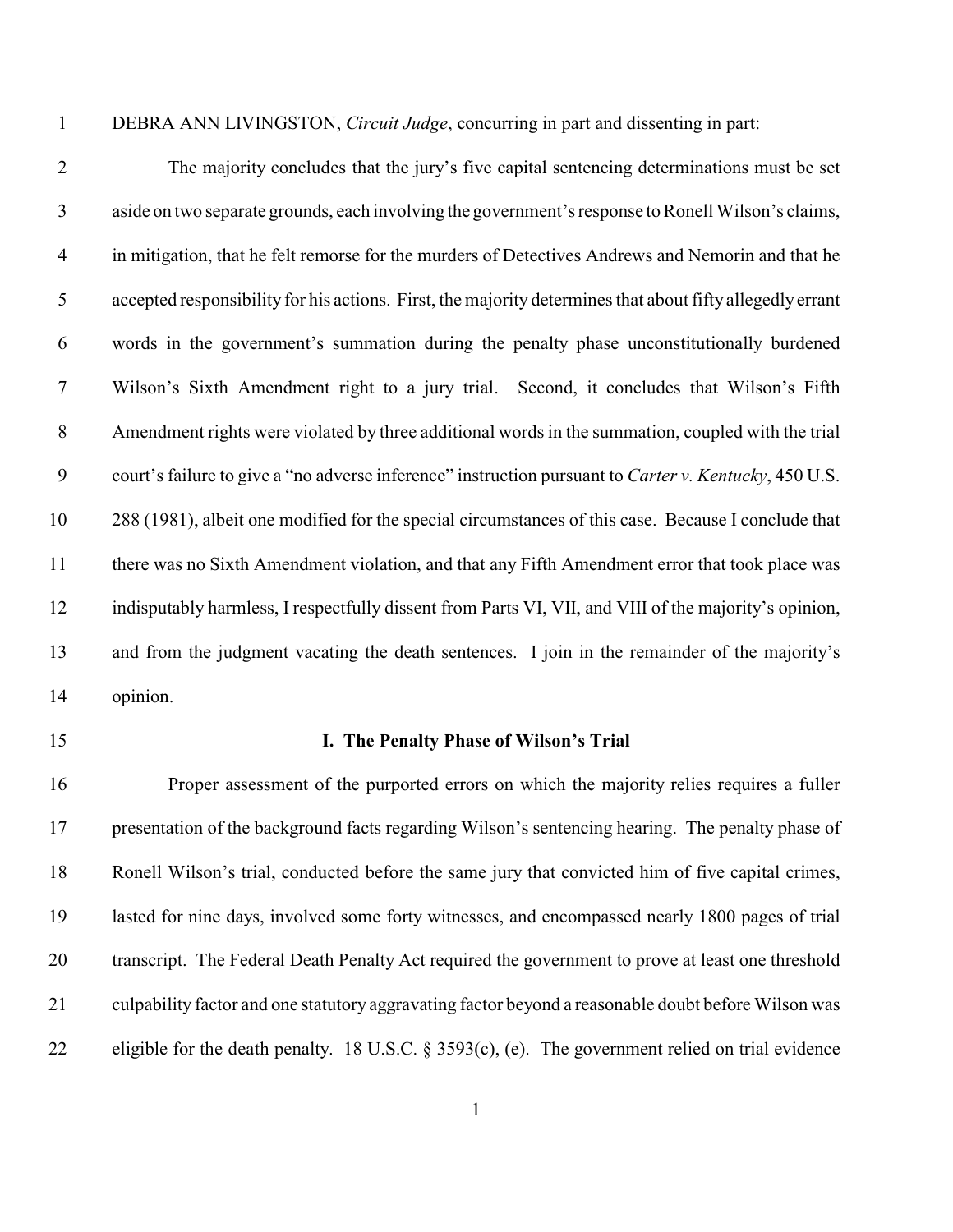DEBRA ANN LIVINGSTON, *Circuit Judge*, concurring in part and dissenting in part:

 The majority concludes that the jury's five capital sentencing determinations must be set aside on two separate grounds, each involving the government's response to Ronell Wilson's claims, in mitigation, that he felt remorse for the murders of Detectives Andrews and Nemorin and that he accepted responsibility for his actions. First, the majority determines that about fifty allegedly errant words in the government's summation during the penalty phase unconstitutionally burdened Wilson's Sixth Amendment right to a jury trial. Second, it concludes that Wilson's Fifth Amendment rights were violated by three additional words in the summation, coupled with the trial court's failure to give a "no adverse inference" instruction pursuant to *Carter v. Kentucky*, 450 U.S. 288 (1981), albeit one modified for the special circumstances of this case. Because I conclude that there was no Sixth Amendment violation, and that any Fifth Amendment error that took place was indisputably harmless, I respectfully dissent from Parts VI, VII, and VIII of the majority's opinion, and from the judgment vacating the death sentences. I join in the remainder of the majority's opinion.

#### **I. The Penalty Phase of Wilson's Trial**

 Proper assessment of the purported errors on which the majority relies requires a fuller presentation of the background facts regarding Wilson's sentencing hearing. The penalty phase of Ronell Wilson's trial, conducted before the same jury that convicted him of five capital crimes, lasted for nine days, involved some forty witnesses, and encompassed nearly 1800 pages of trial transcript. The Federal Death Penalty Act required the government to prove at least one threshold culpability factor and one statutory aggravating factor beyond a reasonable doubt before Wilson was eligible for the death penalty. 18 U.S.C. § 3593(c), (e). The government relied on trial evidence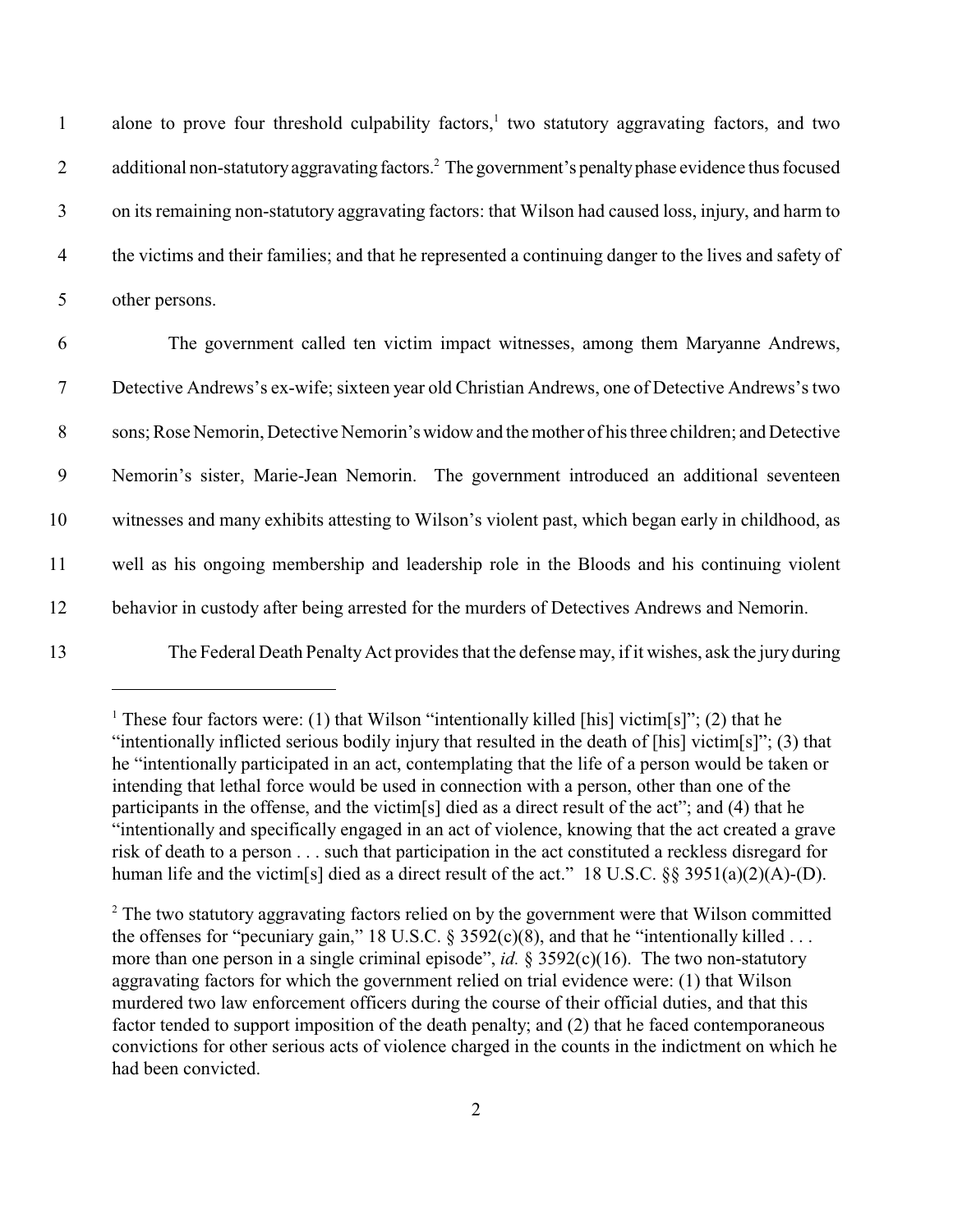1 alone to prove four threshold culpability factors,<sup>1</sup> two statutory aggravating factors, and two 2 additional non-statutory aggravating factors.<sup>2</sup> The government's penalty phase evidence thus focused 3 on its remaining non-statutory aggravating factors: that Wilson had caused loss, injury, and harm to 4 the victims and their families; and that he represented a continuing danger to the lives and safety of 5 other persons.

 The government called ten victim impact witnesses, among them Maryanne Andrews, Detective Andrews's ex-wife; sixteen year old Christian Andrews, one of Detective Andrews's two sons; Rose Nemorin, Detective Nemorin's widow and the mother of his three children; and Detective Nemorin's sister, Marie-Jean Nemorin. The government introduced an additional seventeen witnesses and many exhibits attesting to Wilson's violent past, which began early in childhood, as well as his ongoing membership and leadership role in the Bloods and his continuing violent behavior in custody after being arrested for the murders of Detectives Andrews and Nemorin.

13 The Federal Death PenaltyAct provides that the defense may, if it wishes, ask the jury during

<sup>&</sup>lt;sup>1</sup> These four factors were: (1) that Wilson "intentionally killed [his] victim[s]"; (2) that he "intentionally inflicted serious bodily injury that resulted in the death of [his] victim[s]"; (3) that he "intentionally participated in an act, contemplating that the life of a person would be taken or intending that lethal force would be used in connection with a person, other than one of the participants in the offense, and the victim[s] died as a direct result of the act"; and (4) that he "intentionally and specifically engaged in an act of violence, knowing that the act created a grave risk of death to a person . . . such that participation in the act constituted a reckless disregard for human life and the victim[s] died as a direct result of the act." 18 U.S.C. §§ 3951(a)(2)(A)-(D).

 $2^{\circ}$  The two statutory aggravating factors relied on by the government were that Wilson committed the offenses for "pecuniary gain," 18 U.S.C. § 3592(c)(8), and that he "intentionally killed ... more than one person in a single criminal episode", *id.* § 3592(c)(16). The two non-statutory aggravating factors for which the government relied on trial evidence were: (1) that Wilson murdered two law enforcement officers during the course of their official duties, and that this factor tended to support imposition of the death penalty; and (2) that he faced contemporaneous convictions for other serious acts of violence charged in the counts in the indictment on which he had been convicted.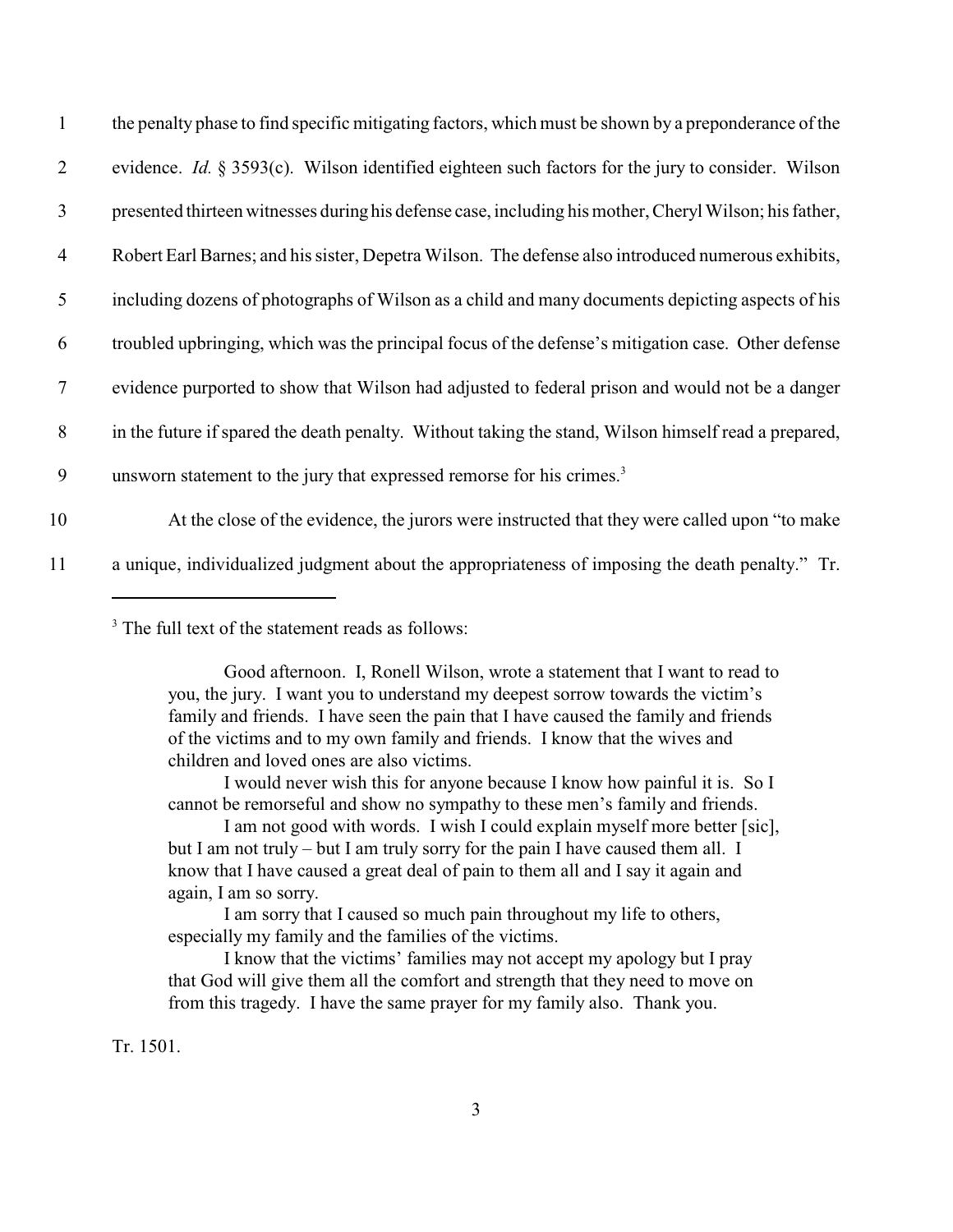| $\mathbf{1}$   | the penalty phase to find specific mitigating factors, which must be shown by a preponderance of the         |
|----------------|--------------------------------------------------------------------------------------------------------------|
| $\overline{2}$ | evidence. <i>Id.</i> § 3593 $(c)$ . Wilson identified eighteen such factors for the jury to consider. Wilson |
| 3              | presented thirteen witnesses during his defense case, including his mother, Cheryl Wilson; his father,       |
| $\overline{4}$ | Robert Earl Barnes; and his sister, Depetra Wilson. The defense also introduced numerous exhibits,           |
| 5              | including dozens of photographs of Wilson as a child and many documents depicting aspects of his             |
| 6              | troubled upbringing, which was the principal focus of the defense's mitigation case. Other defense           |
| $\tau$         | evidence purported to show that Wilson had adjusted to federal prison and would not be a danger              |
| 8              | in the future if spared the death penalty. Without taking the stand, Wilson himself read a prepared,         |
| 9              | unsworn statement to the jury that expressed remorse for his crimes. <sup>3</sup>                            |
| 10             | At the close of the evidence, the jurors were instructed that they were called upon "to make"                |
| 11             | a unique, individualized judgment about the appropriateness of imposing the death penalty." Tr.              |

<sup>3</sup> The full text of the statement reads as follows:

I would never wish this for anyone because I know how painful it is. So I cannot be remorseful and show no sympathy to these men's family and friends.

I am not good with words. I wish I could explain myself more better [sic], but I am not truly – but I am truly sorry for the pain I have caused them all. I know that I have caused a great deal of pain to them all and I say it again and again, I am so sorry.

I am sorry that I caused so much pain throughout my life to others, especially my family and the families of the victims.

I know that the victims' families may not accept my apology but I pray that God will give them all the comfort and strength that they need to move on from this tragedy. I have the same prayer for my family also. Thank you.

Tr. 1501.

Good afternoon. I, Ronell Wilson, wrote a statement that I want to read to you, the jury. I want you to understand my deepest sorrow towards the victim's family and friends. I have seen the pain that I have caused the family and friends of the victims and to my own family and friends. I know that the wives and children and loved ones are also victims.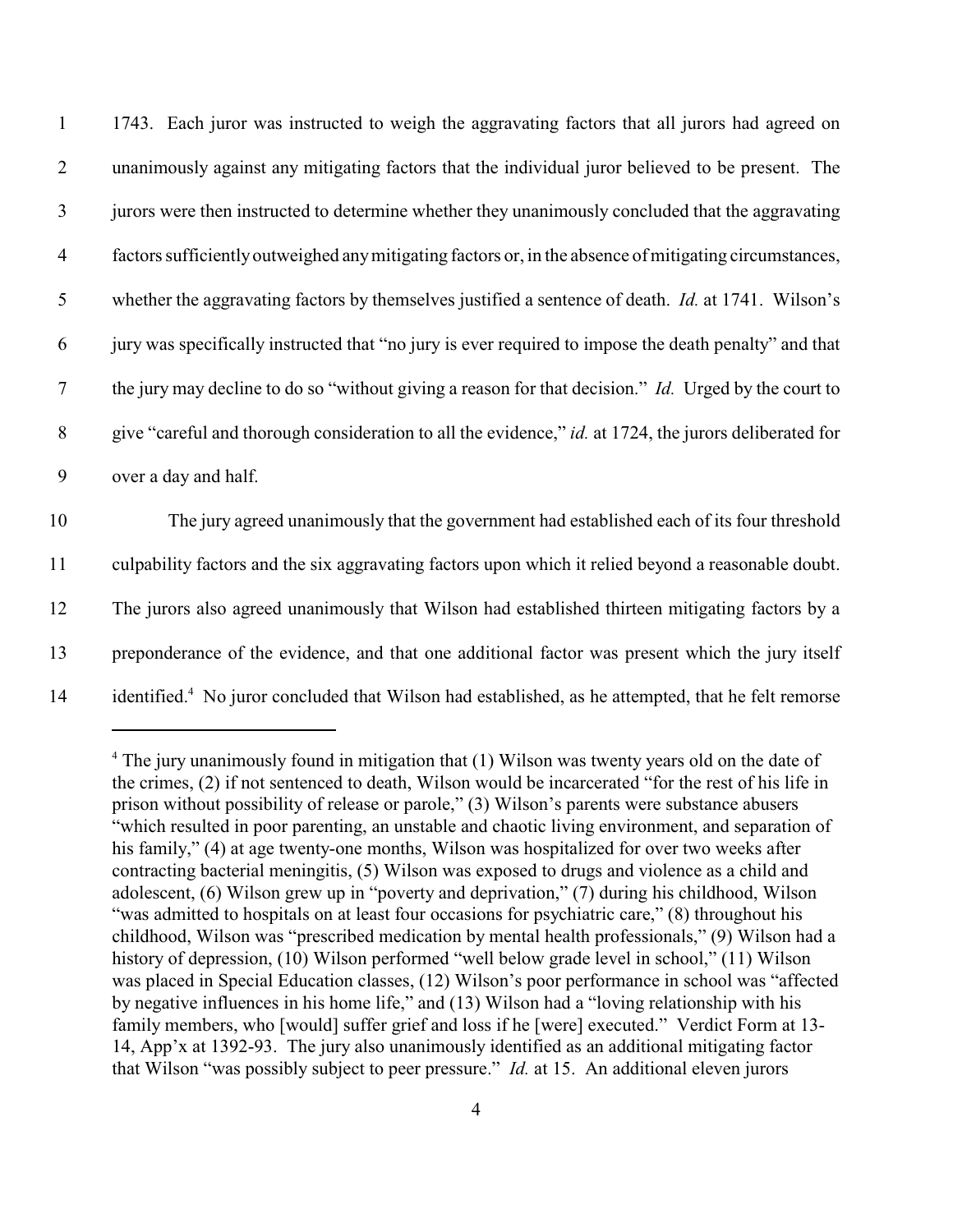| $\mathbf{1}$   | 1743. Each juror was instructed to weigh the aggravating factors that all jurors had agreed on            |
|----------------|-----------------------------------------------------------------------------------------------------------|
| 2              | unanimously against any mitigating factors that the individual juror believed to be present. The          |
| $\mathfrak{Z}$ | jurors were then instructed to determine whether they unanimously concluded that the aggravating          |
| $\overline{4}$ | factors sufficiently outweighed any mitigating factors or, in the absence of mitigating circumstances,    |
| 5              | whether the aggravating factors by themselves justified a sentence of death. <i>Id.</i> at 1741. Wilson's |
| 6              | jury was specifically instructed that "no jury is ever required to impose the death penalty" and that     |
| $\tau$         | the jury may decline to do so "without giving a reason for that decision." Id. Urged by the court to      |
| $8\phantom{.}$ | give "careful and thorough consideration to all the evidence," id. at 1724, the jurors deliberated for    |
| 9              | over a day and half.                                                                                      |
| 10             | The jury agreed unanimously that the government had established each of its four threshold                |
| 11             | culpability factors and the six aggravating factors upon which it relied beyond a reasonable doubt.       |

12 The jurors also agreed unanimously that Wilson had established thirteen mitigating factors by a

13 preponderance of the evidence, and that one additional factor was present which the jury itself

14 identified.<sup>4</sup> No juror concluded that Wilson had established, as he attempted, that he felt remorse

 $4$  The jury unanimously found in mitigation that (1) Wilson was twenty years old on the date of the crimes, (2) if not sentenced to death, Wilson would be incarcerated "for the rest of his life in prison without possibility of release or parole," (3) Wilson's parents were substance abusers "which resulted in poor parenting, an unstable and chaotic living environment, and separation of his family," (4) at age twenty-one months, Wilson was hospitalized for over two weeks after contracting bacterial meningitis, (5) Wilson was exposed to drugs and violence as a child and adolescent, (6) Wilson grew up in "poverty and deprivation," (7) during his childhood, Wilson "was admitted to hospitals on at least four occasions for psychiatric care," (8) throughout his childhood, Wilson was "prescribed medication by mental health professionals," (9) Wilson had a history of depression, (10) Wilson performed "well below grade level in school," (11) Wilson was placed in Special Education classes, (12) Wilson's poor performance in school was "affected by negative influences in his home life," and (13) Wilson had a "loving relationship with his family members, who [would] suffer grief and loss if he [were] executed." Verdict Form at 13- 14, App'x at 1392-93. The jury also unanimously identified as an additional mitigating factor that Wilson "was possibly subject to peer pressure." *Id.* at 15. An additional eleven jurors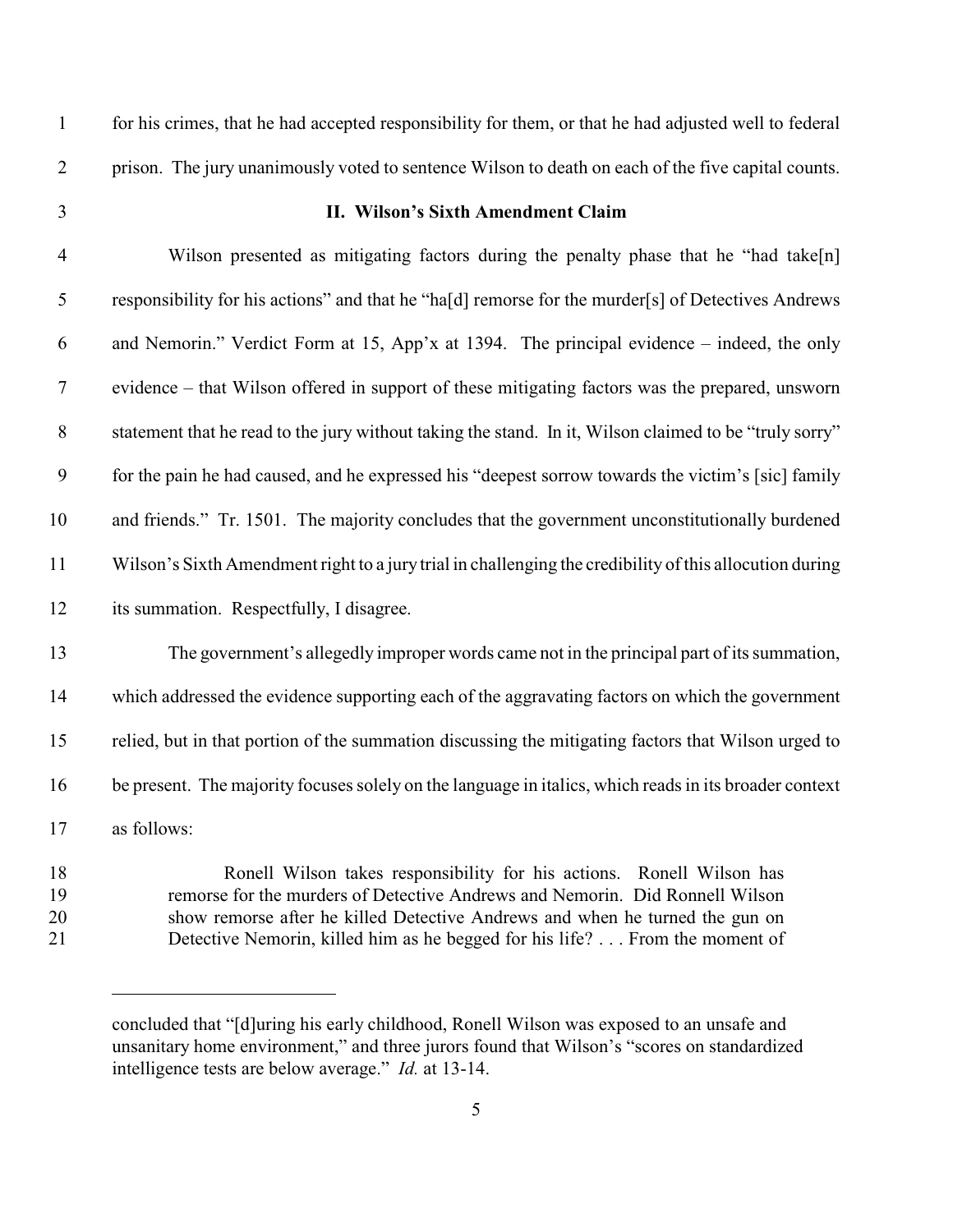for his crimes, that he had accepted responsibility for them, or that he had adjusted well to federal

prison. The jury unanimously voted to sentence Wilson to death on each of the five capital counts.

#### **II. Wilson's Sixth Amendment Claim**

 Wilson presented as mitigating factors during the penalty phase that he "had take[n] responsibility for his actions" and that he "ha[d] remorse for the murder[s] of Detectives Andrews and Nemorin." Verdict Form at 15, App'x at 1394. The principal evidence – indeed, the only evidence – that Wilson offered in support of these mitigating factors was the prepared, unsworn statement that he read to the jury without taking the stand. In it, Wilson claimed to be "truly sorry" for the pain he had caused, and he expressed his "deepest sorrow towards the victim's [sic] family and friends." Tr. 1501. The majority concludes that the government unconstitutionally burdened Wilson's Sixth Amendment right to a jury trial in challenging the credibility of this allocution during its summation. Respectfully, I disagree. The government's allegedly improper words came not in the principal part of its summation, which addressed the evidence supporting each of the aggravating factors on which the government relied, but in that portion of the summation discussing the mitigating factors that Wilson urged to be present. The majority focuses solely on the language in italics, which readsin its broader context

as follows:

 Ronell Wilson takes responsibility for his actions. Ronell Wilson has remorse for the murders of Detective Andrews and Nemorin. Did Ronnell Wilson show remorse after he killed Detective Andrews and when he turned the gun on Detective Nemorin, killed him as he begged for his life? . . . From the moment of

concluded that "[d]uring his early childhood, Ronell Wilson was exposed to an unsafe and unsanitary home environment," and three jurors found that Wilson's "scores on standardized intelligence tests are below average." *Id.* at 13-14.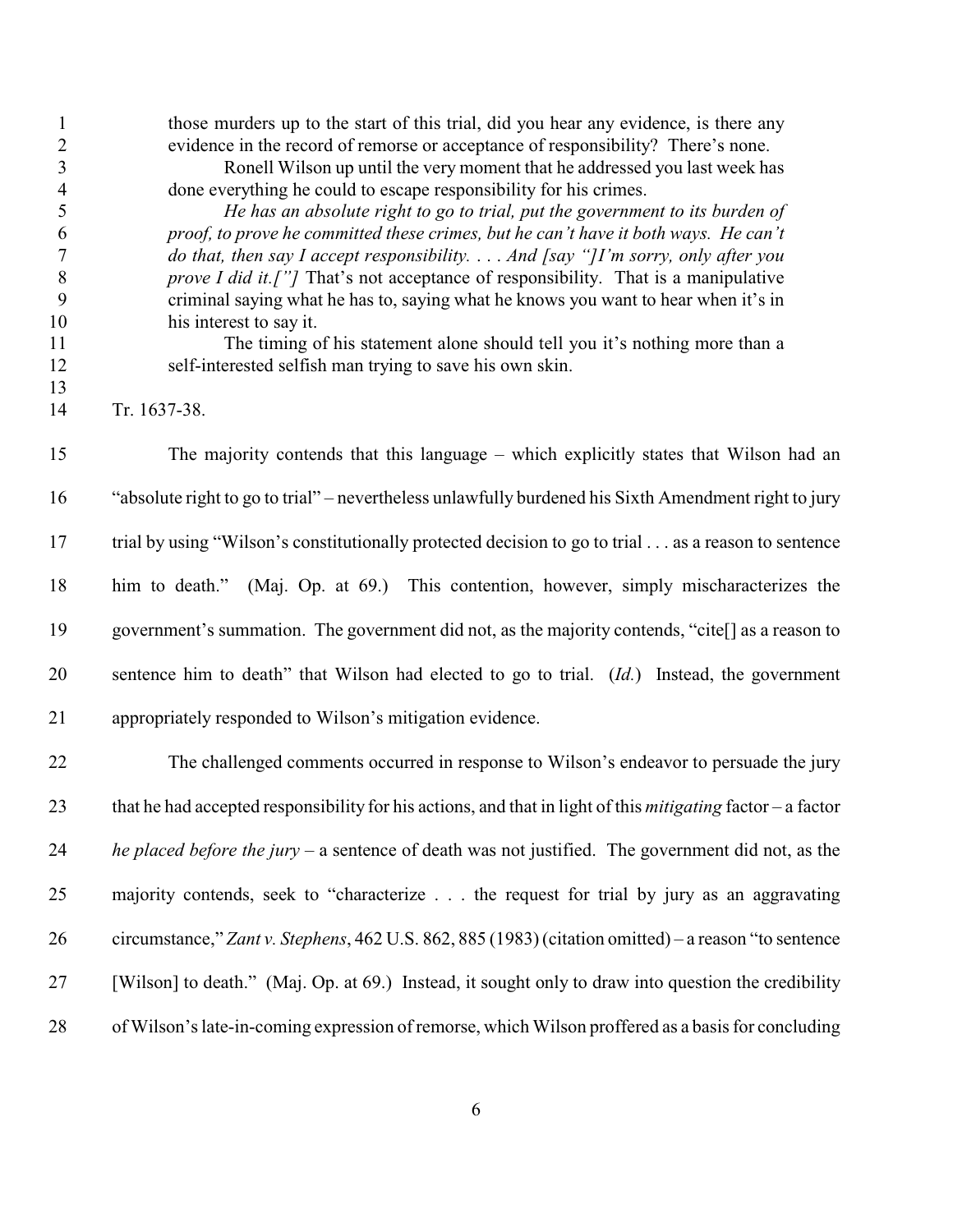| $\mathbf{1}$                 | those murders up to the start of this trial, did you hear any evidence, is there any                                                                           |
|------------------------------|----------------------------------------------------------------------------------------------------------------------------------------------------------------|
| $\sqrt{2}$<br>$\mathfrak{Z}$ | evidence in the record of remorse or acceptance of responsibility? There's none.<br>Ronell Wilson up until the very moment that he addressed you last week has |
| $\overline{4}$               | done everything he could to escape responsibility for his crimes.                                                                                              |
| 5                            | He has an absolute right to go to trial, put the government to its burden of                                                                                   |
| 6                            | proof, to prove he committed these crimes, but he can't have it both ways. He can't                                                                            |
| $\boldsymbol{7}$             | do that, then say I accept responsibility. And [say "]I'm sorry, only after you                                                                                |
| $\,8\,$                      | prove I did it.["] That's not acceptance of responsibility. That is a manipulative                                                                             |
| 9                            | criminal saying what he has to, saying what he knows you want to hear when it's in                                                                             |
| 10                           | his interest to say it.                                                                                                                                        |
| 11                           | The timing of his statement alone should tell you it's nothing more than a                                                                                     |
| 12                           | self-interested selfish man trying to save his own skin.                                                                                                       |
| 13                           |                                                                                                                                                                |
| 14                           | Tr. 1637-38.                                                                                                                                                   |
| 15                           | The majority contends that this language – which explicitly states that Wilson had an                                                                          |
| 16                           | "absolute right to go to trial" – nevertheless unlawfully burdened his Sixth Amendment right to jury                                                           |
| 17                           | trial by using "Wilson's constitutionally protected decision to go to trial as a reason to sentence                                                            |
| 18                           | (Maj. Op. at 69.) This contention, however, simply mischaracterizes the<br>him to death."                                                                      |
| 19                           | government's summation. The government did not, as the majority contends, "cite[] as a reason to                                                               |
| 20                           | sentence him to death" that Wilson had elected to go to trial. (Id.) Instead, the government                                                                   |
| 21                           | appropriately responded to Wilson's mitigation evidence.                                                                                                       |
| 22                           | The challenged comments occurred in response to Wilson's endeavor to persuade the jury                                                                         |
| 23                           | that he had accepted responsibility for his actions, and that in light of this <i>mitigating</i> factor – a factor                                             |
| 24                           | he placed before the jury $-$ a sentence of death was not justified. The government did not, as the                                                            |
| 25                           | majority contends, seek to "characterize the request for trial by jury as an aggravating                                                                       |
| 26                           | circumstance," Zant v. Stephens, 462 U.S. 862, 885 (1983) (citation omitted) – a reason "to sentence                                                           |
| 27                           | [Wilson] to death." (Maj. Op. at 69.) Instead, it sought only to draw into question the credibility                                                            |
| 28                           | of Wilson's late-in-coming expression of remorse, which Wilson proffered as a basis for concluding                                                             |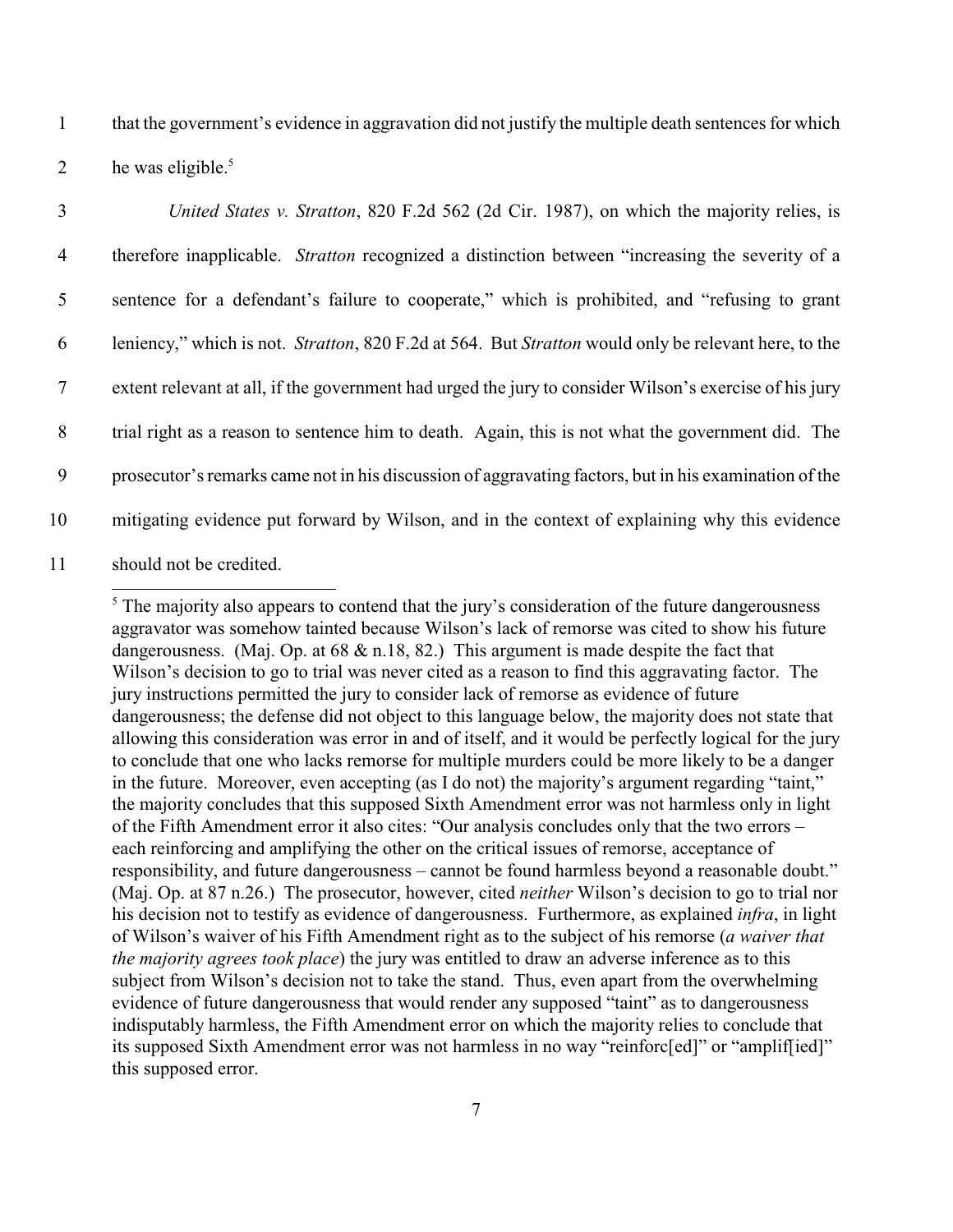1 that the government's evidence in aggravation did not justify the multiple death sentences for which 2 he was eligible.<sup>5</sup>

| $\overline{3}$ | United States v. Stratton, 820 F.2d 562 (2d Cir. 1987), on which the majority relies, is                            |
|----------------|---------------------------------------------------------------------------------------------------------------------|
| $\overline{4}$ | therefore inapplicable. <i>Stratton</i> recognized a distinction between "increasing the severity of a              |
| 5              | sentence for a defendant's failure to cooperate," which is prohibited, and "refusing to grant                       |
| 6              | leniency," which is not. <i>Stratton</i> , 820 F.2d at 564. But <i>Stratton</i> would only be relevant here, to the |
| $\tau$         | extent relevant at all, if the government had urged the jury to consider Wilson's exercise of his jury              |
| 8              | trial right as a reason to sentence him to death. Again, this is not what the government did. The                   |
| 9              | prosecutor's remarks came not in his discussion of aggravating factors, but in his examination of the               |
| 10             | mitigating evidence put forward by Wilson, and in the context of explaining why this evidence                       |
| 11             | should not be credited.                                                                                             |

 $<sup>5</sup>$  The majority also appears to contend that the jury's consideration of the future dangerousness</sup> aggravator was somehow tainted because Wilson's lack of remorse was cited to show his future dangerousness. (Maj. Op. at 68 & n.18, 82.) This argument is made despite the fact that Wilson's decision to go to trial was never cited as a reason to find this aggravating factor. The jury instructions permitted the jury to consider lack of remorse as evidence of future dangerousness; the defense did not object to this language below, the majority does not state that allowing this consideration was error in and of itself, and it would be perfectly logical for the jury to conclude that one who lacks remorse for multiple murders could be more likely to be a danger in the future. Moreover, even accepting (as I do not) the majority's argument regarding "taint," the majority concludes that this supposed Sixth Amendment error was not harmless only in light of the Fifth Amendment error it also cites: "Our analysis concludes only that the two errors – each reinforcing and amplifying the other on the critical issues of remorse, acceptance of responsibility, and future dangerousness – cannot be found harmless beyond a reasonable doubt." (Maj. Op. at 87 n.26.) The prosecutor, however, cited *neither* Wilson's decision to go to trial nor his decision not to testify as evidence of dangerousness. Furthermore, as explained *infra*, in light of Wilson's waiver of his Fifth Amendment right as to the subject of his remorse (*a waiver that the majority agrees took place*) the jury was entitled to draw an adverse inference as to this subject from Wilson's decision not to take the stand. Thus, even apart from the overwhelming evidence of future dangerousness that would render any supposed "taint" as to dangerousness indisputably harmless, the Fifth Amendment error on which the majority relies to conclude that its supposed Sixth Amendment error was not harmless in no way "reinforc[ed]" or "amplif[ied]" this supposed error.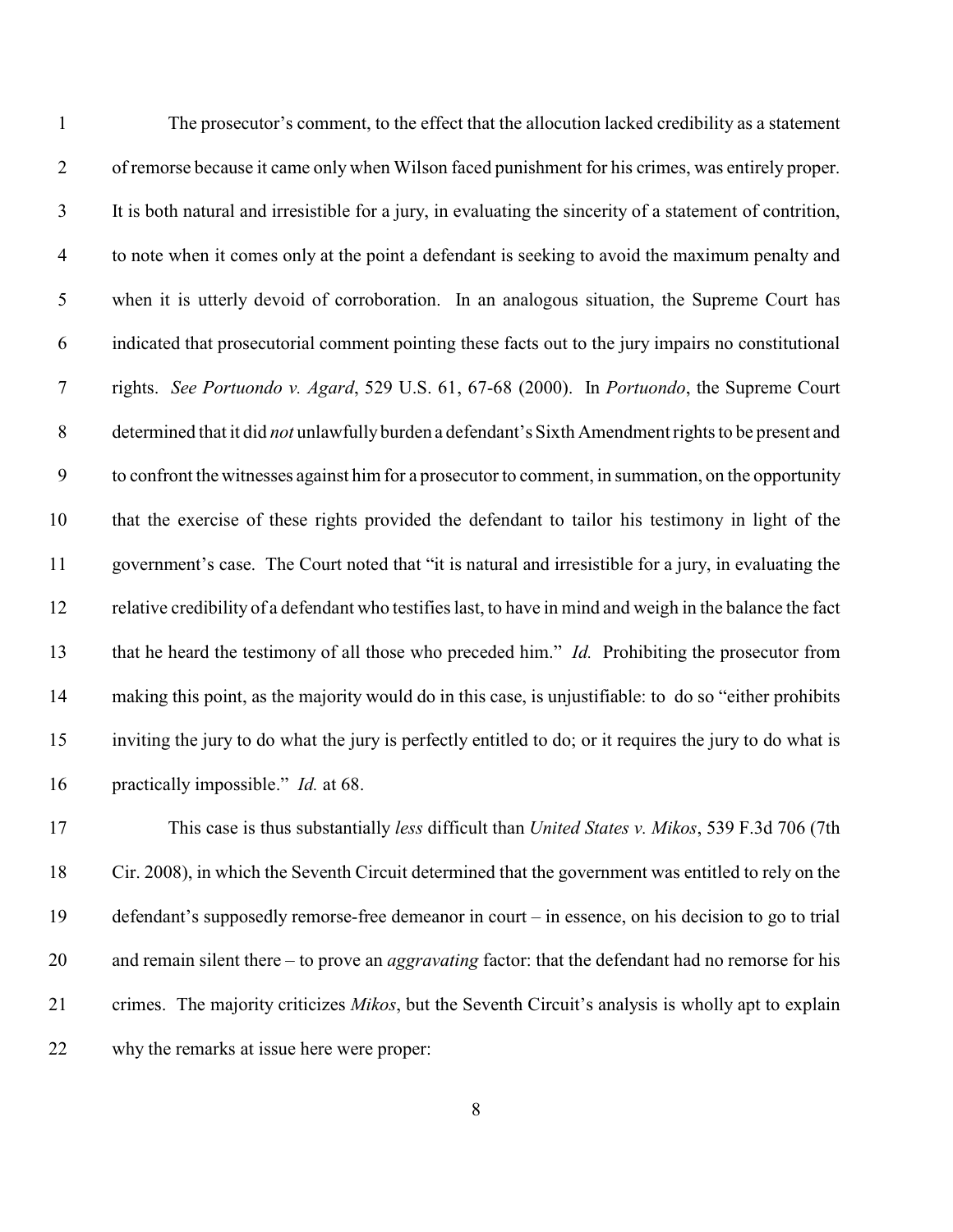| $\mathbf{1}$   | The prosecutor's comment, to the effect that the allocution lacked credibility as a statement             |
|----------------|-----------------------------------------------------------------------------------------------------------|
| $\overline{2}$ | of remorse because it came only when Wilson faced punishment for his crimes, was entirely proper.         |
| $\mathfrak{Z}$ | It is both natural and irresistible for a jury, in evaluating the sincerity of a statement of contrition, |
| $\overline{4}$ | to note when it comes only at the point a defendant is seeking to avoid the maximum penalty and           |
| $\mathfrak{S}$ | when it is utterly devoid of corroboration. In an analogous situation, the Supreme Court has              |
| 6              | indicated that prosecutorial comment pointing these facts out to the jury impairs no constitutional       |
| $\overline{7}$ | rights. See Portuondo v. Agard, 529 U.S. 61, 67-68 (2000). In Portuondo, the Supreme Court                |
| $8\phantom{.}$ | determined that it did not unlawfully burden a defendant's Sixth Amendment rights to be present and       |
| 9              | to confront the witnesses against him for a prosecutor to comment, in summation, on the opportunity       |
| 10             | that the exercise of these rights provided the defendant to tailor his testimony in light of the          |
| 11             | government's case. The Court noted that "it is natural and irresistible for a jury, in evaluating the     |
| 12             | relative credibility of a defendant who testifies last, to have in mind and weigh in the balance the fact |
| 13             | that he heard the testimony of all those who preceded him." Id. Prohibiting the prosecutor from           |
| 14             | making this point, as the majority would do in this case, is unjustifiable: to do so "either prohibits"   |
| 15             | inviting the jury to do what the jury is perfectly entitled to do; or it requires the jury to do what is  |
| 16             | practically impossible." <i>Id.</i> at 68.                                                                |
| 17             | This case is thus substantially less difficult than United States v. Mikos, 539 F.3d 706 (7th             |
|                |                                                                                                           |

 Cir. 2008), in which the Seventh Circuit determined that the government was entitled to rely on the defendant's supposedly remorse-free demeanor in court – in essence, on his decision to go to trial and remain silent there – to prove an *aggravating* factor: that the defendant had no remorse for his crimes. The majority criticizes *Mikos*, but the Seventh Circuit's analysis is wholly apt to explain why the remarks at issue here were proper: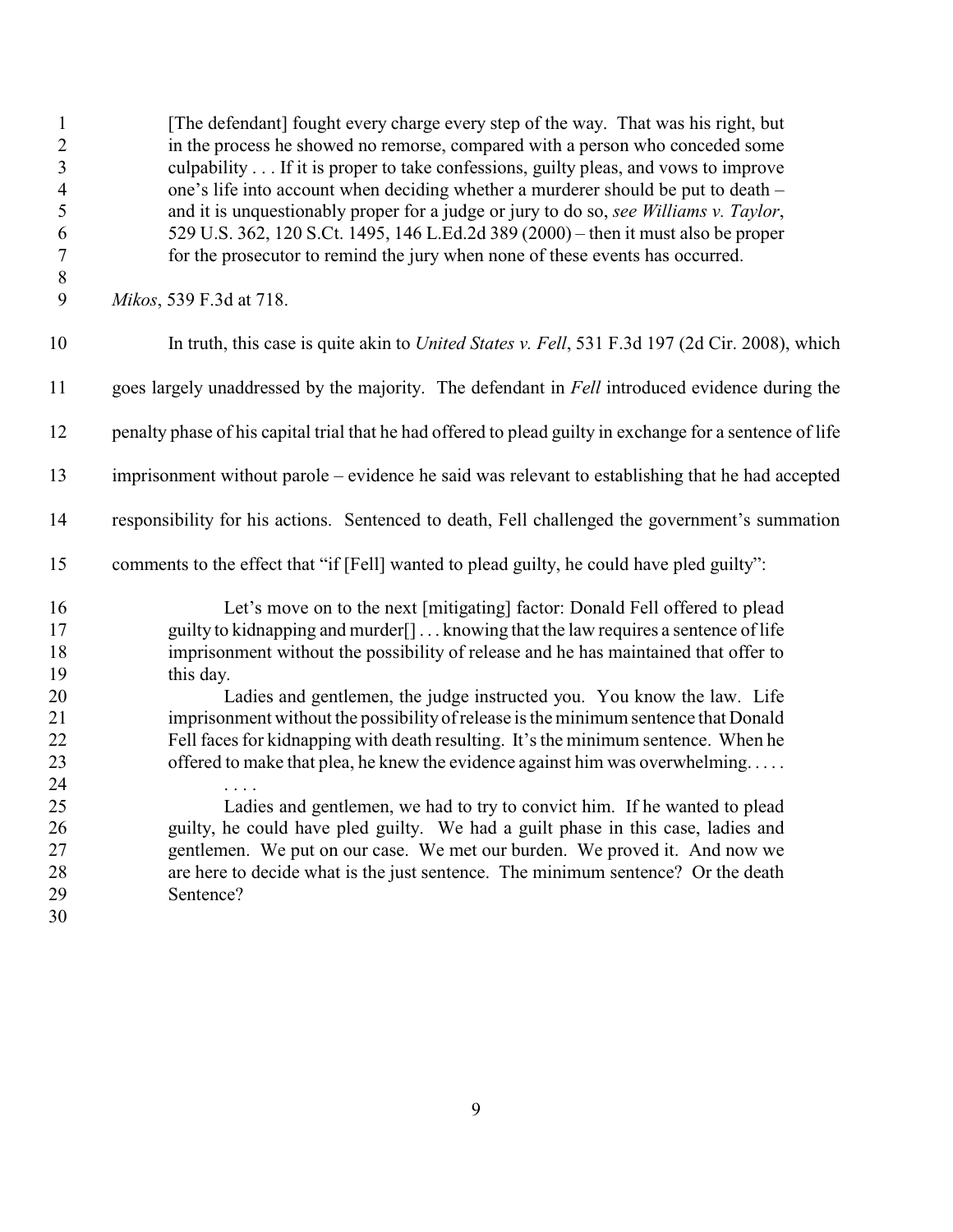| $\mathbf{1}$<br>$\overline{c}$<br>$\mathfrak{Z}$<br>$\overline{\mathcal{A}}$<br>5<br>6<br>$\boldsymbol{7}$<br>$\,8\,$ | [The defendant] fought every charge every step of the way. That was his right, but<br>in the process he showed no remorse, compared with a person who conceded some<br>culpability If it is proper to take confessions, guilty pleas, and vows to improve<br>one's life into account when deciding whether a murderer should be put to death –<br>and it is unquestionably proper for a judge or jury to do so, see Williams v. Taylor,<br>529 U.S. 362, 120 S.Ct. 1495, 146 L.Ed.2d 389 (2000) – then it must also be proper<br>for the prosecutor to remind the jury when none of these events has occurred. |
|-----------------------------------------------------------------------------------------------------------------------|----------------------------------------------------------------------------------------------------------------------------------------------------------------------------------------------------------------------------------------------------------------------------------------------------------------------------------------------------------------------------------------------------------------------------------------------------------------------------------------------------------------------------------------------------------------------------------------------------------------|
| 9                                                                                                                     | Mikos, 539 F.3d at 718.                                                                                                                                                                                                                                                                                                                                                                                                                                                                                                                                                                                        |
| 10                                                                                                                    | In truth, this case is quite akin to <i>United States v. Fell</i> , 531 F.3d 197 (2d Cir. 2008), which                                                                                                                                                                                                                                                                                                                                                                                                                                                                                                         |
| 11                                                                                                                    | goes largely unaddressed by the majority. The defendant in Fell introduced evidence during the                                                                                                                                                                                                                                                                                                                                                                                                                                                                                                                 |
| 12                                                                                                                    | penalty phase of his capital trial that he had offered to plead guilty in exchange for a sentence of life                                                                                                                                                                                                                                                                                                                                                                                                                                                                                                      |
| 13                                                                                                                    | imprisonment without parole – evidence he said was relevant to establishing that he had accepted                                                                                                                                                                                                                                                                                                                                                                                                                                                                                                               |
| 14                                                                                                                    | responsibility for his actions. Sentenced to death, Fell challenged the government's summation                                                                                                                                                                                                                                                                                                                                                                                                                                                                                                                 |
| 15                                                                                                                    | comments to the effect that "if [Fell] wanted to plead guilty, he could have pled guilty":                                                                                                                                                                                                                                                                                                                                                                                                                                                                                                                     |
| 16<br>17<br>18<br>19                                                                                                  | Let's move on to the next [mitigating] factor: Donald Fell offered to plead<br>guilty to kidnapping and murder <sup>[]</sup> knowing that the law requires a sentence of life<br>imprisonment without the possibility of release and he has maintained that offer to<br>this day.                                                                                                                                                                                                                                                                                                                              |
| 20                                                                                                                    | Ladies and gentlemen, the judge instructed you. You know the law. Life                                                                                                                                                                                                                                                                                                                                                                                                                                                                                                                                         |
| 21                                                                                                                    | imprisonment without the possibility of release is the minimum sentence that Donald<br>Fell faces for kidnapping with death resulting. It's the minimum sentence. When he                                                                                                                                                                                                                                                                                                                                                                                                                                      |
| 22<br>23                                                                                                              | offered to make that plea, he knew the evidence against him was overwhelming                                                                                                                                                                                                                                                                                                                                                                                                                                                                                                                                   |
| 24                                                                                                                    |                                                                                                                                                                                                                                                                                                                                                                                                                                                                                                                                                                                                                |
| 25                                                                                                                    | Ladies and gentlemen, we had to try to convict him. If he wanted to plead                                                                                                                                                                                                                                                                                                                                                                                                                                                                                                                                      |
| 26                                                                                                                    | guilty, he could have pled guilty. We had a guilt phase in this case, ladies and                                                                                                                                                                                                                                                                                                                                                                                                                                                                                                                               |
| 27                                                                                                                    | gentlemen. We put on our case. We met our burden. We proved it. And now we                                                                                                                                                                                                                                                                                                                                                                                                                                                                                                                                     |
| 28                                                                                                                    | are here to decide what is the just sentence. The minimum sentence? Or the death                                                                                                                                                                                                                                                                                                                                                                                                                                                                                                                               |
| 29                                                                                                                    | Sentence?                                                                                                                                                                                                                                                                                                                                                                                                                                                                                                                                                                                                      |
| 30                                                                                                                    |                                                                                                                                                                                                                                                                                                                                                                                                                                                                                                                                                                                                                |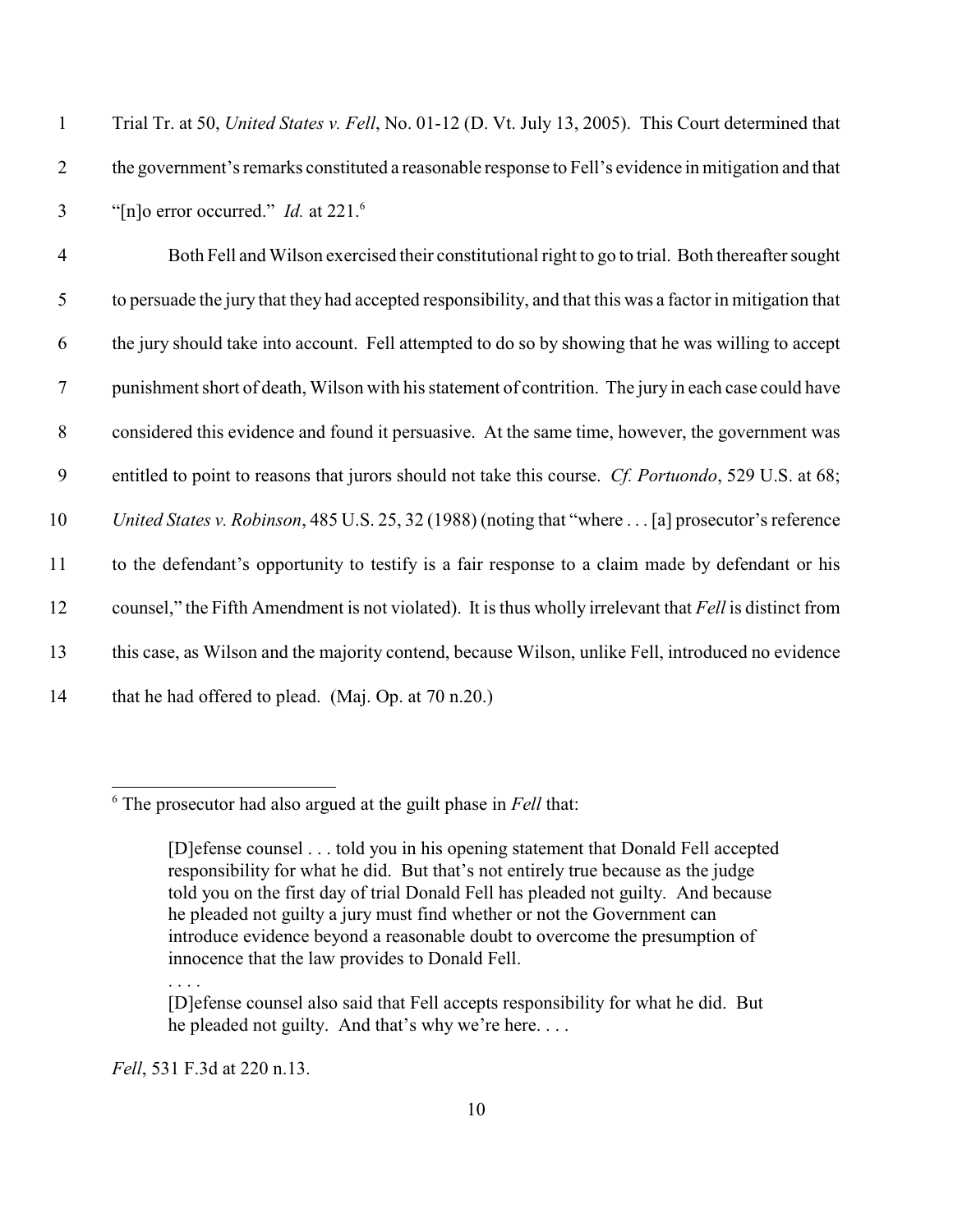| Trial Tr. at 50, United States v. Fell, No. 01-12 (D. Vt. July 13, 2005). This Court determined that |
|------------------------------------------------------------------------------------------------------|
| the government's remarks constituted a reasonable response to Fell's evidence in mitigation and that |
| "[n]o error occurred." <i>Id.</i> at 221.                                                            |

 Both Fell and Wilson exercised their constitutional right to go to trial. Both thereafter sought to persuade the jury that they had accepted responsibility, and that this was a factor in mitigation that the jury should take into account. Fell attempted to do so by showing that he was willing to accept punishment short of death, Wilson with his statement of contrition. The jury in each case could have considered this evidence and found it persuasive. At the same time, however, the government was entitled to point to reasons that jurors should not take this course. *Cf. Portuondo*, 529 U.S. at 68; *United States v. Robinson*, 485 U.S. 25, 32 (1988) (noting that "where . . . [a] prosecutor's reference to the defendant's opportunity to testify is a fair response to a claim made by defendant or his counsel," the Fifth Amendment is not violated). It is thus wholly irrelevant that *Fell* is distinct from this case, as Wilson and the majority contend, because Wilson, unlike Fell, introduced no evidence 14 that he had offered to plead. (Maj. Op. at 70 n.20.)

# <sup>6</sup> The prosecutor had also argued at the guilt phase in *Fell* that:

. . . .

*Fell*, 531 F.3d at 220 n.13.

<sup>[</sup>D]efense counsel . . . told you in his opening statement that Donald Fell accepted responsibility for what he did. But that's not entirely true because as the judge told you on the first day of trial Donald Fell has pleaded not guilty. And because he pleaded not guilty a jury must find whether or not the Government can introduce evidence beyond a reasonable doubt to overcome the presumption of innocence that the law provides to Donald Fell.

<sup>[</sup>D]efense counsel also said that Fell accepts responsibility for what he did. But he pleaded not guilty. And that's why we're here. . . .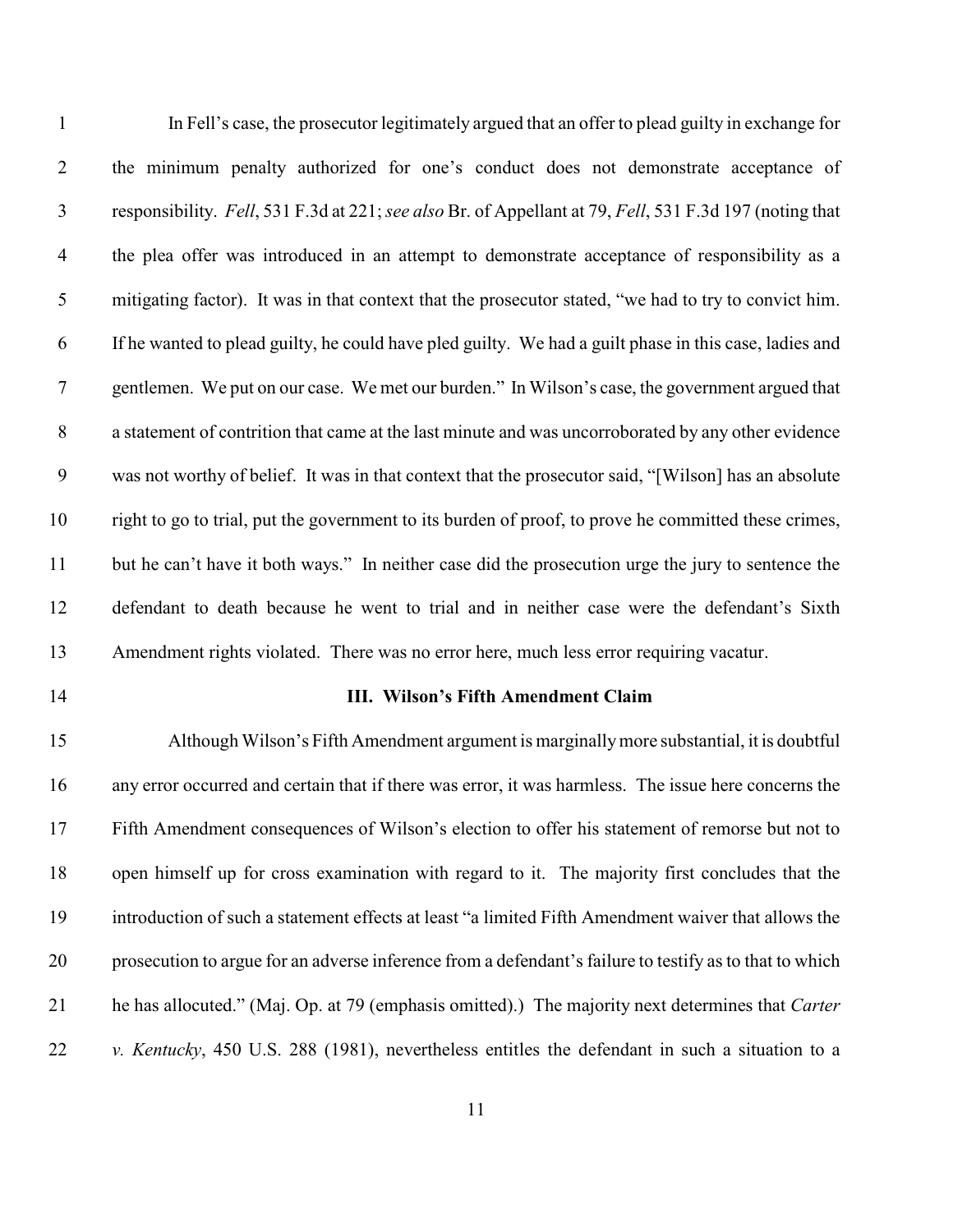| $\mathbf{1}$   | In Fell's case, the prosecutor legitimately argued that an offer to plead guilty in exchange for        |
|----------------|---------------------------------------------------------------------------------------------------------|
| $\overline{2}$ | the minimum penalty authorized for one's conduct does not demonstrate acceptance of                     |
| $\mathfrak{Z}$ | responsibility. Fell, 531 F.3d at 221; see also Br. of Appellant at 79, Fell, 531 F.3d 197 (noting that |
| $\overline{4}$ | the plea offer was introduced in an attempt to demonstrate acceptance of responsibility as a            |
| 5              | mitigating factor). It was in that context that the prosecutor stated, "we had to try to convict him.   |
| 6              | If he wanted to plead guilty, he could have pled guilty. We had a guilt phase in this case, ladies and  |
| $\tau$         | gentlemen. We put on our case. We met our burden." In Wilson's case, the government argued that         |
| $8\,$          | a statement of contrition that came at the last minute and was uncorroborated by any other evidence     |
| 9              | was not worthy of belief. It was in that context that the prosecutor said, "[Wilson] has an absolute    |
| 10             | right to go to trial, put the government to its burden of proof, to prove he committed these crimes,    |
| 11             | but he can't have it both ways." In neither case did the prosecution urge the jury to sentence the      |
| 12             | defendant to death because he went to trial and in neither case were the defendant's Sixth              |
| 13             | Amendment rights violated. There was no error here, much less error requiring vacatur.                  |
|                |                                                                                                         |

### **III. Wilson's Fifth Amendment Claim**

 Although Wilson's Fifth Amendment argument is marginallymore substantial, it is doubtful any error occurred and certain that if there was error, it was harmless. The issue here concerns the Fifth Amendment consequences of Wilson's election to offer his statement of remorse but not to open himself up for cross examination with regard to it. The majority first concludes that the introduction of such a statement effects at least "a limited Fifth Amendment waiver that allows the prosecution to argue for an adverse inference from a defendant's failure to testify as to that to which he has allocuted." (Maj. Op. at 79 (emphasis omitted).) The majority next determines that *Carter v. Kentucky*, 450 U.S. 288 (1981), nevertheless entitles the defendant in such a situation to a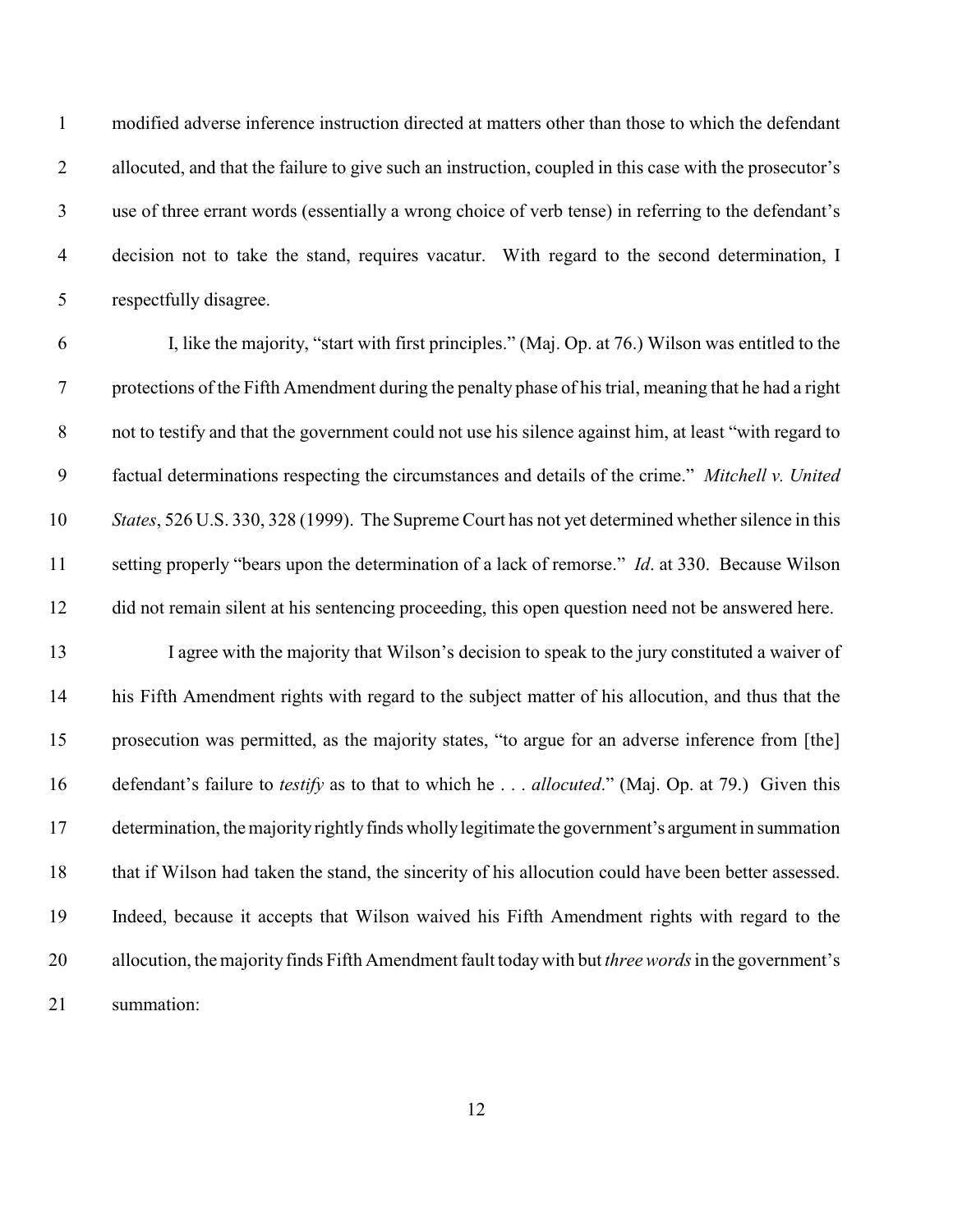modified adverse inference instruction directed at matters other than those to which the defendant allocuted, and that the failure to give such an instruction, coupled in this case with the prosecutor's use of three errant words (essentially a wrong choice of verb tense) in referring to the defendant's decision not to take the stand, requires vacatur. With regard to the second determination, I respectfully disagree.

 I, like the majority, "start with first principles." (Maj. Op. at 76.) Wilson was entitled to the protections of the Fifth Amendment during the penalty phase of his trial, meaning that he had a right not to testify and that the government could not use his silence against him, at least "with regard to factual determinations respecting the circumstances and details of the crime." *Mitchell v. United States*, 526 U.S. 330, 328 (1999). The Supreme Court has not yet determined whether silence in this setting properly "bears upon the determination of a lack of remorse." *Id*. at 330. Because Wilson did not remain silent at his sentencing proceeding, this open question need not be answered here.

 I agree with the majority that Wilson's decision to speak to the jury constituted a waiver of his Fifth Amendment rights with regard to the subject matter of his allocution, and thus that the prosecution was permitted, as the majority states, "to argue for an adverse inference from [the] defendant's failure to *testify* as to that to which he . . . *allocuted*." (Maj. Op. at 79.) Given this determination, the majority rightly finds wholly legitimate the government's argument in summation that if Wilson had taken the stand, the sincerity of his allocution could have been better assessed. Indeed, because it accepts that Wilson waived his Fifth Amendment rights with regard to the allocution, the majority finds Fifth Amendment fault today with but *three words* in the government's summation: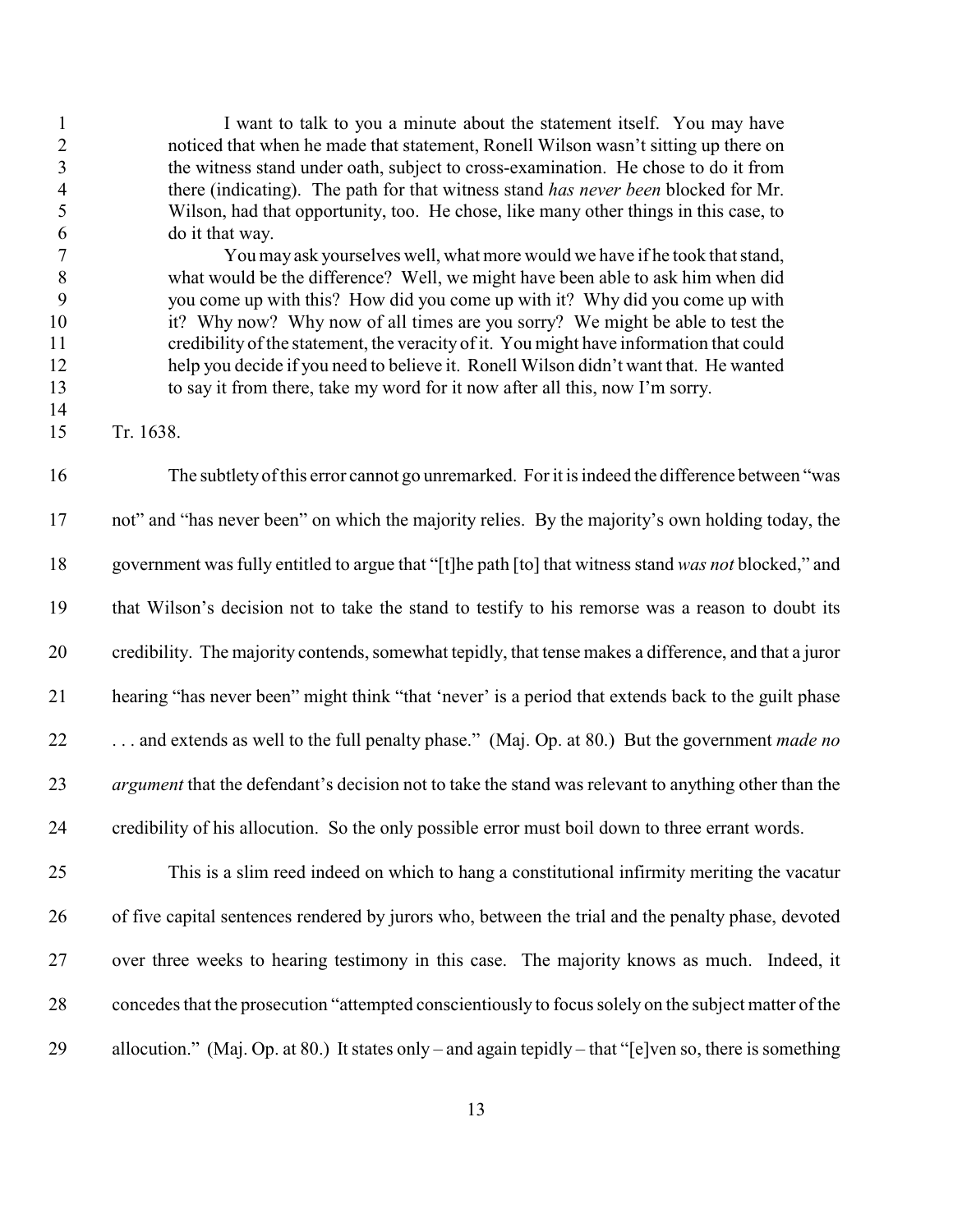1 I want to talk to you a minute about the statement itself. You may have noticed that when he made that statement, Ronell Wilson wasn't sitting up there on the witness stand under oath, subject to cross-examination. He chose to do it from there (indicating). The path for that witness stand *has never been* blocked for Mr. Wilson, had that opportunity, too. He chose, like many other things in this case, to do it that way.

 You may ask yourselves well, what more would we have if he took that stand, what would be the difference? Well, we might have been able to ask him when did you come up with this? How did you come up with it? Why did you come up with it? Why now? Why now of all times are you sorry? We might be able to test the credibility of the statement, the veracity of it. You might have information that could help you decide if you need to believe it. Ronell Wilson didn't want that. He wanted to say it from there, take my word for it now after all this, now I'm sorry.

Tr. 1638.

 The subtlety of this error cannot go unremarked. Forit is indeed the difference between "was not" and "has never been" on which the majority relies. By the majority's own holding today, the government was fully entitled to argue that "[t]he path [to] that witness stand *was not* blocked," and that Wilson's decision not to take the stand to testify to his remorse was a reason to doubt its credibility. The majority contends, somewhat tepidly, that tense makes a difference, and that a juror hearing "has never been" might think "that 'never' is a period that extends back to the guilt phase . . . and extends as well to the full penalty phase." (Maj. Op. at 80.) But the government *made no argument* that the defendant's decision not to take the stand was relevant to anything other than the credibility of his allocution. So the only possible error must boil down to three errant words.

 This is a slim reed indeed on which to hang a constitutional infirmity meriting the vacatur of five capital sentences rendered by jurors who, between the trial and the penalty phase, devoted over three weeks to hearing testimony in this case. The majority knows as much. Indeed, it concedes that the prosecution "attempted conscientiously to focus solely on the subject matter of the allocution." (Maj. Op. at 80.) It states only – and again tepidly – that "[e]ven so, there is something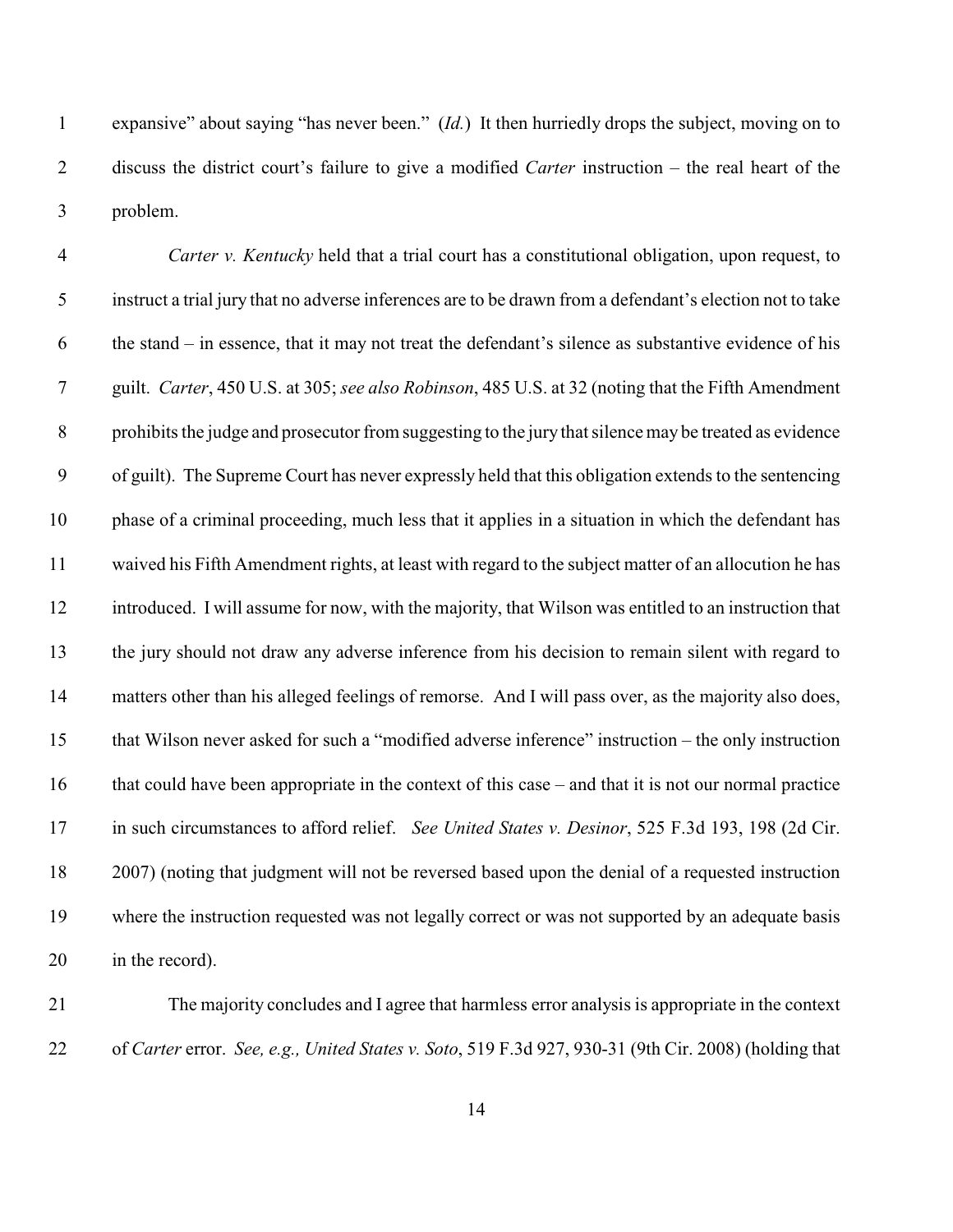expansive" about saying "has never been." (*Id.*) It then hurriedly drops the subject, moving on to discuss the district court's failure to give a modified *Carter* instruction – the real heart of the problem.

 *Carter v. Kentucky* held that a trial court has a constitutional obligation, upon request, to instruct a trial jury that no adverse inferences are to be drawn from a defendant's election not to take the stand – in essence, that it may not treat the defendant's silence as substantive evidence of his guilt. *Carter*, 450 U.S. at 305; *see also Robinson*, 485 U.S. at 32 (noting that the Fifth Amendment prohibits the judge and prosecutor from suggesting to the jury that silence may be treated as evidence of guilt). The Supreme Court has never expressly held that this obligation extends to the sentencing phase of a criminal proceeding, much less that it applies in a situation in which the defendant has waived his Fifth Amendment rights, at least with regard to the subject matter of an allocution he has introduced. I will assume for now, with the majority, that Wilson was entitled to an instruction that the jury should not draw any adverse inference from his decision to remain silent with regard to matters other than his alleged feelings of remorse. And I will pass over, as the majority also does, that Wilson never asked for such a "modified adverse inference" instruction – the only instruction that could have been appropriate in the context of this case – and that it is not our normal practice in such circumstances to afford relief. *See United States v. Desinor*, 525 F.3d 193, 198 (2d Cir. 2007) (noting that judgment will not be reversed based upon the denial of a requested instruction where the instruction requested was not legally correct or was not supported by an adequate basis in the record).

 The majority concludes and I agree that harmless error analysis is appropriate in the context of *Carter* error. *See, e.g., United States v. Soto*, 519 F.3d 927, 930-31 (9th Cir. 2008) (holding that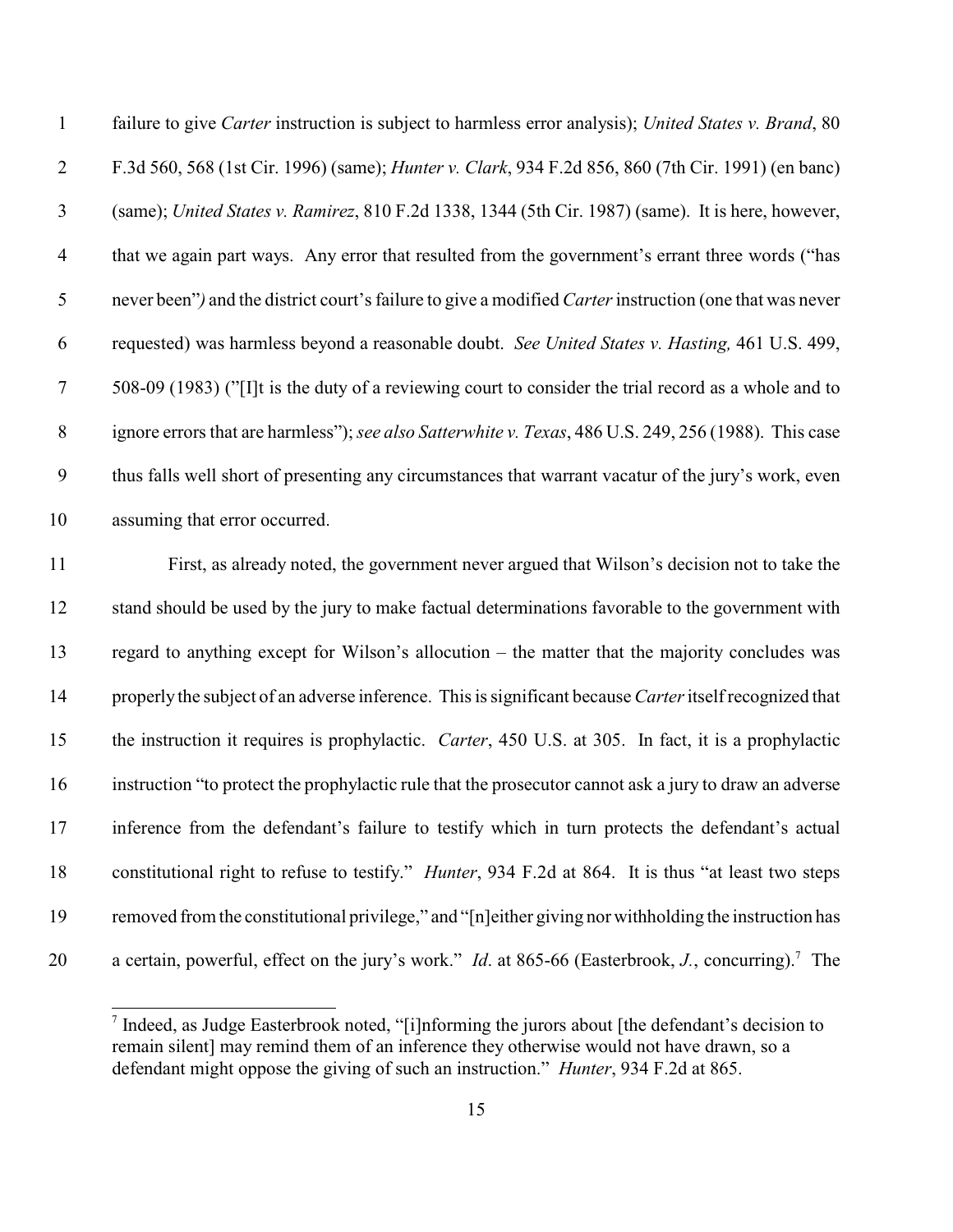failure to give *Carter* instruction is subject to harmless error analysis); *United States v. Brand*, 80 F.3d 560, 568 (1st Cir. 1996) (same); *Hunter v. Clark*, 934 F.2d 856, 860 (7th Cir. 1991) (en banc) (same); *United States v. Ramirez*, 810 F.2d 1338, 1344 (5th Cir. 1987) (same). It is here, however, that we again part ways. Any error that resulted from the government's errant three words ("has never been"*)* and the district court's failure to give a modified *Carter*instruction (one that was never requested) was harmless beyond a reasonable doubt. *See United States v. Hasting,* 461 U.S. 499, 508-09 (1983) ("[I]t is the duty of a reviewing court to consider the trial record as a whole and to ignore errors that are harmless");*see also Satterwhite v. Texas*, 486 U.S. 249, 256 (1988). This case thus falls well short of presenting any circumstances that warrant vacatur of the jury's work, even assuming that error occurred.

 First, as already noted, the government never argued that Wilson's decision not to take the stand should be used by the jury to make factual determinations favorable to the government with regard to anything except for Wilson's allocution – the matter that the majority concludes was properly the subject of an adverse inference. This is significant because*Carter* itself recognized that the instruction it requires is prophylactic. *Carter*, 450 U.S. at 305. In fact, it is a prophylactic instruction "to protect the prophylactic rule that the prosecutor cannot ask a jury to draw an adverse inference from the defendant's failure to testify which in turn protects the defendant's actual constitutional right to refuse to testify." *Hunter*, 934 F.2d at 864. It is thus "at least two steps removed from the constitutional privilege," and "[n]either giving nor withholding the instruction has 20 a certain, powerful, effect on the jury's work." *Id.* at 865-66 (Easterbrook, *J.*, concurring).<sup>7</sup> The

 $\frac{1}{1}$  Indeed, as Judge Easterbrook noted, "[i]nforming the jurors about [the defendant's decision to remain silent] may remind them of an inference they otherwise would not have drawn, so a defendant might oppose the giving of such an instruction." *Hunter*, 934 F.2d at 865.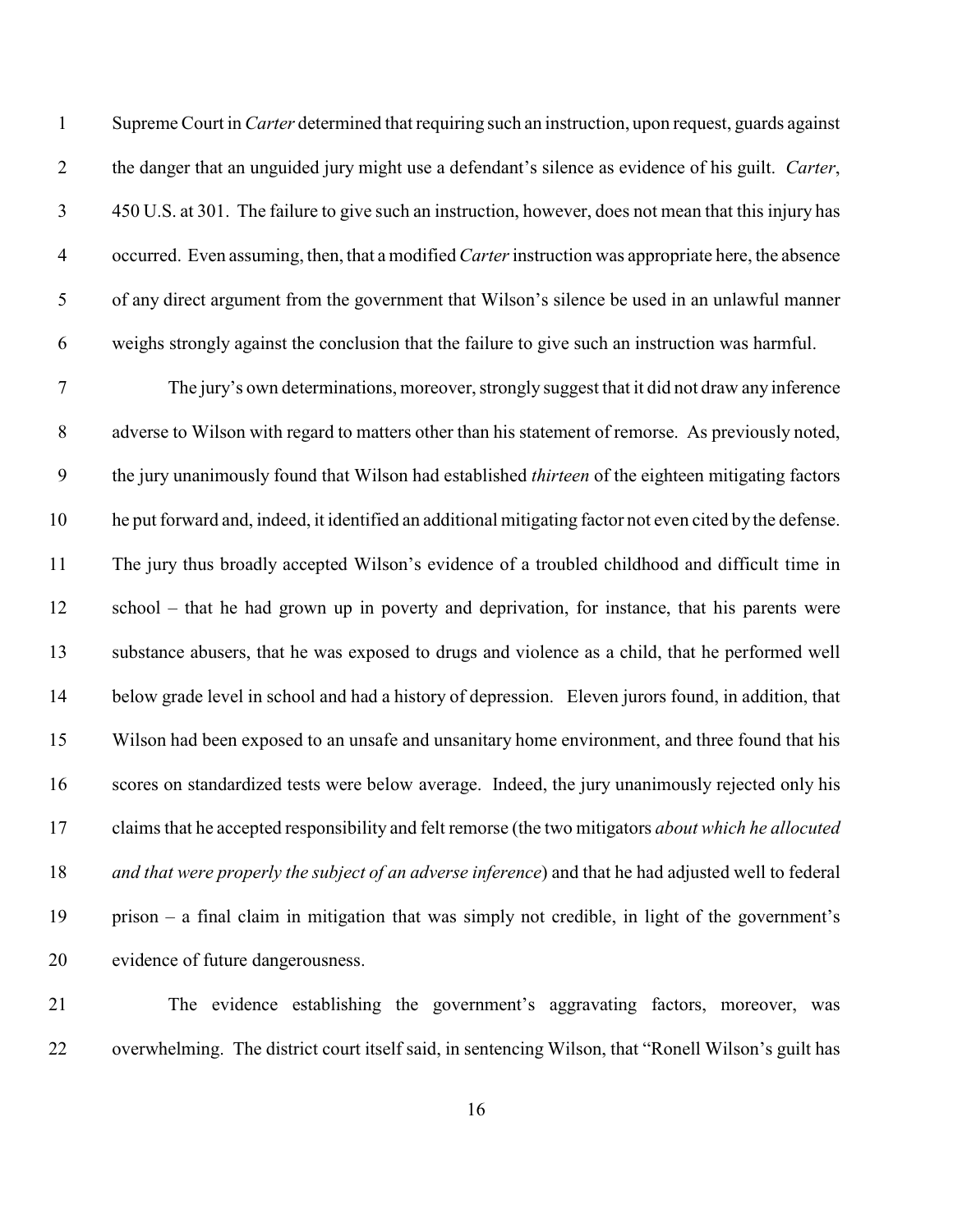Supreme Court in *Carter* determined that requiring such an instruction, upon request, guards against the danger that an unguided jury might use a defendant's silence as evidence of his guilt. *Carter*, 450 U.S. at 301. The failure to give such an instruction, however, does not mean that this injury has occurred. Even assuming, then, that a modified *Carter* instruction was appropriate here, the absence of any direct argument from the government that Wilson's silence be used in an unlawful manner weighs strongly against the conclusion that the failure to give such an instruction was harmful.

 The jury's own determinations, moreover, strongly suggest that it did not draw any inference adverse to Wilson with regard to matters other than his statement of remorse. As previously noted, the jury unanimously found that Wilson had established *thirteen* of the eighteen mitigating factors he put forward and, indeed, it identified an additional mitigating factor not even cited by the defense. The jury thus broadly accepted Wilson's evidence of a troubled childhood and difficult time in school – that he had grown up in poverty and deprivation, for instance, that his parents were substance abusers, that he was exposed to drugs and violence as a child, that he performed well below grade level in school and had a history of depression. Eleven jurors found, in addition, that Wilson had been exposed to an unsafe and unsanitary home environment, and three found that his scores on standardized tests were below average. Indeed, the jury unanimously rejected only his claims that he accepted responsibility and felt remorse (the two mitigators *about which he allocuted and that were properly the subject of an adverse inference*) and that he had adjusted well to federal prison – a final claim in mitigation that was simply not credible, in light of the government's evidence of future dangerousness.

 The evidence establishing the government's aggravating factors, moreover, was overwhelming. The district court itself said, in sentencing Wilson, that "Ronell Wilson's guilt has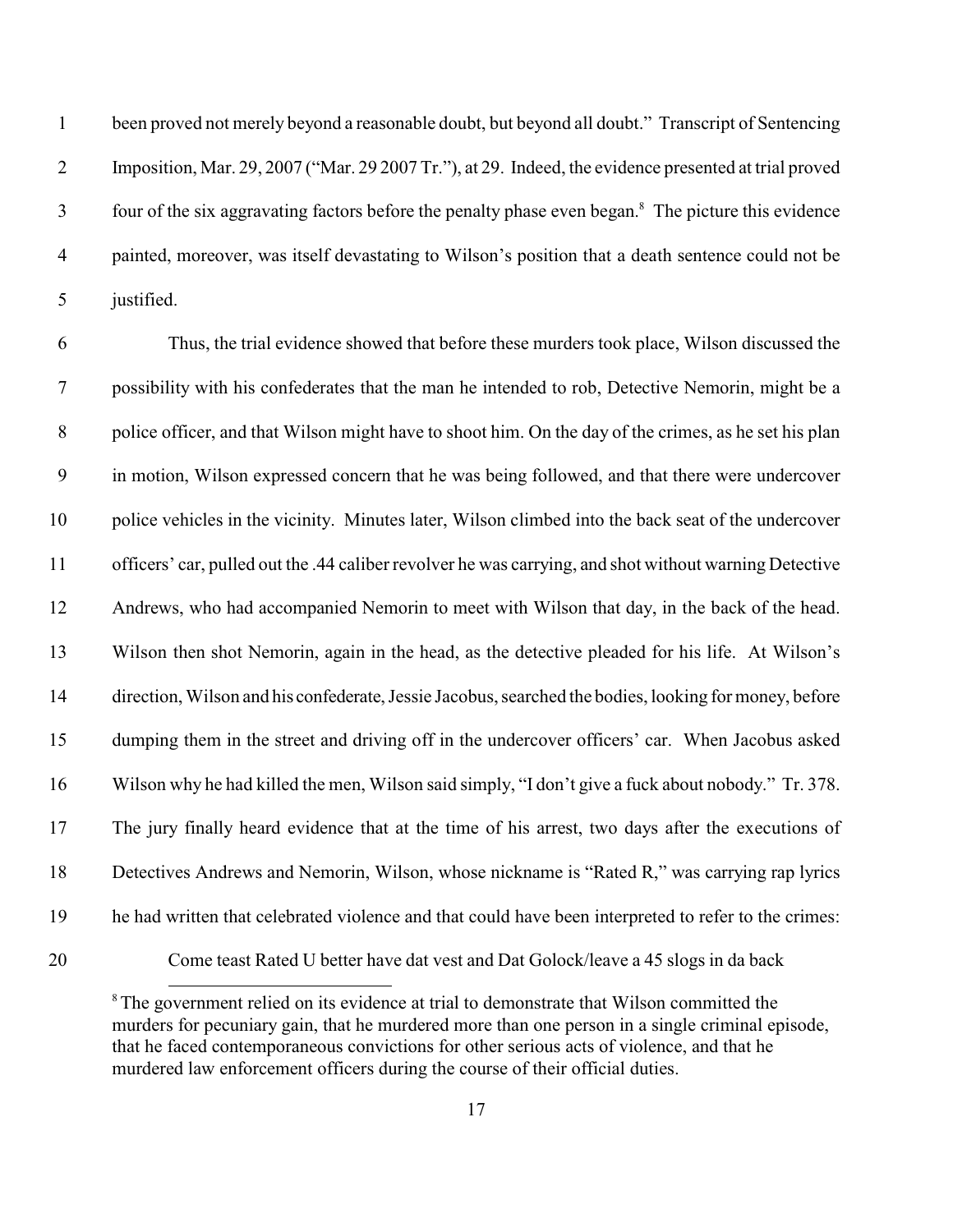been proved not merely beyond a reasonable doubt, but beyond all doubt." Transcript of Sentencing Imposition, Mar. 29, 2007 ("Mar. 29 2007 Tr."), at 29. Indeed, the evidence presented at trial proved 3 four of the six aggravating factors before the penalty phase even began.<sup>8</sup> The picture this evidence painted, moreover, was itself devastating to Wilson's position that a death sentence could not be justified.

 Thus, the trial evidence showed that before these murders took place, Wilson discussed the possibility with his confederates that the man he intended to rob, Detective Nemorin, might be a police officer, and that Wilson might have to shoot him. On the day of the crimes, as he set his plan in motion, Wilson expressed concern that he was being followed, and that there were undercover police vehicles in the vicinity. Minutes later, Wilson climbed into the back seat of the undercover officers' car, pulled out the .44 caliber revolver he was carrying, and shot without warning Detective Andrews, who had accompanied Nemorin to meet with Wilson that day, in the back of the head. Wilson then shot Nemorin, again in the head, as the detective pleaded for his life. At Wilson's direction, Wilson and his confederate, Jessie Jacobus, searched the bodies, looking for money, before dumping them in the street and driving off in the undercover officers' car. When Jacobus asked Wilson why he had killed the men, Wilson said simply, "I don't give a fuck about nobody." Tr. 378. The jury finally heard evidence that at the time of his arrest, two days after the executions of Detectives Andrews and Nemorin, Wilson, whose nickname is "Rated R," was carrying rap lyrics he had written that celebrated violence and that could have been interpreted to refer to the crimes: Come teast Rated U better have dat vest and Dat Golock/leave a 45 slogs in da back

<sup>&</sup>lt;sup>8</sup>The government relied on its evidence at trial to demonstrate that Wilson committed the murders for pecuniary gain, that he murdered more than one person in a single criminal episode, that he faced contemporaneous convictions for other serious acts of violence, and that he murdered law enforcement officers during the course of their official duties.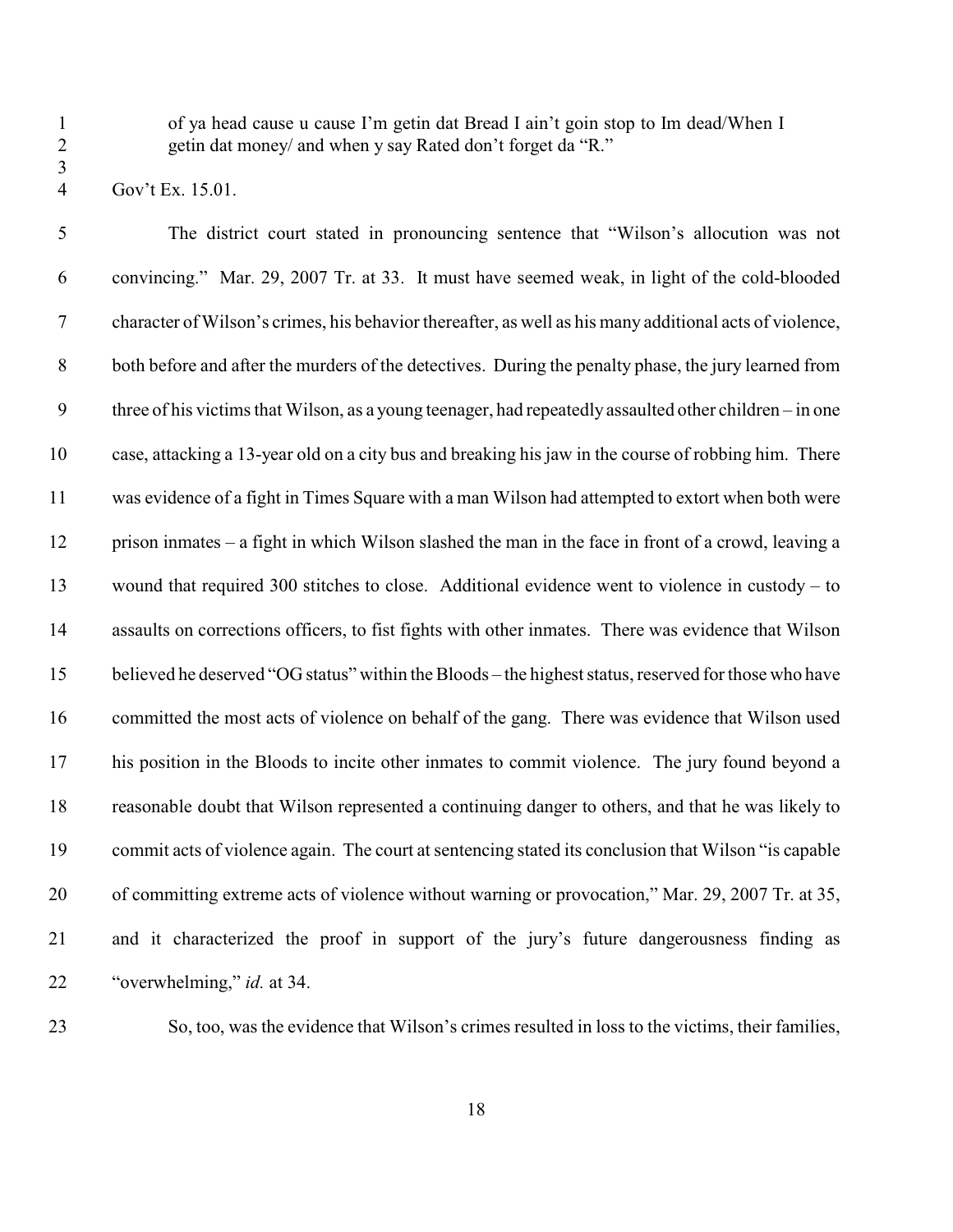of ya head cause u cause I'm getin dat Bread I ain't goin stop to Im dead/When I 2 getin dat money/ and when y say Rated don't forget da "R."

Gov't Ex. 15.01.

 The district court stated in pronouncing sentence that "Wilson's allocution was not convincing." Mar. 29, 2007 Tr. at 33. It must have seemed weak, in light of the cold-blooded character of Wilson's crimes, his behavior thereafter, as well as his many additional acts of violence, both before and after the murders of the detectives. During the penalty phase, the jury learned from three of his victims that Wilson, as a young teenager, had repeatedly assaulted other children – in one case, attacking a 13-year old on a city bus and breaking his jaw in the course of robbing him. There was evidence of a fight in Times Square with a man Wilson had attempted to extort when both were prison inmates – a fight in which Wilson slashed the man in the face in front of a crowd, leaving a wound that required 300 stitches to close. Additional evidence went to violence in custody – to assaults on corrections officers, to fist fights with other inmates. There was evidence that Wilson believed he deserved "OG status" within the Bloods – the highest status, reserved for those who have committed the most acts of violence on behalf of the gang. There was evidence that Wilson used his position in the Bloods to incite other inmates to commit violence. The jury found beyond a reasonable doubt that Wilson represented a continuing danger to others, and that he was likely to commit acts of violence again. The court at sentencing stated its conclusion that Wilson "is capable of committing extreme acts of violence without warning or provocation," Mar. 29, 2007 Tr. at 35, and it characterized the proof in support of the jury's future dangerousness finding as "overwhelming," *id.* at 34.

So, too, was the evidence that Wilson's crimes resulted in loss to the victims, their families,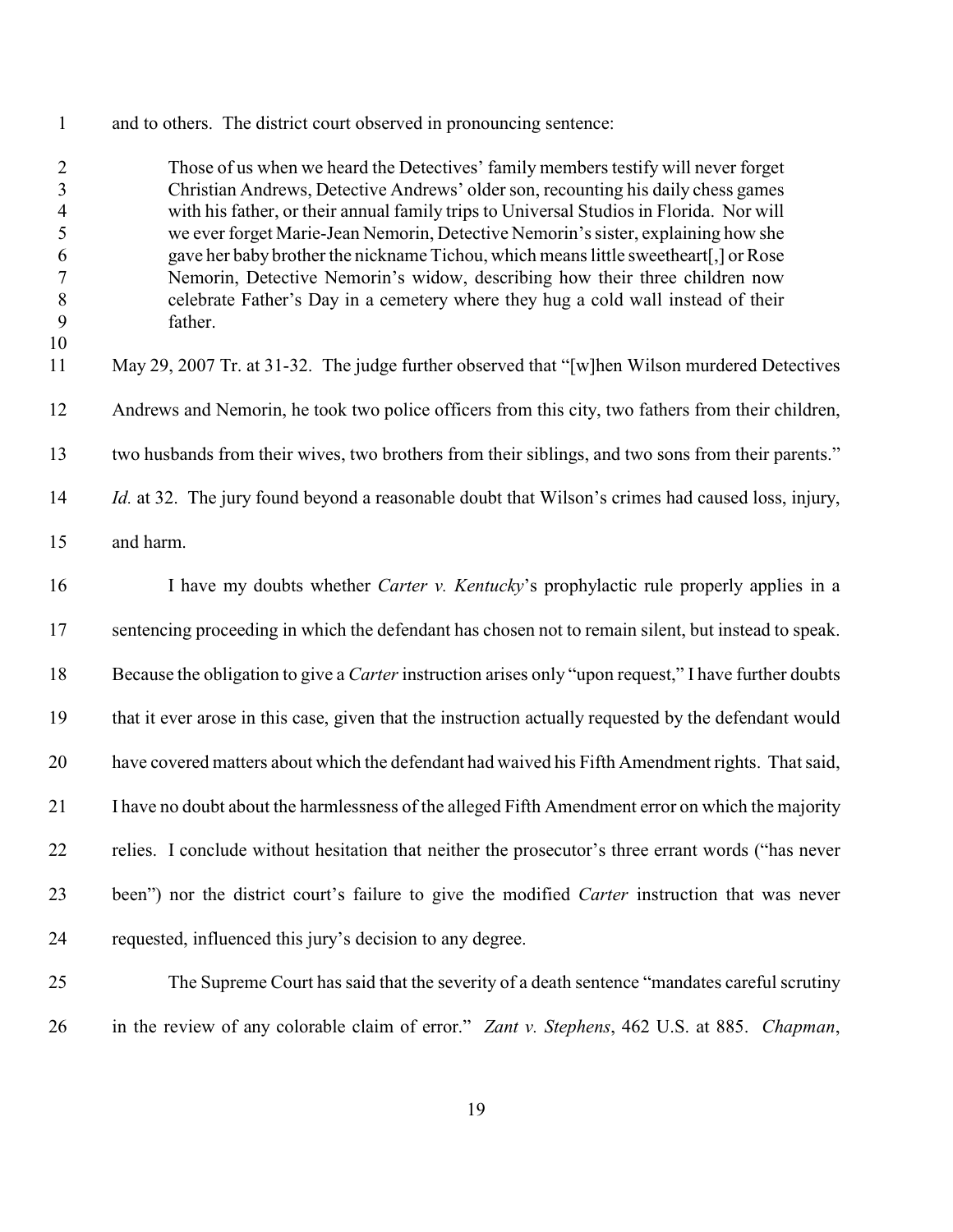| $\sqrt{2}$<br>$\overline{3}$<br>$\overline{4}$<br>5<br>6<br>$\boldsymbol{7}$<br>$\,8\,$<br>9<br>10<br>11 | Those of us when we heard the Detectives' family members testify will never forget<br>Christian Andrews, Detective Andrews' older son, recounting his daily chess games<br>with his father, or their annual family trips to Universal Studios in Florida. Nor will<br>we ever forget Marie-Jean Nemorin, Detective Nemorin's sister, explaining how she<br>gave her baby brother the nickname Tichou, which means little sweetheart[,] or Rose<br>Nemorin, Detective Nemorin's widow, describing how their three children now<br>celebrate Father's Day in a cemetery where they hug a cold wall instead of their<br>father.<br>May 29, 2007 Tr. at 31-32. The judge further observed that "[w]hen Wilson murdered Detectives |
|----------------------------------------------------------------------------------------------------------|-------------------------------------------------------------------------------------------------------------------------------------------------------------------------------------------------------------------------------------------------------------------------------------------------------------------------------------------------------------------------------------------------------------------------------------------------------------------------------------------------------------------------------------------------------------------------------------------------------------------------------------------------------------------------------------------------------------------------------|
| 12                                                                                                       | Andrews and Nemorin, he took two police officers from this city, two fathers from their children,                                                                                                                                                                                                                                                                                                                                                                                                                                                                                                                                                                                                                             |
| 13                                                                                                       | two husbands from their wives, two brothers from their siblings, and two sons from their parents."                                                                                                                                                                                                                                                                                                                                                                                                                                                                                                                                                                                                                            |
| 14                                                                                                       | <i>Id.</i> at 32. The jury found beyond a reasonable doubt that Wilson's crimes had caused loss, injury,                                                                                                                                                                                                                                                                                                                                                                                                                                                                                                                                                                                                                      |
| 15                                                                                                       | and harm.                                                                                                                                                                                                                                                                                                                                                                                                                                                                                                                                                                                                                                                                                                                     |
| 16                                                                                                       | I have my doubts whether <i>Carter v. Kentucky's</i> prophylactic rule properly applies in a                                                                                                                                                                                                                                                                                                                                                                                                                                                                                                                                                                                                                                  |
| 17                                                                                                       | sentencing proceeding in which the defendant has chosen not to remain silent, but instead to speak.                                                                                                                                                                                                                                                                                                                                                                                                                                                                                                                                                                                                                           |
| 18                                                                                                       | Because the obligation to give a Carter instruction arises only "upon request," I have further doubts                                                                                                                                                                                                                                                                                                                                                                                                                                                                                                                                                                                                                         |
| 19                                                                                                       | that it ever arose in this case, given that the instruction actually requested by the defendant would                                                                                                                                                                                                                                                                                                                                                                                                                                                                                                                                                                                                                         |
| 20                                                                                                       | have covered matters about which the defendant had waived his Fifth Amendment rights. That said,                                                                                                                                                                                                                                                                                                                                                                                                                                                                                                                                                                                                                              |
| 21                                                                                                       | I have no doubt about the harmlessness of the alleged Fifth Amendment error on which the majority                                                                                                                                                                                                                                                                                                                                                                                                                                                                                                                                                                                                                             |
| 22                                                                                                       | relies. I conclude without hesitation that neither the prosecutor's three errant words ("has never                                                                                                                                                                                                                                                                                                                                                                                                                                                                                                                                                                                                                            |
| 23                                                                                                       | been") nor the district court's failure to give the modified <i>Carter</i> instruction that was never                                                                                                                                                                                                                                                                                                                                                                                                                                                                                                                                                                                                                         |
| 24                                                                                                       | requested, influenced this jury's decision to any degree.                                                                                                                                                                                                                                                                                                                                                                                                                                                                                                                                                                                                                                                                     |
| 25                                                                                                       | The Supreme Court has said that the severity of a death sentence "mandates careful scrutiny                                                                                                                                                                                                                                                                                                                                                                                                                                                                                                                                                                                                                                   |
| 26                                                                                                       | in the review of any colorable claim of error." Zant v. Stephens, 462 U.S. at 885. Chapman,                                                                                                                                                                                                                                                                                                                                                                                                                                                                                                                                                                                                                                   |

and to others. The district court observed in pronouncing sentence: